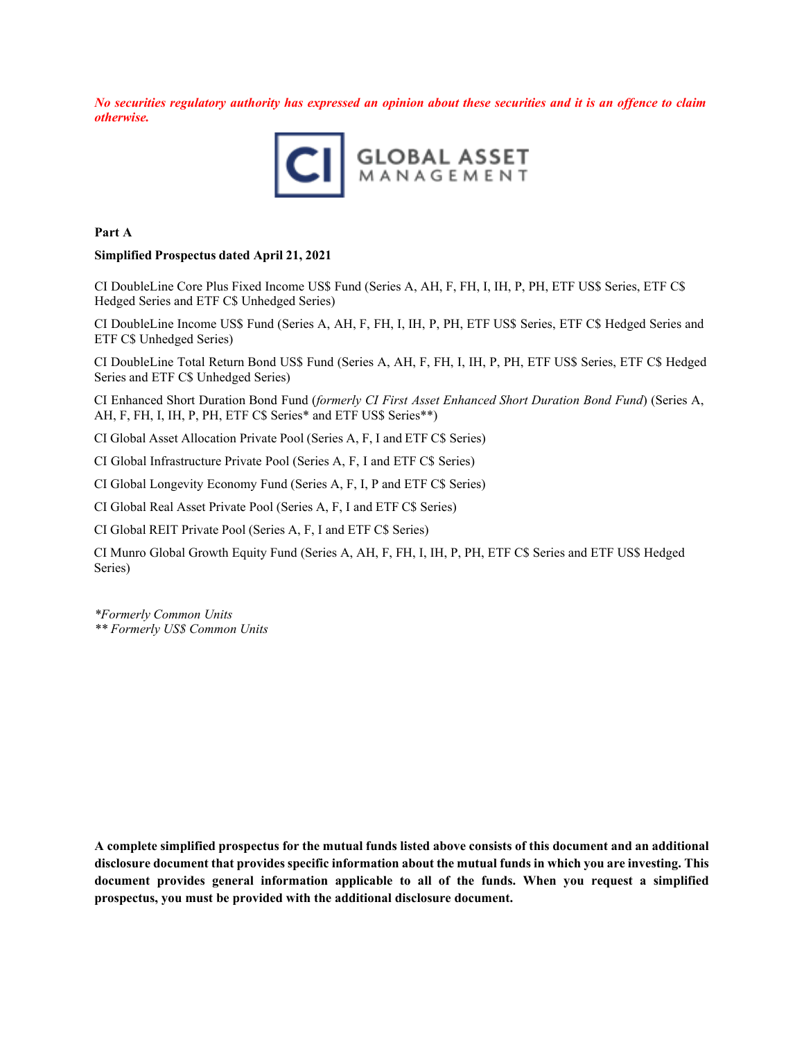No securities regulatory authority has expressed an opinion about these securities and it is an offence to claim *otherwise.*



**Part A** 

#### **Simplified Prospectus dated April 21, 2021**

CI DoubleLine Core Plus Fixed Income US\$ Fund (Series A, AH, F, FH, I, IH, P, PH, ETF US\$ Series, ETF C\$ Hedged Series and ETF C\$ Unhedged Series)

CI DoubleLine Income US\$ Fund (Series A, AH, F, FH, I, IH, P, PH, ETF US\$ Series, ETF C\$ Hedged Series and ETF C\$ Unhedged Series)

CI DoubleLine Total Return Bond US\$ Fund (Series A, AH, F, FH, I, IH, P, PH, ETF US\$ Series, ETF C\$ Hedged Series and ETF C\$ Unhedged Series)

CI Enhanced Short Duration Bond Fund (*formerly CI First Asset Enhanced Short Duration Bond Fund*) (Series A, AH, F, FH, I, IH, P, PH, ETF C\$ Series\* and ETF US\$ Series\*\*)

CI Global Asset Allocation Private Pool (Series A, F, I and ETF C\$ Series)

CI Global Infrastructure Private Pool (Series A, F, I and ETF C\$ Series)

CI Global Longevity Economy Fund (Series A, F, I, P and ETF C\$ Series)

CI Global Real Asset Private Pool (Series A, F, I and ETF C\$ Series)

CI Global REIT Private Pool (Series A, F, I and ETF C\$ Series)

CI Munro Global Growth Equity Fund (Series A, AH, F, FH, I, IH, P, PH, ETF C\$ Series and ETF US\$ Hedged Series)

*\*Formerly Common Units*

*\*\* Formerly US\$ Common Units*

**A complete simplified prospectus for the mutual funds listed above consists of this document and an additional disclosure document that provides specific information about the mutual funds in which you are investing. This document provides general information applicable to all of the funds. When you request a simplified prospectus, you must be provided with the additional disclosure document.**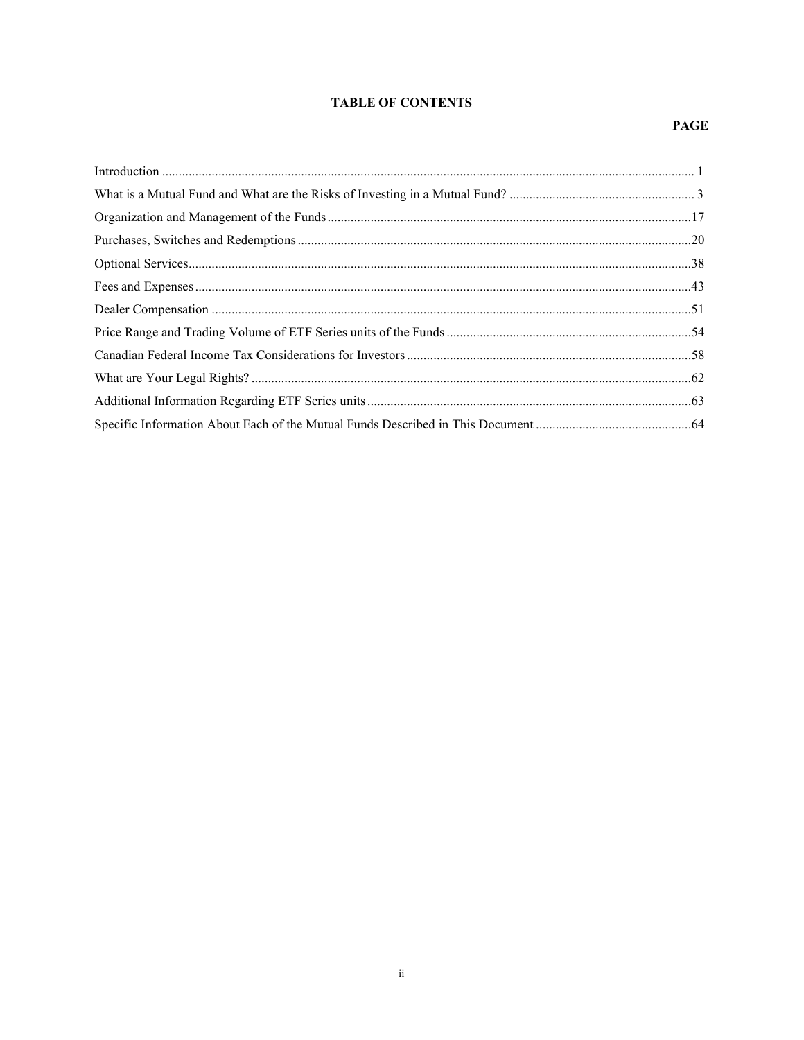## **TABLE OF CONTENTS**

## **PAGE**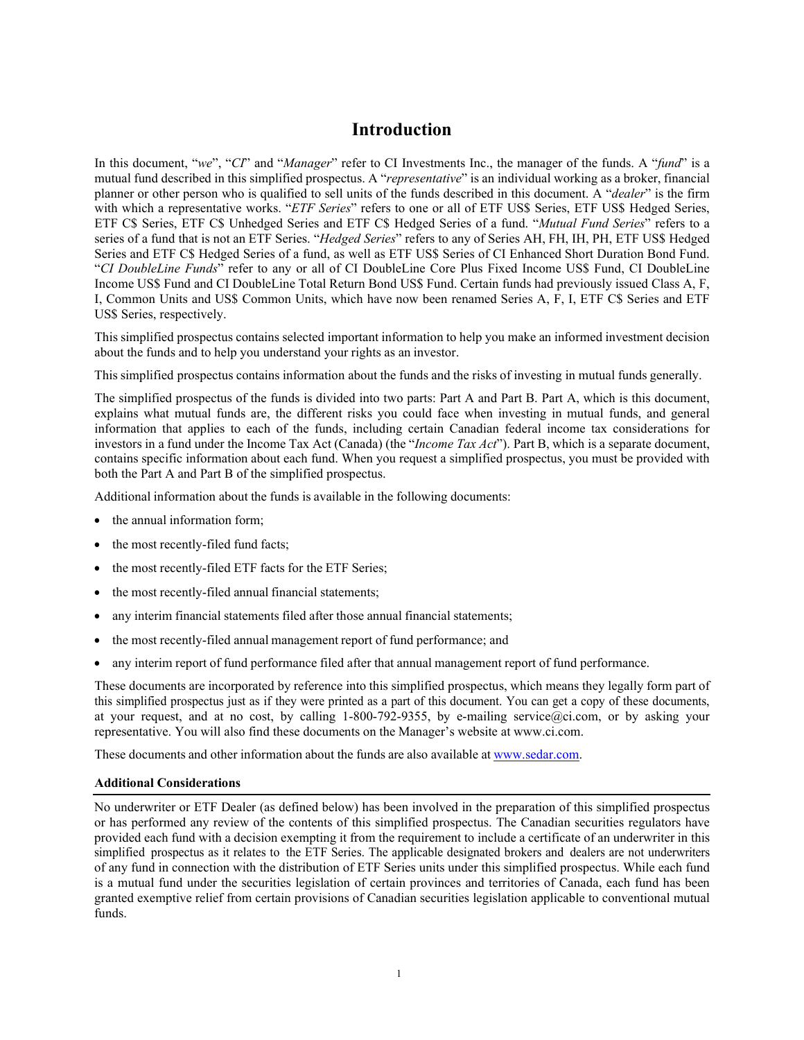## **Introduction**

<span id="page-2-0"></span>In this document, "*we*", "*CI*" and "*Manager*" refer to CI Investments Inc., the manager of the funds. A "*fund*" is a mutual fund described in this simplified prospectus. A "*representative*" is an individual working as a broker, financial planner or other person who is qualified to sell units of the funds described in this document. A "*dealer*" is the firm with which a representative works. "*ETF Series*" refers to one or all of ETF US\$ Series, ETF US\$ Hedged Series, ETF C\$ Series, ETF C\$ Unhedged Series and ETF C\$ Hedged Series of a fund. "*Mutual Fund Series*" refers to a series of a fund that is not an ETF Series. "*Hedged Series*" refers to any of Series AH, FH, IH, PH, ETF US\$ Hedged Series and ETF C\$ Hedged Series of a fund, as well as ETF US\$ Series of CI Enhanced Short Duration Bond Fund. "*CI DoubleLine Funds*" refer to any or all of CI DoubleLine Core Plus Fixed Income US\$ Fund, CI DoubleLine Income US\$ Fund and CI DoubleLine Total Return Bond US\$ Fund. Certain funds had previously issued Class A, F, I, Common Units and US\$ Common Units, which have now been renamed Series A, F, I, ETF C\$ Series and ETF US\$ Series, respectively.

This simplified prospectus contains selected important information to help you make an informed investment decision about the funds and to help you understand your rights as an investor.

This simplified prospectus contains information about the funds and the risks of investing in mutual funds generally.

The simplified prospectus of the funds is divided into two parts: Part A and Part B. Part A, which is this document, explains what mutual funds are, the different risks you could face when investing in mutual funds, and general information that applies to each of the funds, including certain Canadian federal income tax considerations for investors in a fund under the Income Tax Act (Canada) (the "*Income Tax Act*"). Part B, which is a separate document, contains specific information about each fund. When you request a simplified prospectus, you must be provided with both the Part A and Part B of the simplified prospectus.

Additional information about the funds is available in the following documents:

- the annual information form;
- the most recently-filed fund facts;
- the most recently-filed ETF facts for the ETF Series;
- the most recently-filed annual financial statements;
- any interim financial statements filed after those annual financial statements;
- the most recently-filed annual management report of fund performance; and
- any interim report of fund performance filed after that annual management report of fund performance.

These documents are incorporated by reference into this simplified prospectus, which means they legally form part of this simplified prospectus just as if they were printed as a part of this document. You can get a copy of these documents, at your request, and at no cost, by calling 1-800-792-9355, by e-mailing [service@ci.com,](mailto:service@ci.com) or by asking your representative. You will also find these documents on the Manager's website at [www.ci.com.](http://www.ci.com/)

These documents and other information about the funds are also available at [www.sedar.com.](http://www.sedar.com/)

#### **Additional Considerations**

No underwriter or ETF Dealer (as defined below) has been involved in the preparation of this simplified prospectus or has performed any review of the contents of this simplified prospectus. The Canadian securities regulators have provided each fund with a decision exempting it from the requirement to include a certificate of an underwriter in this simplified prospectus as it relates to the ETF Series. The applicable designated brokers and dealers are not underwriters of any fund in connection with the distribution of ETF Series units under this simplified prospectus. While each fund is a mutual fund under the securities legislation of certain provinces and territories of Canada, each fund has been granted exemptive relief from certain provisions of Canadian securities legislation applicable to conventional mutual funds.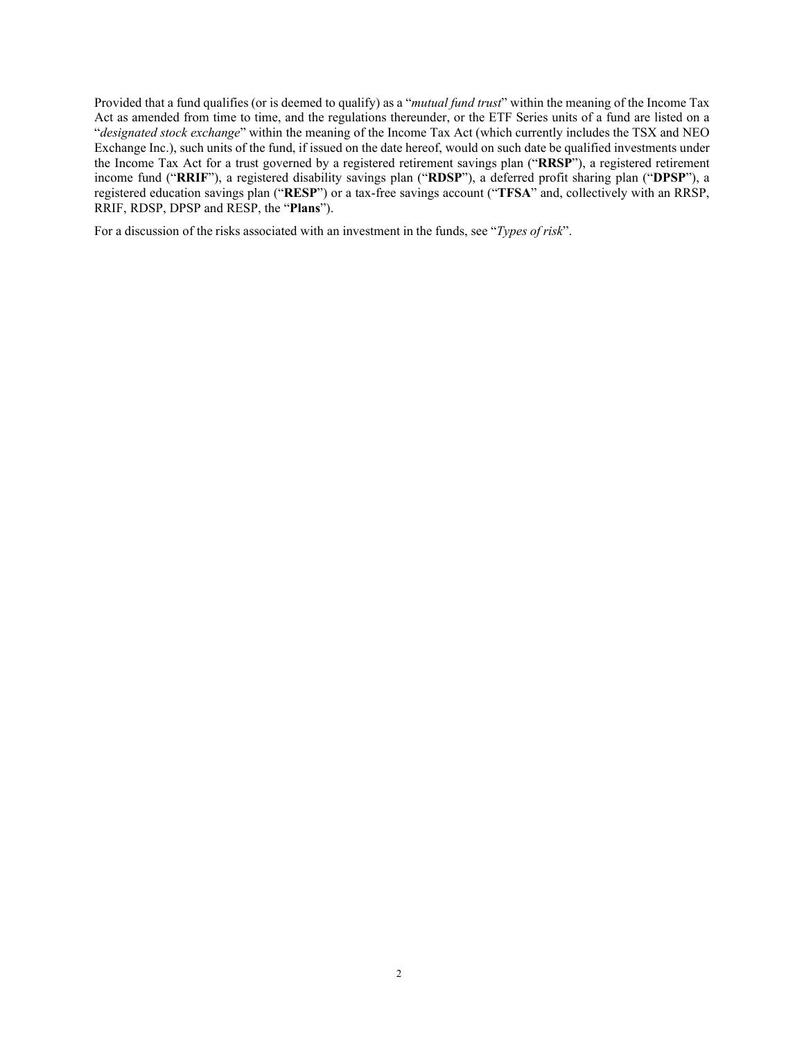Provided that a fund qualifies (or is deemed to qualify) as a "*mutual fund trust*" within the meaning of the Income Tax Act as amended from time to time, and the regulations thereunder, or the ETF Series units of a fund are listed on a "*designated stock exchange*" within the meaning of the Income Tax Act (which currently includes the TSX and NEO Exchange Inc.), such units of the fund, if issued on the date hereof, would on such date be qualified investments under the Income Tax Act for a trust governed by a registered retirement savings plan ("**RRSP**"), a registered retirement income fund ("**RRIF**"), a registered disability savings plan ("**RDSP**"), a deferred profit sharing plan ("**DPSP**"), a registered education savings plan ("**RESP**") or a tax-free savings account ("**TFSA**" and, collectively with an RRSP, RRIF, RDSP, DPSP and RESP, the "**Plans**").

For a discussion of the risks associated with an investment in the funds, see "*Types of risk*".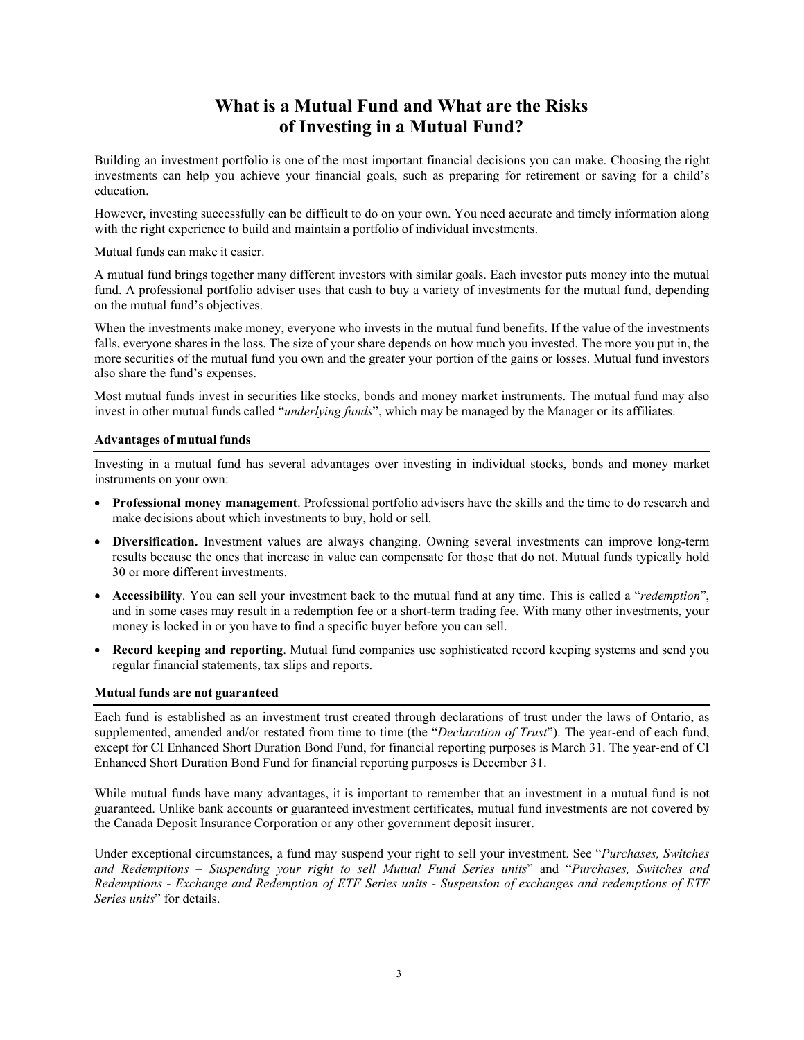# **What is a Mutual Fund and What are the Risks of Investing in a Mutual Fund?**

<span id="page-4-0"></span>Building an investment portfolio is one of the most important financial decisions you can make. Choosing the right investments can help you achieve your financial goals, such as preparing for retirement or saving for a child's education.

However, investing successfully can be difficult to do on your own. You need accurate and timely information along with the right experience to build and maintain a portfolio of individual investments.

Mutual funds can make it easier.

A mutual fund brings together many different investors with similar goals. Each investor puts money into the mutual fund. A professional portfolio adviser uses that cash to buy a variety of investments for the mutual fund, depending on the mutual fund's objectives.

When the investments make money, everyone who invests in the mutual fund benefits. If the value of the investments falls, everyone shares in the loss. The size of your share depends on how much you invested. The more you put in, the more securities of the mutual fund you own and the greater your portion of the gains or losses. Mutual fund investors also share the fund's expenses.

Most mutual funds invest in securities like stocks, bonds and money market instruments. The mutual fund may also invest in other mutual funds called "*underlying funds*", which may be managed by the Manager or its affiliates.

## **Advantages of mutual funds**

Investing in a mutual fund has several advantages over investing in individual stocks, bonds and money market instruments on your own:

- **Professional money management**. Professional portfolio advisers have the skills and the time to do research and make decisions about which investments to buy, hold or sell.
- **Diversification.** Investment values are always changing. Owning several investments can improve long-term results because the ones that increase in value can compensate for those that do not. Mutual funds typically hold 30 or more different investments.
- **Accessibility**. You can sell your investment back to the mutual fund at any time. This is called a "*redemption*", and in some cases may result in a redemption fee or a short-term trading fee. With many other investments, your money is locked in or you have to find a specific buyer before you can sell.
- **Record keeping and reporting**. Mutual fund companies use sophisticated record keeping systems and send you regular financial statements, tax slips and reports.

#### **Mutual funds are not guaranteed**

Each fund is established as an investment trust created through declarations of trust under the laws of Ontario, as supplemented, amended and/or restated from time to time (the "*Declaration of Trust*"). The year-end of each fund, except for CI Enhanced Short Duration Bond Fund, for financial reporting purposes is March 31. The year-end of CI Enhanced Short Duration Bond Fund for financial reporting purposes is December 31.

While mutual funds have many advantages, it is important to remember that an investment in a mutual fund is not guaranteed. Unlike bank accounts or guaranteed investment certificates, mutual fund investments are not covered by the Canada Deposit Insurance Corporation or any other government deposit insurer.

Under exceptional circumstances, a fund may suspend your right to sell your investment. See "*Purchases, Switches and Redemptions – Suspending your right to sell Mutual Fund Series units*" and "*Purchases, Switches and Redemptions - Exchange and Redemption of ETF Series units - Suspension of exchanges and redemptions of ETF Series units*" for details.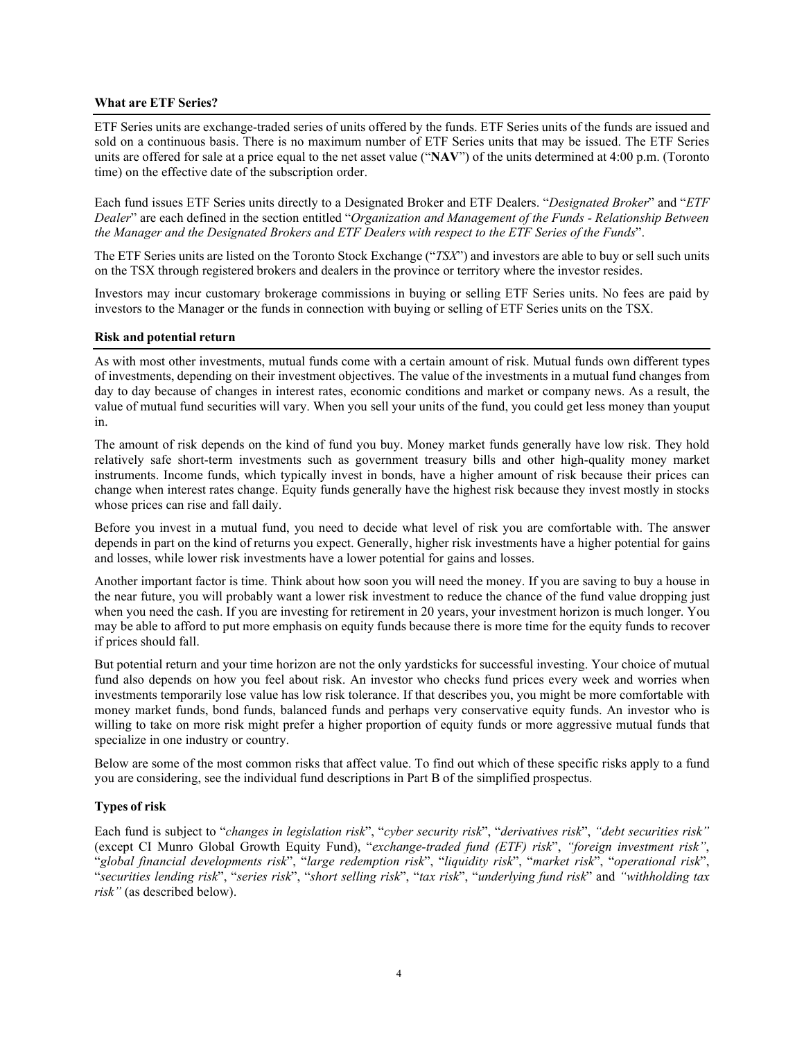## **What are ETF Series?**

ETF Series units are exchange-traded series of units offered by the funds. ETF Series units of the funds are issued and sold on a continuous basis. There is no maximum number of ETF Series units that may be issued. The ETF Series units are offered for sale at a price equal to the net asset value ("**NAV**") of the units determined at 4:00 p.m. (Toronto time) on the effective date of the subscription order.

Each fund issues ETF Series units directly to a Designated Broker and ETF Dealers. "*Designated Broker*" and "*ETF Dealer*" are each defined in the section entitled "*Organization and Management of the Funds - Relationship Between the Manager and the Designated Brokers and ETF Dealers with respect to the ETF Series of the Funds*".

The ETF Series units are listed on the Toronto Stock Exchange ("*TSX*") and investors are able to buy or sell such units on the TSX through registered brokers and dealers in the province or territory where the investor resides.

Investors may incur customary brokerage commissions in buying or selling ETF Series units. No fees are paid by investors to the Manager or the funds in connection with buying or selling of ETF Series units on the TSX.

#### **Risk and potential return**

As with most other investments, mutual funds come with a certain amount of risk. Mutual funds own different types of investments, depending on their investment objectives. The value of the investments in a mutual fund changes from day to day because of changes in interest rates, economic conditions and market or company news. As a result, the value of mutual fund securities will vary. When you sell your units of the fund, you could get less money than youput in.

The amount of risk depends on the kind of fund you buy. Money market funds generally have low risk. They hold relatively safe short-term investments such as government treasury bills and other high-quality money market instruments. Income funds, which typically invest in bonds, have a higher amount of risk because their prices can change when interest rates change. Equity funds generally have the highest risk because they invest mostly in stocks whose prices can rise and fall daily.

Before you invest in a mutual fund, you need to decide what level of risk you are comfortable with. The answer depends in part on the kind of returns you expect. Generally, higher risk investments have a higher potential for gains and losses, while lower risk investments have a lower potential for gains and losses.

Another important factor is time. Think about how soon you will need the money. If you are saving to buy a house in the near future, you will probably want a lower risk investment to reduce the chance of the fund value dropping just when you need the cash. If you are investing for retirement in 20 years, your investment horizon is much longer. You may be able to afford to put more emphasis on equity funds because there is more time for the equity funds to recover if prices should fall.

But potential return and your time horizon are not the only yardsticks for successful investing. Your choice of mutual fund also depends on how you feel about risk. An investor who checks fund prices every week and worries when investments temporarily lose value has low risk tolerance. If that describes you, you might be more comfortable with money market funds, bond funds, balanced funds and perhaps very conservative equity funds. An investor who is willing to take on more risk might prefer a higher proportion of equity funds or more aggressive mutual funds that specialize in one industry or country.

Below are some of the most common risks that affect value. To find out which of these specific risks apply to a fund you are considering, see the individual fund descriptions in Part B of the simplified prospectus.

## **Types of risk**

Each fund is subject to "*changes in legislation risk*", "*cyber security risk*", "*derivatives risk*", *"debt securities risk"* (except CI Munro Global Growth Equity Fund), "*exchange-traded fund (ETF) risk*", *"foreign investment risk"*, "*global financial developments risk*", "*large redemption risk*", "*liquidity risk*", "*market risk*", "*operational risk*", "*securities lending risk*", "*series risk*", "*short selling risk*", "*tax risk*", "*underlying fund risk*" and *"withholding tax risk"* (as described below).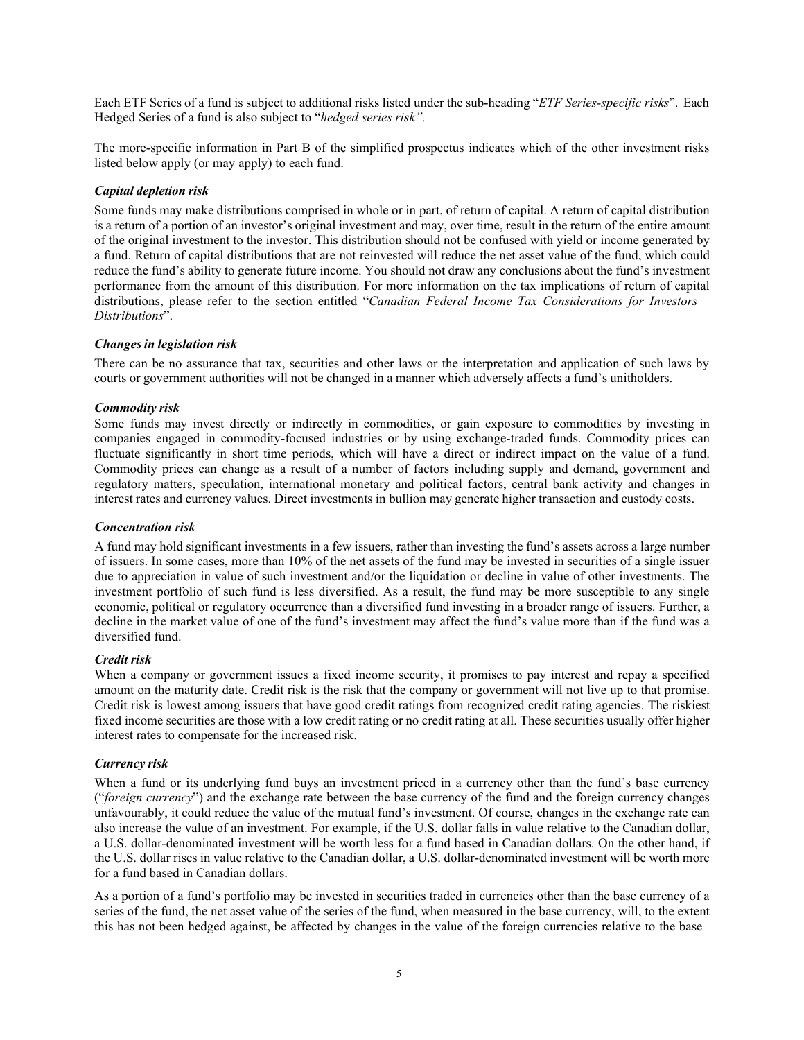Each ETF Series of a fund is subject to additional risks listed under the sub-heading "*ETF Series-specific risks*". Each Hedged Series of a fund is also subject to "*hedged series risk".*

The more-specific information in Part B of the simplified prospectus indicates which of the other investment risks listed below apply (or may apply) to each fund.

## *Capital depletion risk*

Some funds may make distributions comprised in whole or in part, of return of capital. A return of capital distribution is a return of a portion of an investor's original investment and may, over time, result in the return of the entire amount of the original investment to the investor. This distribution should not be confused with yield or income generated by a fund. Return of capital distributions that are not reinvested will reduce the net asset value of the fund, which could reduce the fund's ability to generate future income. You should not draw any conclusions about the fund's investment performance from the amount of this distribution. For more information on the tax implications of return of capital distributions, please refer to the section entitled "*Canadian Federal Income Tax Considerations for Investors – Distributions*".

#### *Changesin legislation risk*

There can be no assurance that tax, securities and other laws or the interpretation and application of such laws by courts or government authorities will not be changed in a manner which adversely affects a fund's unitholders.

## *Commodity risk*

Some funds may invest directly or indirectly in commodities, or gain exposure to commodities by investing in companies engaged in commodity-focused industries or by using exchange-traded funds. Commodity prices can fluctuate significantly in short time periods, which will have a direct or indirect impact on the value of a fund. Commodity prices can change as a result of a number of factors including supply and demand, government and regulatory matters, speculation, international monetary and political factors, central bank activity and changes in interest rates and currency values. Direct investments in bullion may generate higher transaction and custody costs.

#### *Concentration risk*

A fund may hold significant investments in a few issuers, rather than investing the fund's assets across a large number of issuers. In some cases, more than 10% of the net assets of the fund may be invested in securities of a single issuer due to appreciation in value of such investment and/or the liquidation or decline in value of other investments. The investment portfolio of such fund is less diversified. As a result, the fund may be more susceptible to any single economic, political or regulatory occurrence than a diversified fund investing in a broader range of issuers. Further, a decline in the market value of one of the fund's investment may affect the fund's value more than if the fund was a diversified fund.

#### *Credit risk*

When a company or government issues a fixed income security, it promises to pay interest and repay a specified amount on the maturity date. Credit risk is the risk that the company or government will not live up to that promise. Credit risk is lowest among issuers that have good credit ratings from recognized credit rating agencies. The riskiest fixed income securities are those with a low credit rating or no credit rating at all. These securities usually offer higher interest rates to compensate for the increased risk.

#### *Currency risk*

When a fund or its underlying fund buys an investment priced in a currency other than the fund's base currency ("*foreign currency*") and the exchange rate between the base currency of the fund and the foreign currency changes unfavourably, it could reduce the value of the mutual fund's investment. Of course, changes in the exchange rate can also increase the value of an investment. For example, if the U.S. dollar falls in value relative to the Canadian dollar, a U.S. dollar-denominated investment will be worth less for a fund based in Canadian dollars. On the other hand, if the U.S. dollar rises in value relative to the Canadian dollar, a U.S. dollar-denominated investment will be worth more for a fund based in Canadian dollars.

As a portion of a fund's portfolio may be invested in securities traded in currencies other than the base currency of a series of the fund, the net asset value of the series of the fund, when measured in the base currency, will, to the extent this has not been hedged against, be affected by changes in the value of the foreign currencies relative to the base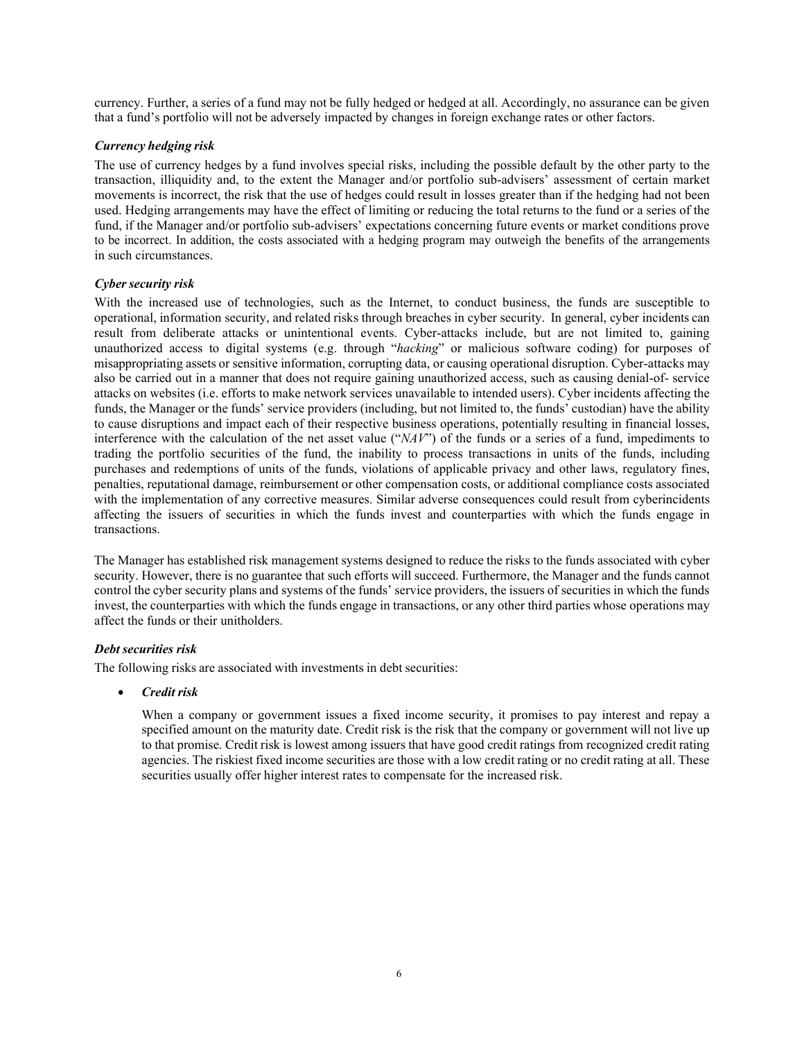currency. Further, a series of a fund may not be fully hedged or hedged at all. Accordingly, no assurance can be given that a fund's portfolio will not be adversely impacted by changes in foreign exchange rates or other factors.

## *Currency hedging risk*

The use of currency hedges by a fund involves special risks, including the possible default by the other party to the transaction, illiquidity and, to the extent the Manager and/or portfolio sub-advisers' assessment of certain market movements is incorrect, the risk that the use of hedges could result in losses greater than if the hedging had not been used. Hedging arrangements may have the effect of limiting or reducing the total returns to the fund or a series of the fund, if the Manager and/or portfolio sub-advisers' expectations concerning future events or market conditions prove to be incorrect. In addition, the costs associated with a hedging program may outweigh the benefits of the arrangements in such circumstances.

## *Cybersecurity risk*

With the increased use of technologies, such as the Internet, to conduct business, the funds are susceptible to operational, information security, and related risks through breaches in cyber security. In general, cyber incidents can result from deliberate attacks or unintentional events. Cyber-attacks include, but are not limited to, gaining unauthorized access to digital systems (e.g. through "*hacking*" or malicious software coding) for purposes of misappropriating assets or sensitive information, corrupting data, or causing operational disruption. Cyber-attacks may also be carried out in a manner that does not require gaining unauthorized access, such as causing denial-of- service attacks on websites (i.e. efforts to make network services unavailable to intended users). Cyber incidents affecting the funds, the Manager or the funds' service providers (including, but not limited to, the funds' custodian) have the ability to cause disruptions and impact each of their respective business operations, potentially resulting in financial losses, interference with the calculation of the net asset value ("*NAV*") of the funds or a series of a fund, impediments to trading the portfolio securities of the fund, the inability to process transactions in units of the funds, including purchases and redemptions of units of the funds, violations of applicable privacy and other laws, regulatory fines, penalties, reputational damage, reimbursement or other compensation costs, or additional compliance costs associated with the implementation of any corrective measures. Similar adverse consequences could result from cyberincidents affecting the issuers of securities in which the funds invest and counterparties with which the funds engage in transactions.

The Manager has established risk management systems designed to reduce the risks to the funds associated with cyber security. However, there is no guarantee that such efforts will succeed. Furthermore, the Manager and the funds cannot control the cyber security plans and systems of the funds' service providers, the issuers of securities in which the funds invest, the counterparties with which the funds engage in transactions, or any other third parties whose operations may affect the funds or their unitholders.

## *Debt securities risk*

The following risks are associated with investments in debt securities:

• *Credit risk*

When a company or government issues a fixed income security, it promises to pay interest and repay a specified amount on the maturity date. Credit risk is the risk that the company or government will not live up to that promise. Credit risk is lowest among issuers that have good credit ratings from recognized credit rating agencies. The riskiest fixed income securities are those with a low credit rating or no credit rating at all. These securities usually offer higher interest rates to compensate for the increased risk.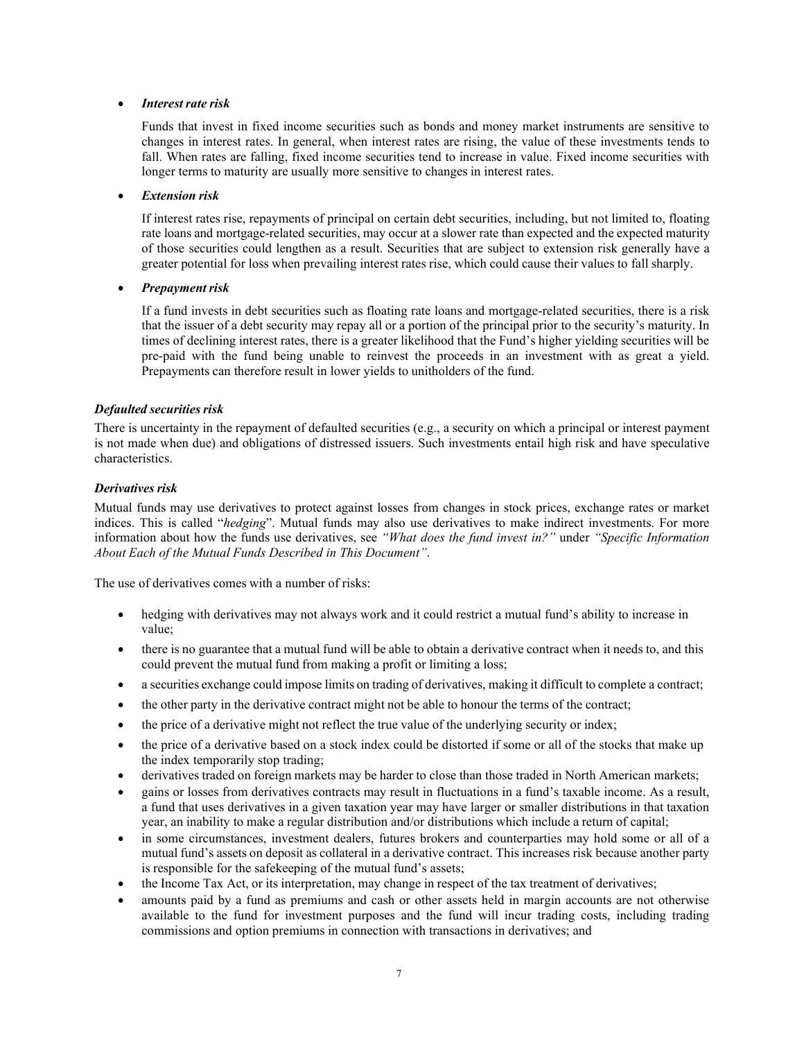#### • *Interest rate risk*

Funds that invest in fixed income securities such as bonds and money market instruments are sensitive to changes in interest rates. In general, when interest rates are rising, the value of these investments tends to fall. When rates are falling, fixed income securities tend to increase in value. Fixed income securities with longer terms to maturity are usually more sensitive to changes in interest rates.

## • *Extension risk*

If interest rates rise, repayments of principal on certain debt securities, including, but not limited to, floating rate loans and mortgage-related securities, may occur at a slower rate than expected and the expected maturity of those securities could lengthen as a result. Securities that are subject to extension risk generally have a greater potential for loss when prevailing interest rates rise, which could cause their values to fall sharply.

## *Prepayment risk*

If a fund invests in debt securities such as floating rate loans and mortgage-related securities, there is a risk that the issuer of a debt security may repay all or a portion of the principal prior to the security's maturity. In times of declining interest rates, there is a greater likelihood that the Fund's higher yielding securities will be pre-paid with the fund being unable to reinvest the proceeds in an investment with as great a yield. Prepayments can therefore result in lower yields to unitholders of the fund.

## *Defaulted securities risk*

There is uncertainty in the repayment of defaulted securities (e.g., a security on which a principal or interest payment is not made when due) and obligations of distressed issuers. Such investments entail high risk and have speculative characteristics.

## *Derivatives risk*

Mutual funds may use derivatives to protect against losses from changes in stock prices, exchange rates or market indices. This is called "*hedging*". Mutual funds may also use derivatives to make indirect investments. For more information about how the funds use derivatives, see *"What does the fund invest in?"* under *"Specific Information About Each of the Mutual Funds Described in This Document"*.

The use of derivatives comes with a number of risks:

- hedging with derivatives may not always work and it could restrict a mutual fund's ability to increase in value;
- there is no guarantee that a mutual fund will be able to obtain a derivative contract when it needs to, and this could prevent the mutual fund from making a profit or limiting a loss;
- a securities exchange could impose limits on trading of derivatives, making it difficult to complete a contract;
- the other party in the derivative contract might not be able to honour the terms of the contract;
- the price of a derivative might not reflect the true value of the underlying security or index;
- the price of a derivative based on a stock index could be distorted if some or all of the stocks that make up the index temporarily stop trading;
- derivatives traded on foreign markets may be harder to close than those traded in North American markets;
- gains or losses from derivatives contracts may result in fluctuations in a fund's taxable income. As a result, a fund that uses derivatives in a given taxation year may have larger or smaller distributions in that taxation year, an inability to make a regular distribution and/or distributions which include a return of capital;
- in some circumstances, investment dealers, futures brokers and counterparties may hold some or all of a mutual fund's assets on deposit as collateral in a derivative contract. This increases risk because another party is responsible for the safekeeping of the mutual fund's assets;
- the Income Tax Act, or its interpretation, may change in respect of the tax treatment of derivatives;
- amounts paid by a fund as premiums and cash or other assets held in margin accounts are not otherwise available to the fund for investment purposes and the fund will incur trading costs, including trading commissions and option premiums in connection with transactions in derivatives; and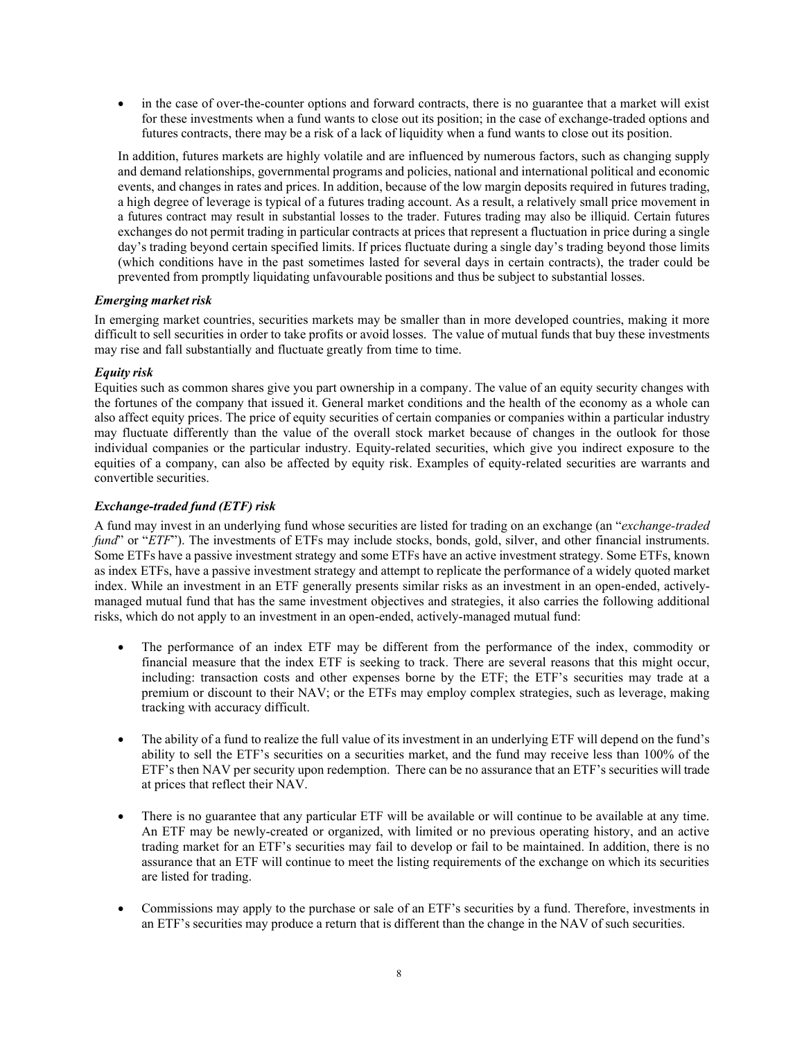• in the case of over-the-counter options and forward contracts, there is no guarantee that a market will exist for these investments when a fund wants to close out its position; in the case of exchange-traded options and futures contracts, there may be a risk of a lack of liquidity when a fund wants to close out its position.

In addition, futures markets are highly volatile and are influenced by numerous factors, such as changing supply and demand relationships, governmental programs and policies, national and international political and economic events, and changes in rates and prices. In addition, because of the low margin deposits required in futures trading, a high degree of leverage is typical of a futures trading account. As a result, a relatively small price movement in a futures contract may result in substantial losses to the trader. Futures trading may also be illiquid. Certain futures exchanges do not permit trading in particular contracts at prices that represent a fluctuation in price during a single day's trading beyond certain specified limits. If prices fluctuate during a single day's trading beyond those limits (which conditions have in the past sometimes lasted for several days in certain contracts), the trader could be prevented from promptly liquidating unfavourable positions and thus be subject to substantial losses.

## *Emerging market risk*

In emerging market countries, securities markets may be smaller than in more developed countries, making it more difficult to sell securities in order to take profits or avoid losses. The value of mutual funds that buy these investments may rise and fall substantially and fluctuate greatly from time to time.

## *Equity risk*

Equities such as common shares give you part ownership in a company. The value of an equity security changes with the fortunes of the company that issued it. General market conditions and the health of the economy as a whole can also affect equity prices. The price of equity securities of certain companies or companies within a particular industry may fluctuate differently than the value of the overall stock market because of changes in the outlook for those individual companies or the particular industry. Equity-related securities, which give you indirect exposure to the equities of a company, can also be affected by equity risk. Examples of equity-related securities are warrants and convertible securities.

## *Exchange-traded fund (ETF) risk*

A fund may invest in an underlying fund whose securities are listed for trading on an exchange (an "*exchange-traded fund*" or "*ETF*"). The investments of ETFs may include stocks, bonds, gold, silver, and other financial instruments. Some ETFs have a passive investment strategy and some ETFs have an active investment strategy. Some ETFs, known as index ETFs, have a passive investment strategy and attempt to replicate the performance of a widely quoted market index. While an investment in an ETF generally presents similar risks as an investment in an open-ended, activelymanaged mutual fund that has the same investment objectives and strategies, it also carries the following additional risks, which do not apply to an investment in an open-ended, actively-managed mutual fund:

- The performance of an index ETF may be different from the performance of the index, commodity or financial measure that the index ETF is seeking to track. There are several reasons that this might occur, including: transaction costs and other expenses borne by the ETF; the ETF's securities may trade at a premium or discount to their NAV; or the ETFs may employ complex strategies, such as leverage, making tracking with accuracy difficult.
- The ability of a fund to realize the full value of its investment in an underlying ETF will depend on the fund's ability to sell the ETF's securities on a securities market, and the fund may receive less than 100% of the ETF's then NAV per security upon redemption. There can be no assurance that an ETF's securities will trade at prices that reflect their NAV.
- There is no guarantee that any particular ETF will be available or will continue to be available at any time. An ETF may be newly-created or organized, with limited or no previous operating history, and an active trading market for an ETF's securities may fail to develop or fail to be maintained. In addition, there is no assurance that an ETF will continue to meet the listing requirements of the exchange on which its securities are listed for trading.
- Commissions may apply to the purchase or sale of an ETF's securities by a fund. Therefore, investments in an ETF's securities may produce a return that is different than the change in the NAV of such securities.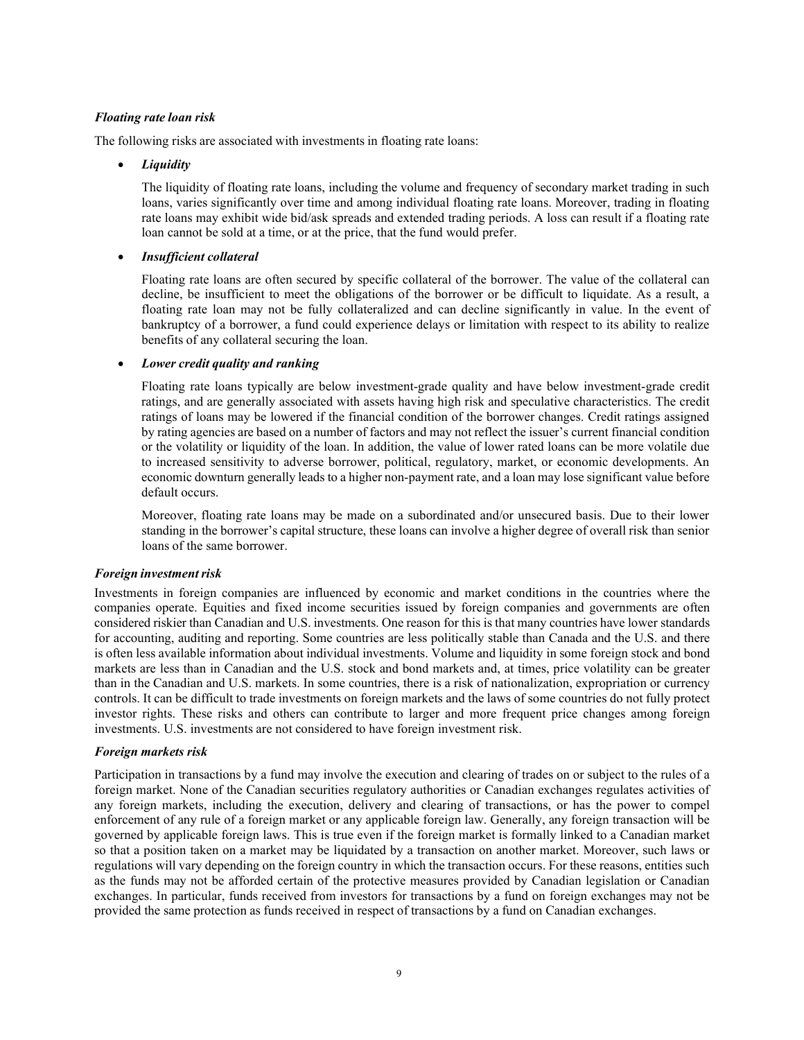## *Floating rate loan risk*

The following risks are associated with investments in floating rate loans:

#### • *Liquidity*

The liquidity of floating rate loans, including the volume and frequency of secondary market trading in such loans, varies significantly over time and among individual floating rate loans. Moreover, trading in floating rate loans may exhibit wide bid/ask spreads and extended trading periods. A loss can result if a floating rate loan cannot be sold at a time, or at the price, that the fund would prefer.

#### • *Insufficient collateral*

Floating rate loans are often secured by specific collateral of the borrower. The value of the collateral can decline, be insufficient to meet the obligations of the borrower or be difficult to liquidate. As a result, a floating rate loan may not be fully collateralized and can decline significantly in value. In the event of bankruptcy of a borrower, a fund could experience delays or limitation with respect to its ability to realize benefits of any collateral securing the loan.

#### • *Lower credit quality and ranking*

Floating rate loans typically are below investment-grade quality and have below investment-grade credit ratings, and are generally associated with assets having high risk and speculative characteristics. The credit ratings of loans may be lowered if the financial condition of the borrower changes. Credit ratings assigned by rating agencies are based on a number of factors and may not reflect the issuer's current financial condition or the volatility or liquidity of the loan. In addition, the value of lower rated loans can be more volatile due to increased sensitivity to adverse borrower, political, regulatory, market, or economic developments. An economic downturn generally leads to a higher non-payment rate, and a loan may lose significant value before default occurs.

Moreover, floating rate loans may be made on a subordinated and/or unsecured basis. Due to their lower standing in the borrower's capital structure, these loans can involve a higher degree of overall risk than senior loans of the same borrower.

#### *Foreign investmentrisk*

Investments in foreign companies are influenced by economic and market conditions in the countries where the companies operate. Equities and fixed income securities issued by foreign companies and governments are often considered riskier than Canadian and U.S. investments. One reason for this is that many countries have lower standards for accounting, auditing and reporting. Some countries are less politically stable than Canada and the U.S. and there is often less available information about individual investments. Volume and liquidity in some foreign stock and bond markets are less than in Canadian and the U.S. stock and bond markets and, at times, price volatility can be greater than in the Canadian and U.S. markets. In some countries, there is a risk of nationalization, expropriation or currency controls. It can be difficult to trade investments on foreign markets and the laws of some countries do not fully protect investor rights. These risks and others can contribute to larger and more frequent price changes among foreign investments. U.S. investments are not considered to have foreign investment risk.

#### *Foreign markets risk*

Participation in transactions by a fund may involve the execution and clearing of trades on or subject to the rules of a foreign market. None of the Canadian securities regulatory authorities or Canadian exchanges regulates activities of any foreign markets, including the execution, delivery and clearing of transactions, or has the power to compel enforcement of any rule of a foreign market or any applicable foreign law. Generally, any foreign transaction will be governed by applicable foreign laws. This is true even if the foreign market is formally linked to a Canadian market so that a position taken on a market may be liquidated by a transaction on another market. Moreover, such laws or regulations will vary depending on the foreign country in which the transaction occurs. For these reasons, entities such as the funds may not be afforded certain of the protective measures provided by Canadian legislation or Canadian exchanges. In particular, funds received from investors for transactions by a fund on foreign exchanges may not be provided the same protection as funds received in respect of transactions by a fund on Canadian exchanges.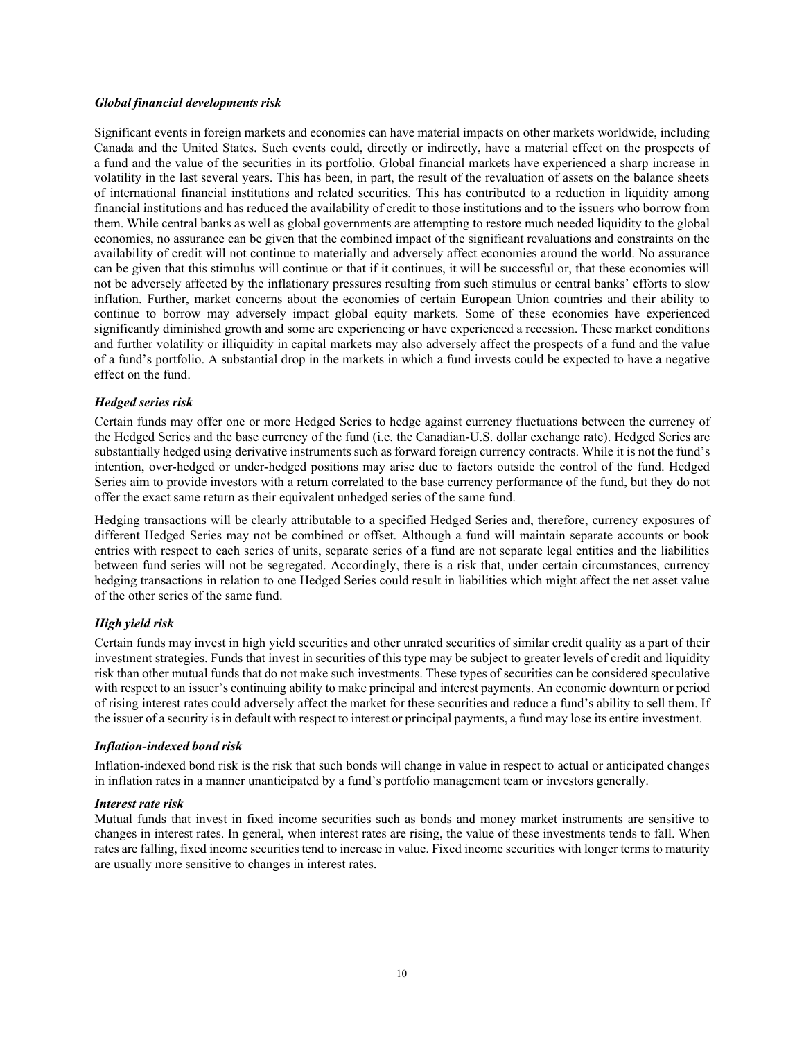#### *Global financial developments risk*

Significant events in foreign markets and economies can have material impacts on other markets worldwide, including Canada and the United States. Such events could, directly or indirectly, have a material effect on the prospects of a fund and the value of the securities in its portfolio. Global financial markets have experienced a sharp increase in volatility in the last several years. This has been, in part, the result of the revaluation of assets on the balance sheets of international financial institutions and related securities. This has contributed to a reduction in liquidity among financial institutions and has reduced the availability of credit to those institutions and to the issuers who borrow from them. While central banks as well as global governments are attempting to restore much needed liquidity to the global economies, no assurance can be given that the combined impact of the significant revaluations and constraints on the availability of credit will not continue to materially and adversely affect economies around the world. No assurance can be given that this stimulus will continue or that if it continues, it will be successful or, that these economies will not be adversely affected by the inflationary pressures resulting from such stimulus or central banks' efforts to slow inflation. Further, market concerns about the economies of certain European Union countries and their ability to continue to borrow may adversely impact global equity markets. Some of these economies have experienced significantly diminished growth and some are experiencing or have experienced a recession. These market conditions and further volatility or illiquidity in capital markets may also adversely affect the prospects of a fund and the value of a fund's portfolio. A substantial drop in the markets in which a fund invests could be expected to have a negative effect on the fund.

## *Hedged series risk*

Certain funds may offer one or more Hedged Series to hedge against currency fluctuations between the currency of the Hedged Series and the base currency of the fund (i.e. the Canadian-U.S. dollar exchange rate). Hedged Series are substantially hedged using derivative instruments such as forward foreign currency contracts. While it is not the fund's intention, over-hedged or under-hedged positions may arise due to factors outside the control of the fund. Hedged Series aim to provide investors with a return correlated to the base currency performance of the fund, but they do not offer the exact same return as their equivalent unhedged series of the same fund.

Hedging transactions will be clearly attributable to a specified Hedged Series and, therefore, currency exposures of different Hedged Series may not be combined or offset. Although a fund will maintain separate accounts or book entries with respect to each series of units, separate series of a fund are not separate legal entities and the liabilities between fund series will not be segregated. Accordingly, there is a risk that, under certain circumstances, currency hedging transactions in relation to one Hedged Series could result in liabilities which might affect the net asset value of the other series of the same fund.

## *High yield risk*

Certain funds may invest in high yield securities and other unrated securities of similar credit quality as a part of their investment strategies. Funds that invest in securities of this type may be subject to greater levels of credit and liquidity risk than other mutual funds that do not make such investments. These types of securities can be considered speculative with respect to an issuer's continuing ability to make principal and interest payments. An economic downturn or period of rising interest rates could adversely affect the market for these securities and reduce a fund's ability to sell them. If the issuer of a security isin default with respect to interest or principal payments, a fund may lose its entire investment.

#### *Inflation-indexed bond risk*

Inflation-indexed bond risk is the risk that such bonds will change in value in respect to actual or anticipated changes in inflation rates in a manner unanticipated by a fund's portfolio management team or investors generally.

#### *Interest rate risk*

Mutual funds that invest in fixed income securities such as bonds and money market instruments are sensitive to changes in interest rates. In general, when interest rates are rising, the value of these investments tends to fall. When rates are falling, fixed income securitiestend to increase in value. Fixed income securities with longer terms to maturity are usually more sensitive to changes in interest rates.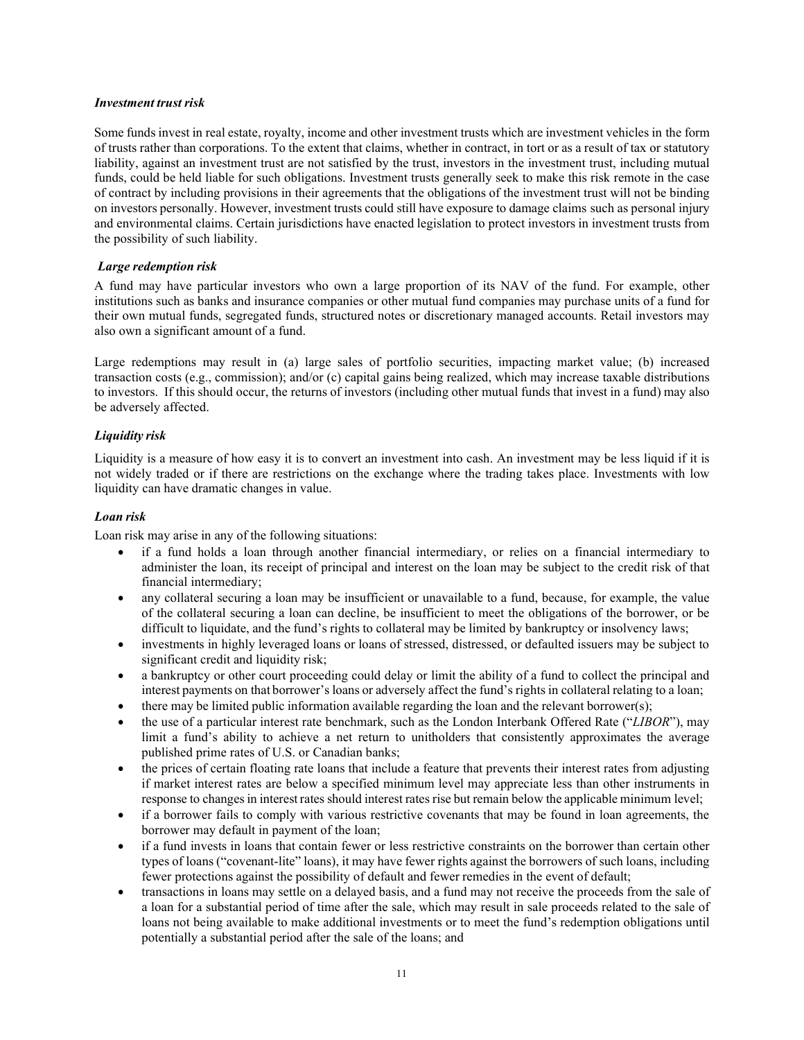#### *Investment trust risk*

Some funds invest in real estate, royalty, income and other investment trusts which are investment vehicles in the form of trusts rather than corporations. To the extent that claims, whether in contract, in tort or as a result of tax or statutory liability, against an investment trust are not satisfied by the trust, investors in the investment trust, including mutual funds, could be held liable for such obligations. Investment trusts generally seek to make this risk remote in the case of contract by including provisions in their agreements that the obligations of the investment trust will not be binding on investors personally. However, investment trusts could still have exposure to damage claims such as personal injury and environmental claims. Certain jurisdictions have enacted legislation to protect investors in investment trusts from the possibility of such liability.

## *Large redemption risk*

A fund may have particular investors who own a large proportion of its NAV of the fund. For example, other institutions such as banks and insurance companies or other mutual fund companies may purchase units of a fund for their own mutual funds, segregated funds, structured notes or discretionary managed accounts. Retail investors may also own a significant amount of a fund.

Large redemptions may result in (a) large sales of portfolio securities, impacting market value; (b) increased transaction costs (e.g., commission); and/or (c) capital gains being realized, which may increase taxable distributions to investors. If this should occur, the returns of investors (including other mutual funds that invest in a fund) may also be adversely affected.

## *Liquidity risk*

Liquidity is a measure of how easy it is to convert an investment into cash. An investment may be less liquid if it is not widely traded or if there are restrictions on the exchange where the trading takes place. Investments with low liquidity can have dramatic changes in value.

## *Loan risk*

Loan risk may arise in any of the following situations:

- if a fund holds a loan through another financial intermediary, or relies on a financial intermediary to administer the loan, its receipt of principal and interest on the loan may be subject to the credit risk of that financial intermediary;
- any collateral securing a loan may be insufficient or unavailable to a fund, because, for example, the value of the collateral securing a loan can decline, be insufficient to meet the obligations of the borrower, or be difficult to liquidate, and the fund's rights to collateral may be limited by bankruptcy or insolvency laws;
- investments in highly leveraged loans or loans of stressed, distressed, or defaulted issuers may be subject to significant credit and liquidity risk;
- a bankruptcy or other court proceeding could delay or limit the ability of a fund to collect the principal and interest payments on that borrower's loans or adversely affect the fund's rights in collateral relating to a loan;
- there may be limited public information available regarding the loan and the relevant borrower(s);
- the use of a particular interest rate benchmark, such as the London Interbank Offered Rate ("*LIBOR*"), may limit a fund's ability to achieve a net return to unitholders that consistently approximates the average published prime rates of U.S. or Canadian banks;
- the prices of certain floating rate loans that include a feature that prevents their interest rates from adjusting if market interest rates are below a specified minimum level may appreciate less than other instruments in response to changesin interest rates should interest rates rise but remain below the applicable minimum level;
- if a borrower fails to comply with various restrictive covenants that may be found in loan agreements, the borrower may default in payment of the loan;
- if a fund invests in loans that contain fewer or less restrictive constraints on the borrower than certain other types of loans ("covenant-lite" loans), it may have fewer rights against the borrowers of such loans, including fewer protections against the possibility of default and fewer remedies in the event of default;
- transactions in loans may settle on a delayed basis, and a fund may not receive the proceeds from the sale of a loan for a substantial period of time after the sale, which may result in sale proceeds related to the sale of loans not being available to make additional investments or to meet the fund's redemption obligations until potentially a substantial period after the sale of the loans; and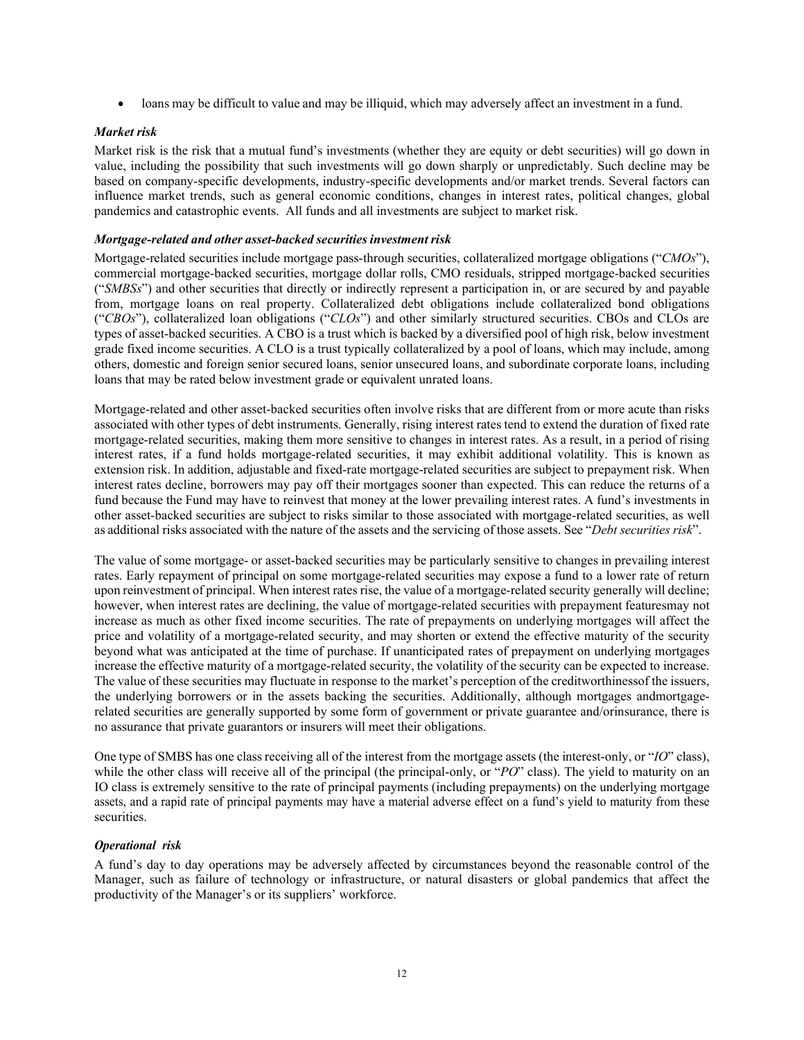• loans may be difficult to value and may be illiquid, which may adversely affect an investment in a fund.

## *Market risk*

Market risk is the risk that a mutual fund's investments (whether they are equity or debt securities) will go down in value, including the possibility that such investments will go down sharply or unpredictably. Such decline may be based on company-specific developments, industry-specific developments and/or market trends. Several factors can influence market trends, such as general economic conditions, changes in interest rates, political changes, global pandemics and catastrophic events. All funds and all investments are subject to market risk.

## *Mortgage-related and other asset-backed securitiesinvestment risk*

Mortgage-related securities include mortgage pass-through securities, collateralized mortgage obligations ("*CMOs*"), commercial mortgage-backed securities, mortgage dollar rolls, CMO residuals, stripped mortgage-backed securities ("*SMBSs*") and other securities that directly or indirectly represent a participation in, or are secured by and payable from, mortgage loans on real property. Collateralized debt obligations include collateralized bond obligations ("*CBOs*"), collateralized loan obligations ("*CLOs*") and other similarly structured securities. CBOs and CLOs are types of asset-backed securities. A CBO is a trust which is backed by a diversified pool of high risk, below investment grade fixed income securities. A CLO is a trust typically collateralized by a pool of loans, which may include, among others, domestic and foreign senior secured loans, senior unsecured loans, and subordinate corporate loans, including loans that may be rated below investment grade or equivalent unrated loans.

Mortgage-related and other asset-backed securities often involve risks that are different from or more acute than risks associated with other types of debt instruments. Generally, rising interest rates tend to extend the duration of fixed rate mortgage-related securities, making them more sensitive to changes in interest rates. As a result, in a period of rising interest rates, if a fund holds mortgage-related securities, it may exhibit additional volatility. This is known as extension risk. In addition, adjustable and fixed-rate mortgage-related securities are subject to prepayment risk. When interest rates decline, borrowers may pay off their mortgages sooner than expected. This can reduce the returns of a fund because the Fund may have to reinvest that money at the lower prevailing interest rates. A fund's investments in other asset-backed securities are subject to risks similar to those associated with mortgage-related securities, as well as additional risks associated with the nature of the assets and the servicing of those assets. See "*Debt securities risk*".

The value of some mortgage- or asset-backed securities may be particularly sensitive to changes in prevailing interest rates. Early repayment of principal on some mortgage-related securities may expose a fund to a lower rate of return upon reinvestment of principal. When interest rates rise, the value of a mortgage-related security generally will decline; however, when interest rates are declining, the value of mortgage-related securities with prepayment featuresmay not increase as much as other fixed income securities. The rate of prepayments on underlying mortgages will affect the price and volatility of a mortgage-related security, and may shorten or extend the effective maturity of the security beyond what was anticipated at the time of purchase. If unanticipated rates of prepayment on underlying mortgages increase the effective maturity of a mortgage-related security, the volatility of the security can be expected to increase. The value of these securities may fluctuate in response to the market's perception of the creditworthinessof the issuers, the underlying borrowers or in the assets backing the securities. Additionally, although mortgages andmortgagerelated securities are generally supported by some form of government or private guarantee and/orinsurance, there is no assurance that private guarantors or insurers will meet their obligations.

One type of SMBS has one class receiving all of the interest from the mortgage assets (the interest-only, or "*IO*" class), while the other class will receive all of the principal (the principal-only, or "*PO*" class). The yield to maturity on an IO class is extremely sensitive to the rate of principal payments (including prepayments) on the underlying mortgage assets, and a rapid rate of principal payments may have a material adverse effect on a fund's yield to maturity from these securities.

## *Operational risk*

A fund's day to day operations may be adversely affected by circumstances beyond the reasonable control of the Manager, such as failure of technology or infrastructure, or natural disasters or global pandemics that affect the productivity of the Manager's or its suppliers' workforce.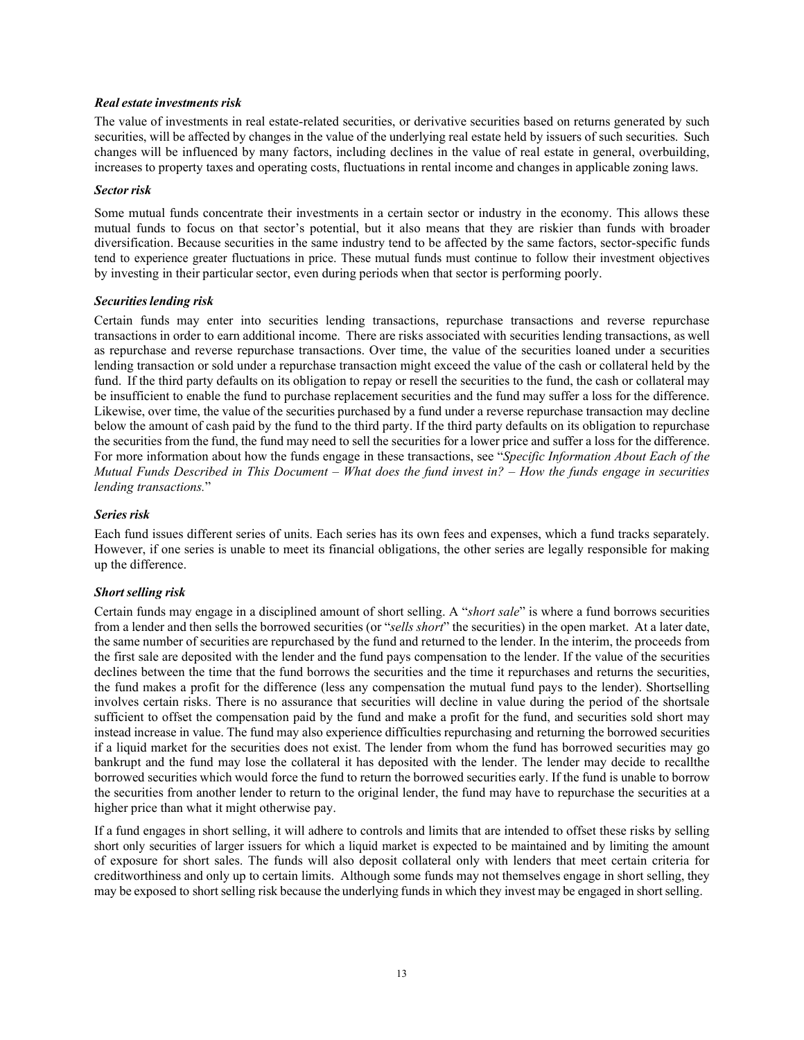#### *Real estate investments risk*

The value of investments in real estate-related securities, or derivative securities based on returns generated by such securities, will be affected by changes in the value of the underlying real estate held by issuers of such securities. Such changes will be influenced by many factors, including declines in the value of real estate in general, overbuilding, increases to property taxes and operating costs, fluctuations in rental income and changes in applicable zoning laws.

#### *Sectorrisk*

Some mutual funds concentrate their investments in a certain sector or industry in the economy. This allows these mutual funds to focus on that sector's potential, but it also means that they are riskier than funds with broader diversification. Because securities in the same industry tend to be affected by the same factors, sector-specific funds tend to experience greater fluctuations in price. These mutual funds must continue to follow their investment objectives by investing in their particular sector, even during periods when that sector is performing poorly.

## *Securitieslending risk*

Certain funds may enter into securities lending transactions, repurchase transactions and reverse repurchase transactions in order to earn additional income. There are risks associated with securities lending transactions, as well as repurchase and reverse repurchase transactions. Over time, the value of the securities loaned under a securities lending transaction or sold under a repurchase transaction might exceed the value of the cash or collateral held by the fund. If the third party defaults on its obligation to repay or resell the securities to the fund, the cash or collateral may be insufficient to enable the fund to purchase replacement securities and the fund may suffer a loss for the difference. Likewise, over time, the value of the securities purchased by a fund under a reverse repurchase transaction may decline below the amount of cash paid by the fund to the third party. If the third party defaults on its obligation to repurchase the securities from the fund, the fund may need to sell the securities for a lower price and suffer a loss for the difference. For more information about how the funds engage in these transactions, see "*Specific Information About Each of the Mutual Funds Described in This Document – What does the fund invest in?* – *How the funds engage in securities lending transactions.*"

## *Series risk*

Each fund issues different series of units. Each series has its own fees and expenses, which a fund tracks separately. However, if one series is unable to meet its financial obligations, the other series are legally responsible for making up the difference.

## *Short selling risk*

Certain funds may engage in a disciplined amount of short selling. A "*short sale*" is where a fund borrows securities from a lender and then sells the borrowed securities (or "*sells short*" the securities) in the open market. At a later date, the same number of securities are repurchased by the fund and returned to the lender. In the interim, the proceeds from the first sale are deposited with the lender and the fund pays compensation to the lender. If the value of the securities declines between the time that the fund borrows the securities and the time it repurchases and returns the securities, the fund makes a profit for the difference (less any compensation the mutual fund pays to the lender). Shortselling involves certain risks. There is no assurance that securities will decline in value during the period of the shortsale sufficient to offset the compensation paid by the fund and make a profit for the fund, and securities sold short may instead increase in value. The fund may also experience difficulties repurchasing and returning the borrowed securities if a liquid market for the securities does not exist. The lender from whom the fund has borrowed securities may go bankrupt and the fund may lose the collateral it has deposited with the lender. The lender may decide to recallthe borrowed securities which would force the fund to return the borrowed securities early. If the fund is unable to borrow the securities from another lender to return to the original lender, the fund may have to repurchase the securities at a higher price than what it might otherwise pay.

If a fund engages in short selling, it will adhere to controls and limits that are intended to offset these risks by selling short only securities of larger issuers for which a liquid market is expected to be maintained and by limiting the amount of exposure for short sales. The funds will also deposit collateral only with lenders that meet certain criteria for creditworthiness and only up to certain limits. Although some funds may not themselves engage in short selling, they may be exposed to short selling risk because the underlying funds in which they invest may be engaged in short selling.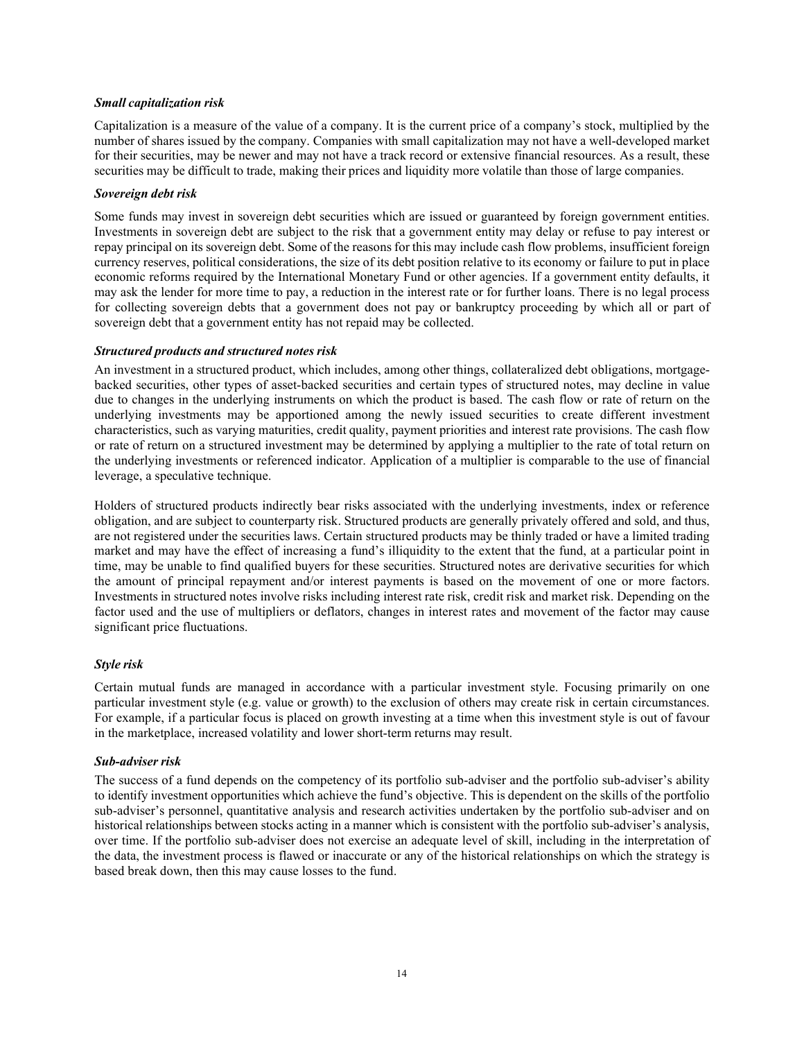## *Small capitalization risk*

Capitalization is a measure of the value of a company. It is the current price of a company's stock, multiplied by the number of shares issued by the company. Companies with small capitalization may not have a well-developed market for their securities, may be newer and may not have a track record or extensive financial resources. As a result, these securities may be difficult to trade, making their prices and liquidity more volatile than those of large companies.

## *Sovereign debt risk*

Some funds may invest in sovereign debt securities which are issued or guaranteed by foreign government entities. Investments in sovereign debt are subject to the risk that a government entity may delay or refuse to pay interest or repay principal on its sovereign debt. Some of the reasons for this may include cash flow problems, insufficient foreign currency reserves, political considerations, the size of its debt position relative to its economy or failure to put in place economic reforms required by the International Monetary Fund or other agencies. If a government entity defaults, it may ask the lender for more time to pay, a reduction in the interest rate or for further loans. There is no legal process for collecting sovereign debts that a government does not pay or bankruptcy proceeding by which all or part of sovereign debt that a government entity has not repaid may be collected.

## *Structured products and structured notes risk*

An investment in a structured product, which includes, among other things, collateralized debt obligations, mortgagebacked securities, other types of asset-backed securities and certain types of structured notes, may decline in value due to changes in the underlying instruments on which the product is based. The cash flow or rate of return on the underlying investments may be apportioned among the newly issued securities to create different investment characteristics, such as varying maturities, credit quality, payment priorities and interest rate provisions. The cash flow or rate of return on a structured investment may be determined by applying a multiplier to the rate of total return on the underlying investments or referenced indicator. Application of a multiplier is comparable to the use of financial leverage, a speculative technique.

Holders of structured products indirectly bear risks associated with the underlying investments, index or reference obligation, and are subject to counterparty risk. Structured products are generally privately offered and sold, and thus, are not registered under the securities laws. Certain structured products may be thinly traded or have a limited trading market and may have the effect of increasing a fund's illiquidity to the extent that the fund, at a particular point in time, may be unable to find qualified buyers for these securities. Structured notes are derivative securities for which the amount of principal repayment and/or interest payments is based on the movement of one or more factors. Investments in structured notes involve risks including interest rate risk, credit risk and market risk. Depending on the factor used and the use of multipliers or deflators, changes in interest rates and movement of the factor may cause significant price fluctuations.

## *Style risk*

Certain mutual funds are managed in accordance with a particular investment style. Focusing primarily on one particular investment style (e.g. value or growth) to the exclusion of others may create risk in certain circumstances. For example, if a particular focus is placed on growth investing at a time when this investment style is out of favour in the marketplace, increased volatility and lower short-term returns may result.

#### *Sub-adviser risk*

The success of a fund depends on the competency of its portfolio sub-adviser and the portfolio sub-adviser's ability to identify investment opportunities which achieve the fund's objective. This is dependent on the skills of the portfolio sub-adviser's personnel, quantitative analysis and research activities undertaken by the portfolio sub-adviser and on historical relationships between stocks acting in a manner which is consistent with the portfolio sub-adviser's analysis, over time. If the portfolio sub-adviser does not exercise an adequate level of skill, including in the interpretation of the data, the investment process is flawed or inaccurate or any of the historical relationships on which the strategy is based break down, then this may cause losses to the fund.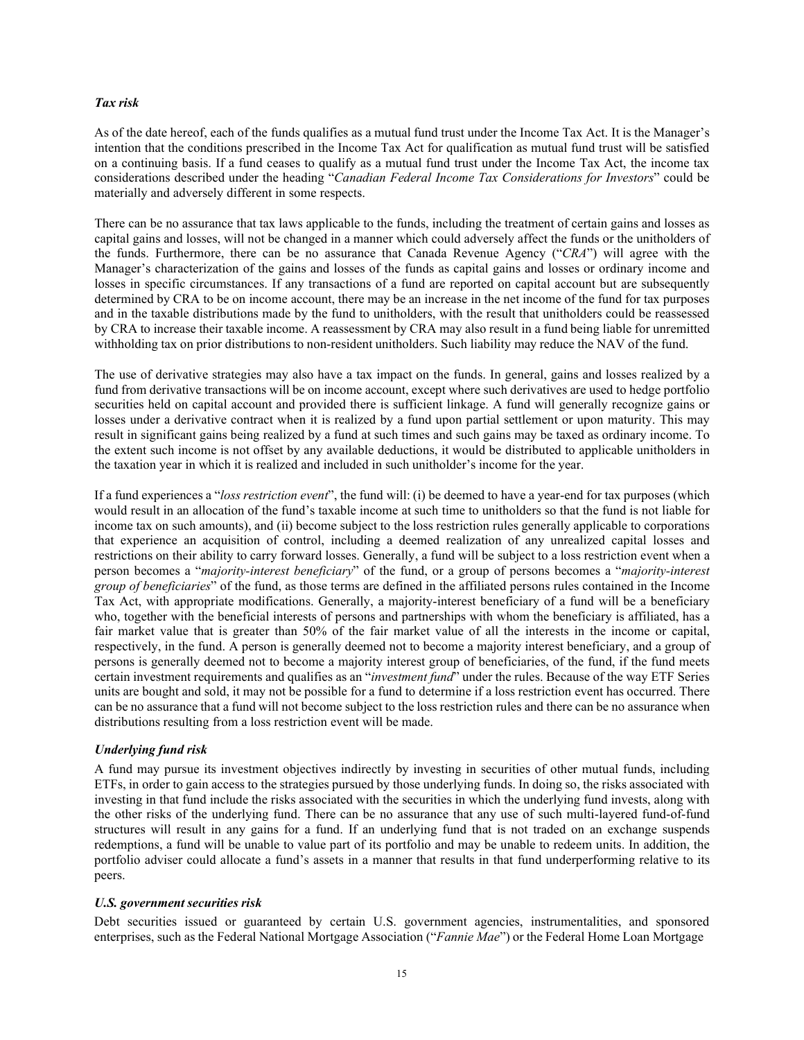#### *Tax risk*

As of the date hereof, each of the funds qualifies as a mutual fund trust under the Income Tax Act. It is the Manager's intention that the conditions prescribed in the Income Tax Act for qualification as mutual fund trust will be satisfied on a continuing basis. If a fund ceases to qualify as a mutual fund trust under the Income Tax Act, the income tax considerations described under the heading "*Canadian Federal Income Tax Considerations for Investors*" could be materially and adversely different in some respects.

There can be no assurance that tax laws applicable to the funds, including the treatment of certain gains and losses as capital gains and losses, will not be changed in a manner which could adversely affect the funds or the unitholders of the funds. Furthermore, there can be no assurance that Canada Revenue Agency ("*CRA*") will agree with the Manager's characterization of the gains and losses of the funds as capital gains and losses or ordinary income and losses in specific circumstances. If any transactions of a fund are reported on capital account but are subsequently determined by CRA to be on income account, there may be an increase in the net income of the fund for tax purposes and in the taxable distributions made by the fund to unitholders, with the result that unitholders could be reassessed by CRA to increase their taxable income. A reassessment by CRA may also result in a fund being liable for unremitted withholding tax on prior distributions to non-resident unitholders. Such liability may reduce the NAV of the fund.

The use of derivative strategies may also have a tax impact on the funds. In general, gains and losses realized by a fund from derivative transactions will be on income account, except where such derivatives are used to hedge portfolio securities held on capital account and provided there is sufficient linkage. A fund will generally recognize gains or losses under a derivative contract when it is realized by a fund upon partial settlement or upon maturity. This may result in significant gains being realized by a fund at such times and such gains may be taxed as ordinary income. To the extent such income is not offset by any available deductions, it would be distributed to applicable unitholders in the taxation year in which it is realized and included in such unitholder's income for the year.

If a fund experiences a "*loss restriction event*", the fund will: (i) be deemed to have a year-end for tax purposes (which would result in an allocation of the fund's taxable income at such time to unitholders so that the fund is not liable for income tax on such amounts), and (ii) become subject to the loss restriction rules generally applicable to corporations that experience an acquisition of control, including a deemed realization of any unrealized capital losses and restrictions on their ability to carry forward losses. Generally, a fund will be subject to a loss restriction event when a person becomes a "*majority-interest beneficiary*" of the fund, or a group of persons becomes a "*majority-interest group of beneficiaries*" of the fund, as those terms are defined in the affiliated persons rules contained in the Income Tax Act, with appropriate modifications. Generally, a majority-interest beneficiary of a fund will be a beneficiary who, together with the beneficial interests of persons and partnerships with whom the beneficiary is affiliated, has a fair market value that is greater than 50% of the fair market value of all the interests in the income or capital, respectively, in the fund. A person is generally deemed not to become a majority interest beneficiary, and a group of persons is generally deemed not to become a majority interest group of beneficiaries, of the fund, if the fund meets certain investment requirements and qualifies as an "*investment fund*" under the rules. Because of the way ETF Series units are bought and sold, it may not be possible for a fund to determine if a loss restriction event has occurred. There can be no assurance that a fund will not become subject to the loss restriction rules and there can be no assurance when distributions resulting from a loss restriction event will be made.

#### *Underlying fund risk*

A fund may pursue its investment objectives indirectly by investing in securities of other mutual funds, including ETFs, in order to gain access to the strategies pursued by those underlying funds. In doing so, the risks associated with investing in that fund include the risks associated with the securities in which the underlying fund invests, along with the other risks of the underlying fund. There can be no assurance that any use of such multi-layered fund-of-fund structures will result in any gains for a fund. If an underlying fund that is not traded on an exchange suspends redemptions, a fund will be unable to value part of its portfolio and may be unable to redeem units. In addition, the portfolio adviser could allocate a fund's assets in a manner that results in that fund underperforming relative to its peers.

#### *U.S. government securities risk*

Debt securities issued or guaranteed by certain U.S. government agencies, instrumentalities, and sponsored enterprises, such as the Federal National Mortgage Association ("*Fannie Mae*") or the Federal Home Loan Mortgage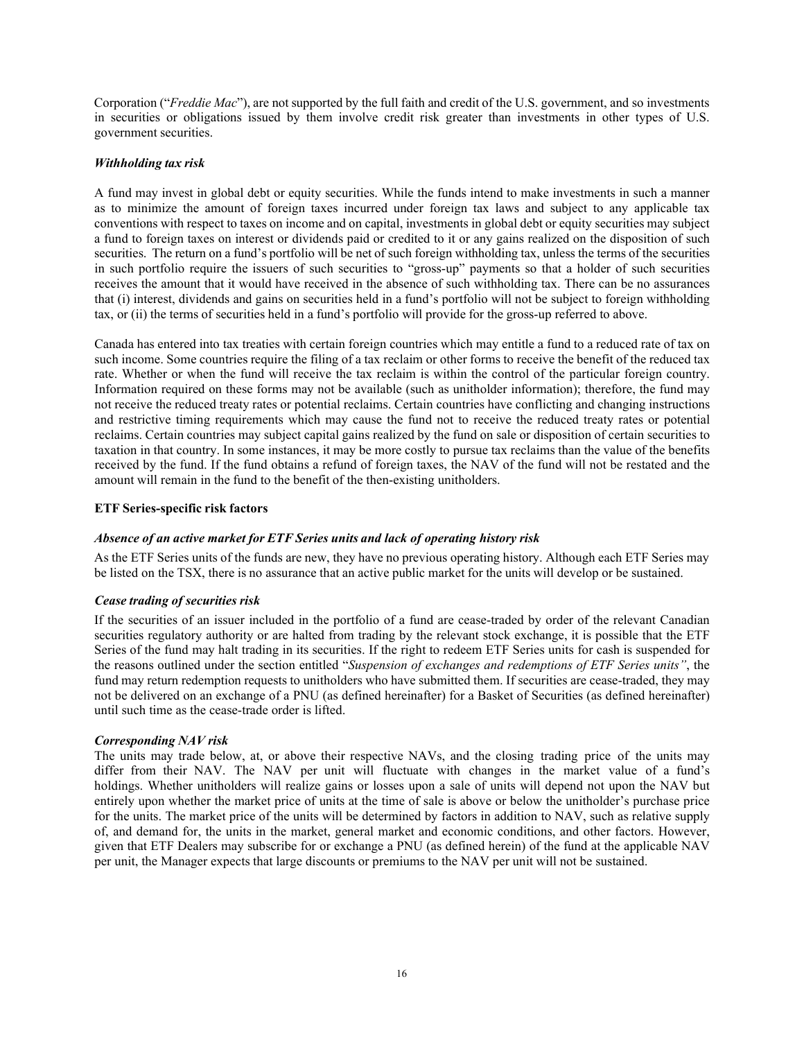Corporation ("*Freddie Mac*"), are not supported by the full faith and credit of the U.S. government, and so investments in securities or obligations issued by them involve credit risk greater than investments in other types of U.S. government securities.

## *Withholding tax risk*

A fund may invest in global debt or equity securities. While the funds intend to make investments in such a manner as to minimize the amount of foreign taxes incurred under foreign tax laws and subject to any applicable tax conventions with respect to taxes on income and on capital, investments in global debt or equity securities may subject a fund to foreign taxes on interest or dividends paid or credited to it or any gains realized on the disposition of such securities. The return on a fund's portfolio will be net of such foreign withholding tax, unless the terms of the securities in such portfolio require the issuers of such securities to "gross-up" payments so that a holder of such securities receives the amount that it would have received in the absence of such withholding tax. There can be no assurances that (i) interest, dividends and gains on securities held in a fund's portfolio will not be subject to foreign withholding tax, or (ii) the terms of securities held in a fund's portfolio will provide for the gross-up referred to above.

Canada has entered into tax treaties with certain foreign countries which may entitle a fund to a reduced rate of tax on such income. Some countries require the filing of a tax reclaim or other forms to receive the benefit of the reduced tax rate. Whether or when the fund will receive the tax reclaim is within the control of the particular foreign country. Information required on these forms may not be available (such as unitholder information); therefore, the fund may not receive the reduced treaty rates or potential reclaims. Certain countries have conflicting and changing instructions and restrictive timing requirements which may cause the fund not to receive the reduced treaty rates or potential reclaims. Certain countries may subject capital gains realized by the fund on sale or disposition of certain securities to taxation in that country. In some instances, it may be more costly to pursue tax reclaims than the value of the benefits received by the fund. If the fund obtains a refund of foreign taxes, the NAV of the fund will not be restated and the amount will remain in the fund to the benefit of the then-existing unitholders.

#### **ETF Series-specific risk factors**

#### *Absence of an active market for ETF Series units and lack of operating history risk*

As the ETF Series units of the funds are new, they have no previous operating history. Although each ETF Series may be listed on the TSX, there is no assurance that an active public market for the units will develop or be sustained.

#### *Cease trading of securities risk*

If the securities of an issuer included in the portfolio of a fund are cease-traded by order of the relevant Canadian securities regulatory authority or are halted from trading by the relevant stock exchange, it is possible that the ETF Series of the fund may halt trading in its securities. If the right to redeem ETF Series units for cash is suspended for the reasons outlined under the section entitled "*Suspension of exchanges and redemptions of ETF Series units"*, the fund may return redemption requests to unitholders who have submitted them. If securities are cease-traded, they may not be delivered on an exchange of a PNU (as defined hereinafter) for a Basket of Securities (as defined hereinafter) until such time as the cease-trade order is lifted.

#### *Corresponding NAV risk*

The units may trade below, at, or above their respective NAVs, and the closing trading price of the units may differ from their NAV. The NAV per unit will fluctuate with changes in the market value of a fund's holdings. Whether unitholders will realize gains or losses upon a sale of units will depend not upon the NAV but entirely upon whether the market price of units at the time of sale is above or below the unitholder's purchase price for the units. The market price of the units will be determined by factors in addition to NAV, such as relative supply of, and demand for, the units in the market, general market and economic conditions, and other factors. However, given that ETF Dealers may subscribe for or exchange a PNU (as defined herein) of the fund at the applicable NAV per unit, the Manager expects that large discounts or premiums to the NAV per unit will not be sustained.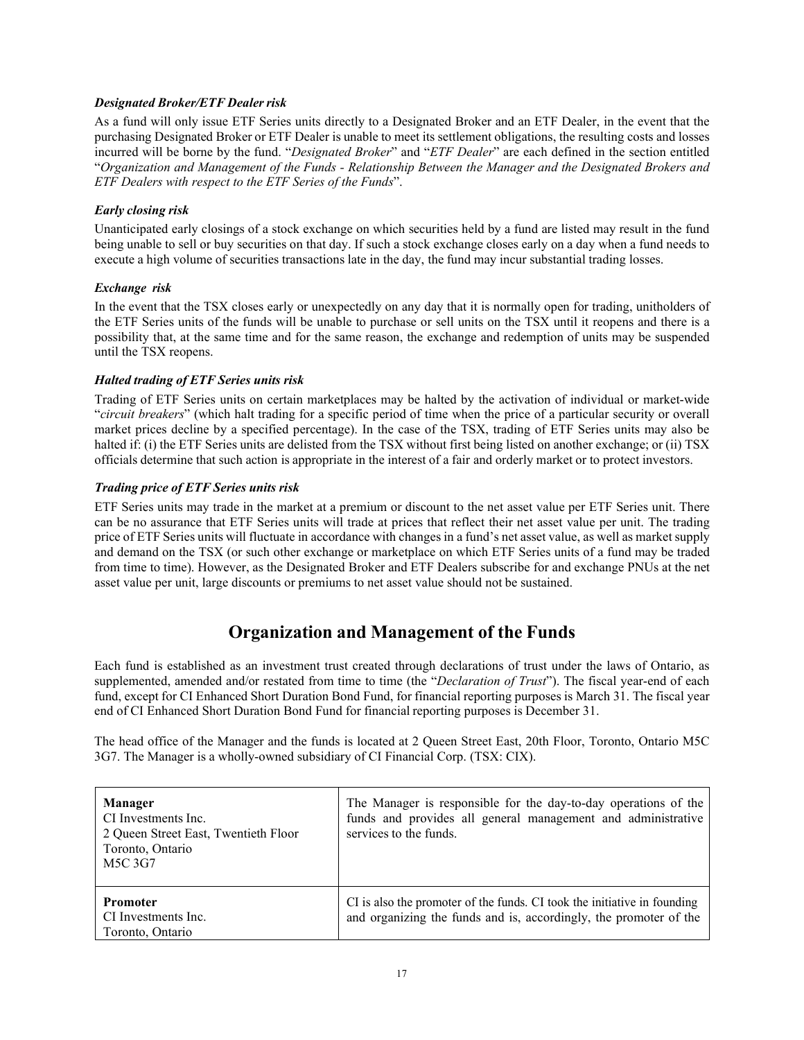## *Designated Broker/ETF Dealer risk*

As a fund will only issue ETF Series units directly to a Designated Broker and an ETF Dealer, in the event that the purchasing Designated Broker or ETF Dealer is unable to meet its settlement obligations, the resulting costs and losses incurred will be borne by the fund. "*Designated Broker*" and "*ETF Dealer*" are each defined in the section entitled "*Organization and Management of the Funds - Relationship Between the Manager and the Designated Brokers and ETF Dealers with respect to the ETF Series of the Funds*".

## *Early closing risk*

Unanticipated early closings of a stock exchange on which securities held by a fund are listed may result in the fund being unable to sell or buy securities on that day. If such a stock exchange closes early on a day when a fund needs to execute a high volume of securities transactions late in the day, the fund may incur substantial trading losses.

## *Exchange risk*

In the event that the TSX closes early or unexpectedly on any day that it is normally open for trading, unitholders of the ETF Series units of the funds will be unable to purchase or sell units on the TSX until it reopens and there is a possibility that, at the same time and for the same reason, the exchange and redemption of units may be suspended until the TSX reopens.

## *Halted trading of ETF Series units risk*

Trading of ETF Series units on certain marketplaces may be halted by the activation of individual or market-wide "*circuit breakers*" (which halt trading for a specific period of time when the price of a particular security or overall market prices decline by a specified percentage). In the case of the TSX, trading of ETF Series units may also be halted if: (i) the ETF Series units are delisted from the TSX without first being listed on another exchange; or (ii) TSX officials determine that such action is appropriate in the interest of a fair and orderly market or to protect investors.

## *Trading price of ETF Series units risk*

<span id="page-18-0"></span>ETF Series units may trade in the market at a premium or discount to the net asset value per ETF Series unit. There can be no assurance that ETF Series units will trade at prices that reflect their net asset value per unit. The trading price of ETF Series units will fluctuate in accordance with changes in a fund's net asset value, as well as market supply and demand on the TSX (or such other exchange or marketplace on which ETF Series units of a fund may be traded from time to time). However, as the Designated Broker and ETF Dealers subscribe for and exchange PNUs at the net asset value per unit, large discounts or premiums to net asset value should not be sustained.

# **Organization and Management of the Funds**

Each fund is established as an investment trust created through declarations of trust under the laws of Ontario, as supplemented, amended and/or restated from time to time (the "*Declaration of Trust*"). The fiscal year-end of each fund, except for CI Enhanced Short Duration Bond Fund, for financial reporting purposes is March 31. The fiscal year end of CI Enhanced Short Duration Bond Fund for financial reporting purposes is December 31.

The head office of the Manager and the funds is located at 2 Queen Street East, 20th Floor, Toronto, Ontario M5C 3G7. The Manager is a wholly-owned subsidiary of CI Financial Corp. (TSX: CIX).

| <b>Manager</b><br>CI Investments Inc.<br>2 Queen Street East, Twentieth Floor<br>Toronto, Ontario<br>M5C 3G7 | The Manager is responsible for the day-to-day operations of the<br>funds and provides all general management and administrative<br>services to the funds. |
|--------------------------------------------------------------------------------------------------------------|-----------------------------------------------------------------------------------------------------------------------------------------------------------|
| <b>Promoter</b><br>CI Investments Inc.<br>Toronto, Ontario                                                   | CI is also the promoter of the funds. CI took the initiative in founding<br>and organizing the funds and is, accordingly, the promoter of the             |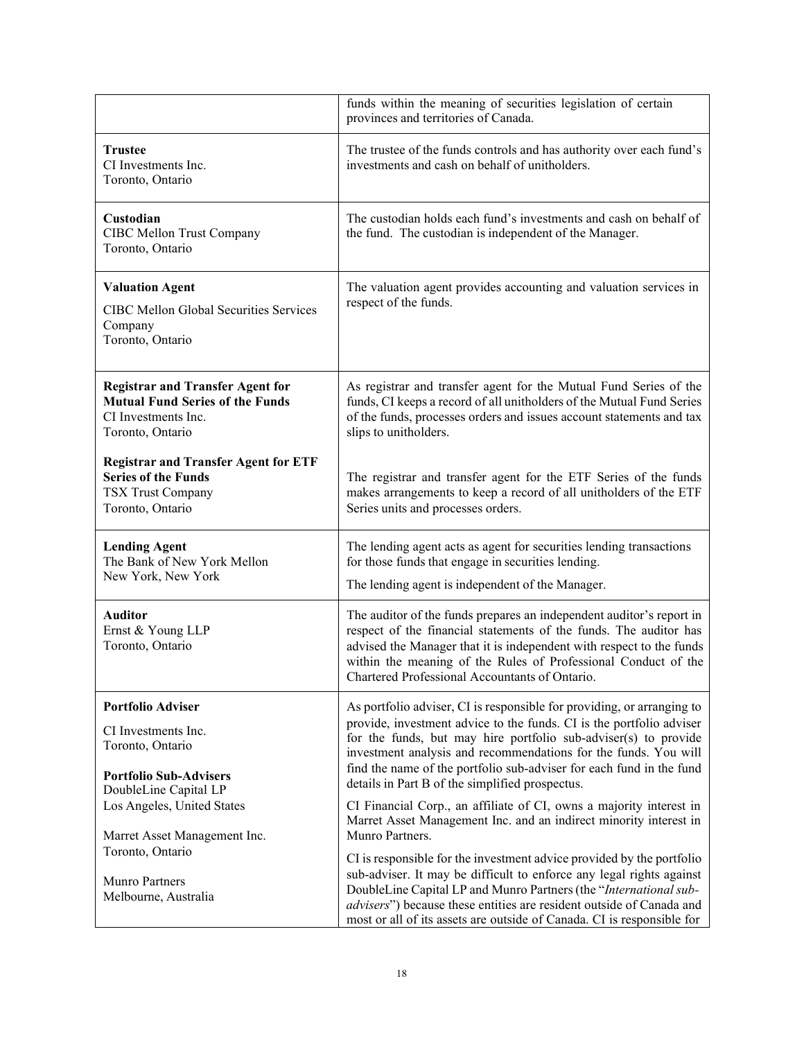|                                                                                                                               | funds within the meaning of securities legislation of certain<br>provinces and territories of Canada.                                                                                                                                                                                                                                                                                                           |
|-------------------------------------------------------------------------------------------------------------------------------|-----------------------------------------------------------------------------------------------------------------------------------------------------------------------------------------------------------------------------------------------------------------------------------------------------------------------------------------------------------------------------------------------------------------|
| <b>Trustee</b><br>CI Investments Inc.<br>Toronto, Ontario                                                                     | The trustee of the funds controls and has authority over each fund's<br>investments and cash on behalf of unitholders.                                                                                                                                                                                                                                                                                          |
| Custodian<br>CIBC Mellon Trust Company<br>Toronto, Ontario                                                                    | The custodian holds each fund's investments and cash on behalf of<br>the fund. The custodian is independent of the Manager.                                                                                                                                                                                                                                                                                     |
| <b>Valuation Agent</b><br>CIBC Mellon Global Securities Services<br>Company<br>Toronto, Ontario                               | The valuation agent provides accounting and valuation services in<br>respect of the funds.                                                                                                                                                                                                                                                                                                                      |
| <b>Registrar and Transfer Agent for</b><br><b>Mutual Fund Series of the Funds</b><br>CI Investments Inc.<br>Toronto, Ontario  | As registrar and transfer agent for the Mutual Fund Series of the<br>funds, CI keeps a record of all unitholders of the Mutual Fund Series<br>of the funds, processes orders and issues account statements and tax<br>slips to unitholders.                                                                                                                                                                     |
| <b>Registrar and Transfer Agent for ETF</b><br><b>Series of the Funds</b><br><b>TSX Trust Company</b><br>Toronto, Ontario     | The registrar and transfer agent for the ETF Series of the funds<br>makes arrangements to keep a record of all unitholders of the ETF<br>Series units and processes orders.                                                                                                                                                                                                                                     |
| <b>Lending Agent</b><br>The Bank of New York Mellon<br>New York, New York                                                     | The lending agent acts as agent for securities lending transactions<br>for those funds that engage in securities lending.<br>The lending agent is independent of the Manager.                                                                                                                                                                                                                                   |
| <b>Auditor</b><br>Ernst & Young LLP<br>Toronto, Ontario                                                                       | The auditor of the funds prepares an independent auditor's report in<br>respect of the financial statements of the funds. The auditor has<br>advised the Manager that it is independent with respect to the funds<br>within the meaning of the Rules of Professional Conduct of the<br>Chartered Professional Accountants of Ontario.                                                                           |
| <b>Portfolio Adviser</b><br>CI Investments Inc.<br>Toronto, Ontario<br><b>Portfolio Sub-Advisers</b><br>DoubleLine Capital LP | As portfolio adviser, CI is responsible for providing, or arranging to<br>provide, investment advice to the funds. CI is the portfolio adviser<br>for the funds, but may hire portfolio sub-adviser(s) to provide<br>investment analysis and recommendations for the funds. You will<br>find the name of the portfolio sub-adviser for each fund in the fund<br>details in Part B of the simplified prospectus. |
| Los Angeles, United States<br>Marret Asset Management Inc.<br>Toronto, Ontario                                                | CI Financial Corp., an affiliate of CI, owns a majority interest in<br>Marret Asset Management Inc. and an indirect minority interest in<br>Munro Partners.                                                                                                                                                                                                                                                     |
| Munro Partners<br>Melbourne, Australia                                                                                        | CI is responsible for the investment advice provided by the portfolio<br>sub-adviser. It may be difficult to enforce any legal rights against<br>DoubleLine Capital LP and Munro Partners (the "International sub-<br>advisers") because these entities are resident outside of Canada and<br>most or all of its assets are outside of Canada. CI is responsible for                                            |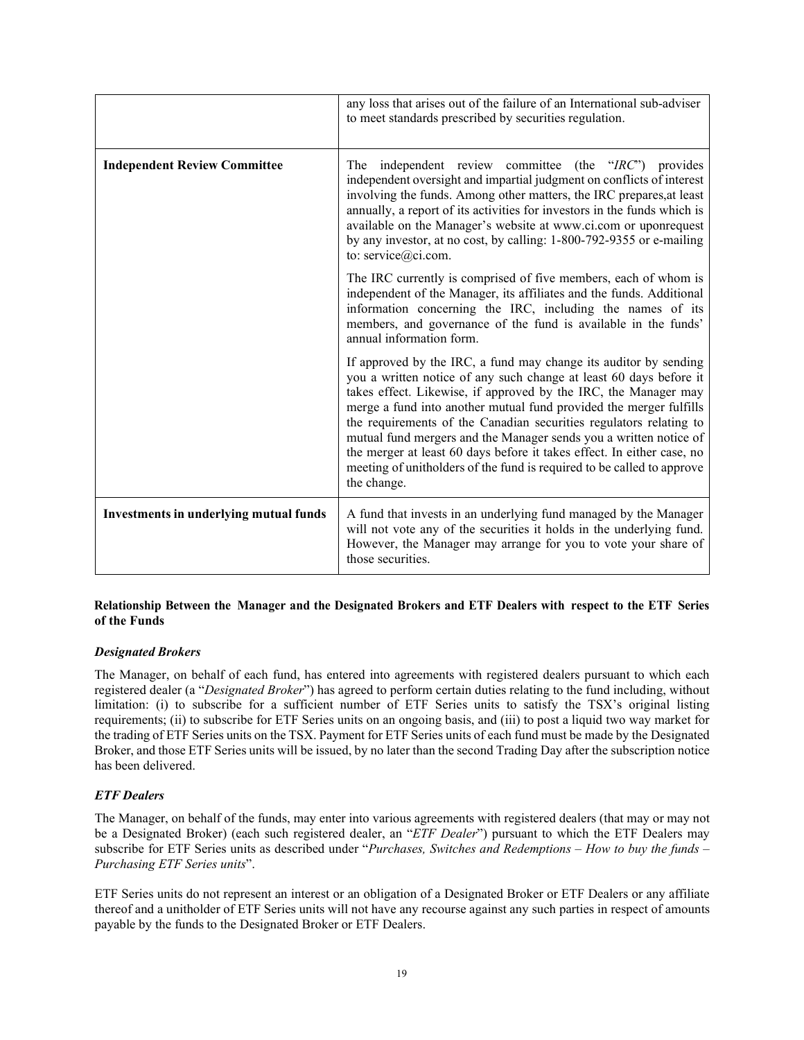|                                               | any loss that arises out of the failure of an International sub-adviser<br>to meet standards prescribed by securities regulation.                                                                                                                                                                                                                                                                                                                                                                                                                                                             |  |
|-----------------------------------------------|-----------------------------------------------------------------------------------------------------------------------------------------------------------------------------------------------------------------------------------------------------------------------------------------------------------------------------------------------------------------------------------------------------------------------------------------------------------------------------------------------------------------------------------------------------------------------------------------------|--|
| <b>Independent Review Committee</b>           | independent review committee (the "IRC") provides<br>The<br>independent oversight and impartial judgment on conflicts of interest<br>involving the funds. Among other matters, the IRC prepares, at least<br>annually, a report of its activities for investors in the funds which is<br>available on the Manager's website at www.ci.com or uponrequest<br>by any investor, at no cost, by calling: 1-800-792-9355 or e-mailing<br>to: service@ci.com.                                                                                                                                       |  |
|                                               | The IRC currently is comprised of five members, each of whom is<br>independent of the Manager, its affiliates and the funds. Additional<br>information concerning the IRC, including the names of its<br>members, and governance of the fund is available in the funds'<br>annual information form.                                                                                                                                                                                                                                                                                           |  |
|                                               | If approved by the IRC, a fund may change its auditor by sending<br>you a written notice of any such change at least 60 days before it<br>takes effect. Likewise, if approved by the IRC, the Manager may<br>merge a fund into another mutual fund provided the merger fulfills<br>the requirements of the Canadian securities regulators relating to<br>mutual fund mergers and the Manager sends you a written notice of<br>the merger at least 60 days before it takes effect. In either case, no<br>meeting of unitholders of the fund is required to be called to approve<br>the change. |  |
| <b>Investments in underlying mutual funds</b> | A fund that invests in an underlying fund managed by the Manager<br>will not vote any of the securities it holds in the underlying fund.<br>However, the Manager may arrange for you to vote your share of<br>those securities.                                                                                                                                                                                                                                                                                                                                                               |  |

## **Relationship Between the Manager and the Designated Brokers and ETF Dealers with respect to the ETF Series of the Funds**

## *Designated Brokers*

The Manager, on behalf of each fund, has entered into agreements with registered dealers pursuant to which each registered dealer (a "*Designated Broker*") has agreed to perform certain duties relating to the fund including, without limitation: (i) to subscribe for a sufficient number of ETF Series units to satisfy the TSX's original listing requirements; (ii) to subscribe for ETF Series units on an ongoing basis, and (iii) to post a liquid two way market for the trading of ETF Series units on the TSX. Payment for ETF Series units of each fund must be made by the Designated Broker, and those ETF Series units will be issued, by no later than the second Trading Day after the subscription notice has been delivered.

## *ETF Dealers*

The Manager, on behalf of the funds, may enter into various agreements with registered dealers (that may or may not be a Designated Broker) (each such registered dealer, an "*ETF Dealer*") pursuant to which the ETF Dealers may subscribe for ETF Series units as described under "*Purchases, Switches and Redemptions – How to buy the funds – Purchasing ETF Series units*".

ETF Series units do not represent an interest or an obligation of a Designated Broker or ETF Dealers or any affiliate thereof and a unitholder of ETF Series units will not have any recourse against any such parties in respect of amounts payable by the funds to the Designated Broker or ETF Dealers.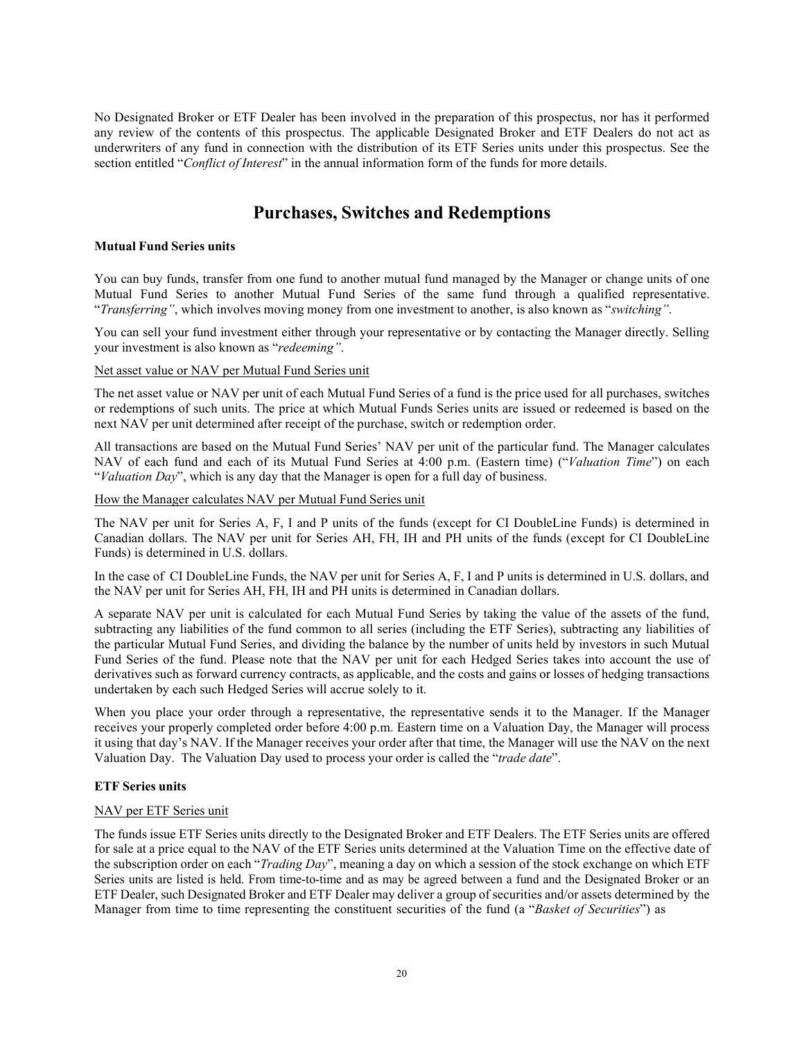<span id="page-21-0"></span>No Designated Broker or ETF Dealer has been involved in the preparation of this prospectus, nor has it performed any review of the contents of this prospectus. The applicable Designated Broker and ETF Dealers do not act as underwriters of any fund in connection with the distribution of its ETF Series units under this prospectus. See the section entitled "*Conflict of Interest*" in the annual information form of the funds for more details.

## **Purchases, Switches and Redemptions**

## **Mutual Fund Series units**

You can buy funds, transfer from one fund to another mutual fund managed by the Manager or change units of one Mutual Fund Series to another Mutual Fund Series of the same fund through a qualified representative. "*Transferring"*, which involves moving money from one investment to another, is also known as "*switching"*.

You can sell your fund investment either through your representative or by contacting the Manager directly. Selling your investment is also known as "*redeeming"*.

## Net asset value or NAV per Mutual Fund Series unit

The net asset value or NAV per unit of each Mutual Fund Series of a fund is the price used for all purchases, switches or redemptions of such units. The price at which Mutual Funds Series units are issued or redeemed is based on the next NAV per unit determined after receipt of the purchase, switch or redemption order.

All transactions are based on the Mutual Fund Series' NAV per unit of the particular fund. The Manager calculates NAV of each fund and each of its Mutual Fund Series at 4:00 p.m. (Eastern time) ("*Valuation Time*") on each "*Valuation Day*", which is any day that the Manager is open for a full day of business.

How the Manager calculates NAV per Mutual Fund Series unit

The NAV per unit for Series A, F, I and P units of the funds (except for CI DoubleLine Funds) is determined in Canadian dollars. The NAV per unit for Series AH, FH, IH and PH units of the funds (except for CI DoubleLine Funds) is determined in U.S. dollars.

In the case of CI DoubleLine Funds, the NAV per unit for Series A, F, I and P units is determined in U.S. dollars, and the NAV per unit for Series AH, FH, IH and PH units is determined in Canadian dollars.

A separate NAV per unit is calculated for each Mutual Fund Series by taking the value of the assets of the fund, subtracting any liabilities of the fund common to all series (including the ETF Series), subtracting any liabilities of the particular Mutual Fund Series, and dividing the balance by the number of units held by investors in such Mutual Fund Series of the fund. Please note that the NAV per unit for each Hedged Series takes into account the use of derivatives such as forward currency contracts, as applicable, and the costs and gains or losses of hedging transactions undertaken by each such Hedged Series will accrue solely to it.

When you place your order through a representative, the representative sends it to the Manager. If the Manager receives your properly completed order before 4:00 p.m. Eastern time on a Valuation Day, the Manager will process it using that day's NAV. If the Manager receives your order after that time, the Manager will use the NAV on the next Valuation Day. The Valuation Day used to process your order is called the "*trade date*".

## **ETF Series units**

## NAV per ETF Series unit

The funds issue ETF Series units directly to the Designated Broker and ETF Dealers. The ETF Series units are offered for sale at a price equal to the NAV of the ETF Series units determined at the Valuation Time on the effective date of the subscription order on each "*Trading Day*", meaning a day on which a session of the stock exchange on which ETF Series units are listed is held. From time-to-time and as may be agreed between a fund and the Designated Broker or an ETF Dealer, such Designated Broker and ETF Dealer may deliver a group of securities and/or assets determined by the Manager from time to time representing the constituent securities of the fund (a "*Basket of Securities*") as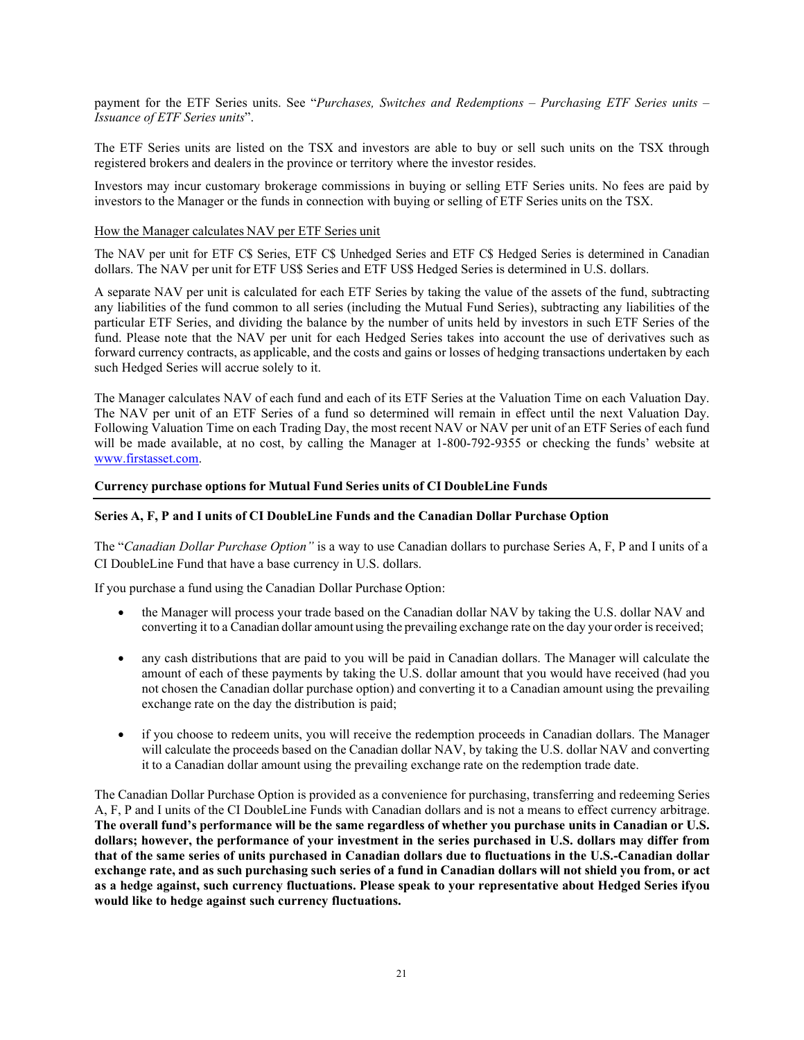payment for the ETF Series units. See "*Purchases, Switches and Redemptions – Purchasing ETF Series units – Issuance of ETF Series units*".

The ETF Series units are listed on the TSX and investors are able to buy or sell such units on the TSX through registered brokers and dealers in the province or territory where the investor resides.

Investors may incur customary brokerage commissions in buying or selling ETF Series units. No fees are paid by investors to the Manager or the funds in connection with buying or selling of ETF Series units on the TSX.

#### How the Manager calculates NAV per ETF Series unit

The NAV per unit for ETF C\$ Series, ETF C\$ Unhedged Series and ETF C\$ Hedged Series is determined in Canadian dollars. The NAV per unit for ETF US\$ Series and ETF US\$ Hedged Series is determined in U.S. dollars.

A separate NAV per unit is calculated for each ETF Series by taking the value of the assets of the fund, subtracting any liabilities of the fund common to all series (including the Mutual Fund Series), subtracting any liabilities of the particular ETF Series, and dividing the balance by the number of units held by investors in such ETF Series of the fund. Please note that the NAV per unit for each Hedged Series takes into account the use of derivatives such as forward currency contracts, as applicable, and the costs and gains or losses of hedging transactions undertaken by each such Hedged Series will accrue solely to it.

The Manager calculates NAV of each fund and each of its ETF Series at the Valuation Time on each Valuation Day. The NAV per unit of an ETF Series of a fund so determined will remain in effect until the next Valuation Day. Following Valuation Time on each Trading Day, the most recent NAV or NAV per unit of an ETF Series of each fund will be made available, at no cost, by calling the Manager at 1-800-792-9355 or checking the funds' website at [www.firstasset.com.](http://www.firstasset.com/)

#### **Currency purchase options for Mutual Fund Series units of CI DoubleLine Funds**

## **Series A, F, P and I units of CI DoubleLine Funds and the Canadian Dollar Purchase Option**

The "*Canadian Dollar Purchase Option"* is a way to use Canadian dollars to purchase Series A, F, P and I units of a CI DoubleLine Fund that have a base currency in U.S. dollars.

If you purchase a fund using the Canadian Dollar Purchase Option:

- the Manager will process your trade based on the Canadian dollar NAV by taking the U.S. dollar NAV and converting it to a Canadian dollar amount using the prevailing exchange rate on the day your order is received;
- any cash distributions that are paid to you will be paid in Canadian dollars. The Manager will calculate the amount of each of these payments by taking the U.S. dollar amount that you would have received (had you not chosen the Canadian dollar purchase option) and converting it to a Canadian amount using the prevailing exchange rate on the day the distribution is paid;
- if you choose to redeem units, you will receive the redemption proceeds in Canadian dollars. The Manager will calculate the proceeds based on the Canadian dollar NAV, by taking the U.S. dollar NAV and converting it to a Canadian dollar amount using the prevailing exchange rate on the redemption trade date.

The Canadian Dollar Purchase Option is provided as a convenience for purchasing, transferring and redeeming Series A, F, P and I units of the CI DoubleLine Funds with Canadian dollars and is not a means to effect currency arbitrage. The overall fund's performance will be the same regardless of whether you purchase units in Canadian or U.S. **dollars; however, the performance of your investment in the series purchased in U.S. dollars may differ from that of the same series of units purchased in Canadian dollars due to fluctuations in the U.S.-Canadian dollar** exchange rate, and as such purchasing such series of a fund in Canadian dollars will not shield you from, or act **as a hedge against, such currency fluctuations. Please speak to your representative about Hedged Series ifyou would like to hedge against such currency fluctuations.**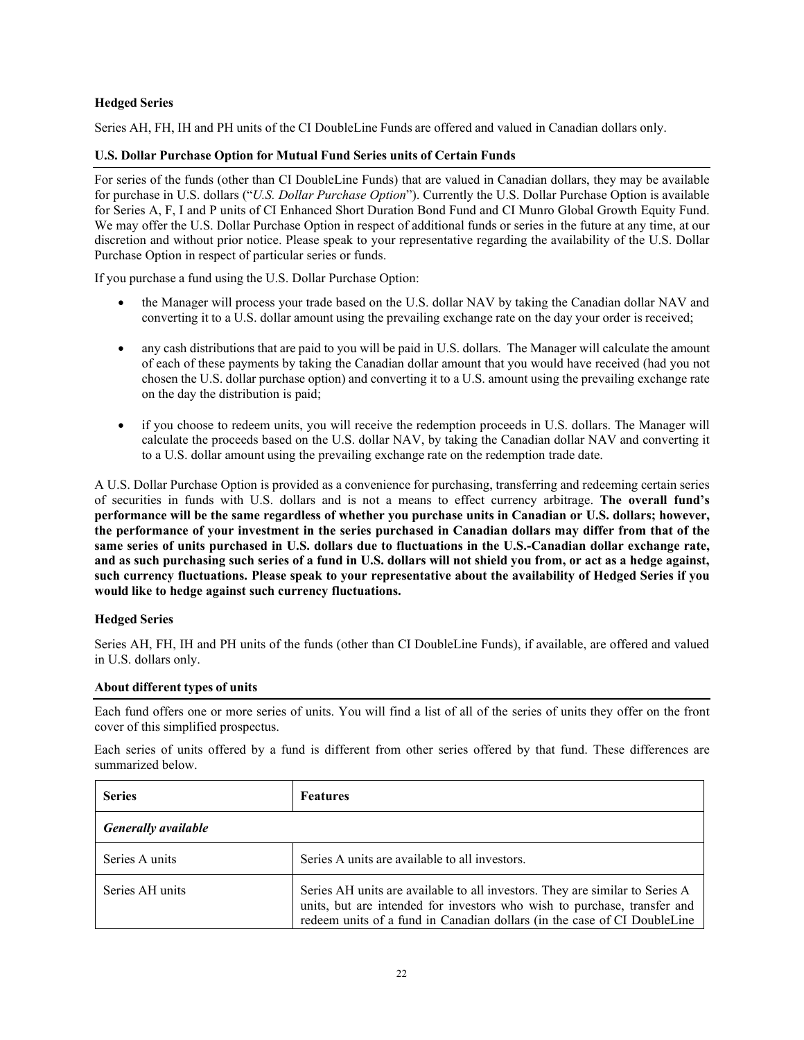## **Hedged Series**

Series AH, FH, IH and PH units of the CI DoubleLine Funds are offered and valued in Canadian dollars only.

## **U.S. Dollar Purchase Option for Mutual Fund Series units of Certain Funds**

For series of the funds (other than CI DoubleLine Funds) that are valued in Canadian dollars, they may be available for purchase in U.S. dollars ("*U.S. Dollar Purchase Option*"). Currently the U.S. Dollar Purchase Option is available for Series A, F, I and P units of CI Enhanced Short Duration Bond Fund and CI Munro Global Growth Equity Fund. We may offer the U.S. Dollar Purchase Option in respect of additional funds or series in the future at any time, at our discretion and without prior notice. Please speak to your representative regarding the availability of the U.S. Dollar Purchase Option in respect of particular series or funds.

If you purchase a fund using the U.S. Dollar Purchase Option:

- the Manager will process your trade based on the U.S. dollar NAV by taking the Canadian dollar NAV and converting it to a U.S. dollar amount using the prevailing exchange rate on the day your order is received;
- any cash distributions that are paid to you will be paid in U.S. dollars. The Manager will calculate the amount of each of these payments by taking the Canadian dollar amount that you would have received (had you not chosen the U.S. dollar purchase option) and converting it to a U.S. amount using the prevailing exchange rate on the day the distribution is paid;
- if you choose to redeem units, you will receive the redemption proceeds in U.S. dollars. The Manager will calculate the proceeds based on the U.S. dollar NAV, by taking the Canadian dollar NAV and converting it to a U.S. dollar amount using the prevailing exchange rate on the redemption trade date.

A U.S. Dollar Purchase Option is provided as a convenience for purchasing, transferring and redeeming certain series of securities in funds with U.S. dollars and is not a means to effect currency arbitrage. **The overall fund's performance will be the same regardless of whether you purchase units in Canadian or U.S. dollars; however, the performance of your investment in the series purchased in Canadian dollars may differ from that of the same series of units purchased in U.S. dollars due to fluctuations in the U.S.-Canadian dollar exchange rate, and as such purchasing such series of a fund in U.S. dollars will not shield you from, or act as a hedge against, such currency fluctuations. Please speak to your representative about the availability of Hedged Series if you would like to hedge against such currency fluctuations.**

## **Hedged Series**

Series AH, FH, IH and PH units of the funds (other than CI DoubleLine Funds), if available, are offered and valued in U.S. dollars only.

#### **About different types of units**

Each fund offers one or more series of units. You will find a list of all of the series of units they offer on the front cover of this simplified prospectus.

Each series of units offered by a fund is different from other series offered by that fund. These differences are summarized below.

| <b>Series</b>              | <b>Features</b>                                                                                                                                                                                                                      |  |
|----------------------------|--------------------------------------------------------------------------------------------------------------------------------------------------------------------------------------------------------------------------------------|--|
| <b>Generally available</b> |                                                                                                                                                                                                                                      |  |
| Series A units             | Series A units are available to all investors.                                                                                                                                                                                       |  |
| Series AH units            | Series AH units are available to all investors. They are similar to Series A<br>units, but are intended for investors who wish to purchase, transfer and<br>redeem units of a fund in Canadian dollars (in the case of CI DoubleLine |  |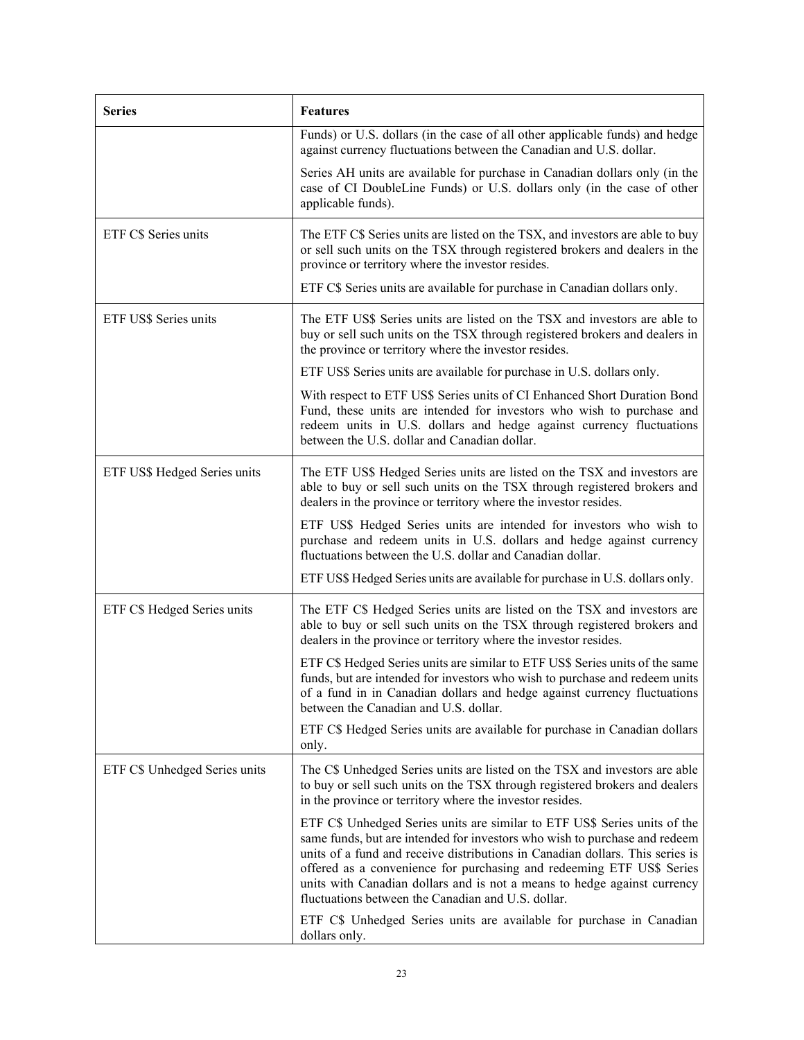| <b>Series</b>                 | <b>Features</b>                                                                                                                                                                                                                                                                                                                                                                                                                                     |
|-------------------------------|-----------------------------------------------------------------------------------------------------------------------------------------------------------------------------------------------------------------------------------------------------------------------------------------------------------------------------------------------------------------------------------------------------------------------------------------------------|
|                               | Funds) or U.S. dollars (in the case of all other applicable funds) and hedge<br>against currency fluctuations between the Canadian and U.S. dollar.                                                                                                                                                                                                                                                                                                 |
|                               | Series AH units are available for purchase in Canadian dollars only (in the<br>case of CI DoubleLine Funds) or U.S. dollars only (in the case of other<br>applicable funds).                                                                                                                                                                                                                                                                        |
| ETF C\$ Series units          | The ETF C\$ Series units are listed on the TSX, and investors are able to buy<br>or sell such units on the TSX through registered brokers and dealers in the<br>province or territory where the investor resides.                                                                                                                                                                                                                                   |
|                               | ETF C\$ Series units are available for purchase in Canadian dollars only.                                                                                                                                                                                                                                                                                                                                                                           |
| ETF US\$ Series units         | The ETF US\$ Series units are listed on the TSX and investors are able to<br>buy or sell such units on the TSX through registered brokers and dealers in<br>the province or territory where the investor resides.                                                                                                                                                                                                                                   |
|                               | ETF US\$ Series units are available for purchase in U.S. dollars only.                                                                                                                                                                                                                                                                                                                                                                              |
|                               | With respect to ETF US\$ Series units of CI Enhanced Short Duration Bond<br>Fund, these units are intended for investors who wish to purchase and<br>redeem units in U.S. dollars and hedge against currency fluctuations<br>between the U.S. dollar and Canadian dollar.                                                                                                                                                                           |
| ETF US\$ Hedged Series units  | The ETF US\$ Hedged Series units are listed on the TSX and investors are<br>able to buy or sell such units on the TSX through registered brokers and<br>dealers in the province or territory where the investor resides.                                                                                                                                                                                                                            |
|                               | ETF US\$ Hedged Series units are intended for investors who wish to<br>purchase and redeem units in U.S. dollars and hedge against currency<br>fluctuations between the U.S. dollar and Canadian dollar.                                                                                                                                                                                                                                            |
|                               | ETF US\$ Hedged Series units are available for purchase in U.S. dollars only.                                                                                                                                                                                                                                                                                                                                                                       |
| ETF C\$ Hedged Series units   | The ETF C\$ Hedged Series units are listed on the TSX and investors are<br>able to buy or sell such units on the TSX through registered brokers and<br>dealers in the province or territory where the investor resides.                                                                                                                                                                                                                             |
|                               | ETF C\$ Hedged Series units are similar to ETF US\$ Series units of the same<br>funds, but are intended for investors who wish to purchase and redeem units<br>of a fund in in Canadian dollars and hedge against currency fluctuations<br>between the Canadian and U.S. dollar.                                                                                                                                                                    |
|                               | ETF C\$ Hedged Series units are available for purchase in Canadian dollars<br>only.                                                                                                                                                                                                                                                                                                                                                                 |
| ETF C\$ Unhedged Series units | The C\$ Unhedged Series units are listed on the TSX and investors are able<br>to buy or sell such units on the TSX through registered brokers and dealers<br>in the province or territory where the investor resides.                                                                                                                                                                                                                               |
|                               | ETF C\$ Unhedged Series units are similar to ETF US\$ Series units of the<br>same funds, but are intended for investors who wish to purchase and redeem<br>units of a fund and receive distributions in Canadian dollars. This series is<br>offered as a convenience for purchasing and redeeming ETF US\$ Series<br>units with Canadian dollars and is not a means to hedge against currency<br>fluctuations between the Canadian and U.S. dollar. |
|                               | ETF C\$ Unhedged Series units are available for purchase in Canadian<br>dollars only.                                                                                                                                                                                                                                                                                                                                                               |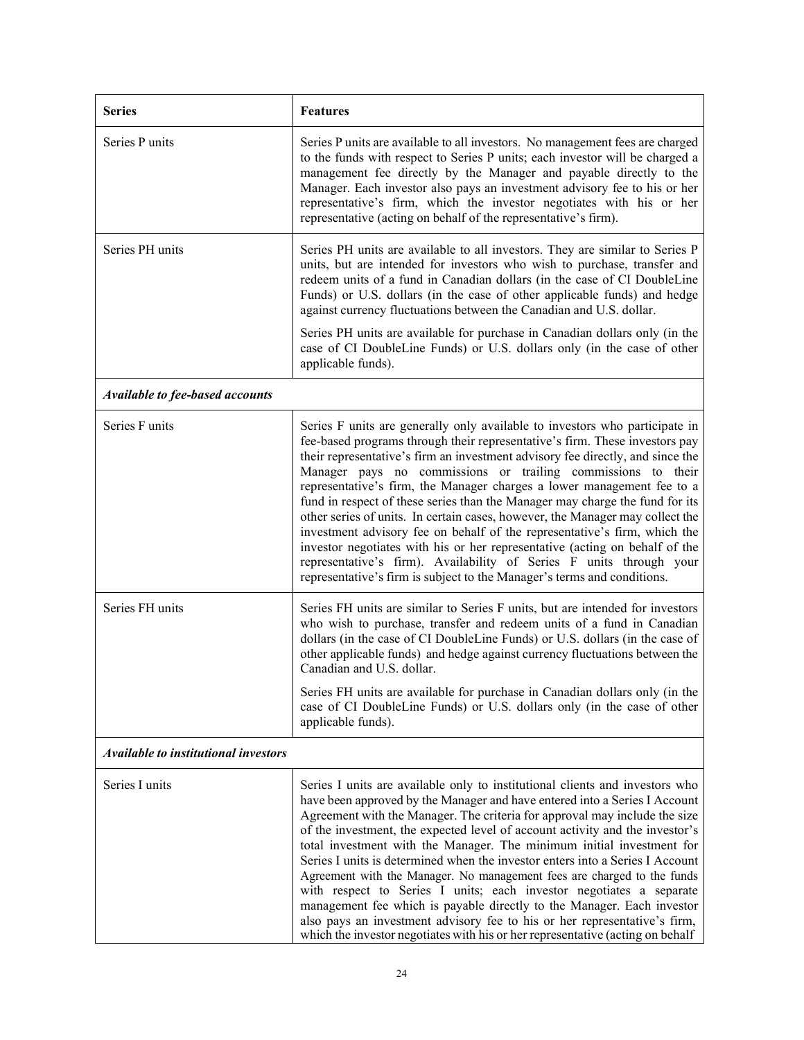| <b>Series</b>                          | <b>Features</b>                                                                                                                                                                                                                                                                                                                                                                                                                                                                                                                                                                                                                                                                                                                                                                                                                                                               |  |
|----------------------------------------|-------------------------------------------------------------------------------------------------------------------------------------------------------------------------------------------------------------------------------------------------------------------------------------------------------------------------------------------------------------------------------------------------------------------------------------------------------------------------------------------------------------------------------------------------------------------------------------------------------------------------------------------------------------------------------------------------------------------------------------------------------------------------------------------------------------------------------------------------------------------------------|--|
| Series P units                         | Series P units are available to all investors. No management fees are charged<br>to the funds with respect to Series P units; each investor will be charged a<br>management fee directly by the Manager and payable directly to the<br>Manager. Each investor also pays an investment advisory fee to his or her<br>representative's firm, which the investor negotiates with his or her<br>representative (acting on behalf of the representative's firm).                                                                                                                                                                                                                                                                                                                                                                                                                   |  |
| Series PH units                        | Series PH units are available to all investors. They are similar to Series P<br>units, but are intended for investors who wish to purchase, transfer and<br>redeem units of a fund in Canadian dollars (in the case of CI DoubleLine<br>Funds) or U.S. dollars (in the case of other applicable funds) and hedge<br>against currency fluctuations between the Canadian and U.S. dollar.<br>Series PH units are available for purchase in Canadian dollars only (in the<br>case of CI DoubleLine Funds) or U.S. dollars only (in the case of other<br>applicable funds).                                                                                                                                                                                                                                                                                                       |  |
| <b>Available to fee-based accounts</b> |                                                                                                                                                                                                                                                                                                                                                                                                                                                                                                                                                                                                                                                                                                                                                                                                                                                                               |  |
| Series F units                         | Series F units are generally only available to investors who participate in<br>fee-based programs through their representative's firm. These investors pay<br>their representative's firm an investment advisory fee directly, and since the<br>Manager pays no commissions or trailing commissions to their<br>representative's firm, the Manager charges a lower management fee to a<br>fund in respect of these series than the Manager may charge the fund for its<br>other series of units. In certain cases, however, the Manager may collect the<br>investment advisory fee on behalf of the representative's firm, which the<br>investor negotiates with his or her representative (acting on behalf of the<br>representative's firm). Availability of Series F units through your<br>representative's firm is subject to the Manager's terms and conditions.         |  |
| Series FH units                        | Series FH units are similar to Series F units, but are intended for investors<br>who wish to purchase, transfer and redeem units of a fund in Canadian<br>dollars (in the case of CI DoubleLine Funds) or U.S. dollars (in the case of<br>other applicable funds) and hedge against currency fluctuations between the<br>Canadian and U.S. dollar.<br>Series FH units are available for purchase in Canadian dollars only (in the<br>case of CI DoubleLine Funds) or U.S. dollars only (in the case of other<br>applicable funds).                                                                                                                                                                                                                                                                                                                                            |  |
| Available to institutional investors   |                                                                                                                                                                                                                                                                                                                                                                                                                                                                                                                                                                                                                                                                                                                                                                                                                                                                               |  |
| Series I units                         | Series I units are available only to institutional clients and investors who<br>have been approved by the Manager and have entered into a Series I Account<br>Agreement with the Manager. The criteria for approval may include the size<br>of the investment, the expected level of account activity and the investor's<br>total investment with the Manager. The minimum initial investment for<br>Series I units is determined when the investor enters into a Series I Account<br>Agreement with the Manager. No management fees are charged to the funds<br>with respect to Series I units; each investor negotiates a separate<br>management fee which is payable directly to the Manager. Each investor<br>also pays an investment advisory fee to his or her representative's firm,<br>which the investor negotiates with his or her representative (acting on behalf |  |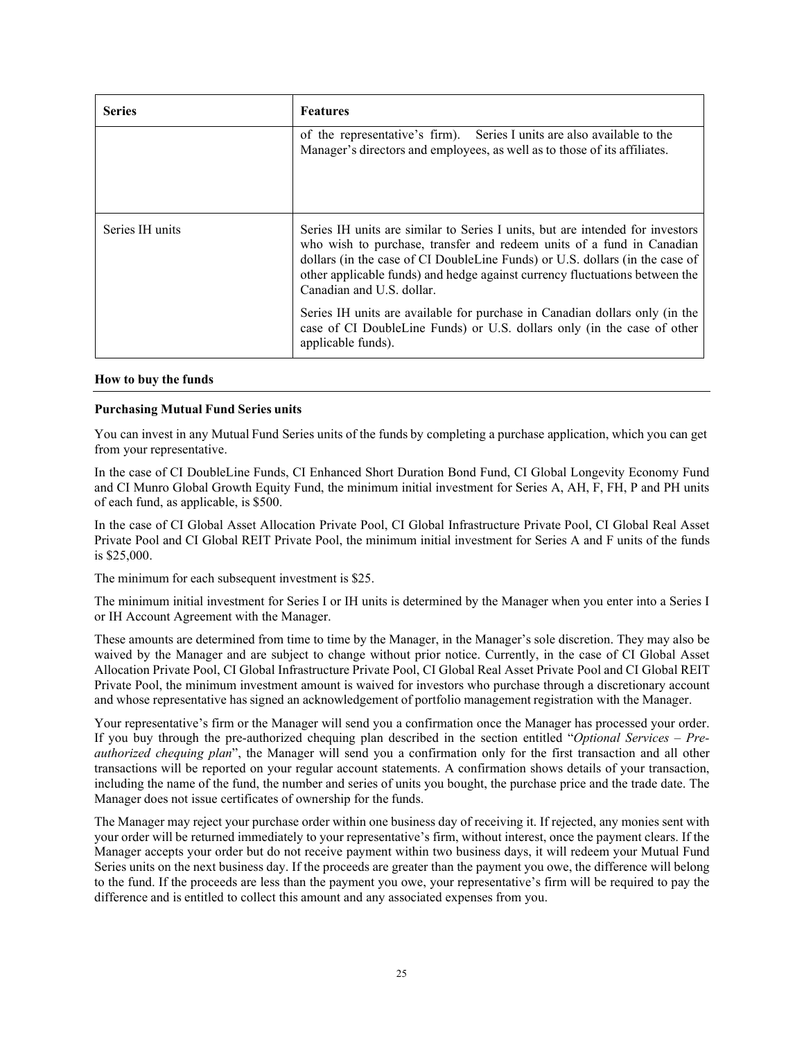| <b>Series</b>   | <b>Features</b>                                                                                                                                                                                                                                                                                                                                    |  |
|-----------------|----------------------------------------------------------------------------------------------------------------------------------------------------------------------------------------------------------------------------------------------------------------------------------------------------------------------------------------------------|--|
|                 | of the representative's firm). Series I units are also available to the<br>Manager's directors and employees, as well as to those of its affiliates.                                                                                                                                                                                               |  |
| Series IH units | Series IH units are similar to Series I units, but are intended for investors<br>who wish to purchase, transfer and redeem units of a fund in Canadian<br>dollars (in the case of CI DoubleLine Funds) or U.S. dollars (in the case of<br>other applicable funds) and hedge against currency fluctuations between the<br>Canadian and U.S. dollar. |  |
|                 | Series IH units are available for purchase in Canadian dollars only (in the<br>case of CI DoubleLine Funds) or U.S. dollars only (in the case of other<br>applicable funds).                                                                                                                                                                       |  |

## **How to buy the funds**

## **Purchasing Mutual Fund Series units**

You can invest in any Mutual Fund Series units of the funds by completing a purchase application, which you can get from your representative.

In the case of CI DoubleLine Funds, CI Enhanced Short Duration Bond Fund, CI Global Longevity Economy Fund and CI Munro Global Growth Equity Fund, the minimum initial investment for Series A, AH, F, FH, P and PH units of each fund, as applicable, is \$500.

In the case of CI Global Asset Allocation Private Pool, CI Global Infrastructure Private Pool, CI Global Real Asset Private Pool and CI Global REIT Private Pool, the minimum initial investment for Series A and F units of the funds is \$25,000.

The minimum for each subsequent investment is \$25.

The minimum initial investment for Series I or IH units is determined by the Manager when you enter into a Series I or IH Account Agreement with the Manager.

These amounts are determined from time to time by the Manager, in the Manager's sole discretion. They may also be waived by the Manager and are subject to change without prior notice. Currently, in the case of CI Global Asset Allocation Private Pool, CI Global Infrastructure Private Pool, CI Global Real Asset Private Pool and CI Global REIT Private Pool, the minimum investment amount is waived for investors who purchase through a discretionary account and whose representative has signed an acknowledgement of portfolio management registration with the Manager.

Your representative's firm or the Manager will send you a confirmation once the Manager has processed your order. If you buy through the pre-authorized chequing plan described in the section entitled "*Optional Services – Preauthorized chequing plan*", the Manager will send you a confirmation only for the first transaction and all other transactions will be reported on your regular account statements. A confirmation shows details of your transaction, including the name of the fund, the number and series of units you bought, the purchase price and the trade date. The Manager does not issue certificates of ownership for the funds.

The Manager may reject your purchase order within one business day of receiving it. If rejected, any monies sent with your order will be returned immediately to your representative's firm, without interest, once the payment clears. If the Manager accepts your order but do not receive payment within two business days, it will redeem your Mutual Fund Series units on the next business day. If the proceeds are greater than the payment you owe, the difference will belong to the fund. If the proceeds are less than the payment you owe, your representative's firm will be required to pay the difference and is entitled to collect this amount and any associated expenses from you.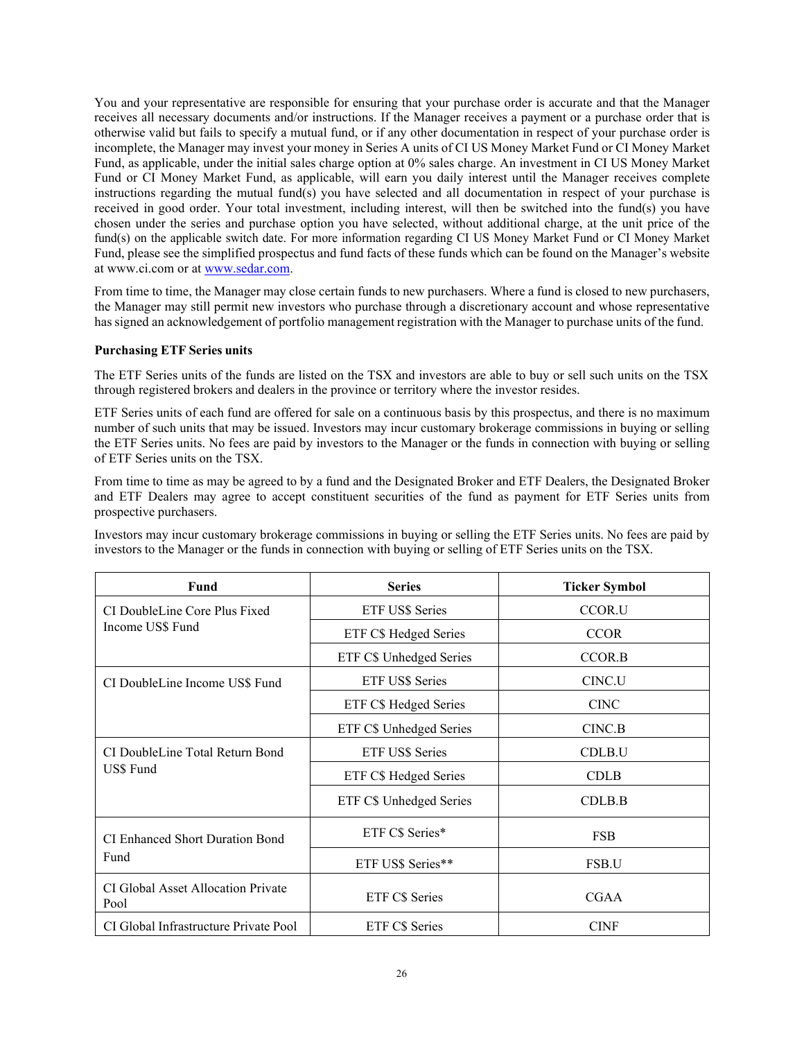You and your representative are responsible for ensuring that your purchase order is accurate and that the Manager receives all necessary documents and/or instructions. If the Manager receives a payment or a purchase order that is otherwise valid but fails to specify a mutual fund, or if any other documentation in respect of your purchase order is incomplete, the Manager may invest your money in Series A units of CI US Money Market Fund or CI Money Market Fund, as applicable, under the initial sales charge option at 0% sales charge. An investment in CI US Money Market Fund or CI Money Market Fund, as applicable, will earn you daily interest until the Manager receives complete instructions regarding the mutual fund(s) you have selected and all documentation in respect of your purchase is received in good order. Your total investment, including interest, will then be switched into the fund(s) you have chosen under the series and purchase option you have selected, without additional charge, at the unit price of the fund(s) on the applicable switch date. For more information regarding CI US Money Market Fund or CI Money Market Fund, please see the simplified prospectus and fund facts of these funds which can be found on the Manager's website at [www.ci.com](http://www.ci.com/) or at [www.sedar.com.](http://www.sedar.com/)

From time to time, the Manager may close certain funds to new purchasers. Where a fund is closed to new purchasers, the Manager may still permit new investors who purchase through a discretionary account and whose representative has signed an acknowledgement of portfolio management registration with the Manager to purchase units of the fund.

## **Purchasing ETF Series units**

The ETF Series units of the funds are listed on the TSX and investors are able to buy or sell such units on the TSX through registered brokers and dealers in the province or territory where the investor resides.

ETF Series units of each fund are offered for sale on a continuous basis by this prospectus, and there is no maximum number of such units that may be issued. Investors may incur customary brokerage commissions in buying or selling the ETF Series units. No fees are paid by investors to the Manager or the funds in connection with buying or selling of ETF Series units on the TSX.

From time to time as may be agreed to by a fund and the Designated Broker and ETF Dealers, the Designated Broker and ETF Dealers may agree to accept constituent securities of the fund as payment for ETF Series units from prospective purchasers.

Investors may incur customary brokerage commissions in buying or selling the ETF Series units. No fees are paid by investors to the Manager or the funds in connection with buying or selling of ETF Series units on the TSX.

| Fund                                         | <b>Series</b>           | <b>Ticker Symbol</b> |
|----------------------------------------------|-------------------------|----------------------|
| CI DoubleLine Core Plus Fixed                | <b>ETF US\$ Series</b>  | CCOR.U               |
| Income US\$ Fund                             | ETF C\$ Hedged Series   | <b>CCOR</b>          |
|                                              | ETF C\$ Unhedged Series | CCOR.B               |
| CI DoubleLine Income US\$ Fund               | <b>ETF US\$ Series</b>  | CINC.U               |
|                                              | ETF C\$ Hedged Series   | <b>CINC</b>          |
|                                              | ETF C\$ Unhedged Series | CINC.B               |
| CI DoubleLine Total Return Bond<br>US\$ Fund | ETF US\$ Series         | CDLB.U               |
|                                              | ETF C\$ Hedged Series   | <b>CDLB</b>          |
|                                              | ETF C\$ Unhedged Series | CDLB.B               |
| CI Enhanced Short Duration Bond<br>Fund      | ETF C\$ Series*         | <b>FSB</b>           |
|                                              | ETF US\$ Series**       | FSB.U                |
| CI Global Asset Allocation Private<br>Pool   | ETF C\$ Series          | <b>CGAA</b>          |
| CI Global Infrastructure Private Pool        | <b>ETF CS Series</b>    | <b>CINF</b>          |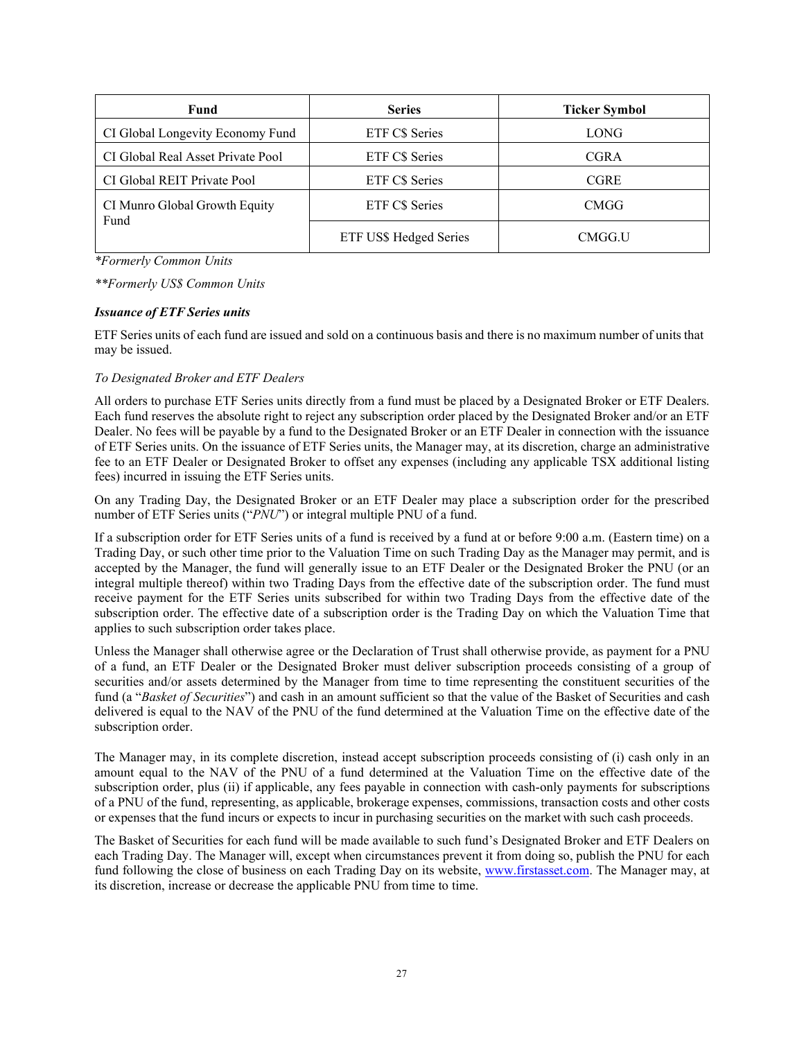| Fund                                  | <b>Series</b>          | <b>Ticker Symbol</b> |
|---------------------------------------|------------------------|----------------------|
| CI Global Longevity Economy Fund      | ETF C\$ Series         | <b>LONG</b>          |
| CI Global Real Asset Private Pool     | ETF C\$ Series         | <b>CGRA</b>          |
| CI Global REIT Private Pool           | ETF C\$ Series         | <b>CGRE</b>          |
| CI Munro Global Growth Equity<br>Fund | ETF C\$ Series         | <b>CMGG</b>          |
|                                       | ETF US\$ Hedged Series | CMGG.U               |

*\*Formerly Common Units*

*\*\*Formerly US\$ Common Units*

#### *Issuance of ETF Series units*

ETF Series units of each fund are issued and sold on a continuous basis and there is no maximum number of units that may be issued.

## *To Designated Broker and ETF Dealers*

All orders to purchase ETF Series units directly from a fund must be placed by a Designated Broker or ETF Dealers. Each fund reserves the absolute right to reject any subscription order placed by the Designated Broker and/or an ETF Dealer. No fees will be payable by a fund to the Designated Broker or an ETF Dealer in connection with the issuance of ETF Series units. On the issuance of ETF Series units, the Manager may, at its discretion, charge an administrative fee to an ETF Dealer or Designated Broker to offset any expenses (including any applicable TSX additional listing fees) incurred in issuing the ETF Series units.

On any Trading Day, the Designated Broker or an ETF Dealer may place a subscription order for the prescribed number of ETF Series units ("*PNU*") or integral multiple PNU of a fund.

If a subscription order for ETF Series units of a fund is received by a fund at or before 9:00 a.m. (Eastern time) on a Trading Day, or such other time prior to the Valuation Time on such Trading Day as the Manager may permit, and is accepted by the Manager, the fund will generally issue to an ETF Dealer or the Designated Broker the PNU (or an integral multiple thereof) within two Trading Days from the effective date of the subscription order. The fund must receive payment for the ETF Series units subscribed for within two Trading Days from the effective date of the subscription order. The effective date of a subscription order is the Trading Day on which the Valuation Time that applies to such subscription order takes place.

Unless the Manager shall otherwise agree or the Declaration of Trust shall otherwise provide, as payment for a PNU of a fund, an ETF Dealer or the Designated Broker must deliver subscription proceeds consisting of a group of securities and/or assets determined by the Manager from time to time representing the constituent securities of the fund (a "*Basket of Securities*") and cash in an amount sufficient so that the value of the Basket of Securities and cash delivered is equal to the NAV of the PNU of the fund determined at the Valuation Time on the effective date of the subscription order.

The Manager may, in its complete discretion, instead accept subscription proceeds consisting of (i) cash only in an amount equal to the NAV of the PNU of a fund determined at the Valuation Time on the effective date of the subscription order, plus (ii) if applicable, any fees payable in connection with cash-only payments for subscriptions of a PNU of the fund, representing, as applicable, brokerage expenses, commissions, transaction costs and other costs or expenses that the fund incurs or expects to incur in purchasing securities on the market with such cash proceeds.

The Basket of Securities for each fund will be made available to such fund's Designated Broker and ETF Dealers on each Trading Day. The Manager will, except when circumstances prevent it from doing so, publish the PNU for each fund following the close of business on each Trading Day on its website, [www.firstasset.com. T](http://www.firstasset.com/)he Manager may, at its discretion, increase or decrease the applicable PNU from time to time.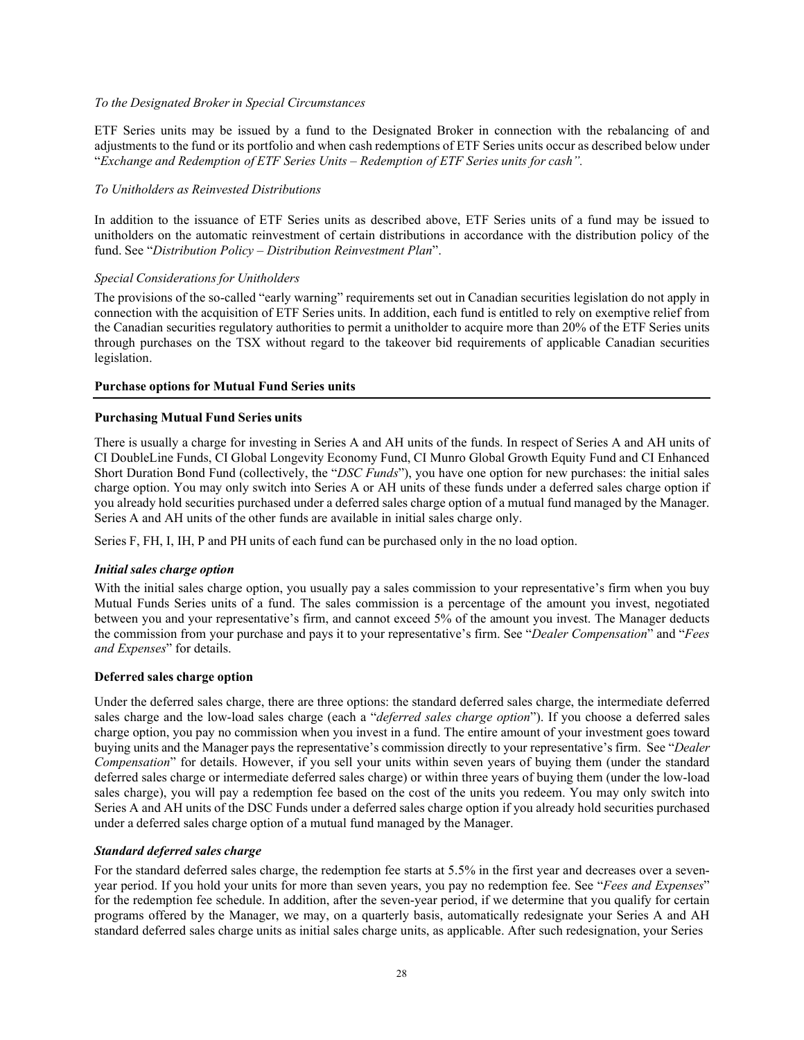#### *To the Designated Broker in Special Circumstances*

ETF Series units may be issued by a fund to the Designated Broker in connection with the rebalancing of and adjustments to the fund or its portfolio and when cash redemptions of ETF Series units occur as described below under "*Exchange and Redemption of ETF Series Units – Redemption of ETF Series units for cash".*

## *To Unitholders as Reinvested Distributions*

In addition to the issuance of ETF Series units as described above, ETF Series units of a fund may be issued to unitholders on the automatic reinvestment of certain distributions in accordance with the distribution policy of the fund. See "*Distribution Policy – Distribution Reinvestment Plan*".

## *Special Considerations for Unitholders*

The provisions of the so-called "early warning" requirements set out in Canadian securities legislation do not apply in connection with the acquisition of ETF Series units. In addition, each fund is entitled to rely on exemptive relief from the Canadian securities regulatory authorities to permit a unitholder to acquire more than 20% of the ETF Series units through purchases on the TSX without regard to the takeover bid requirements of applicable Canadian securities legislation.

## **Purchase options for Mutual Fund Series units**

## **Purchasing Mutual Fund Series units**

There is usually a charge for investing in Series A and AH units of the funds. In respect of Series A and AH units of CI DoubleLine Funds, CI Global Longevity Economy Fund, CI Munro Global Growth Equity Fund and CI Enhanced Short Duration Bond Fund (collectively, the "*DSC Funds*"), you have one option for new purchases: the initial sales charge option. You may only switch into Series A or AH units of these funds under a deferred sales charge option if you already hold securities purchased under a deferred sales charge option of a mutual fund managed by the Manager. Series A and AH units of the other funds are available in initial sales charge only.

Series F, FH, I, IH, P and PH units of each fund can be purchased only in the no load option.

#### *Initial sales charge option*

With the initial sales charge option, you usually pay a sales commission to your representative's firm when you buy Mutual Funds Series units of a fund. The sales commission is a percentage of the amount you invest, negotiated between you and your representative's firm, and cannot exceed 5% of the amount you invest. The Manager deducts the commission from your purchase and pays it to your representative's firm. See "*Dealer Compensation*" and "*Fees and Expenses*" for details.

#### **Deferred sales charge option**

Under the deferred sales charge, there are three options: the standard deferred sales charge, the intermediate deferred sales charge and the low-load sales charge (each a "*deferred sales charge option*"). If you choose a deferred sales charge option, you pay no commission when you invest in a fund. The entire amount of your investment goes toward buying units and the Manager pays the representative's commission directly to your representative's firm. See "*Dealer Compensation*" for details. However, if you sell your units within seven years of buying them (under the standard deferred sales charge or intermediate deferred sales charge) or within three years of buying them (under the low-load sales charge), you will pay a redemption fee based on the cost of the units you redeem. You may only switch into Series A and AH units of the DSC Funds under a deferred sales charge option if you already hold securities purchased under a deferred sales charge option of a mutual fund managed by the Manager.

#### *Standard deferred sales charge*

For the standard deferred sales charge, the redemption fee starts at 5.5% in the first year and decreases over a sevenyear period. If you hold your units for more than seven years, you pay no redemption fee. See "*Fees and Expenses*" for the redemption fee schedule. In addition, after the seven-year period, if we determine that you qualify for certain programs offered by the Manager, we may, on a quarterly basis, automatically redesignate your Series A and AH standard deferred sales charge units as initial sales charge units, as applicable. After such redesignation, your Series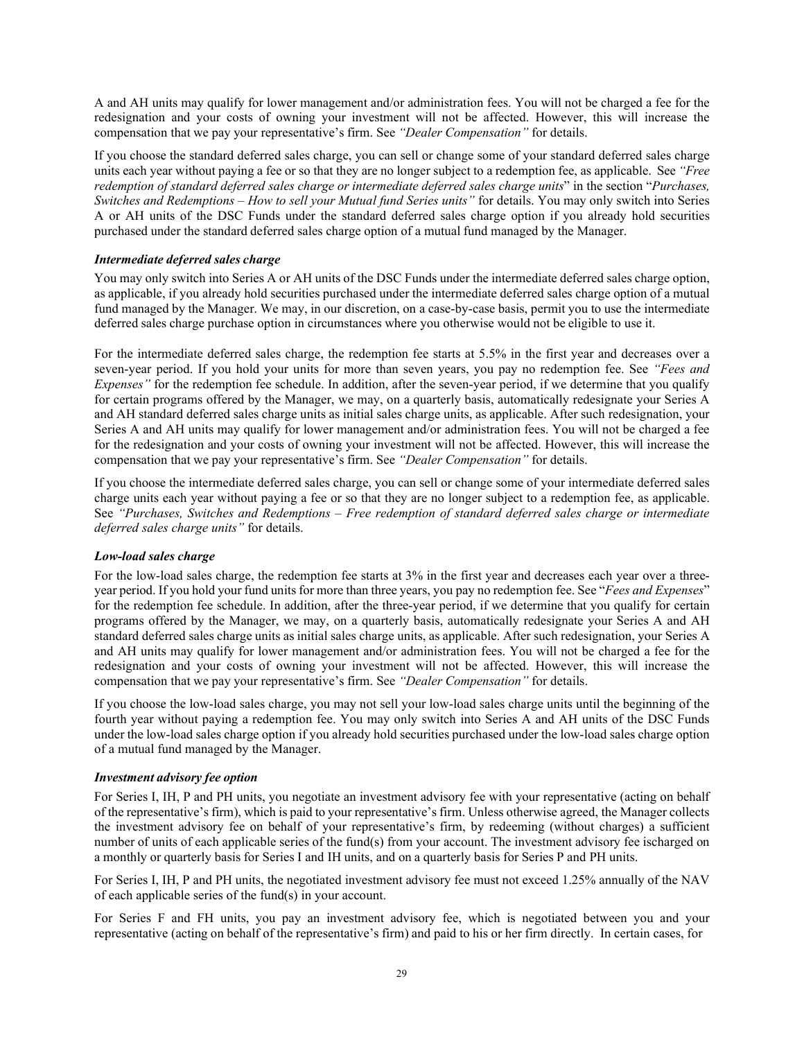A and AH units may qualify for lower management and/or administration fees. You will not be charged a fee for the redesignation and your costs of owning your investment will not be affected. However, this will increase the compensation that we pay your representative's firm. See *"Dealer Compensation"* for details.

If you choose the standard deferred sales charge, you can sell or change some of your standard deferred sales charge units each year without paying a fee or so that they are no longer subject to a redemption fee, as applicable. See *"Free redemption of standard deferred sales charge or intermediate deferred sales charge units*" in the section "*Purchases, Switches and Redemptions – How to sell your Mutual fund Series units"* for details. You may only switch into Series A or AH units of the DSC Funds under the standard deferred sales charge option if you already hold securities purchased under the standard deferred sales charge option of a mutual fund managed by the Manager.

## *Intermediate deferred sales charge*

You may only switch into Series A or AH units of the DSC Funds under the intermediate deferred sales charge option, as applicable, if you already hold securities purchased under the intermediate deferred sales charge option of a mutual fund managed by the Manager. We may, in our discretion, on a case-by-case basis, permit you to use the intermediate deferred sales charge purchase option in circumstances where you otherwise would not be eligible to use it.

For the intermediate deferred sales charge, the redemption fee starts at 5.5% in the first year and decreases over a seven-year period. If you hold your units for more than seven years, you pay no redemption fee. See *"Fees and Expenses"* for the redemption fee schedule. In addition, after the seven-year period, if we determine that you qualify for certain programs offered by the Manager, we may, on a quarterly basis, automatically redesignate your Series A and AH standard deferred sales charge units as initial sales charge units, as applicable. After such redesignation, your Series A and AH units may qualify for lower management and/or administration fees. You will not be charged a fee for the redesignation and your costs of owning your investment will not be affected. However, this will increase the compensation that we pay your representative's firm. See *"Dealer Compensation"* for details.

If you choose the intermediate deferred sales charge, you can sell or change some of your intermediate deferred sales charge units each year without paying a fee or so that they are no longer subject to a redemption fee, as applicable. See *"Purchases, Switches and Redemptions – Free redemption of standard deferred sales charge or intermediate deferred sales charge units"* for details.

#### *Low-load sales charge*

For the low-load sales charge, the redemption fee starts at 3% in the first year and decreases each year over a threeyear period. If you hold your fund units for more than three years, you pay no redemption fee. See "*Fees and Expenses*" for the redemption fee schedule. In addition, after the three-year period, if we determine that you qualify for certain programs offered by the Manager, we may, on a quarterly basis, automatically redesignate your Series A and AH standard deferred sales charge units as initial sales charge units, as applicable. After such redesignation, your Series A and AH units may qualify for lower management and/or administration fees. You will not be charged a fee for the redesignation and your costs of owning your investment will not be affected. However, this will increase the compensation that we pay your representative's firm. See *"Dealer Compensation"* for details.

If you choose the low-load sales charge, you may not sell your low-load sales charge units until the beginning of the fourth year without paying a redemption fee. You may only switch into Series A and AH units of the DSC Funds under the low-load sales charge option if you already hold securities purchased under the low-load sales charge option of a mutual fund managed by the Manager.

#### *Investment advisory fee option*

For Series I, IH, P and PH units, you negotiate an investment advisory fee with your representative (acting on behalf of the representative's firm), which is paid to your representative's firm. Unless otherwise agreed, the Manager collects the investment advisory fee on behalf of your representative's firm, by redeeming (without charges) a sufficient number of units of each applicable series of the fund(s) from your account. The investment advisory fee ischarged on a monthly or quarterly basis for Series I and IH units, and on a quarterly basis for Series P and PH units.

For Series I, IH, P and PH units, the negotiated investment advisory fee must not exceed 1.25% annually of the NAV of each applicable series of the fund(s) in your account.

For Series F and FH units, you pay an investment advisory fee, which is negotiated between you and your representative (acting on behalf of the representative's firm) and paid to his or her firm directly. In certain cases, for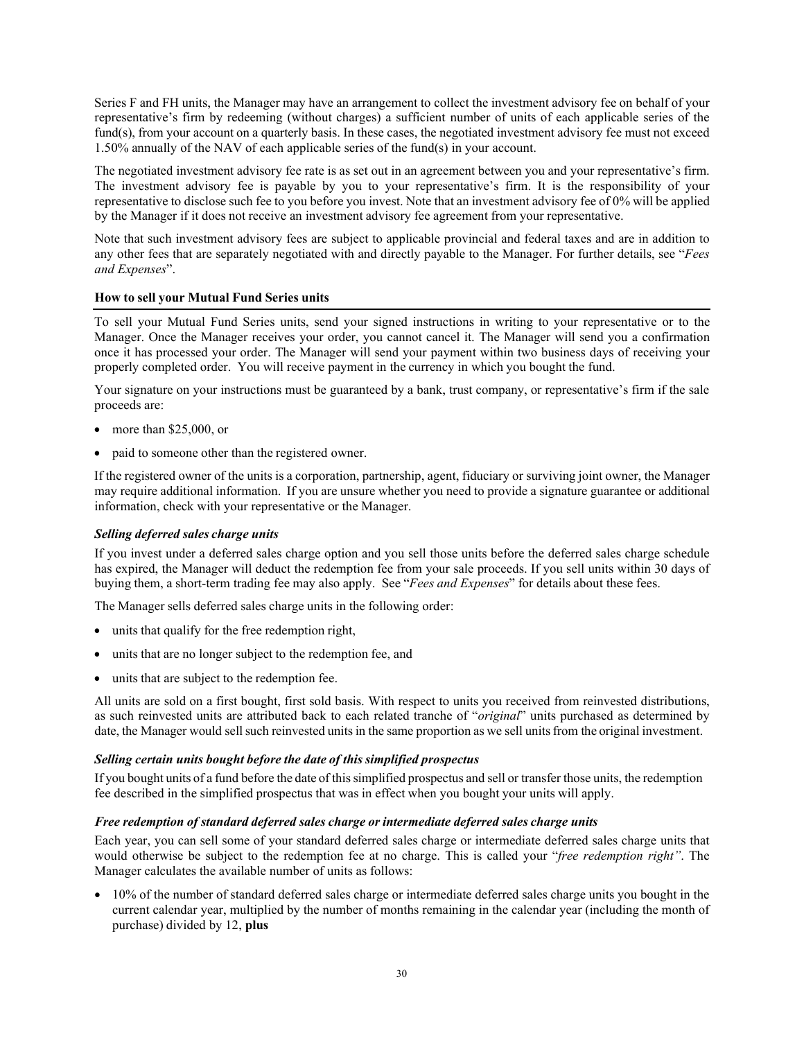Series F and FH units, the Manager may have an arrangement to collect the investment advisory fee on behalf of your representative's firm by redeeming (without charges) a sufficient number of units of each applicable series of the fund(s), from your account on a quarterly basis. In these cases, the negotiated investment advisory fee must not exceed 1.50% annually of the NAV of each applicable series of the fund(s) in your account.

The negotiated investment advisory fee rate is as set out in an agreement between you and your representative's firm. The investment advisory fee is payable by you to your representative's firm. It is the responsibility of your representative to disclose such fee to you before you invest. Note that an investment advisory fee of 0% will be applied by the Manager if it does not receive an investment advisory fee agreement from your representative.

Note that such investment advisory fees are subject to applicable provincial and federal taxes and are in addition to any other fees that are separately negotiated with and directly payable to the Manager. For further details, see "*Fees and Expenses*".

## **How to sell your Mutual Fund Series units**

To sell your Mutual Fund Series units, send your signed instructions in writing to your representative or to the Manager. Once the Manager receives your order, you cannot cancel it. The Manager will send you a confirmation once it has processed your order. The Manager will send your payment within two business days of receiving your properly completed order. You will receive payment in the currency in which you bought the fund.

Your signature on your instructions must be guaranteed by a bank, trust company, or representative's firm if the sale proceeds are:

- more than \$25,000, or
- paid to someone other than the registered owner.

If the registered owner of the units is a corporation, partnership, agent, fiduciary or surviving joint owner, the Manager may require additional information. If you are unsure whether you need to provide a signature guarantee or additional information, check with your representative or the Manager.

## *Selling deferred sales charge units*

If you invest under a deferred sales charge option and you sell those units before the deferred sales charge schedule has expired, the Manager will deduct the redemption fee from your sale proceeds. If you sell units within 30 days of buying them, a short-term trading fee may also apply. See "*Fees and Expenses*" for details about these fees.

The Manager sells deferred sales charge units in the following order:

- units that qualify for the free redemption right,
- units that are no longer subject to the redemption fee, and
- units that are subject to the redemption fee.

All units are sold on a first bought, first sold basis. With respect to units you received from reinvested distributions, as such reinvested units are attributed back to each related tranche of "*original*" units purchased as determined by date, the Manager would sell such reinvested units in the same proportion as we sell units from the original investment.

#### *Selling certain units bought before the date of this simplified prospectus*

If you bought units of a fund before the date of thissimplified prospectus and sell or transfer those units, the redemption fee described in the simplified prospectus that was in effect when you bought your units will apply.

#### *Free redemption of standard deferred sales charge or intermediate deferred sales charge units*

Each year, you can sell some of your standard deferred sales charge or intermediate deferred sales charge units that would otherwise be subject to the redemption fee at no charge. This is called your "*free redemption right"*. The Manager calculates the available number of units as follows:

• 10% of the number of standard deferred sales charge or intermediate deferred sales charge units you bought in the current calendar year, multiplied by the number of months remaining in the calendar year (including the month of purchase) divided by 12, **plus**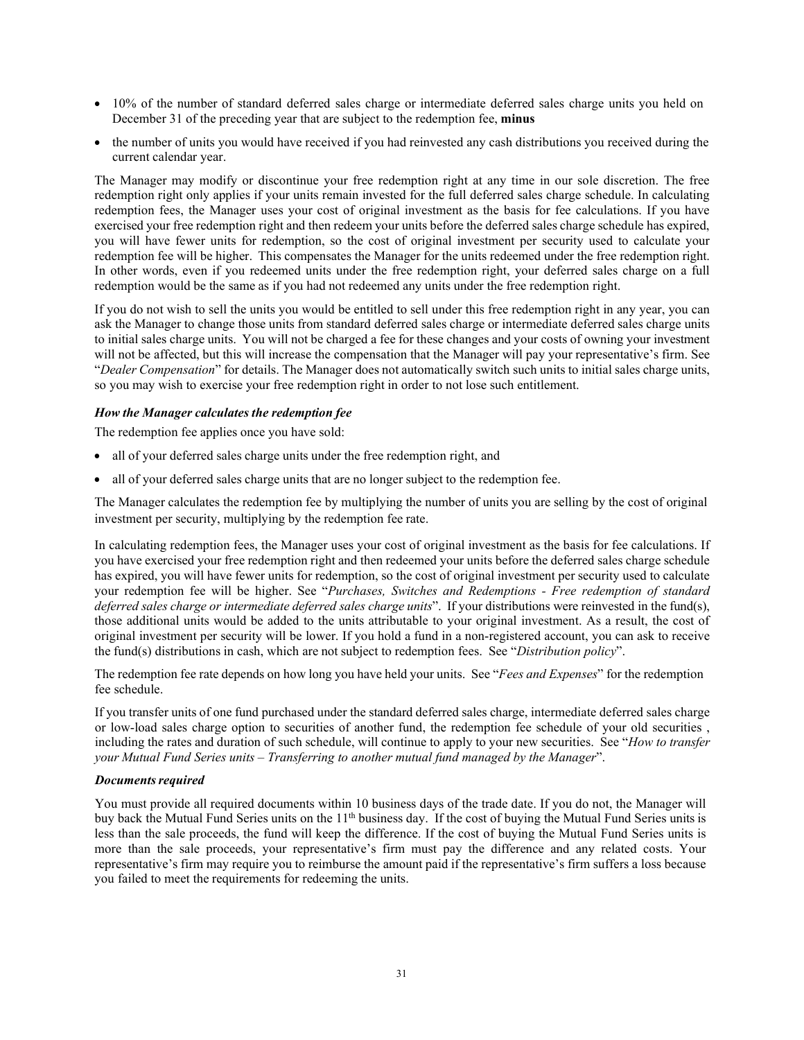- 10% of the number of standard deferred sales charge or intermediate deferred sales charge units you held on December 31 of the preceding year that are subject to the redemption fee, **minus**
- the number of units you would have received if you had reinvested any cash distributions you received during the current calendar year.

The Manager may modify or discontinue your free redemption right at any time in our sole discretion. The free redemption right only applies if your units remain invested for the full deferred sales charge schedule. In calculating redemption fees, the Manager uses your cost of original investment as the basis for fee calculations. If you have exercised your free redemption right and then redeem your units before the deferred sales charge schedule has expired, you will have fewer units for redemption, so the cost of original investment per security used to calculate your redemption fee will be higher. This compensates the Manager for the units redeemed under the free redemption right. In other words, even if you redeemed units under the free redemption right, your deferred sales charge on a full redemption would be the same as if you had not redeemed any units under the free redemption right.

If you do not wish to sell the units you would be entitled to sell under this free redemption right in any year, you can ask the Manager to change those units from standard deferred sales charge or intermediate deferred sales charge units to initial sales charge units. You will not be charged a fee for these changes and your costs of owning your investment will not be affected, but this will increase the compensation that the Manager will pay your representative's firm. See "*Dealer Compensation*" for details. The Manager does not automatically switch such units to initial sales charge units, so you may wish to exercise your free redemption right in order to not lose such entitlement.

## *How the Manager calculates the redemption fee*

The redemption fee applies once you have sold:

- all of your deferred sales charge units under the free redemption right, and
- all of your deferred sales charge units that are no longer subject to the redemption fee.

The Manager calculates the redemption fee by multiplying the number of units you are selling by the cost of original investment per security, multiplying by the redemption fee rate.

In calculating redemption fees, the Manager uses your cost of original investment as the basis for fee calculations. If you have exercised your free redemption right and then redeemed your units before the deferred sales charge schedule has expired, you will have fewer units for redemption, so the cost of original investment per security used to calculate your redemption fee will be higher. See "*Purchases, Switches and Redemptions - Free redemption of standard deferred sales charge or intermediate deferred sales charge units*". If your distributions were reinvested in the fund(s), those additional units would be added to the units attributable to your original investment. As a result, the cost of original investment per security will be lower. If you hold a fund in a non-registered account, you can ask to receive the fund(s) distributions in cash, which are not subject to redemption fees. See "*Distribution policy*".

The redemption fee rate depends on how long you have held your units. See "*Fees and Expenses*" for the redemption fee schedule.

If you transfer units of one fund purchased under the standard deferred sales charge, intermediate deferred sales charge or low-load sales charge option to securities of another fund, the redemption fee schedule of your old securities , including the rates and duration of such schedule, will continue to apply to your new securities. See "*How to transfer your Mutual Fund Series units – Transferring to another mutual fund managed by the Manager*".

#### *Documents required*

You must provide all required documents within 10 business days of the trade date. If you do not, the Manager will buy back the Mutual Fund Series units on the 11<sup>th</sup> business day. If the cost of buying the Mutual Fund Series units is less than the sale proceeds, the fund will keep the difference. If the cost of buying the Mutual Fund Series units is more than the sale proceeds, your representative's firm must pay the difference and any related costs. Your representative's firm may require you to reimburse the amount paid if the representative's firm suffers a loss because you failed to meet the requirements for redeeming the units.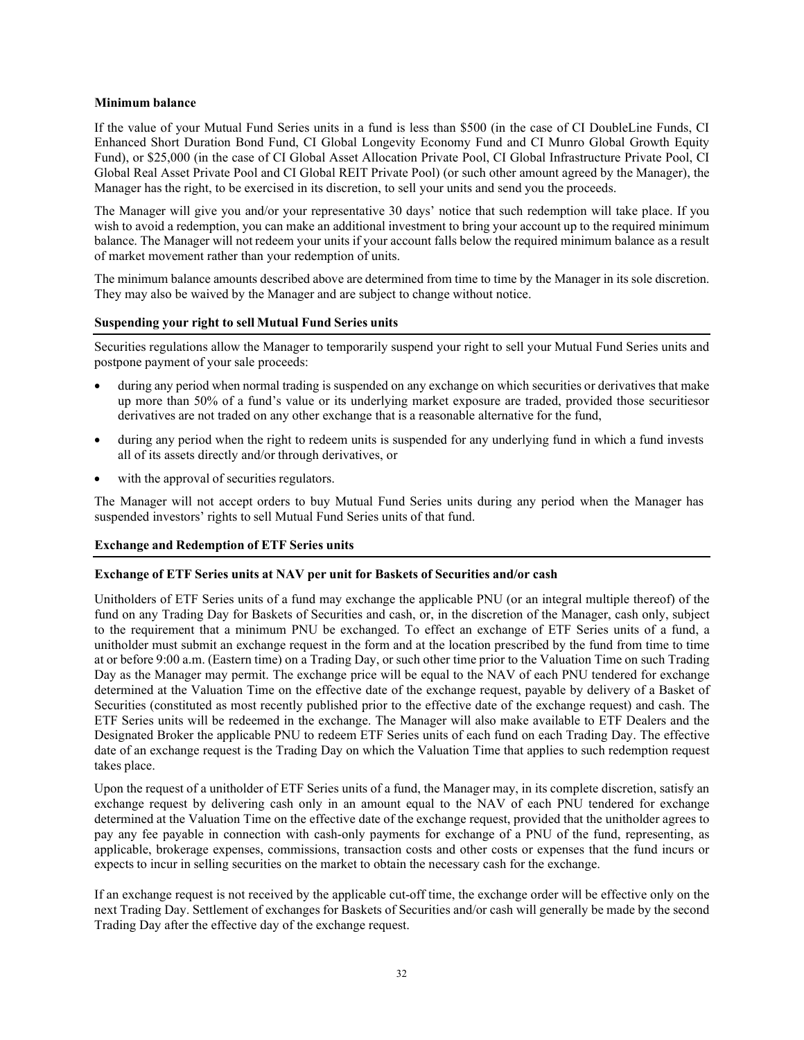#### **Minimum balance**

If the value of your Mutual Fund Series units in a fund is less than \$500 (in the case of CI DoubleLine Funds, CI Enhanced Short Duration Bond Fund, CI Global Longevity Economy Fund and CI Munro Global Growth Equity Fund), or \$25,000 (in the case of CI Global Asset Allocation Private Pool, CI Global Infrastructure Private Pool, CI Global Real Asset Private Pool and CI Global REIT Private Pool) (or such other amount agreed by the Manager), the Manager has the right, to be exercised in its discretion, to sell your units and send you the proceeds.

The Manager will give you and/or your representative 30 days' notice that such redemption will take place. If you wish to avoid a redemption, you can make an additional investment to bring your account up to the required minimum balance. The Manager will not redeem your units if your account falls below the required minimum balance as a result of market movement rather than your redemption of units.

The minimum balance amounts described above are determined from time to time by the Manager in its sole discretion. They may also be waived by the Manager and are subject to change without notice.

#### **Suspending your right to sell Mutual Fund Series units**

Securities regulations allow the Manager to temporarily suspend your right to sell your Mutual Fund Series units and postpone payment of your sale proceeds:

- during any period when normal trading is suspended on any exchange on which securities or derivatives that make up more than 50% of a fund's value or its underlying market exposure are traded, provided those securitiesor derivatives are not traded on any other exchange that is a reasonable alternative for the fund,
- during any period when the right to redeem units is suspended for any underlying fund in which a fund invests all of its assets directly and/or through derivatives, or
- with the approval of securities regulators.

The Manager will not accept orders to buy Mutual Fund Series units during any period when the Manager has suspended investors' rights to sell Mutual Fund Series units of that fund.

## **Exchange and Redemption of ETF Series units**

#### **Exchange of ETF Series units at NAV per unit for Baskets of Securities and/or cash**

Unitholders of ETF Series units of a fund may exchange the applicable PNU (or an integral multiple thereof) of the fund on any Trading Day for Baskets of Securities and cash, or, in the discretion of the Manager, cash only, subject to the requirement that a minimum PNU be exchanged. To effect an exchange of ETF Series units of a fund, a unitholder must submit an exchange request in the form and at the location prescribed by the fund from time to time at or before 9:00 a.m. (Eastern time) on a Trading Day, or such other time prior to the Valuation Time on such Trading Day as the Manager may permit. The exchange price will be equal to the NAV of each PNU tendered for exchange determined at the Valuation Time on the effective date of the exchange request, payable by delivery of a Basket of Securities (constituted as most recently published prior to the effective date of the exchange request) and cash. The ETF Series units will be redeemed in the exchange. The Manager will also make available to ETF Dealers and the Designated Broker the applicable PNU to redeem ETF Series units of each fund on each Trading Day. The effective date of an exchange request is the Trading Day on which the Valuation Time that applies to such redemption request takes place.

Upon the request of a unitholder of ETF Series units of a fund, the Manager may, in its complete discretion, satisfy an exchange request by delivering cash only in an amount equal to the NAV of each PNU tendered for exchange determined at the Valuation Time on the effective date of the exchange request, provided that the unitholder agrees to pay any fee payable in connection with cash-only payments for exchange of a PNU of the fund, representing, as applicable, brokerage expenses, commissions, transaction costs and other costs or expenses that the fund incurs or expects to incur in selling securities on the market to obtain the necessary cash for the exchange.

If an exchange request is not received by the applicable cut-off time, the exchange order will be effective only on the next Trading Day. Settlement of exchanges for Baskets of Securities and/or cash will generally be made by the second Trading Day after the effective day of the exchange request.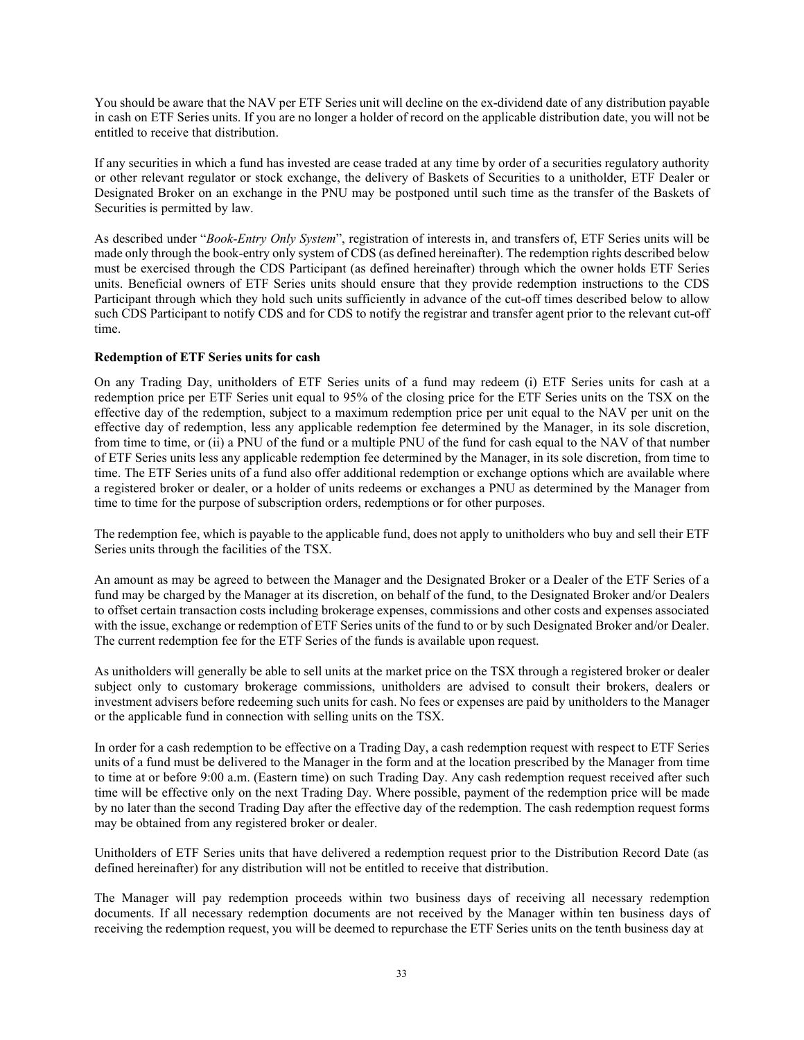You should be aware that the NAV per ETF Series unit will decline on the ex-dividend date of any distribution payable in cash on ETF Series units. If you are no longer a holder of record on the applicable distribution date, you will not be entitled to receive that distribution.

If any securities in which a fund has invested are cease traded at any time by order of a securities regulatory authority or other relevant regulator or stock exchange, the delivery of Baskets of Securities to a unitholder, ETF Dealer or Designated Broker on an exchange in the PNU may be postponed until such time as the transfer of the Baskets of Securities is permitted by law.

As described under "*Book-Entry Only System*", registration of interests in, and transfers of, ETF Series units will be made only through the book-entry only system of CDS (as defined hereinafter). The redemption rights described below must be exercised through the CDS Participant (as defined hereinafter) through which the owner holds ETF Series units. Beneficial owners of ETF Series units should ensure that they provide redemption instructions to the CDS Participant through which they hold such units sufficiently in advance of the cut-off times described below to allow such CDS Participant to notify CDS and for CDS to notify the registrar and transfer agent prior to the relevant cut-off time.

## **Redemption of ETF Series units for cash**

On any Trading Day, unitholders of ETF Series units of a fund may redeem (i) ETF Series units for cash at a redemption price per ETF Series unit equal to 95% of the closing price for the ETF Series units on the TSX on the effective day of the redemption, subject to a maximum redemption price per unit equal to the NAV per unit on the effective day of redemption, less any applicable redemption fee determined by the Manager, in its sole discretion, from time to time, or (ii) a PNU of the fund or a multiple PNU of the fund for cash equal to the NAV of that number of ETF Series units less any applicable redemption fee determined by the Manager, in its sole discretion, from time to time. The ETF Series units of a fund also offer additional redemption or exchange options which are available where a registered broker or dealer, or a holder of units redeems or exchanges a PNU as determined by the Manager from time to time for the purpose of subscription orders, redemptions or for other purposes.

The redemption fee, which is payable to the applicable fund, does not apply to unitholders who buy and sell their ETF Series units through the facilities of the TSX.

An amount as may be agreed to between the Manager and the Designated Broker or a Dealer of the ETF Series of a fund may be charged by the Manager at its discretion, on behalf of the fund, to the Designated Broker and/or Dealers to offset certain transaction costs including brokerage expenses, commissions and other costs and expenses associated with the issue, exchange or redemption of ETF Series units of the fund to or by such Designated Broker and/or Dealer. The current redemption fee for the ETF Series of the funds is available upon request.

As unitholders will generally be able to sell units at the market price on the TSX through a registered broker or dealer subject only to customary brokerage commissions, unitholders are advised to consult their brokers, dealers or investment advisers before redeeming such units for cash. No fees or expenses are paid by unitholders to the Manager or the applicable fund in connection with selling units on the TSX.

In order for a cash redemption to be effective on a Trading Day, a cash redemption request with respect to ETF Series units of a fund must be delivered to the Manager in the form and at the location prescribed by the Manager from time to time at or before 9:00 a.m. (Eastern time) on such Trading Day. Any cash redemption request received after such time will be effective only on the next Trading Day. Where possible, payment of the redemption price will be made by no later than the second Trading Day after the effective day of the redemption. The cash redemption request forms may be obtained from any registered broker or dealer.

Unitholders of ETF Series units that have delivered a redemption request prior to the Distribution Record Date (as defined hereinafter) for any distribution will not be entitled to receive that distribution.

The Manager will pay redemption proceeds within two business days of receiving all necessary redemption documents. If all necessary redemption documents are not received by the Manager within ten business days of receiving the redemption request, you will be deemed to repurchase the ETF Series units on the tenth business day at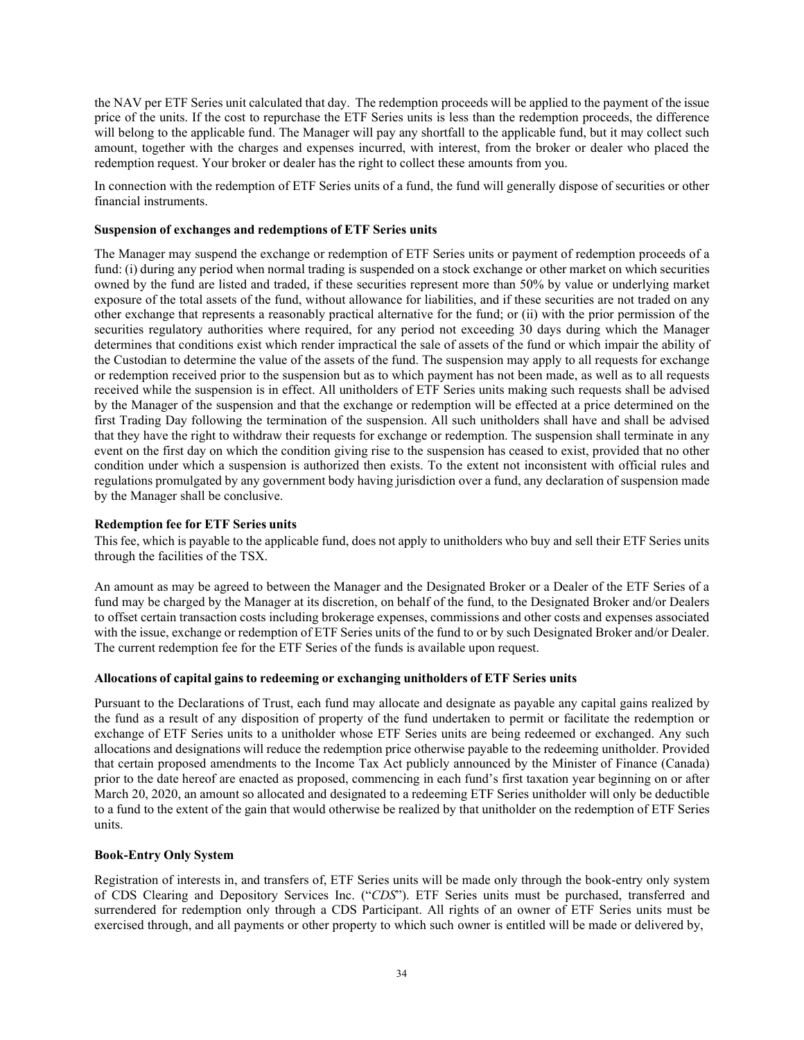the NAV per ETF Series unit calculated that day. The redemption proceeds will be applied to the payment of the issue price of the units. If the cost to repurchase the ETF Series units is less than the redemption proceeds, the difference will belong to the applicable fund. The Manager will pay any shortfall to the applicable fund, but it may collect such amount, together with the charges and expenses incurred, with interest, from the broker or dealer who placed the redemption request. Your broker or dealer has the right to collect these amounts from you.

In connection with the redemption of ETF Series units of a fund, the fund will generally dispose of securities or other financial instruments.

#### **Suspension of exchanges and redemptions of ETF Series units**

The Manager may suspend the exchange or redemption of ETF Series units or payment of redemption proceeds of a fund: (i) during any period when normal trading is suspended on a stock exchange or other market on which securities owned by the fund are listed and traded, if these securities represent more than 50% by value or underlying market exposure of the total assets of the fund, without allowance for liabilities, and if these securities are not traded on any other exchange that represents a reasonably practical alternative for the fund; or (ii) with the prior permission of the securities regulatory authorities where required, for any period not exceeding 30 days during which the Manager determines that conditions exist which render impractical the sale of assets of the fund or which impair the ability of the Custodian to determine the value of the assets of the fund. The suspension may apply to all requests for exchange or redemption received prior to the suspension but as to which payment has not been made, as well as to all requests received while the suspension is in effect. All unitholders of ETF Series units making such requests shall be advised by the Manager of the suspension and that the exchange or redemption will be effected at a price determined on the first Trading Day following the termination of the suspension. All such unitholders shall have and shall be advised that they have the right to withdraw their requests for exchange or redemption. The suspension shall terminate in any event on the first day on which the condition giving rise to the suspension has ceased to exist, provided that no other condition under which a suspension is authorized then exists. To the extent not inconsistent with official rules and regulations promulgated by any government body having jurisdiction over a fund, any declaration of suspension made by the Manager shall be conclusive.

#### **Redemption fee for ETF Series units**

This fee, which is payable to the applicable fund, does not apply to unitholders who buy and sell their ETF Series units through the facilities of the TSX.

An amount as may be agreed to between the Manager and the Designated Broker or a Dealer of the ETF Series of a fund may be charged by the Manager at its discretion, on behalf of the fund, to the Designated Broker and/or Dealers to offset certain transaction costs including brokerage expenses, commissions and other costs and expenses associated with the issue, exchange or redemption of ETF Series units of the fund to or by such Designated Broker and/or Dealer. The current redemption fee for the ETF Series of the funds is available upon request.

#### **Allocations of capital gains to redeeming or exchanging unitholders of ETF Series units**

Pursuant to the Declarations of Trust, each fund may allocate and designate as payable any capital gains realized by the fund as a result of any disposition of property of the fund undertaken to permit or facilitate the redemption or exchange of ETF Series units to a unitholder whose ETF Series units are being redeemed or exchanged. Any such allocations and designations will reduce the redemption price otherwise payable to the redeeming unitholder. Provided that certain proposed amendments to the Income Tax Act publicly announced by the Minister of Finance (Canada) prior to the date hereof are enacted as proposed, commencing in each fund's first taxation year beginning on or after March 20, 2020, an amount so allocated and designated to a redeeming ETF Series unitholder will only be deductible to a fund to the extent of the gain that would otherwise be realized by that unitholder on the redemption of ETF Series units.

#### **Book-Entry Only System**

Registration of interests in, and transfers of, ETF Series units will be made only through the book-entry only system of CDS Clearing and Depository Services Inc. ("*CDS*"). ETF Series units must be purchased, transferred and surrendered for redemption only through a CDS Participant. All rights of an owner of ETF Series units must be exercised through, and all payments or other property to which such owner is entitled will be made or delivered by,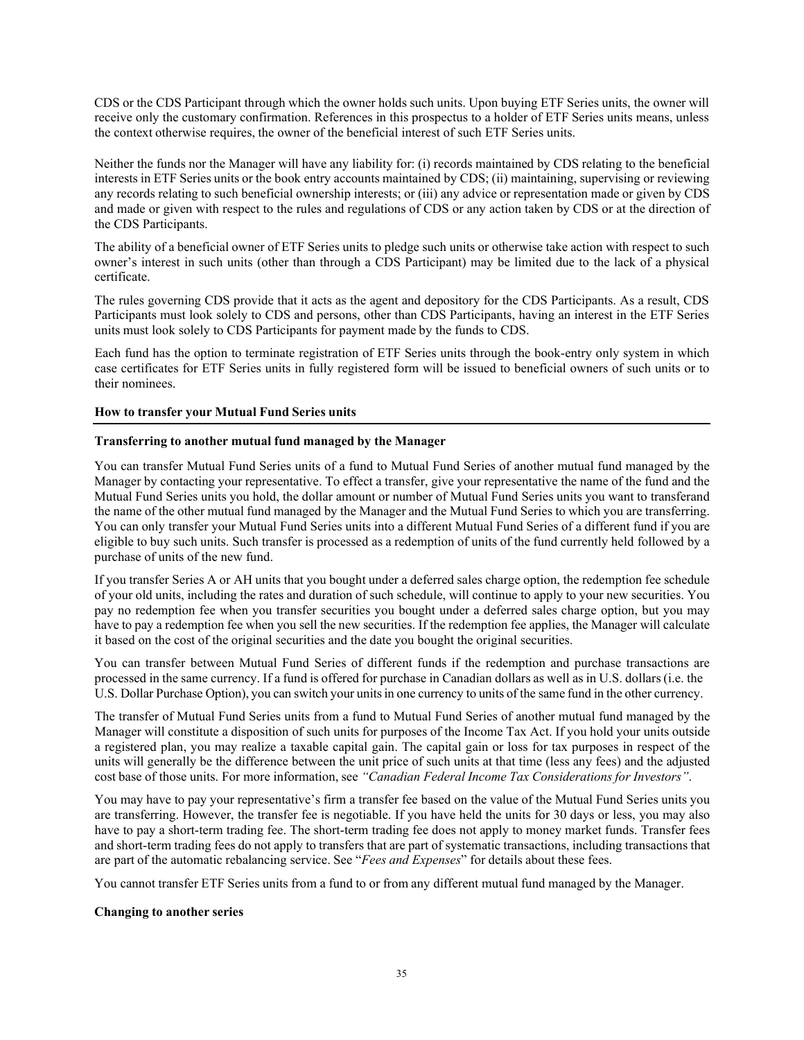CDS or the CDS Participant through which the owner holds such units. Upon buying ETF Series units, the owner will receive only the customary confirmation. References in this prospectus to a holder of ETF Series units means, unless the context otherwise requires, the owner of the beneficial interest of such ETF Series units.

Neither the funds nor the Manager will have any liability for: (i) records maintained by CDS relating to the beneficial interests in ETF Series units or the book entry accounts maintained by CDS; (ii) maintaining, supervising or reviewing any records relating to such beneficial ownership interests; or (iii) any advice or representation made or given by CDS and made or given with respect to the rules and regulations of CDS or any action taken by CDS or at the direction of the CDS Participants.

The ability of a beneficial owner of ETF Series units to pledge such units or otherwise take action with respect to such owner's interest in such units (other than through a CDS Participant) may be limited due to the lack of a physical certificate.

The rules governing CDS provide that it acts as the agent and depository for the CDS Participants. As a result, CDS Participants must look solely to CDS and persons, other than CDS Participants, having an interest in the ETF Series units must look solely to CDS Participants for payment made by the funds to CDS.

Each fund has the option to terminate registration of ETF Series units through the book-entry only system in which case certificates for ETF Series units in fully registered form will be issued to beneficial owners of such units or to their nominees.

## **How to transfer your Mutual Fund Series units**

## **Transferring to another mutual fund managed by the Manager**

You can transfer Mutual Fund Series units of a fund to Mutual Fund Series of another mutual fund managed by the Manager by contacting your representative. To effect a transfer, give your representative the name of the fund and the Mutual Fund Series units you hold, the dollar amount or number of Mutual Fund Series units you want to transferand the name of the other mutual fund managed by the Manager and the Mutual Fund Series to which you are transferring. You can only transfer your Mutual Fund Series units into a different Mutual Fund Series of a different fund if you are eligible to buy such units. Such transfer is processed as a redemption of units of the fund currently held followed by a purchase of units of the new fund.

If you transfer Series A or AH units that you bought under a deferred sales charge option, the redemption fee schedule of your old units, including the rates and duration of such schedule, will continue to apply to your new securities. You pay no redemption fee when you transfer securities you bought under a deferred sales charge option, but you may have to pay a redemption fee when you sell the new securities. If the redemption fee applies, the Manager will calculate it based on the cost of the original securities and the date you bought the original securities.

You can transfer between Mutual Fund Series of different funds if the redemption and purchase transactions are processed in the same currency. If a fund is offered for purchase in Canadian dollars as well as in U.S. dollars(i.e. the U.S. Dollar Purchase Option), you can switch your unitsin one currency to units of the same fund in the other currency.

The transfer of Mutual Fund Series units from a fund to Mutual Fund Series of another mutual fund managed by the Manager will constitute a disposition of such units for purposes of the Income Tax Act. If you hold your units outside a registered plan, you may realize a taxable capital gain. The capital gain or loss for tax purposes in respect of the units will generally be the difference between the unit price of such units at that time (less any fees) and the adjusted cost base of those units. For more information, see *"Canadian Federal Income Tax Considerations for Investors"*.

You may have to pay your representative's firm a transfer fee based on the value of the Mutual Fund Series units you are transferring. However, the transfer fee is negotiable. If you have held the units for 30 days or less, you may also have to pay a short-term trading fee. The short-term trading fee does not apply to money market funds. Transfer fees and short-term trading fees do not apply to transfers that are part of systematic transactions, including transactions that are part of the automatic rebalancing service. See "*Fees and Expenses*" for details about these fees.

You cannot transfer ETF Series units from a fund to or from any different mutual fund managed by the Manager.

## **Changing to another series**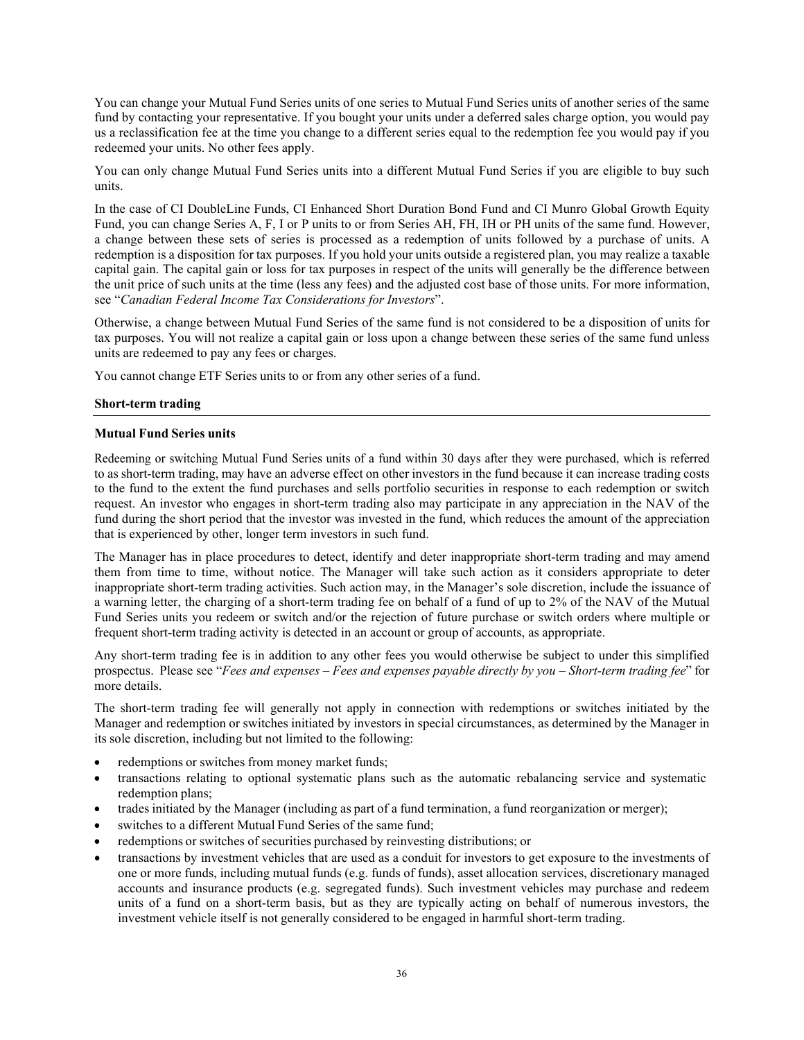You can change your Mutual Fund Series units of one series to Mutual Fund Series units of another series of the same fund by contacting your representative. If you bought your units under a deferred sales charge option, you would pay us a reclassification fee at the time you change to a different series equal to the redemption fee you would pay if you redeemed your units. No other fees apply.

You can only change Mutual Fund Series units into a different Mutual Fund Series if you are eligible to buy such units.

In the case of CI DoubleLine Funds, CI Enhanced Short Duration Bond Fund and CI Munro Global Growth Equity Fund, you can change Series A, F, I or P units to or from Series AH, FH, IH or PH units of the same fund. However, a change between these sets of series is processed as a redemption of units followed by a purchase of units. A redemption is a disposition for tax purposes. If you hold your units outside a registered plan, you may realize a taxable capital gain. The capital gain or loss for tax purposes in respect of the units will generally be the difference between the unit price of such units at the time (less any fees) and the adjusted cost base of those units. For more information, see "*Canadian Federal Income Tax Considerations for Investors*".

Otherwise, a change between Mutual Fund Series of the same fund is not considered to be a disposition of units for tax purposes. You will not realize a capital gain or loss upon a change between these series of the same fund unless units are redeemed to pay any fees or charges.

You cannot change ETF Series units to or from any other series of a fund.

## **Short-term trading**

#### **Mutual Fund Series units**

Redeeming or switching Mutual Fund Series units of a fund within 30 days after they were purchased, which is referred to as short-term trading, may have an adverse effect on other investors in the fund because it can increase trading costs to the fund to the extent the fund purchases and sells portfolio securities in response to each redemption or switch request. An investor who engages in short-term trading also may participate in any appreciation in the NAV of the fund during the short period that the investor was invested in the fund, which reduces the amount of the appreciation that is experienced by other, longer term investors in such fund.

The Manager has in place procedures to detect, identify and deter inappropriate short-term trading and may amend them from time to time, without notice. The Manager will take such action as it considers appropriate to deter inappropriate short-term trading activities. Such action may, in the Manager's sole discretion, include the issuance of a warning letter, the charging of a short-term trading fee on behalf of a fund of up to 2% of the NAV of the Mutual Fund Series units you redeem or switch and/or the rejection of future purchase or switch orders where multiple or frequent short-term trading activity is detected in an account or group of accounts, as appropriate.

Any short-term trading fee is in addition to any other fees you would otherwise be subject to under this simplified prospectus. Please see "*Fees and expenses – Fees and expenses payable directly by you – Short-term trading fee*" for more details.

The short-term trading fee will generally not apply in connection with redemptions or switches initiated by the Manager and redemption or switches initiated by investors in special circumstances, as determined by the Manager in its sole discretion, including but not limited to the following:

- redemptions or switches from money market funds;
- transactions relating to optional systematic plans such as the automatic rebalancing service and systematic redemption plans;
- trades initiated by the Manager (including as part of a fund termination, a fund reorganization or merger);
- switches to a different Mutual Fund Series of the same fund;
- redemptions or switches of securities purchased by reinvesting distributions; or
- transactions by investment vehicles that are used as a conduit for investors to get exposure to the investments of one or more funds, including mutual funds (e.g. funds of funds), asset allocation services, discretionary managed accounts and insurance products (e.g. segregated funds). Such investment vehicles may purchase and redeem units of a fund on a short-term basis, but as they are typically acting on behalf of numerous investors, the investment vehicle itself is not generally considered to be engaged in harmful short-term trading.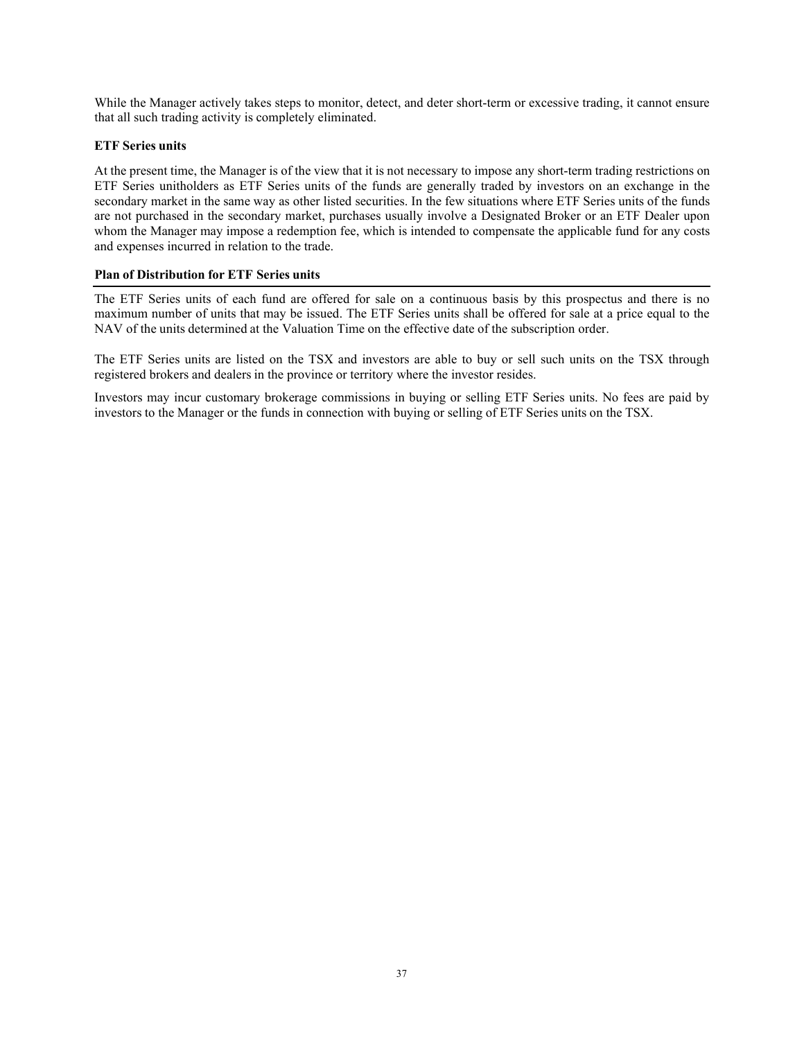While the Manager actively takes steps to monitor, detect, and deter short-term or excessive trading, it cannot ensure that all such trading activity is completely eliminated.

## **ETF Series units**

At the present time, the Manager is of the view that it is not necessary to impose any short-term trading restrictions on ETF Series unitholders as ETF Series units of the funds are generally traded by investors on an exchange in the secondary market in the same way as other listed securities. In the few situations where ETF Series units of the funds are not purchased in the secondary market, purchases usually involve a Designated Broker or an ETF Dealer upon whom the Manager may impose a redemption fee, which is intended to compensate the applicable fund for any costs and expenses incurred in relation to the trade.

## **Plan of Distribution for ETF Series units**

The ETF Series units of each fund are offered for sale on a continuous basis by this prospectus and there is no maximum number of units that may be issued. The ETF Series units shall be offered for sale at a price equal to the NAV of the units determined at the Valuation Time on the effective date of the subscription order.

The ETF Series units are listed on the TSX and investors are able to buy or sell such units on the TSX through registered brokers and dealers in the province or territory where the investor resides.

Investors may incur customary brokerage commissions in buying or selling ETF Series units. No fees are paid by investors to the Manager or the funds in connection with buying or selling of ETF Series units on the TSX.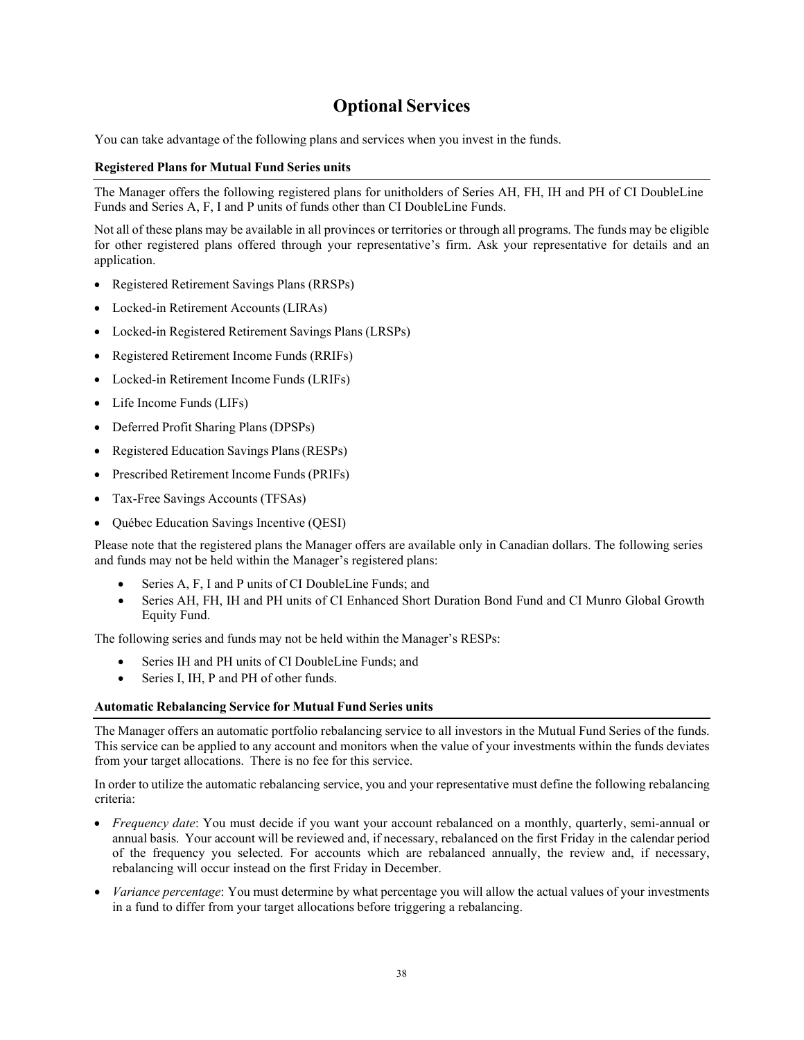## **Optional Services**

You can take advantage of the following plans and services when you invest in the funds.

## **Registered Plans for Mutual Fund Series units**

The Manager offers the following registered plans for unitholders of Series AH, FH, IH and PH of CI DoubleLine Funds and Series A, F, I and P units of funds other than CI DoubleLine Funds.

Not all of these plans may be available in all provinces or territories or through all programs. The funds may be eligible for other registered plans offered through your representative's firm. Ask your representative for details and an application.

- Registered Retirement Savings Plans (RRSPs)
- Locked-in Retirement Accounts (LIRAs)
- Locked-in Registered Retirement Savings Plans (LRSPs)
- Registered Retirement Income Funds (RRIFs)
- Locked-in Retirement Income Funds (LRIFs)
- Life Income Funds (LIFs)
- Deferred Profit Sharing Plans (DPSPs)
- Registered Education Savings Plans (RESPs)
- Prescribed Retirement Income Funds (PRIFs)
- Tax-Free Savings Accounts (TFSAs)
- Québec Education Savings Incentive (QESI)

Please note that the registered plans the Manager offers are available only in Canadian dollars. The following series and funds may not be held within the Manager's registered plans:

- Series A, F, I and P units of CI DoubleLine Funds; and
- Series AH, FH, IH and PH units of CI Enhanced Short Duration Bond Fund and CI Munro Global Growth Equity Fund.

The following series and funds may not be held within the Manager's RESPs:

- Series IH and PH units of CI DoubleLine Funds; and
- Series I, IH, P and PH of other funds.

#### **Automatic Rebalancing Service for Mutual Fund Series units**

The Manager offers an automatic portfolio rebalancing service to all investors in the Mutual Fund Series of the funds. This service can be applied to any account and monitors when the value of your investments within the funds deviates from your target allocations. There is no fee for this service.

In order to utilize the automatic rebalancing service, you and your representative must define the following rebalancing criteria:

- *Frequency date*: You must decide if you want your account rebalanced on a monthly, quarterly, semi-annual or annual basis. Your account will be reviewed and, if necessary, rebalanced on the first Friday in the calendar period of the frequency you selected. For accounts which are rebalanced annually, the review and, if necessary, rebalancing will occur instead on the first Friday in December.
- *Variance percentage*: You must determine by what percentage you will allow the actual values of your investments in a fund to differ from your target allocations before triggering a rebalancing.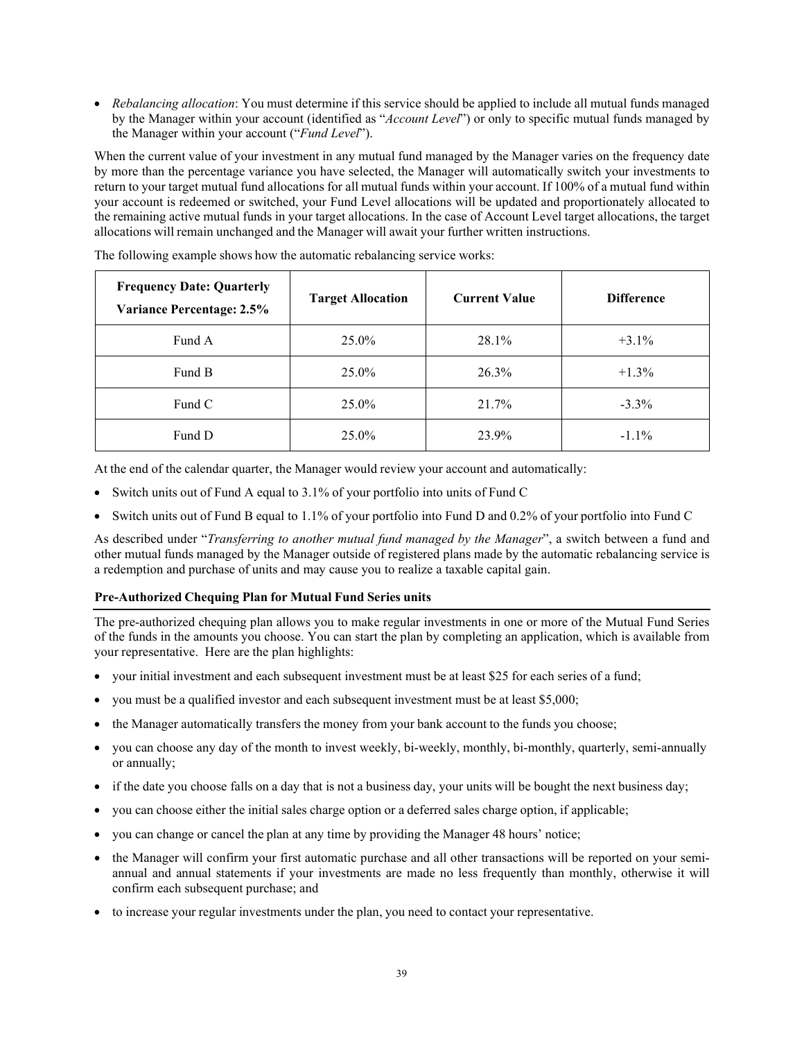• *Rebalancing allocation*: You must determine if this service should be applied to include all mutual funds managed by the Manager within your account (identified as "*Account Level*") or only to specific mutual funds managed by the Manager within your account ("*Fund Level*").

When the current value of your investment in any mutual fund managed by the Manager varies on the frequency date by more than the percentage variance you have selected, the Manager will automatically switch your investments to return to your target mutual fund allocations for all mutual funds within your account. If 100% of a mutual fund within your account is redeemed or switched, your Fund Level allocations will be updated and proportionately allocated to the remaining active mutual funds in your target allocations. In the case of Account Level target allocations, the target allocations will remain unchanged and the Manager will await your further written instructions.

| <b>Frequency Date: Quarterly</b><br><b>Variance Percentage: 2.5%</b> | <b>Target Allocation</b><br><b>Current Value</b> |       | <b>Difference</b> |
|----------------------------------------------------------------------|--------------------------------------------------|-------|-------------------|
| Fund A                                                               | 25.0%                                            | 28.1% | $+3.1\%$          |
| Fund B                                                               | 25.0%                                            | 26.3% | $+1.3\%$          |
| Fund C                                                               | 25.0%                                            | 21.7% | $-3.3\%$          |
| Fund D                                                               | 25.0%                                            | 23.9% | $-1.1\%$          |

The following example shows how the automatic rebalancing service works:

At the end of the calendar quarter, the Manager would review your account and automatically:

- Switch units out of Fund A equal to 3.1% of your portfolio into units of Fund C
- Switch units out of Fund B equal to 1.1% of your portfolio into Fund D and 0.2% of your portfolio into Fund C

As described under "*Transferring to another mutual fund managed by the Manager*", a switch between a fund and other mutual funds managed by the Manager outside of registered plans made by the automatic rebalancing service is a redemption and purchase of units and may cause you to realize a taxable capital gain.

## **Pre-Authorized Chequing Plan for Mutual Fund Series units**

The pre-authorized chequing plan allows you to make regular investments in one or more of the Mutual Fund Series of the funds in the amounts you choose. You can start the plan by completing an application, which is available from your representative. Here are the plan highlights:

- your initial investment and each subsequent investment must be at least \$25 for each series of a fund;
- you must be a qualified investor and each subsequent investment must be at least \$5,000;
- the Manager automatically transfers the money from your bank account to the funds you choose;
- you can choose any day of the month to invest weekly, bi-weekly, monthly, bi-monthly, quarterly, semi-annually or annually;
- if the date you choose falls on a day that is not a business day, your units will be bought the next business day;
- you can choose either the initial sales charge option or a deferred sales charge option, if applicable;
- you can change or cancel the plan at any time by providing the Manager 48 hours' notice;
- the Manager will confirm your first automatic purchase and all other transactions will be reported on your semiannual and annual statements if your investments are made no less frequently than monthly, otherwise it will confirm each subsequent purchase; and
- to increase your regular investments under the plan, you need to contact your representative.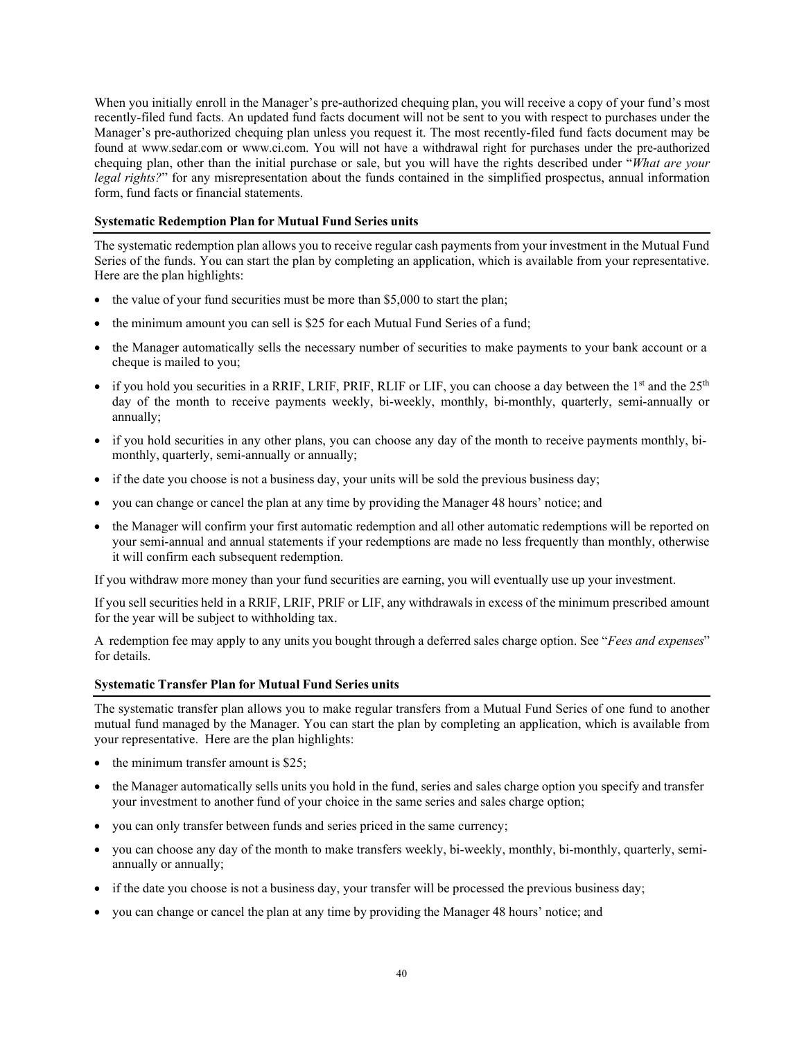When you initially enroll in the Manager's pre-authorized chequing plan, you will receive a copy of your fund's most recently-filed fund facts. An updated fund facts document will not be sent to you with respect to purchases under the Manager's pre-authorized chequing plan unless you request it. The most recently-filed fund facts document may be found at [www.sedar.com o](http://www.sedar.com/)r [www.ci.com.](http://www.ci.com/) You will not have a withdrawal right for purchases under the pre-authorized chequing plan, other than the initial purchase or sale, but you will have the rights described under "*What are your legal rights?*" for any misrepresentation about the funds contained in the simplified prospectus, annual information form, fund facts or financial statements.

## **Systematic Redemption Plan for Mutual Fund Series units**

The systematic redemption plan allows you to receive regular cash payments from your investment in the Mutual Fund Series of the funds. You can start the plan by completing an application, which is available from your representative. Here are the plan highlights:

- the value of your fund securities must be more than \$5,000 to start the plan;
- the minimum amount you can sell is \$25 for each Mutual Fund Series of a fund;
- the Manager automatically sells the necessary number of securities to make payments to your bank account or a cheque is mailed to you;
- if you hold you securities in a RRIF, LRIF, PRIF, RLIF or LIF, you can choose a day between the  $1<sup>st</sup>$  and the  $25<sup>th</sup>$ day of the month to receive payments weekly, bi-weekly, monthly, bi-monthly, quarterly, semi-annually or annually;
- if you hold securities in any other plans, you can choose any day of the month to receive payments monthly, bimonthly, quarterly, semi-annually or annually;
- if the date you choose is not a business day, your units will be sold the previous business day;
- you can change or cancel the plan at any time by providing the Manager 48 hours' notice; and
- the Manager will confirm your first automatic redemption and all other automatic redemptions will be reported on your semi-annual and annual statements if your redemptions are made no less frequently than monthly, otherwise it will confirm each subsequent redemption.

If you withdraw more money than your fund securities are earning, you will eventually use up your investment.

If you sell securities held in a RRIF, LRIF, PRIF or LIF, any withdrawals in excess of the minimum prescribed amount for the year will be subject to withholding tax.

A redemption fee may apply to any units you bought through a deferred sales charge option. See "*Fees and expenses*" for details.

#### **Systematic Transfer Plan for Mutual Fund Series units**

The systematic transfer plan allows you to make regular transfers from a Mutual Fund Series of one fund to another mutual fund managed by the Manager. You can start the plan by completing an application, which is available from your representative. Here are the plan highlights:

- the minimum transfer amount is \$25;
- the Manager automatically sells units you hold in the fund, series and sales charge option you specify and transfer your investment to another fund of your choice in the same series and sales charge option;
- you can only transfer between funds and series priced in the same currency;
- you can choose any day of the month to make transfers weekly, bi-weekly, monthly, bi-monthly, quarterly, semiannually or annually;
- if the date you choose is not a business day, your transfer will be processed the previous business day;
- you can change or cancel the plan at any time by providing the Manager 48 hours' notice; and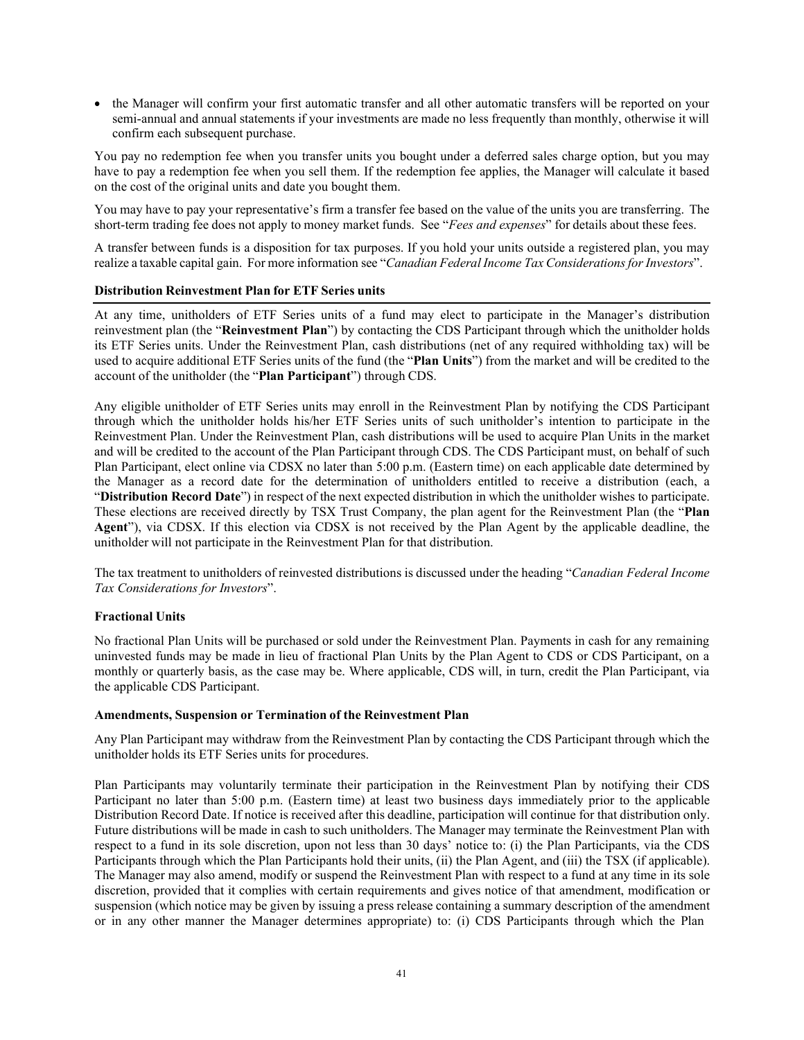• the Manager will confirm your first automatic transfer and all other automatic transfers will be reported on your semi-annual and annual statements if your investments are made no less frequently than monthly, otherwise it will confirm each subsequent purchase.

You pay no redemption fee when you transfer units you bought under a deferred sales charge option, but you may have to pay a redemption fee when you sell them. If the redemption fee applies, the Manager will calculate it based on the cost of the original units and date you bought them.

You may have to pay your representative's firm a transfer fee based on the value of the units you are transferring. The short-term trading fee does not apply to money market funds. See "*Fees and expenses*" for details about these fees.

A transfer between funds is a disposition for tax purposes. If you hold your units outside a registered plan, you may realize a taxable capital gain. For more information see "*Canadian Federal Income Tax ConsiderationsforInvestors*".

#### **Distribution Reinvestment Plan for ETF Series units**

At any time, unitholders of ETF Series units of a fund may elect to participate in the Manager's distribution reinvestment plan (the "**Reinvestment Plan**") by contacting the CDS Participant through which the unitholder holds its ETF Series units. Under the Reinvestment Plan, cash distributions (net of any required withholding tax) will be used to acquire additional ETF Series units of the fund (the "**Plan Units**") from the market and will be credited to the account of the unitholder (the "**Plan Participant**") through CDS.

Any eligible unitholder of ETF Series units may enroll in the Reinvestment Plan by notifying the CDS Participant through which the unitholder holds his/her ETF Series units of such unitholder's intention to participate in the Reinvestment Plan. Under the Reinvestment Plan, cash distributions will be used to acquire Plan Units in the market and will be credited to the account of the Plan Participant through CDS. The CDS Participant must, on behalf of such Plan Participant, elect online via CDSX no later than 5:00 p.m. (Eastern time) on each applicable date determined by the Manager as a record date for the determination of unitholders entitled to receive a distribution (each, a "**Distribution Record Date**") in respect of the next expected distribution in which the unitholder wishes to participate. These elections are received directly by TSX Trust Company, the plan agent for the Reinvestment Plan (the "**Plan Agent**"), via CDSX. If this election via CDSX is not received by the Plan Agent by the applicable deadline, the unitholder will not participate in the Reinvestment Plan for that distribution.

The tax treatment to unitholders of reinvested distributions is discussed under the heading "*Canadian Federal Income Tax Considerations for Investors*".

## **Fractional Units**

No fractional Plan Units will be purchased or sold under the Reinvestment Plan. Payments in cash for any remaining uninvested funds may be made in lieu of fractional Plan Units by the Plan Agent to CDS or CDS Participant, on a monthly or quarterly basis, as the case may be. Where applicable, CDS will, in turn, credit the Plan Participant, via the applicable CDS Participant.

#### **Amendments, Suspension or Termination of the Reinvestment Plan**

Any Plan Participant may withdraw from the Reinvestment Plan by contacting the CDS Participant through which the unitholder holds its ETF Series units for procedures.

Plan Participants may voluntarily terminate their participation in the Reinvestment Plan by notifying their CDS Participant no later than 5:00 p.m. (Eastern time) at least two business days immediately prior to the applicable Distribution Record Date. If notice is received after this deadline, participation will continue for that distribution only. Future distributions will be made in cash to such unitholders. The Manager may terminate the Reinvestment Plan with respect to a fund in its sole discretion, upon not less than 30 days' notice to: (i) the Plan Participants, via the CDS Participants through which the Plan Participants hold their units, (ii) the Plan Agent, and (iii) the TSX (if applicable). The Manager may also amend, modify or suspend the Reinvestment Plan with respect to a fund at any time in its sole discretion, provided that it complies with certain requirements and gives notice of that amendment, modification or suspension (which notice may be given by issuing a press release containing a summary description of the amendment or in any other manner the Manager determines appropriate) to: (i) CDS Participants through which the Plan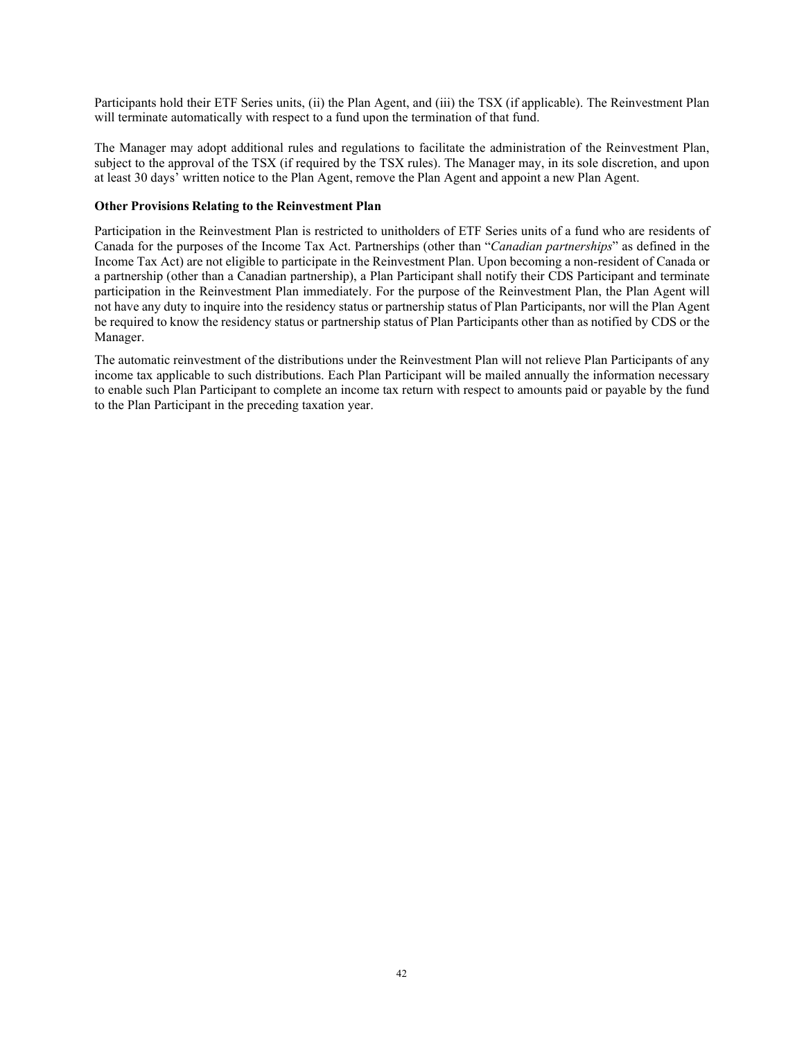Participants hold their ETF Series units, (ii) the Plan Agent, and (iii) the TSX (if applicable). The Reinvestment Plan will terminate automatically with respect to a fund upon the termination of that fund.

The Manager may adopt additional rules and regulations to facilitate the administration of the Reinvestment Plan, subject to the approval of the TSX (if required by the TSX rules). The Manager may, in its sole discretion, and upon at least 30 days' written notice to the Plan Agent, remove the Plan Agent and appoint a new Plan Agent.

## **Other Provisions Relating to the Reinvestment Plan**

Participation in the Reinvestment Plan is restricted to unitholders of ETF Series units of a fund who are residents of Canada for the purposes of the Income Tax Act. Partnerships (other than "*Canadian partnerships*" as defined in the Income Tax Act) are not eligible to participate in the Reinvestment Plan. Upon becoming a non-resident of Canada or a partnership (other than a Canadian partnership), a Plan Participant shall notify their CDS Participant and terminate participation in the Reinvestment Plan immediately. For the purpose of the Reinvestment Plan, the Plan Agent will not have any duty to inquire into the residency status or partnership status of Plan Participants, nor will the Plan Agent be required to know the residency status or partnership status of Plan Participants other than as notified by CDS or the Manager.

The automatic reinvestment of the distributions under the Reinvestment Plan will not relieve Plan Participants of any income tax applicable to such distributions. Each Plan Participant will be mailed annually the information necessary to enable such Plan Participant to complete an income tax return with respect to amounts paid or payable by the fund to the Plan Participant in the preceding taxation year.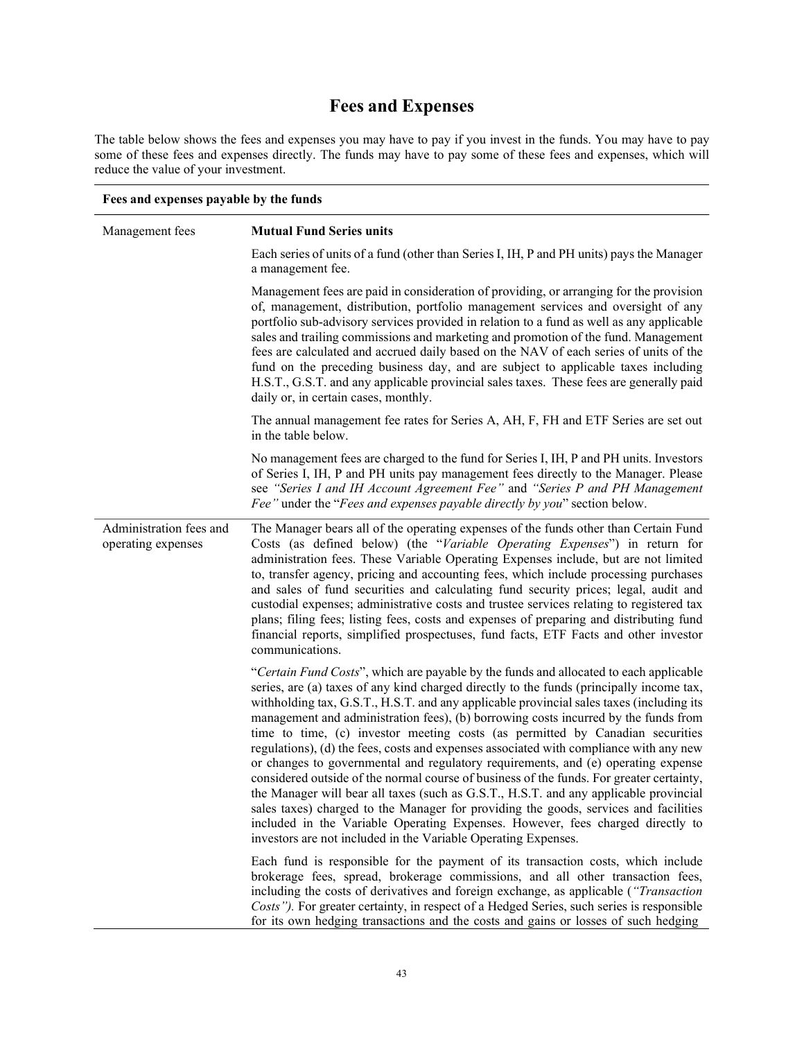# **Fees and Expenses**

The table below shows the fees and expenses you may have to pay if you invest in the funds. You may have to pay some of these fees and expenses directly. The funds may have to pay some of these fees and expenses, which will reduce the value of your investment.

| Fees and expenses payable by the funds        |                                                                                                                                                                                                                                                                                                                                                                                                                                                                                                                                                                                                                                                                                                                                                                                                                                                                                                                                                                                                                                                                       |  |  |
|-----------------------------------------------|-----------------------------------------------------------------------------------------------------------------------------------------------------------------------------------------------------------------------------------------------------------------------------------------------------------------------------------------------------------------------------------------------------------------------------------------------------------------------------------------------------------------------------------------------------------------------------------------------------------------------------------------------------------------------------------------------------------------------------------------------------------------------------------------------------------------------------------------------------------------------------------------------------------------------------------------------------------------------------------------------------------------------------------------------------------------------|--|--|
| Management fees                               | <b>Mutual Fund Series units</b>                                                                                                                                                                                                                                                                                                                                                                                                                                                                                                                                                                                                                                                                                                                                                                                                                                                                                                                                                                                                                                       |  |  |
|                                               | Each series of units of a fund (other than Series I, IH, P and PH units) pays the Manager<br>a management fee.                                                                                                                                                                                                                                                                                                                                                                                                                                                                                                                                                                                                                                                                                                                                                                                                                                                                                                                                                        |  |  |
|                                               | Management fees are paid in consideration of providing, or arranging for the provision<br>of, management, distribution, portfolio management services and oversight of any<br>portfolio sub-advisory services provided in relation to a fund as well as any applicable<br>sales and trailing commissions and marketing and promotion of the fund. Management<br>fees are calculated and accrued daily based on the NAV of each series of units of the<br>fund on the preceding business day, and are subject to applicable taxes including<br>H.S.T., G.S.T. and any applicable provincial sales taxes. These fees are generally paid<br>daily or, in certain cases, monthly.                                                                                                                                                                                                                                                                                                                                                                                         |  |  |
|                                               | The annual management fee rates for Series A, AH, F, FH and ETF Series are set out<br>in the table below.                                                                                                                                                                                                                                                                                                                                                                                                                                                                                                                                                                                                                                                                                                                                                                                                                                                                                                                                                             |  |  |
|                                               | No management fees are charged to the fund for Series I, IH, P and PH units. Investors<br>of Series I, IH, P and PH units pay management fees directly to the Manager. Please<br>see "Series I and IH Account Agreement Fee" and "Series P and PH Management<br>Fee" under the "Fees and expenses payable directly by you" section below.                                                                                                                                                                                                                                                                                                                                                                                                                                                                                                                                                                                                                                                                                                                             |  |  |
| Administration fees and<br>operating expenses | The Manager bears all of the operating expenses of the funds other than Certain Fund<br>Costs (as defined below) (the "Variable Operating Expenses") in return for<br>administration fees. These Variable Operating Expenses include, but are not limited<br>to, transfer agency, pricing and accounting fees, which include processing purchases<br>and sales of fund securities and calculating fund security prices; legal, audit and<br>custodial expenses; administrative costs and trustee services relating to registered tax<br>plans; filing fees; listing fees, costs and expenses of preparing and distributing fund<br>financial reports, simplified prospectuses, fund facts, ETF Facts and other investor<br>communications.                                                                                                                                                                                                                                                                                                                            |  |  |
|                                               | "Certain Fund Costs", which are payable by the funds and allocated to each applicable<br>series, are (a) taxes of any kind charged directly to the funds (principally income tax,<br>withholding tax, G.S.T., H.S.T. and any applicable provincial sales taxes (including its<br>management and administration fees), (b) borrowing costs incurred by the funds from<br>time to time, (c) investor meeting costs (as permitted by Canadian securities<br>regulations), (d) the fees, costs and expenses associated with compliance with any new<br>or changes to governmental and regulatory requirements, and (e) operating expense<br>considered outside of the normal course of business of the funds. For greater certainty,<br>the Manager will bear all taxes (such as G.S.T., H.S.T. and any applicable provincial<br>sales taxes) charged to the Manager for providing the goods, services and facilities<br>included in the Variable Operating Expenses. However, fees charged directly to<br>investors are not included in the Variable Operating Expenses. |  |  |
|                                               | Each fund is responsible for the payment of its transaction costs, which include<br>brokerage fees, spread, brokerage commissions, and all other transaction fees,<br>including the costs of derivatives and foreign exchange, as applicable ("Transaction<br>Costs"). For greater certainty, in respect of a Hedged Series, such series is responsible<br>for its own hedging transactions and the costs and gains or losses of such hedging                                                                                                                                                                                                                                                                                                                                                                                                                                                                                                                                                                                                                         |  |  |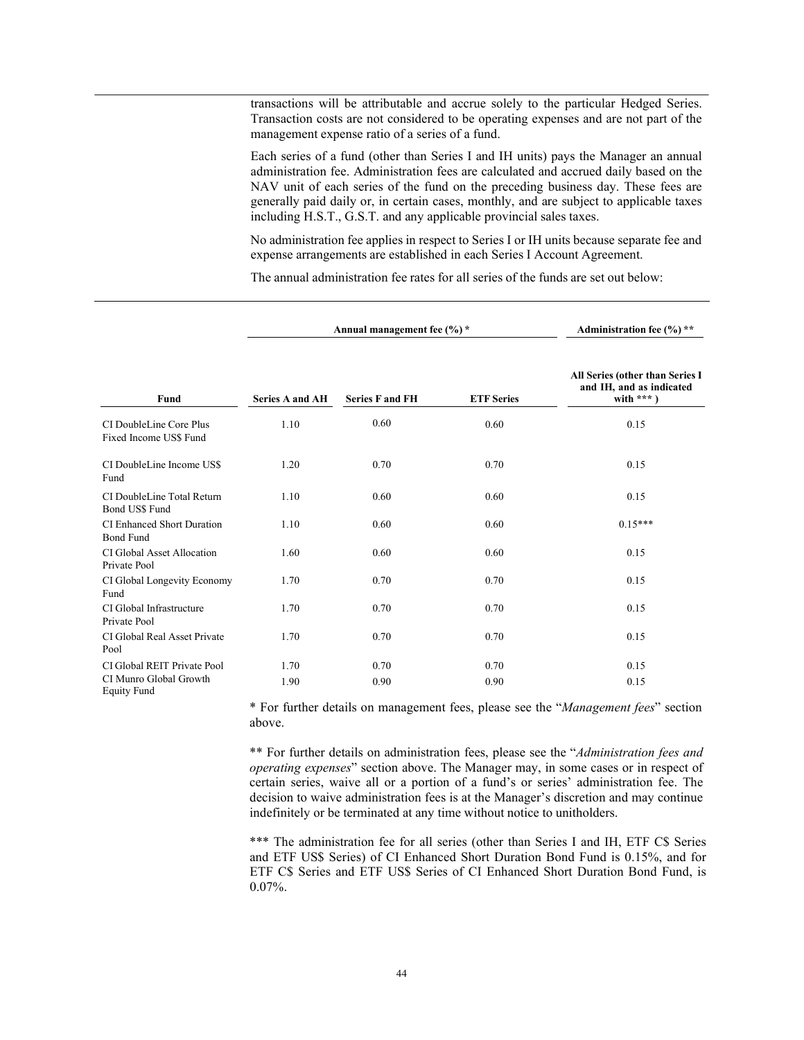transactions will be attributable and accrue solely to the particular Hedged Series. Transaction costs are not considered to be operating expenses and are not part of the management expense ratio of a series of a fund.

Each series of a fund (other than Series I and IH units) pays the Manager an annual administration fee. Administration fees are calculated and accrued daily based on the NAV unit of each series of the fund on the preceding business day. These fees are generally paid daily or, in certain cases, monthly, and are subject to applicable taxes including H.S.T., G.S.T. and any applicable provincial sales taxes.

No administration fee applies in respect to Series I or IH units because separate fee and expense arrangements are established in each Series I Account Agreement.

The annual administration fee rates for all series of the funds are set out below:

|                                                       |                        | Annual management fee (%) * | Administration fee $(\% )$ ** |                                                                             |  |
|-------------------------------------------------------|------------------------|-----------------------------|-------------------------------|-----------------------------------------------------------------------------|--|
| Fund                                                  | <b>Series A and AH</b> | <b>Series F and FH</b>      | <b>ETF</b> Series             | All Series (other than Series I<br>and IH, and as indicated<br>with $***$ ) |  |
| CI DoubleLine Core Plus<br>Fixed Income US\$ Fund     | 1.10                   | 0.60                        | 0.60                          | 0.15                                                                        |  |
| CI DoubleLine Income US\$<br>Fund                     | 1.20                   | 0.70                        | 0.70                          | 0.15                                                                        |  |
| CI DoubleLine Total Return<br>Bond US\$ Fund          | 1.10                   | 0.60                        | 0.60                          | 0.15                                                                        |  |
| <b>CI Enhanced Short Duration</b><br><b>Bond Fund</b> | 1.10                   | 0.60                        | 0.60                          | $0.15***$                                                                   |  |
| CI Global Asset Allocation<br>Private Pool            | 1.60                   | 0.60                        | 0.60                          | 0.15                                                                        |  |
| CI Global Longevity Economy<br>Fund                   | 1.70                   | 0.70                        | 0.70                          | 0.15                                                                        |  |
| CI Global Infrastructure<br>Private Pool              | 1.70                   | 0.70                        | 0.70                          | 0.15                                                                        |  |
| CI Global Real Asset Private<br>Pool                  | 1.70                   | 0.70                        | 0.70                          | 0.15                                                                        |  |
| CI Global REIT Private Pool                           | 1.70                   | 0.70                        | 0.70                          | 0.15                                                                        |  |
| CI Munro Global Growth<br><b>Equity Fund</b>          | 1.90                   | 0.90                        | 0.90                          | 0.15                                                                        |  |

\* For further details on management fees, please see the "*Management fees*" section above.

\*\* For further details on administration fees, please see the "*Administration fees and operating expenses*" section above. The Manager may, in some cases or in respect of certain series, waive all or a portion of a fund's or series' administration fee. The decision to waive administration fees is at the Manager's discretion and may continue indefinitely or be terminated at any time without notice to unitholders.

\*\*\* The administration fee for all series (other than Series I and IH, ETF C\$ Series and ETF US\$ Series) of CI Enhanced Short Duration Bond Fund is 0.15%, and for ETF C\$ Series and ETF US\$ Series of CI Enhanced Short Duration Bond Fund, is 0.07%.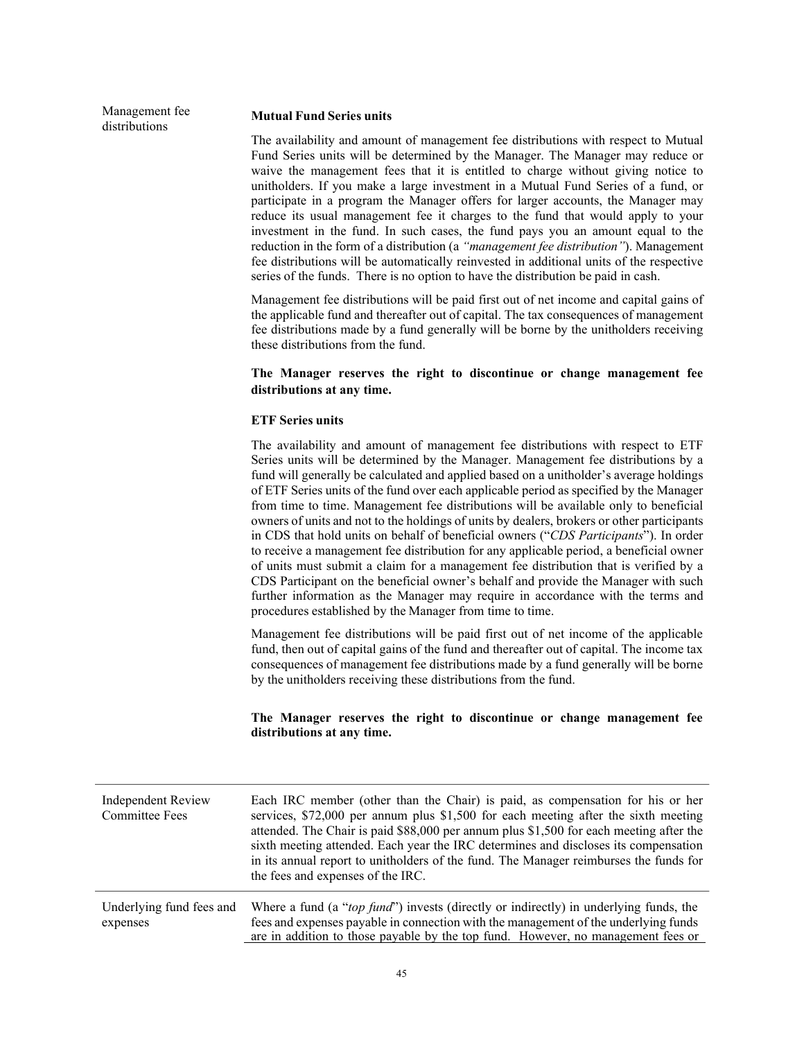Management fee distributions

#### **Mutual Fund Series units**

The availability and amount of management fee distributions with respect to Mutual Fund Series units will be determined by the Manager. The Manager may reduce or waive the management fees that it is entitled to charge without giving notice to unitholders. If you make a large investment in a Mutual Fund Series of a fund, or participate in a program the Manager offers for larger accounts, the Manager may reduce its usual management fee it charges to the fund that would apply to your investment in the fund. In such cases, the fund pays you an amount equal to the reduction in the form of a distribution (a *"management fee distribution"*). Management fee distributions will be automatically reinvested in additional units of the respective series of the funds. There is no option to have the distribution be paid in cash.

Management fee distributions will be paid first out of net income and capital gains of the applicable fund and thereafter out of capital. The tax consequences of management fee distributions made by a fund generally will be borne by the unitholders receiving these distributions from the fund.

#### **The Manager reserves the right to discontinue or change management fee distributions at any time.**

## **ETF Series units**

The availability and amount of management fee distributions with respect to ETF Series units will be determined by the Manager. Management fee distributions by a fund will generally be calculated and applied based on a unitholder's average holdings of ETF Series units of the fund over each applicable period as specified by the Manager from time to time. Management fee distributions will be available only to beneficial owners of units and not to the holdings of units by dealers, brokers or other participants in CDS that hold units on behalf of beneficial owners ("*CDS Participants*"). In order to receive a management fee distribution for any applicable period, a beneficial owner of units must submit a claim for a management fee distribution that is verified by a CDS Participant on the beneficial owner's behalf and provide the Manager with such further information as the Manager may require in accordance with the terms and procedures established by the Manager from time to time.

Management fee distributions will be paid first out of net income of the applicable fund, then out of capital gains of the fund and thereafter out of capital. The income tax consequences of management fee distributions made by a fund generally will be borne by the unitholders receiving these distributions from the fund.

#### **The Manager reserves the right to discontinue or change management fee distributions at any time.**

| <b>Independent Review</b><br><b>Committee Fees</b> | Each IRC member (other than the Chair) is paid, as compensation for his or her<br>services, \$72,000 per annum plus \$1,500 for each meeting after the sixth meeting<br>attended. The Chair is paid \$88,000 per annum plus \$1,500 for each meeting after the<br>sixth meeting attended. Each year the IRC determines and discloses its compensation<br>in its annual report to unitholders of the fund. The Manager reimburses the funds for<br>the fees and expenses of the IRC. |
|----------------------------------------------------|-------------------------------------------------------------------------------------------------------------------------------------------------------------------------------------------------------------------------------------------------------------------------------------------------------------------------------------------------------------------------------------------------------------------------------------------------------------------------------------|
| Underlying fund fees and<br>expenses               | Where a fund (a "top fund") invests (directly or indirectly) in underlying funds, the<br>fees and expenses payable in connection with the management of the underlying funds<br>are in addition to those payable by the top fund. However, no management fees or                                                                                                                                                                                                                    |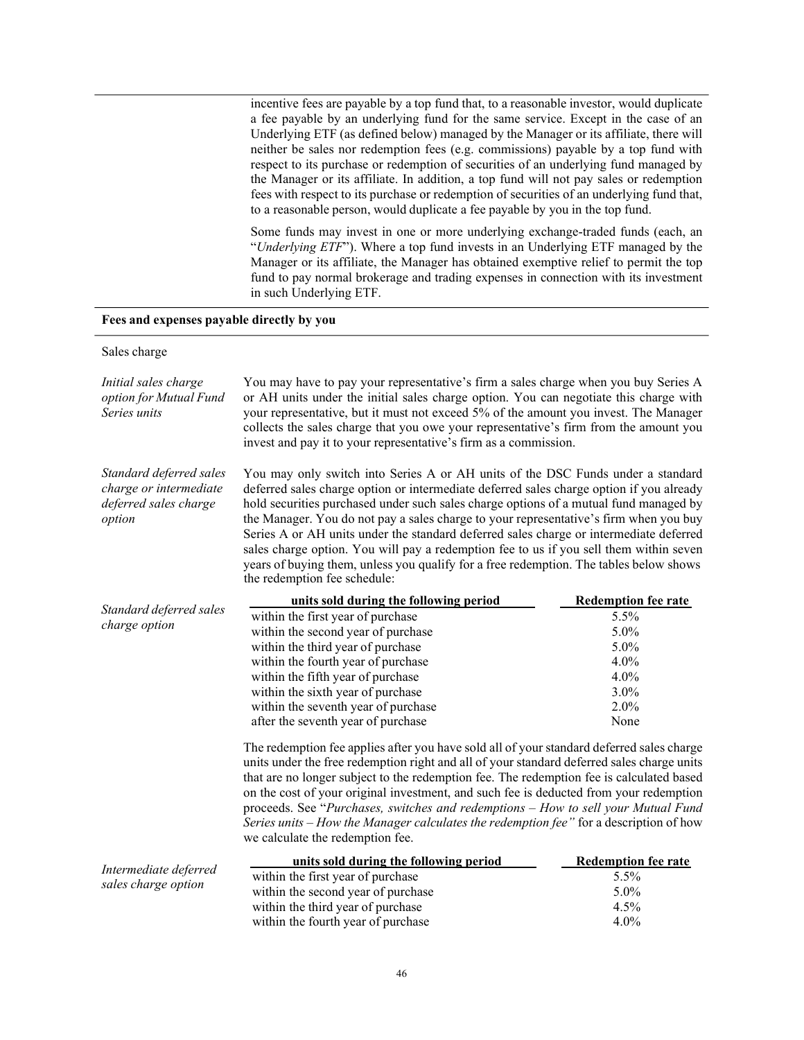incentive fees are payable by a top fund that, to a reasonable investor, would duplicate a fee payable by an underlying fund for the same service. Except in the case of an Underlying ETF (as defined below) managed by the Manager or its affiliate, there will neither be sales nor redemption fees (e.g. commissions) payable by a top fund with respect to its purchase or redemption of securities of an underlying fund managed by the Manager or its affiliate. In addition, a top fund will not pay sales or redemption fees with respect to its purchase or redemption of securities of an underlying fund that, to a reasonable person, would duplicate a fee payable by you in the top fund.

Some funds may invest in one or more underlying exchange-traded funds (each, an "*Underlying ETF*"). Where a top fund invests in an Underlying ETF managed by the Manager or its affiliate, the Manager has obtained exemptive relief to permit the top fund to pay normal brokerage and trading expenses in connection with its investment in such Underlying ETF.

#### **Fees and expenses payable directly by you**

#### Sales charge

| Initial sales charge<br>option for Mutual Fund<br>Series units                       | You may have to pay your representative's firm a sales charge when you buy Series A<br>or AH units under the initial sales charge option. You can negotiate this charge with<br>your representative, but it must not exceed 5% of the amount you invest. The Manager<br>collects the sales charge that you owe your representative's firm from the amount you<br>invest and pay it to your representative's firm as a commission.                                                                                                                                                                                                                                           |                            |  |  |  |  |
|--------------------------------------------------------------------------------------|-----------------------------------------------------------------------------------------------------------------------------------------------------------------------------------------------------------------------------------------------------------------------------------------------------------------------------------------------------------------------------------------------------------------------------------------------------------------------------------------------------------------------------------------------------------------------------------------------------------------------------------------------------------------------------|----------------------------|--|--|--|--|
| Standard deferred sales<br>charge or intermediate<br>deferred sales charge<br>option | You may only switch into Series A or AH units of the DSC Funds under a standard<br>deferred sales charge option or intermediate deferred sales charge option if you already<br>hold securities purchased under such sales charge options of a mutual fund managed by<br>the Manager. You do not pay a sales charge to your representative's firm when you buy<br>Series A or AH units under the standard deferred sales charge or intermediate deferred<br>sales charge option. You will pay a redemption fee to us if you sell them within seven<br>years of buying them, unless you qualify for a free redemption. The tables below shows<br>the redemption fee schedule: |                            |  |  |  |  |
|                                                                                      | units sold during the following period                                                                                                                                                                                                                                                                                                                                                                                                                                                                                                                                                                                                                                      | <b>Redemption fee rate</b> |  |  |  |  |
| Standard deferred sales<br>charge option                                             | within the first year of purchase                                                                                                                                                                                                                                                                                                                                                                                                                                                                                                                                                                                                                                           | 5.5%                       |  |  |  |  |
|                                                                                      | within the second year of purchase                                                                                                                                                                                                                                                                                                                                                                                                                                                                                                                                                                                                                                          | 5.0%                       |  |  |  |  |
|                                                                                      | within the third year of purchase                                                                                                                                                                                                                                                                                                                                                                                                                                                                                                                                                                                                                                           | 5.0%                       |  |  |  |  |
|                                                                                      | within the fourth year of purchase                                                                                                                                                                                                                                                                                                                                                                                                                                                                                                                                                                                                                                          | 4.0%                       |  |  |  |  |
|                                                                                      | within the fifth year of purchase                                                                                                                                                                                                                                                                                                                                                                                                                                                                                                                                                                                                                                           | 4.0%                       |  |  |  |  |
|                                                                                      | within the sixth year of purchase                                                                                                                                                                                                                                                                                                                                                                                                                                                                                                                                                                                                                                           | 3.0%                       |  |  |  |  |
|                                                                                      | within the seventh year of purchase                                                                                                                                                                                                                                                                                                                                                                                                                                                                                                                                                                                                                                         | 2.0%                       |  |  |  |  |
|                                                                                      | after the seventh year of purchase                                                                                                                                                                                                                                                                                                                                                                                                                                                                                                                                                                                                                                          | None                       |  |  |  |  |
|                                                                                      | The redemption fee applies after you have sold all of your standard deferred sales charge<br>units under the free redemption right and all of your standard deferred sales charge units<br>that are no longer subject to the redemption fee. The redemption fee is calculated based<br>on the cost of your original investment, and such fee is deducted from your redemption<br>proceeds. See "Purchases, switches and redemptions - How to sell your Mutual Fund<br>Series units - How the Manager calculates the redemption fee" for a description of how<br>we calculate the redemption fee.                                                                            |                            |  |  |  |  |
|                                                                                      | units sold during the following period                                                                                                                                                                                                                                                                                                                                                                                                                                                                                                                                                                                                                                      | <b>Redemption fee rate</b> |  |  |  |  |
| Intermediate deferred                                                                | within the first year of purchase                                                                                                                                                                                                                                                                                                                                                                                                                                                                                                                                                                                                                                           | 5.5%                       |  |  |  |  |
| sales charge option                                                                  | within the second year of purchase                                                                                                                                                                                                                                                                                                                                                                                                                                                                                                                                                                                                                                          | 5.0%                       |  |  |  |  |
|                                                                                      | within the third year of purchase                                                                                                                                                                                                                                                                                                                                                                                                                                                                                                                                                                                                                                           | $4.5\%$                    |  |  |  |  |

within the fourth year of purchase 4.0%

within the third year of purchase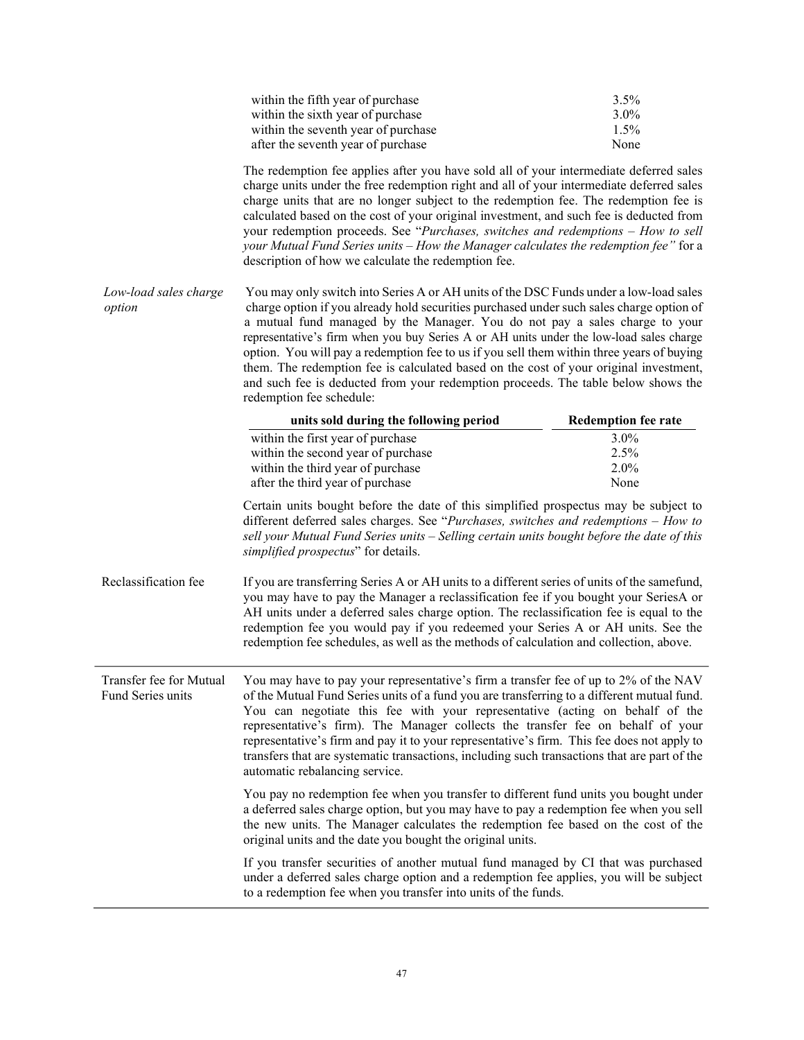|                                 | within the fifth year of purchase<br>within the sixth year of purchase<br>within the seventh year of purchase                                                                                                                                                                                                                                                                                                                                                                                                                                                                                                                                                      | 3.5%<br>3.0%<br>1.5%         |
|---------------------------------|--------------------------------------------------------------------------------------------------------------------------------------------------------------------------------------------------------------------------------------------------------------------------------------------------------------------------------------------------------------------------------------------------------------------------------------------------------------------------------------------------------------------------------------------------------------------------------------------------------------------------------------------------------------------|------------------------------|
|                                 | after the seventh year of purchase<br>The redemption fee applies after you have sold all of your intermediate deferred sales<br>charge units under the free redemption right and all of your intermediate deferred sales<br>charge units that are no longer subject to the redemption fee. The redemption fee is<br>calculated based on the cost of your original investment, and such fee is deducted from<br>your redemption proceeds. See "Purchases, switches and redemptions - How to sell<br>your Mutual Fund Series units - How the Manager calculates the redemption fee" for a<br>description of how we calculate the redemption fee.                     | None                         |
| Low-load sales charge<br>option | You may only switch into Series A or AH units of the DSC Funds under a low-load sales<br>charge option if you already hold securities purchased under such sales charge option of<br>a mutual fund managed by the Manager. You do not pay a sales charge to your<br>representative's firm when you buy Series A or AH units under the low-load sales charge<br>option. You will pay a redemption fee to us if you sell them within three years of buying<br>them. The redemption fee is calculated based on the cost of your original investment,<br>and such fee is deducted from your redemption proceeds. The table below shows the<br>redemption fee schedule: |                              |
|                                 | units sold during the following period                                                                                                                                                                                                                                                                                                                                                                                                                                                                                                                                                                                                                             | <b>Redemption fee rate</b>   |
|                                 | within the first year of purchase<br>within the second year of purchase<br>within the third year of purchase<br>after the third year of purchase                                                                                                                                                                                                                                                                                                                                                                                                                                                                                                                   | 3.0%<br>2.5%<br>2.0%<br>None |
|                                 | Certain units bought before the date of this simplified prospectus may be subject to<br>different deferred sales charges. See "Purchases, switches and redemptions - How to<br>sell your Mutual Fund Series units - Selling certain units bought before the date of this<br>simplified prospectus" for details.                                                                                                                                                                                                                                                                                                                                                    |                              |
| Reclassification fee            | If you are transferring Series A or AH units to a different series of units of the samefund,<br>you may have to pay the Manager a reclassification fee if you bought your SeriesA or<br>AH units under a deferred sales charge option. The reclassification fee is equal to the<br>redemption fee you would pay if you redeemed your Series A or AH units. See the<br>redemption fee schedules, as well as the methods of calculation and collection, above.                                                                                                                                                                                                       |                              |
| Fund Series units               | Transfer fee for Mutual You may have to pay your representative's firm a transfer fee of up to 2% of the NAV<br>of the Mutual Fund Series units of a fund you are transferring to a different mutual fund.<br>You can negotiate this fee with your representative (acting on behalf of the<br>representative's firm). The Manager collects the transfer fee on behalf of your<br>representative's firm and pay it to your representative's firm. This fee does not apply to<br>transfers that are systematic transactions, including such transactions that are part of the<br>automatic rebalancing service.                                                      |                              |
|                                 | You pay no redemption fee when you transfer to different fund units you bought under<br>a deferred sales charge option, but you may have to pay a redemption fee when you sell<br>the new units. The Manager calculates the redemption fee based on the cost of the<br>original units and the date you bought the original units.                                                                                                                                                                                                                                                                                                                                  |                              |
|                                 | If you transfer securities of another mutual fund managed by CI that was purchased<br>under a deferred sales charge option and a redemption fee applies, you will be subject<br>to a redemption fee when you transfer into units of the funds.                                                                                                                                                                                                                                                                                                                                                                                                                     |                              |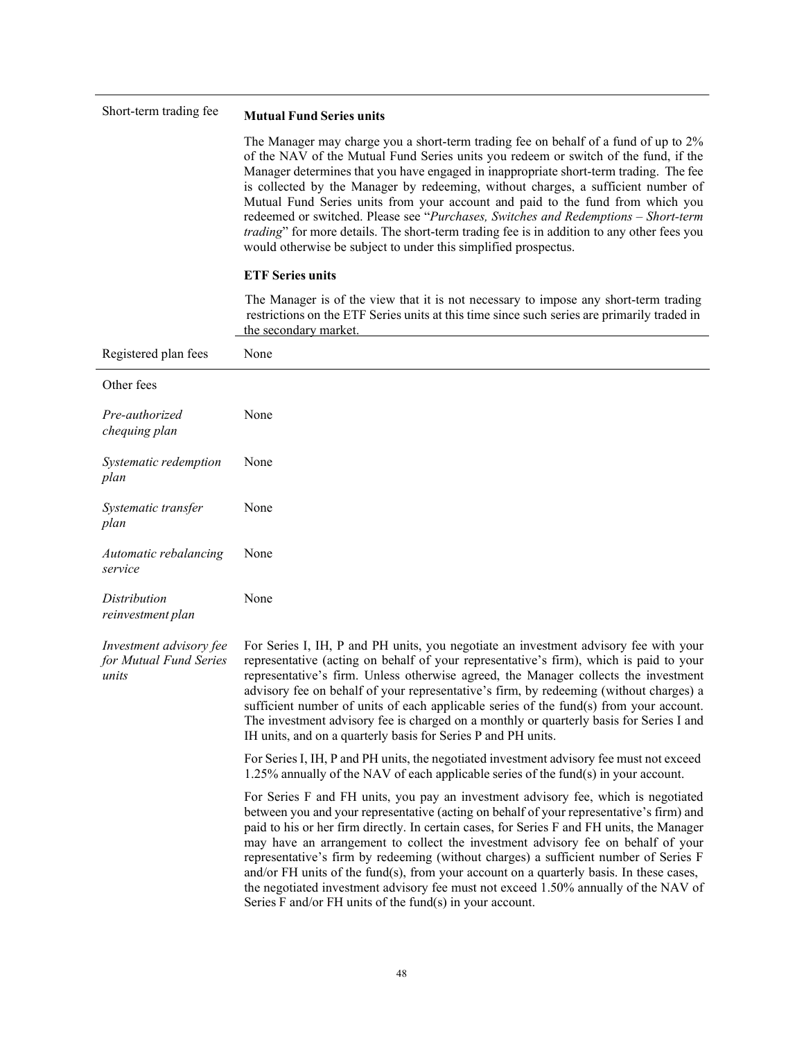| Short-term trading fee                                     | <b>Mutual Fund Series units</b>                                                                                                                                                                                                                                                                                                                                                                                                                                                                                                                                                                                                                                                                            |
|------------------------------------------------------------|------------------------------------------------------------------------------------------------------------------------------------------------------------------------------------------------------------------------------------------------------------------------------------------------------------------------------------------------------------------------------------------------------------------------------------------------------------------------------------------------------------------------------------------------------------------------------------------------------------------------------------------------------------------------------------------------------------|
|                                                            | The Manager may charge you a short-term trading fee on behalf of a fund of up to 2%<br>of the NAV of the Mutual Fund Series units you redeem or switch of the fund, if the<br>Manager determines that you have engaged in inappropriate short-term trading. The fee<br>is collected by the Manager by redeeming, without charges, a sufficient number of<br>Mutual Fund Series units from your account and paid to the fund from which you<br>redeemed or switched. Please see "Purchases, Switches and Redemptions - Short-term<br><i>trading</i> " for more details. The short-term trading fee is in addition to any other fees you<br>would otherwise be subject to under this simplified prospectus.  |
|                                                            | <b>ETF Series units</b>                                                                                                                                                                                                                                                                                                                                                                                                                                                                                                                                                                                                                                                                                    |
|                                                            | The Manager is of the view that it is not necessary to impose any short-term trading<br>restrictions on the ETF Series units at this time since such series are primarily traded in<br>the secondary market.                                                                                                                                                                                                                                                                                                                                                                                                                                                                                               |
| Registered plan fees                                       | None                                                                                                                                                                                                                                                                                                                                                                                                                                                                                                                                                                                                                                                                                                       |
| Other fees                                                 |                                                                                                                                                                                                                                                                                                                                                                                                                                                                                                                                                                                                                                                                                                            |
| Pre-authorized<br>chequing plan                            | None                                                                                                                                                                                                                                                                                                                                                                                                                                                                                                                                                                                                                                                                                                       |
| Systematic redemption<br>plan                              | None                                                                                                                                                                                                                                                                                                                                                                                                                                                                                                                                                                                                                                                                                                       |
| Systematic transfer<br>plan                                | None                                                                                                                                                                                                                                                                                                                                                                                                                                                                                                                                                                                                                                                                                                       |
| Automatic rebalancing<br>service                           | None                                                                                                                                                                                                                                                                                                                                                                                                                                                                                                                                                                                                                                                                                                       |
| Distribution<br>reinvestment plan                          | None                                                                                                                                                                                                                                                                                                                                                                                                                                                                                                                                                                                                                                                                                                       |
| Investment advisory fee<br>for Mutual Fund Series<br>units | For Series I, IH, P and PH units, you negotiate an investment advisory fee with your<br>representative (acting on behalf of your representative's firm), which is paid to your<br>representative's firm. Unless otherwise agreed, the Manager collects the investment<br>advisory fee on behalf of your representative's firm, by redeeming (without charges) a<br>sufficient number of units of each applicable series of the fund(s) from your account.<br>The investment advisory fee is charged on a monthly or quarterly basis for Series I and<br>IH units, and on a quarterly basis for Series P and PH units.                                                                                      |
|                                                            | For Series I, IH, P and PH units, the negotiated investment advisory fee must not exceed<br>$1.25\%$ annually of the NAV of each applicable series of the fund(s) in your account.                                                                                                                                                                                                                                                                                                                                                                                                                                                                                                                         |
|                                                            | For Series F and FH units, you pay an investment advisory fee, which is negotiated<br>between you and your representative (acting on behalf of your representative's firm) and<br>paid to his or her firm directly. In certain cases, for Series F and FH units, the Manager<br>may have an arrangement to collect the investment advisory fee on behalf of your<br>representative's firm by redeeming (without charges) a sufficient number of Series F<br>and/or FH units of the fund(s), from your account on a quarterly basis. In these cases,<br>the negotiated investment advisory fee must not exceed 1.50% annually of the NAV of<br>Series $F$ and/or $FH$ units of the fund(s) in your account. |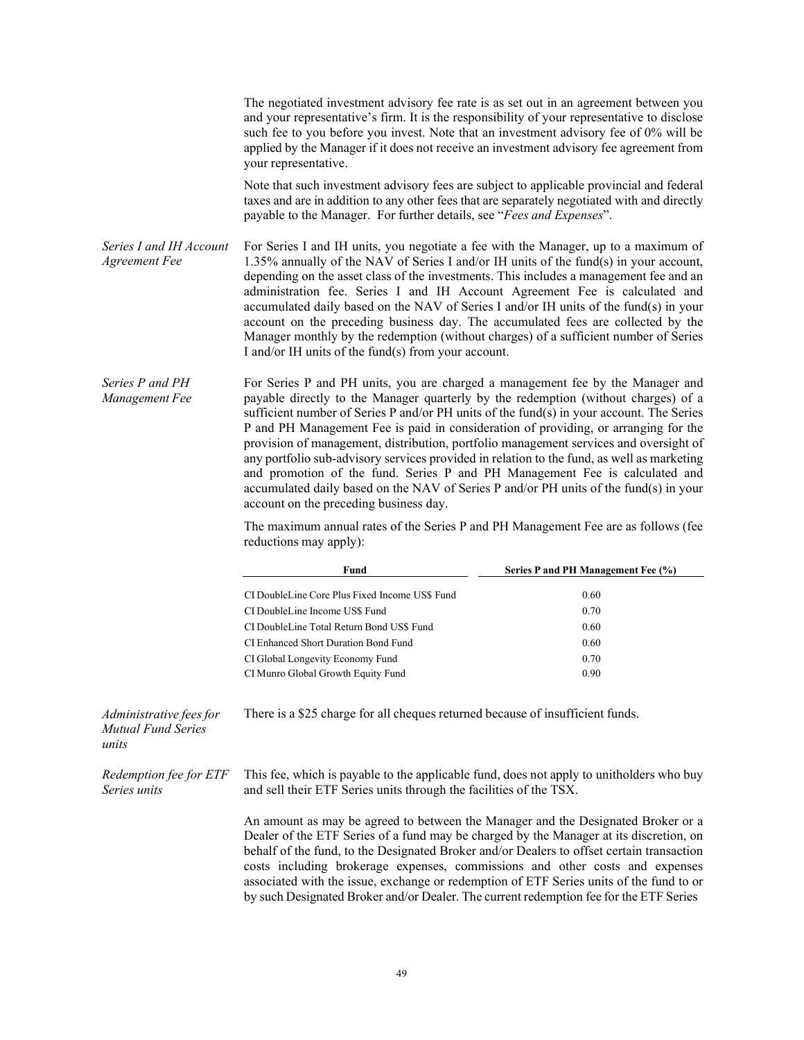The negotiated investment advisory fee rate is as set out in an agreement between you and your representative's firm. It is the responsibility of your representative to disclose such fee to you before you invest. Note that an investment advisory fee of 0% will be applied by the Manager if it does not receive an investment advisory fee agreement from your representative.

Note that such investment advisory fees are subject to applicable provincial and federal taxes and are in addition to any other fees that are separately negotiated with and directly payable to the Manager. For further details, see "*Fees and Expenses*".

- *Series I and IH Account Agreement Fee* For Series I and IH units, you negotiate a fee with the Manager, up to a maximum of 1.35% annually of the NAV of Series I and/or IH units of the fund(s) in your account, depending on the asset class of the investments. This includes a management fee and an administration fee. Series I and IH Account Agreement Fee is calculated and accumulated daily based on the NAV of Series I and/or IH units of the fund(s) in your account on the preceding business day. The accumulated fees are collected by the Manager monthly by the redemption (without charges) of a sufficient number of Series I and/or IH units of the fund(s) from your account.
- *Series P and PH Management Fee* For Series P and PH units, you are charged a management fee by the Manager and payable directly to the Manager quarterly by the redemption (without charges) of a sufficient number of Series P and/or PH units of the fund(s) in your account. The Series P and PH Management Fee is paid in consideration of providing, or arranging for the provision of management, distribution, portfolio management services and oversight of any portfolio sub-advisory services provided in relation to the fund, as well as marketing and promotion of the fund. Series P and PH Management Fee is calculated and accumulated daily based on the NAV of Series P and/or PH units of the fund(s) in your account on the preceding business day.

The maximum annual rates of the Series P and PH Management Fee are as follows (fee reductions may apply):

|                      | Fund                                                                           | Series P and PH Management Fee (%) |
|----------------------|--------------------------------------------------------------------------------|------------------------------------|
|                      | CI DoubleLine Core Plus Fixed Income US\$ Fund                                 | 0.60                               |
|                      | CI DoubleLine Income US\$ Fund                                                 | 0.70                               |
|                      | CI DoubleLine Total Return Bond US\$ Fund                                      | 0.60                               |
|                      | CI Enhanced Short Duration Bond Fund                                           | 0.60                               |
|                      | CI Global Longevity Economy Fund                                               | 0.70                               |
|                      | CI Munro Global Growth Equity Fund                                             | 0.90                               |
|                      |                                                                                |                                    |
| unistrative fees for | There is a \$25 charge for all cheques returned because of insufficient funds. |                                    |

*Administrative feesfor Mutual Fund Series*

*units*

*Redemption fee for ETF Series units*

This fee, which is payable to the applicable fund, does not apply to unitholders who buy and sell their ETF Series units through the facilities of the TSX.

An amount as may be agreed to between the Manager and the Designated Broker or a Dealer of the ETF Series of a fund may be charged by the Manager at its discretion, on behalf of the fund, to the Designated Broker and/or Dealers to offset certain transaction costs including brokerage expenses, commissions and other costs and expenses associated with the issue, exchange or redemption of ETF Series units of the fund to or by such Designated Broker and/or Dealer. The current redemption fee for the ETF Series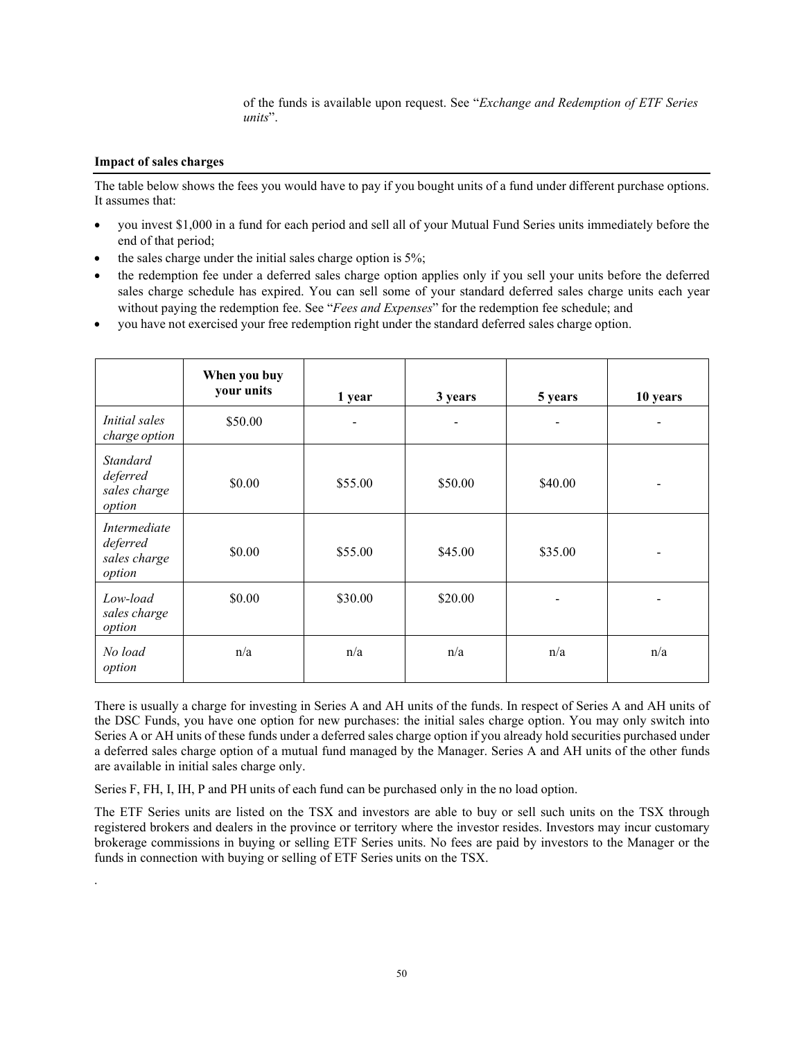of the funds is available upon request. See "*Exchange and Redemption of ETF Series units*".

## **Impact of sales charges**

.

The table below shows the fees you would have to pay if you bought units of a fund under different purchase options. It assumes that:

- you invest \$1,000 in a fund for each period and sell all of your Mutual Fund Series units immediately before the end of that period;
- the sales charge under the initial sales charge option is 5%;
- the redemption fee under a deferred sales charge option applies only if you sell your units before the deferred sales charge schedule has expired. You can sell some of your standard deferred sales charge units each year without paying the redemption fee. See "*Fees and Expenses*" for the redemption fee schedule; and
- you have not exercised your free redemption right under the standard deferred sales charge option.

|                                                       | When you buy<br>your units | 1 year                       | 3 years | 5 years        | 10 years                     |
|-------------------------------------------------------|----------------------------|------------------------------|---------|----------------|------------------------------|
| <b>Initial</b> sales<br>charge option                 | \$50.00                    | $\qquad \qquad \blacksquare$ | -       | $\overline{a}$ | $\qquad \qquad \blacksquare$ |
| <b>Standard</b><br>deferred<br>sales charge<br>option | \$0.00                     | \$55.00                      | \$50.00 | \$40.00        | $\blacksquare$               |
| Intermediate<br>deferred<br>sales charge<br>option    | \$0.00                     | \$55.00                      | \$45.00 | \$35.00        | $\overline{\phantom{a}}$     |
| Low-load<br>sales charge<br>option                    | \$0.00                     | \$30.00                      | \$20.00 |                |                              |
| No load<br>option                                     | n/a                        | n/a                          | n/a     | n/a            | n/a                          |

There is usually a charge for investing in Series A and AH units of the funds. In respect of Series A and AH units of the DSC Funds, you have one option for new purchases: the initial sales charge option. You may only switch into Series A or AH units of these funds under a deferred sales charge option if you already hold securities purchased under a deferred sales charge option of a mutual fund managed by the Manager. Series A and AH units of the other funds are available in initial sales charge only.

Series F, FH, I, IH, P and PH units of each fund can be purchased only in the no load option.

The ETF Series units are listed on the TSX and investors are able to buy or sell such units on the TSX through registered brokers and dealers in the province or territory where the investor resides. Investors may incur customary brokerage commissions in buying or selling ETF Series units. No fees are paid by investors to the Manager or the funds in connection with buying or selling of ETF Series units on the TSX.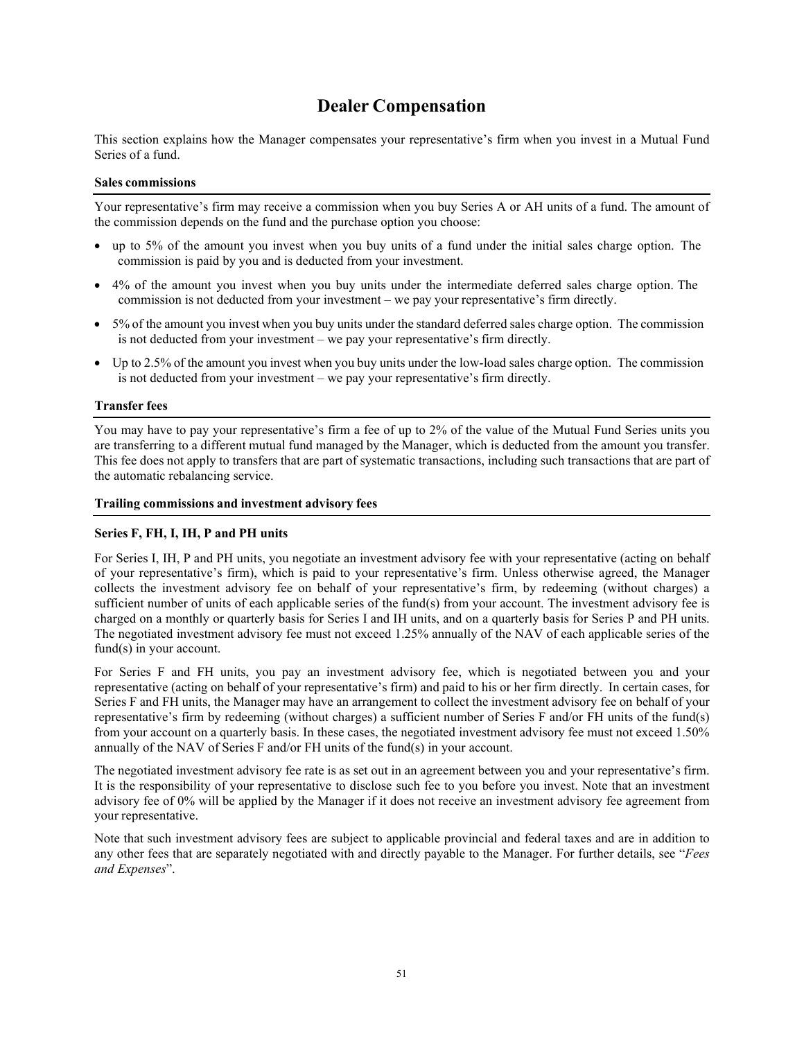## **Dealer Compensation**

This section explains how the Manager compensates your representative's firm when you invest in a Mutual Fund Series of a fund.

#### **Sales commissions**

Your representative's firm may receive a commission when you buy Series A or AH units of a fund. The amount of the commission depends on the fund and the purchase option you choose:

- up to 5% of the amount you invest when you buy units of a fund under the initial sales charge option. The commission is paid by you and is deducted from your investment.
- 4% of the amount you invest when you buy units under the intermediate deferred sales charge option. The commission is not deducted from your investment – we pay your representative's firm directly.
- 5% of the amount you invest when you buy units under the standard deferred sales charge option. The commission is not deducted from your investment – we pay your representative's firm directly.
- Up to 2.5% of the amount you invest when you buy units under the low-load sales charge option. The commission is not deducted from your investment – we pay your representative's firm directly.

## **Transfer fees**

You may have to pay your representative's firm a fee of up to 2% of the value of the Mutual Fund Series units you are transferring to a different mutual fund managed by the Manager, which is deducted from the amount you transfer. This fee does not apply to transfers that are part of systematic transactions, including such transactions that are part of the automatic rebalancing service.

#### **Trailing commissions and investment advisory fees**

#### **Series F, FH, I, IH, P and PH units**

For Series I, IH, P and PH units, you negotiate an investment advisory fee with your representative (acting on behalf of your representative's firm), which is paid to your representative's firm. Unless otherwise agreed, the Manager collects the investment advisory fee on behalf of your representative's firm, by redeeming (without charges) a sufficient number of units of each applicable series of the fund(s) from your account. The investment advisory fee is charged on a monthly or quarterly basis for Series I and IH units, and on a quarterly basis for Series P and PH units. The negotiated investment advisory fee must not exceed 1.25% annually of the NAV of each applicable series of the fund(s) in your account.

For Series F and FH units, you pay an investment advisory fee, which is negotiated between you and your representative (acting on behalf of your representative's firm) and paid to his or her firm directly. In certain cases, for Series F and FH units, the Manager may have an arrangement to collect the investment advisory fee on behalf of your representative's firm by redeeming (without charges) a sufficient number of Series F and/or FH units of the fund(s) from your account on a quarterly basis. In these cases, the negotiated investment advisory fee must not exceed 1.50% annually of the NAV of Series F and/or FH units of the fund(s) in your account.

The negotiated investment advisory fee rate is as set out in an agreement between you and your representative's firm. It is the responsibility of your representative to disclose such fee to you before you invest. Note that an investment advisory fee of 0% will be applied by the Manager if it does not receive an investment advisory fee agreement from your representative.

Note that such investment advisory fees are subject to applicable provincial and federal taxes and are in addition to any other fees that are separately negotiated with and directly payable to the Manager. For further details, see "*Fees and Expenses*".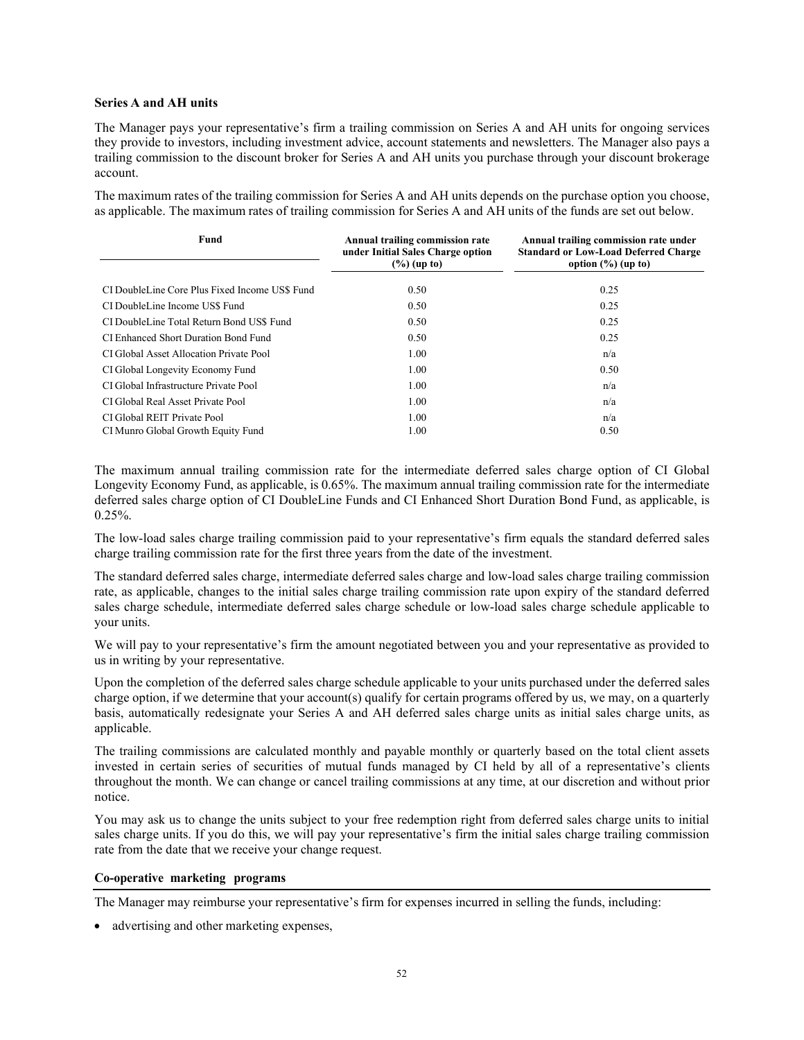#### **Series A and AH units**

The Manager pays your representative's firm a trailing commission on Series A and AH units for ongoing services they provide to investors, including investment advice, account statements and newsletters. The Manager also pays a trailing commission to the discount broker for Series A and AH units you purchase through your discount brokerage account.

The maximum rates of the trailing commission for Series A and AH units depends on the purchase option you choose, as applicable. The maximum rates of trailing commission for Series A and AH units of the funds are set out below.

| Fund                                           | Annual trailing commission rate<br>under Initial Sales Charge option<br>$(\%)(up to)$ | Annual trailing commission rate under<br><b>Standard or Low-Load Deferred Charge</b><br>option $(\%)(up to)$ |
|------------------------------------------------|---------------------------------------------------------------------------------------|--------------------------------------------------------------------------------------------------------------|
| CI DoubleLine Core Plus Fixed Income US\$ Fund | 0.50                                                                                  | 0.25                                                                                                         |
| CI DoubleLine Income US\$ Fund                 | 0.50                                                                                  | 0.25                                                                                                         |
| CI DoubleLine Total Return Bond US\$ Fund      | 0.50                                                                                  | 0.25                                                                                                         |
| CI Enhanced Short Duration Bond Fund           | 0.50                                                                                  | 0.25                                                                                                         |
| CI Global Asset Allocation Private Pool        | 1.00                                                                                  | n/a                                                                                                          |
| CI Global Longevity Economy Fund               | 1.00                                                                                  | 0.50                                                                                                         |
| CI Global Infrastructure Private Pool          | 1.00                                                                                  | n/a                                                                                                          |
| CI Global Real Asset Private Pool              | 1.00                                                                                  | n/a                                                                                                          |
| CI Global REIT Private Pool                    | 1.00                                                                                  | n/a                                                                                                          |
| CI Munro Global Growth Equity Fund             | 1.00                                                                                  | 0.50                                                                                                         |

The maximum annual trailing commission rate for the intermediate deferred sales charge option of CI Global Longevity Economy Fund, as applicable, is 0.65%. The maximum annual trailing commission rate for the intermediate deferred sales charge option of CI DoubleLine Funds and CI Enhanced Short Duration Bond Fund, as applicable, is  $0.25%$ .

The low-load sales charge trailing commission paid to your representative's firm equals the standard deferred sales charge trailing commission rate for the first three years from the date of the investment.

The standard deferred sales charge, intermediate deferred sales charge and low-load sales charge trailing commission rate, as applicable, changes to the initial sales charge trailing commission rate upon expiry of the standard deferred sales charge schedule, intermediate deferred sales charge schedule or low-load sales charge schedule applicable to your units.

We will pay to your representative's firm the amount negotiated between you and your representative as provided to us in writing by your representative.

Upon the completion of the deferred sales charge schedule applicable to your units purchased under the deferred sales charge option, if we determine that your account(s) qualify for certain programs offered by us, we may, on a quarterly basis, automatically redesignate your Series A and AH deferred sales charge units as initial sales charge units, as applicable.

The trailing commissions are calculated monthly and payable monthly or quarterly based on the total client assets invested in certain series of securities of mutual funds managed by CI held by all of a representative's clients throughout the month. We can change or cancel trailing commissions at any time, at our discretion and without prior notice.

You may ask us to change the units subject to your free redemption right from deferred sales charge units to initial sales charge units. If you do this, we will pay your representative's firm the initial sales charge trailing commission rate from the date that we receive your change request.

## **Co-operative marketing programs**

The Manager may reimburse your representative's firm for expenses incurred in selling the funds, including:

• advertising and other marketing expenses,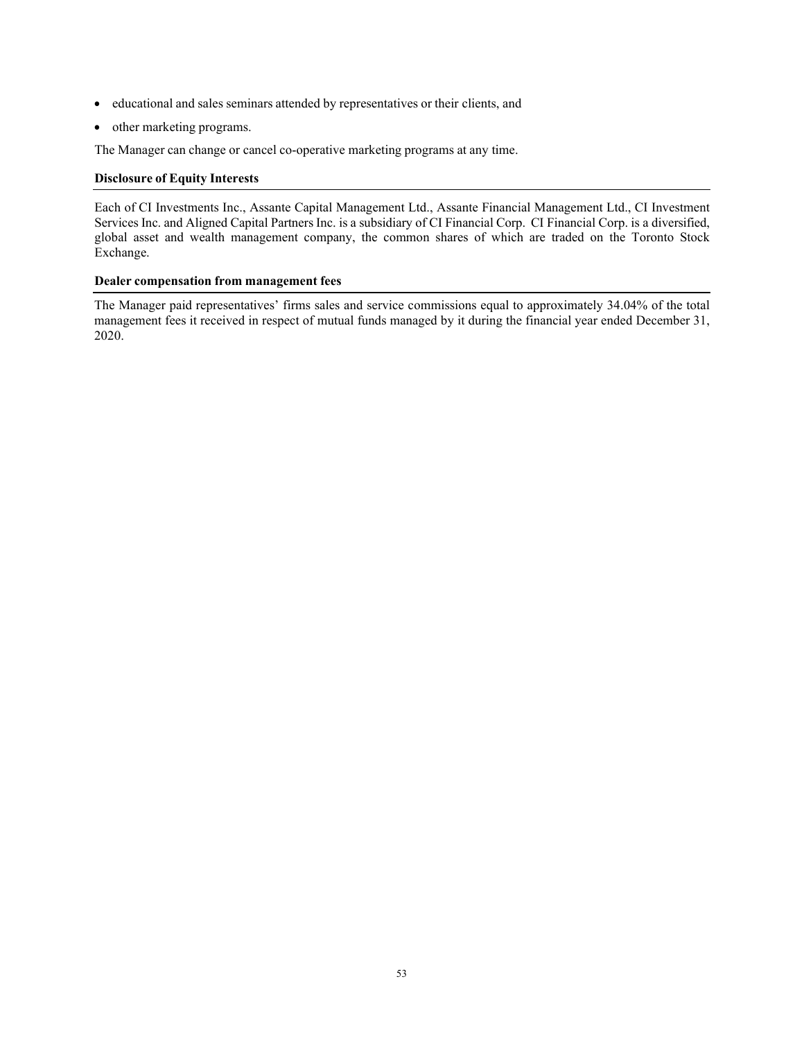- educational and sales seminars attended by representatives or their clients, and
- other marketing programs.

The Manager can change or cancel co-operative marketing programs at any time.

## **Disclosure of Equity Interests**

Each of CI Investments Inc., Assante Capital Management Ltd., Assante Financial Management Ltd., CI Investment Services Inc. and Aligned Capital Partners Inc. is a subsidiary of CI Financial Corp. CI Financial Corp. is a diversified, global asset and wealth management company, the common shares of which are traded on the Toronto Stock Exchange.

## **Dealer compensation from management fees**

The Manager paid representatives' firms sales and service commissions equal to approximately 34.04% of the total management fees it received in respect of mutual funds managed by it during the financial year ended December 31, 2020.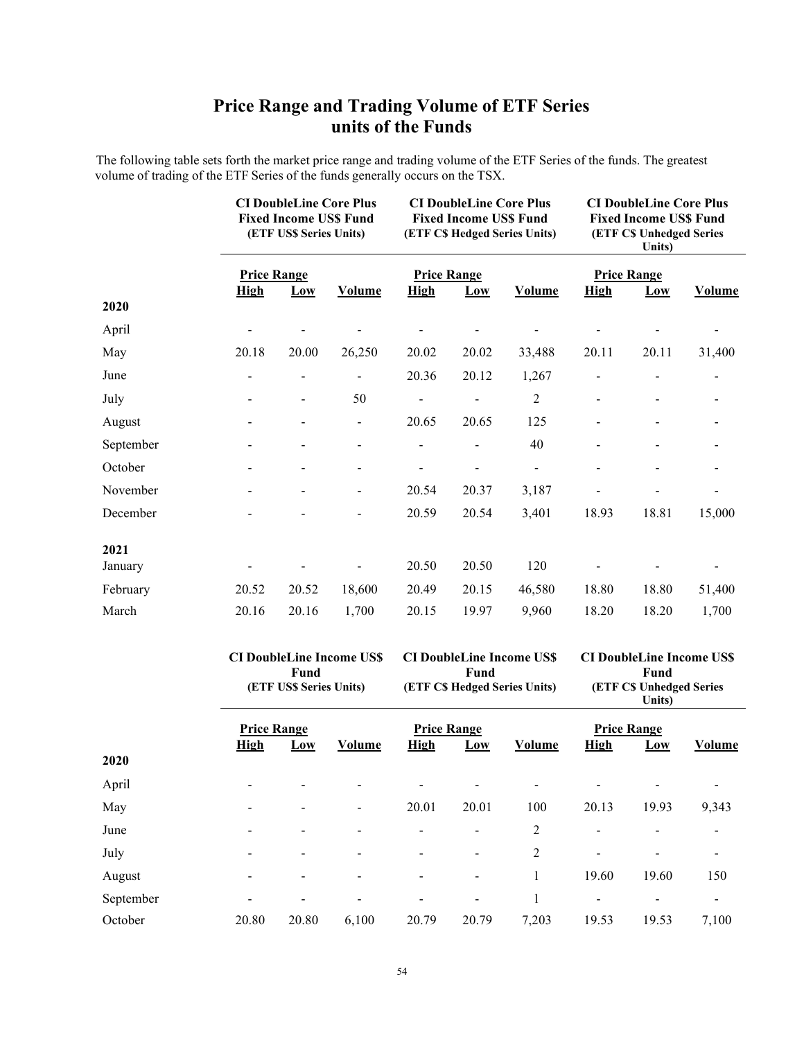# **Price Range and Trading Volume of ETF Series units of the Funds**

The following table sets forth the market price range and trading volume of the ETF Series of the funds. The greatest volume of trading of the ETF Series of the funds generally occurs on the TSX.

|           |                                   | <b>CI DoubleLine Core Plus</b><br><b>Fixed Income US\$ Fund</b><br>(ETF US\$ Series Units) |                          | <b>CI DoubleLine Core Plus</b><br><b>Fixed Income US\$ Fund</b><br>(ETF C\$ Hedged Series Units) |       |                | <b>CI DoubleLine Core Plus</b><br><b>Fixed Income USS Fund</b><br><b>(ETF CS Unhedged Series</b><br>Units) |                           |               |
|-----------|-----------------------------------|--------------------------------------------------------------------------------------------|--------------------------|--------------------------------------------------------------------------------------------------|-------|----------------|------------------------------------------------------------------------------------------------------------|---------------------------|---------------|
|           | <b>Price Range</b><br><b>High</b> | $\underline{Low}$                                                                          | <b>Volume</b>            | <b>Price Range</b><br><b>High</b>                                                                | $Low$ | Volume         | <b>High</b>                                                                                                | <b>Price Range</b><br>Low | <b>Volume</b> |
| 2020      |                                   |                                                                                            |                          |                                                                                                  |       |                |                                                                                                            |                           |               |
| April     |                                   |                                                                                            |                          |                                                                                                  |       |                |                                                                                                            |                           |               |
| May       | 20.18                             | 20.00                                                                                      | 26,250                   | 20.02                                                                                            | 20.02 | 33,488         | 20.11                                                                                                      | 20.11                     | 31,400        |
| June      |                                   |                                                                                            |                          | 20.36                                                                                            | 20.12 | 1,267          |                                                                                                            |                           |               |
| July      |                                   |                                                                                            | 50                       | $\overline{a}$                                                                                   |       | $\overline{c}$ |                                                                                                            |                           |               |
| August    |                                   |                                                                                            | -                        | 20.65                                                                                            | 20.65 | 125            |                                                                                                            |                           |               |
| September |                                   |                                                                                            | $\blacksquare$           |                                                                                                  |       | 40             |                                                                                                            |                           |               |
| October   |                                   |                                                                                            |                          |                                                                                                  |       |                |                                                                                                            |                           |               |
| November  |                                   |                                                                                            | $\overline{\phantom{0}}$ | 20.54                                                                                            | 20.37 | 3,187          |                                                                                                            |                           |               |
| December  |                                   |                                                                                            |                          | 20.59                                                                                            | 20.54 | 3,401          | 18.93                                                                                                      | 18.81                     | 15,000        |
| 2021      |                                   |                                                                                            |                          |                                                                                                  |       |                |                                                                                                            |                           |               |
| January   |                                   |                                                                                            |                          | 20.50                                                                                            | 20.50 | 120            |                                                                                                            |                           |               |
| February  | 20.52                             | 20.52                                                                                      | 18,600                   | 20.49                                                                                            | 20.15 | 46,580         | 18.80                                                                                                      | 18.80                     | 51,400        |
| March     | 20.16                             | 20.16                                                                                      | 1,700                    | 20.15                                                                                            | 19.97 | 9,960          | 18.20                                                                                                      | 18.20                     | 1,700         |

|           |                                   | Fund<br>(ETF US\$ Series Units) | <b>CI DoubleLine Income US\$</b> |                                   | Fund                         | <b>CI DoubleLine Income US\$</b><br>(ETF C\$ Hedged Series Units) | <b>CI DoubleLine Income US\$</b><br>Fund<br><b>(ETF C\$ Unhedged Series</b><br>Units) |                           |        |
|-----------|-----------------------------------|---------------------------------|----------------------------------|-----------------------------------|------------------------------|-------------------------------------------------------------------|---------------------------------------------------------------------------------------|---------------------------|--------|
|           | <b>Price Range</b><br><b>High</b> | Low                             | Volume                           | <b>Price Range</b><br><b>High</b> | Low                          | Volume                                                            | <b>High</b>                                                                           | <b>Price Range</b><br>Low | Volume |
| 2020      |                                   |                                 |                                  |                                   |                              |                                                                   |                                                                                       |                           |        |
| April     |                                   |                                 |                                  |                                   |                              |                                                                   |                                                                                       |                           |        |
| May       |                                   |                                 |                                  | 20.01                             | 20.01                        | 100                                                               | 20.13                                                                                 | 19.93                     | 9,343  |
| June      |                                   |                                 |                                  |                                   |                              | 2                                                                 |                                                                                       |                           |        |
| July      |                                   |                                 |                                  |                                   |                              | 2                                                                 |                                                                                       |                           |        |
| August    |                                   |                                 |                                  |                                   | $\qquad \qquad \blacksquare$ |                                                                   | 19.60                                                                                 | 19.60                     | 150    |
| September |                                   |                                 |                                  |                                   | $\qquad \qquad \blacksquare$ | 1                                                                 | $\overline{\phantom{a}}$                                                              |                           | -      |
| October   | 20.80                             | 20.80                           | 6,100                            | 20.79                             | 20.79                        | 7,203                                                             | 19.53                                                                                 | 19.53                     | 7,100  |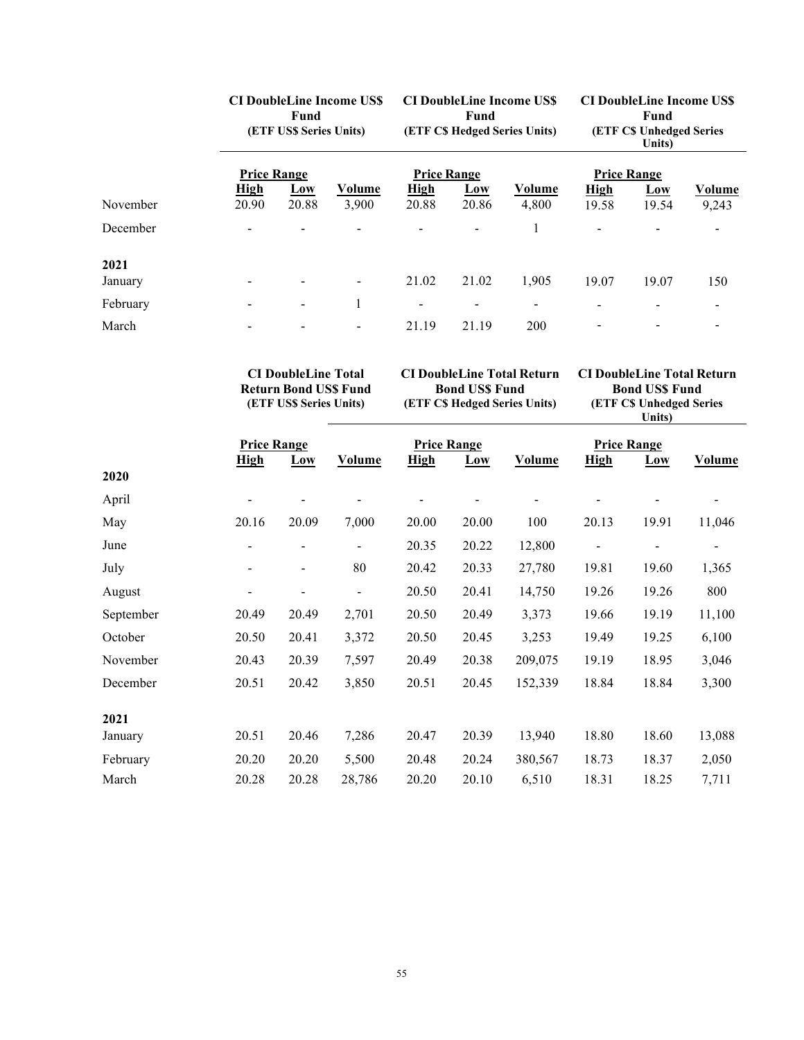|                 | <b>CI DoubleLine Income US\$</b><br>Fund<br>(ETF US\$ Series Units) |                          |                 | <b>CI DoubleLine Income US\$</b><br>Fund<br>(ETF C\$ Hedged Series Units) |                     |                          | <b>CI DoubleLine Income US\$</b><br>Fund<br><b>(ETF C\$ Unhedged Series</b><br>Units) |              |                        |
|-----------------|---------------------------------------------------------------------|--------------------------|-----------------|---------------------------------------------------------------------------|---------------------|--------------------------|---------------------------------------------------------------------------------------|--------------|------------------------|
|                 | <b>Price Range</b>                                                  |                          |                 | <b>Price Range</b>                                                        |                     |                          | <b>Price Range</b>                                                                    |              |                        |
| November        | <b>High</b><br>20.90                                                | Low<br>20.88             | Volume<br>3,900 | <b>High</b><br>20.88                                                      | <b>Low</b><br>20.86 | Volume<br>4,800          | <b>High</b><br>19.58                                                                  | Low<br>19.54 | <b>Volume</b><br>9,243 |
| December        |                                                                     |                          |                 |                                                                           |                     |                          |                                                                                       |              |                        |
| 2021<br>January |                                                                     |                          |                 | 21.02                                                                     | 21.02               | 1,905                    | 19.07                                                                                 | 19.07        | 150                    |
| February        |                                                                     | $\overline{\phantom{a}}$ |                 |                                                                           |                     | $\overline{\phantom{0}}$ |                                                                                       |              |                        |
| March           |                                                                     |                          |                 | 21.19                                                                     | 21.19               | 200                      |                                                                                       |              |                        |

**CI DoubleLine Total Return Bond US\$ Fund (ETF US\$ Series Units)**

**CI DoubleLine Total Return Bond US\$ Fund**

**(ETF C\$ Hedged Series Units)**

**CI DoubleLine Total Return Bond US\$ Fund (ETF C\$ Unhedged Series Units)**

|           | <b>Price Range</b>           |                          | <b>Price Range</b> |             |       |         |                          | <b>Price Range</b> |               |
|-----------|------------------------------|--------------------------|--------------------|-------------|-------|---------|--------------------------|--------------------|---------------|
|           | <b>High</b>                  | Low                      | Volume             | <b>High</b> | Low   | Volume  | <b>High</b>              | Low                | <b>Volume</b> |
| 2020      |                              |                          |                    |             |       |         |                          |                    |               |
| April     |                              |                          |                    |             |       |         |                          |                    |               |
| May       | 20.16                        | 20.09                    | 7,000              | 20.00       | 20.00 | 100     | 20.13                    | 19.91              | 11,046        |
| June      | $\overline{\phantom{a}}$     | $\overline{\phantom{a}}$ | $\blacksquare$     | 20.35       | 20.22 | 12,800  | $\overline{\phantom{a}}$ | $\blacksquare$     |               |
| July      | $\overline{\phantom{a}}$     | $\overline{\phantom{a}}$ | 80                 | 20.42       | 20.33 | 27,780  | 19.81                    | 19.60              | 1,365         |
| August    | $\qquad \qquad \blacksquare$ |                          | $\blacksquare$     | 20.50       | 20.41 | 14,750  | 19.26                    | 19.26              | 800           |
| September | 20.49                        | 20.49                    | 2,701              | 20.50       | 20.49 | 3,373   | 19.66                    | 19.19              | 11,100        |
| October   | 20.50                        | 20.41                    | 3,372              | 20.50       | 20.45 | 3,253   | 19.49                    | 19.25              | 6,100         |
| November  | 20.43                        | 20.39                    | 7,597              | 20.49       | 20.38 | 209,075 | 19.19                    | 18.95              | 3,046         |
| December  | 20.51                        | 20.42                    | 3,850              | 20.51       | 20.45 | 152,339 | 18.84                    | 18.84              | 3,300         |
| 2021      |                              |                          |                    |             |       |         |                          |                    |               |
| January   | 20.51                        | 20.46                    | 7,286              | 20.47       | 20.39 | 13,940  | 18.80                    | 18.60              | 13,088        |
| February  | 20.20                        | 20.20                    | 5,500              | 20.48       | 20.24 | 380,567 | 18.73                    | 18.37              | 2,050         |
| March     | 20.28                        | 20.28                    | 28,786             | 20.20       | 20.10 | 6,510   | 18.31                    | 18.25              | 7,711         |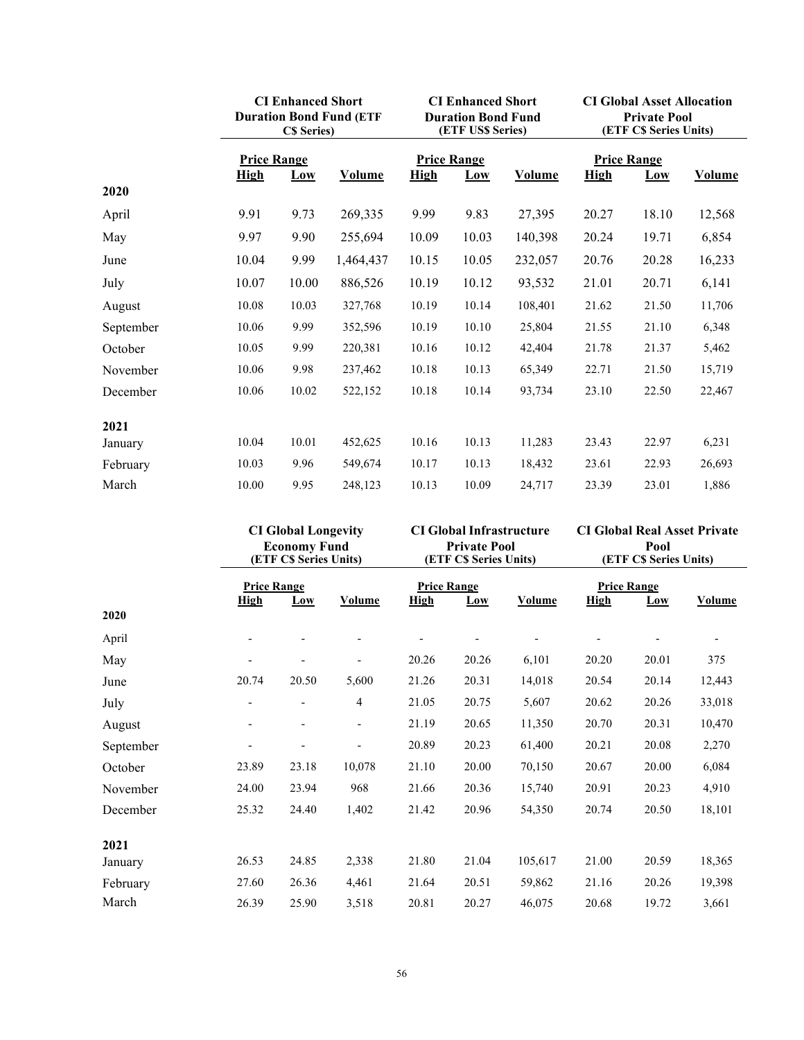|           |                    | <b>CI Enhanced Short</b><br><b>Duration Bond Fund (ETF</b><br><b>C\$</b> Series) |               |                    | <b>CI Enhanced Short</b><br><b>Duration Bond Fund</b><br>(ETF US\$ Series) |               |                    | <b>CI Global Asset Allocation</b><br><b>Private Pool</b><br>(ETF CS Series Units) |               |  |
|-----------|--------------------|----------------------------------------------------------------------------------|---------------|--------------------|----------------------------------------------------------------------------|---------------|--------------------|-----------------------------------------------------------------------------------|---------------|--|
|           | <b>Price Range</b> |                                                                                  |               | <b>Price Range</b> |                                                                            |               | <b>Price Range</b> |                                                                                   |               |  |
|           | <b>High</b>        | Low                                                                              | <b>Volume</b> | <b>High</b>        | Low                                                                        | <b>Volume</b> | <b>High</b>        | Low                                                                               | <b>Volume</b> |  |
| 2020      |                    |                                                                                  |               |                    |                                                                            |               |                    |                                                                                   |               |  |
| April     | 9.91               | 9.73                                                                             | 269,335       | 9.99               | 9.83                                                                       | 27,395        | 20.27              | 18.10                                                                             | 12,568        |  |
| May       | 9.97               | 9.90                                                                             | 255,694       | 10.09              | 10.03                                                                      | 140,398       | 20.24              | 19.71                                                                             | 6,854         |  |
| June      | 10.04              | 9.99                                                                             | 1,464,437     | 10.15              | 10.05                                                                      | 232,057       | 20.76              | 20.28                                                                             | 16,233        |  |
| July      | 10.07              | 10.00                                                                            | 886,526       | 10.19              | 10.12                                                                      | 93,532        | 21.01              | 20.71                                                                             | 6,141         |  |
| August    | 10.08              | 10.03                                                                            | 327,768       | 10.19              | 10.14                                                                      | 108,401       | 21.62              | 21.50                                                                             | 11,706        |  |
| September | 10.06              | 9.99                                                                             | 352,596       | 10.19              | 10.10                                                                      | 25,804        | 21.55              | 21.10                                                                             | 6,348         |  |
| October   | 10.05              | 9.99                                                                             | 220,381       | 10.16              | 10.12                                                                      | 42,404        | 21.78              | 21.37                                                                             | 5,462         |  |
| November  | 10.06              | 9.98                                                                             | 237,462       | 10.18              | 10.13                                                                      | 65,349        | 22.71              | 21.50                                                                             | 15,719        |  |
| December  | 10.06              | 10.02                                                                            | 522,152       | 10.18              | 10.14                                                                      | 93,734        | 23.10              | 22.50                                                                             | 22,467        |  |
| 2021      |                    |                                                                                  |               |                    |                                                                            |               |                    |                                                                                   |               |  |
| January   | 10.04              | 10.01                                                                            | 452,625       | 10.16              | 10.13                                                                      | 11,283        | 23.43              | 22.97                                                                             | 6,231         |  |
| February  | 10.03              | 9.96                                                                             | 549,674       | 10.17              | 10.13                                                                      | 18,432        | 23.61              | 22.93                                                                             | 26,693        |  |
| March     | 10.00              | 9.95                                                                             | 248,123       | 10.13              | 10.09                                                                      | 24,717        | 23.39              | 23.01                                                                             | 1,886         |  |

| <b>CI Global Longevity</b><br><b>Economy Fund</b><br>(ETF C\$ Series Units) |                                   |                          | <b>CI Global Infrastructure</b><br><b>Private Pool</b><br>(ETF C\$ Series Units) |             |                           | <b>CI Global Real Asset Private</b><br>Pool<br>(ETF C\$ Series Units) |             |                           |               |
|-----------------------------------------------------------------------------|-----------------------------------|--------------------------|----------------------------------------------------------------------------------|-------------|---------------------------|-----------------------------------------------------------------------|-------------|---------------------------|---------------|
| 2020                                                                        | <b>Price Range</b><br><u>High</u> | Low                      | Volume                                                                           | <b>High</b> | <b>Price Range</b><br>Low | <u>Volume</u>                                                         | <b>High</b> | <b>Price Range</b><br>Low | <b>Volume</b> |
| April                                                                       |                                   |                          |                                                                                  |             |                           |                                                                       |             |                           |               |
| May                                                                         |                                   |                          |                                                                                  | 20.26       | 20.26                     | 6,101                                                                 | 20.20       | 20.01                     | 375           |
| June                                                                        | 20.74                             | 20.50                    | 5,600                                                                            | 21.26       | 20.31                     | 14,018                                                                | 20.54       | 20.14                     | 12,443        |
| July                                                                        | $\overline{\phantom{0}}$          | $\overline{\phantom{a}}$ | 4                                                                                | 21.05       | 20.75                     | 5,607                                                                 | 20.62       | 20.26                     | 33,018        |
| August                                                                      | $\overline{\phantom{a}}$          |                          |                                                                                  | 21.19       | 20.65                     | 11,350                                                                | 20.70       | 20.31                     | 10,470        |
| September                                                                   |                                   |                          |                                                                                  | 20.89       | 20.23                     | 61,400                                                                | 20.21       | 20.08                     | 2,270         |
| October                                                                     | 23.89                             | 23.18                    | 10,078                                                                           | 21.10       | 20.00                     | 70,150                                                                | 20.67       | 20.00                     | 6,084         |
| November                                                                    | 24.00                             | 23.94                    | 968                                                                              | 21.66       | 20.36                     | 15,740                                                                | 20.91       | 20.23                     | 4,910         |
| December                                                                    | 25.32                             | 24.40                    | 1,402                                                                            | 21.42       | 20.96                     | 54,350                                                                | 20.74       | 20.50                     | 18,101        |
| 2021                                                                        |                                   |                          |                                                                                  |             |                           |                                                                       |             |                           |               |
| January                                                                     | 26.53                             | 24.85                    | 2,338                                                                            | 21.80       | 21.04                     | 105,617                                                               | 21.00       | 20.59                     | 18,365        |
| February                                                                    | 27.60                             | 26.36                    | 4,461                                                                            | 21.64       | 20.51                     | 59,862                                                                | 21.16       | 20.26                     | 19,398        |
| March                                                                       | 26.39                             | 25.90                    | 3,518                                                                            | 20.81       | 20.27                     | 46,075                                                                | 20.68       | 19.72                     | 3,661         |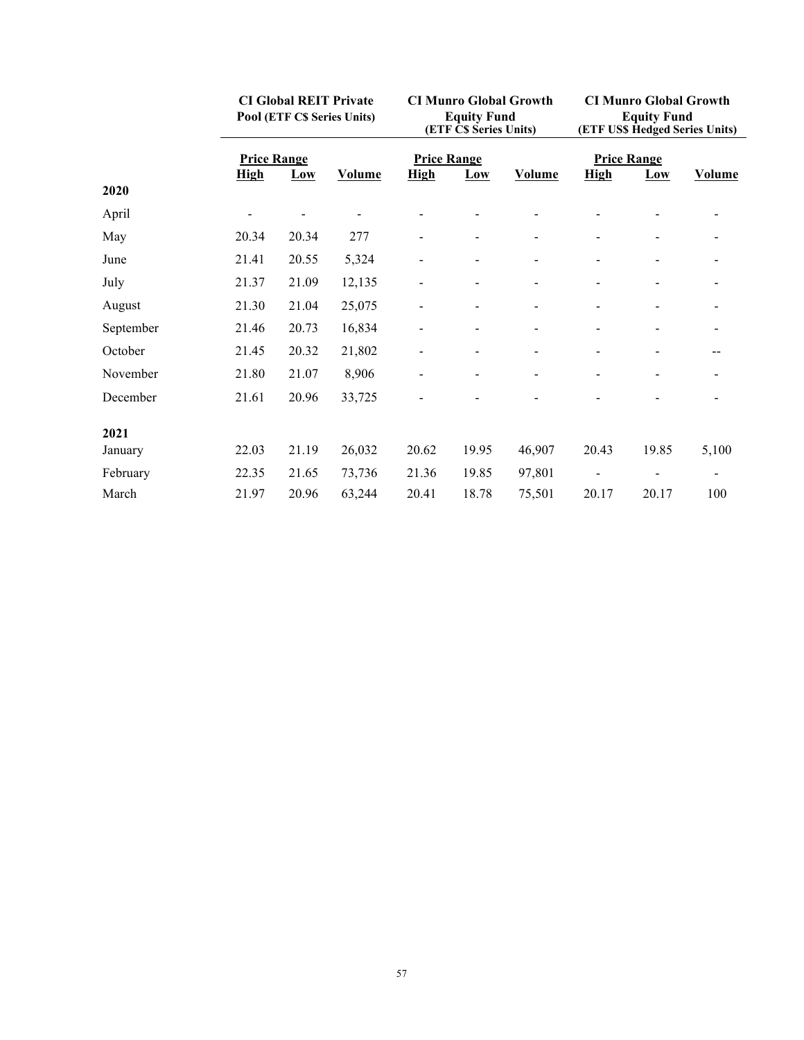|           | <b>CI Global REIT Private</b><br>Pool (ETF C\$ Series Units) |       |               | <b>CI Munro Global Growth</b><br><b>Equity Fund</b><br>(ETF C\$ Series Units) |       |                          | <b>CI Munro Global Growth</b><br><b>Equity Fund</b><br>(ETF US\$ Hedged Series Units) |       |               |
|-----------|--------------------------------------------------------------|-------|---------------|-------------------------------------------------------------------------------|-------|--------------------------|---------------------------------------------------------------------------------------|-------|---------------|
|           | <b>Price Range</b>                                           |       |               | <b>Price Range</b>                                                            |       |                          | <b>Price Range</b>                                                                    |       |               |
|           | <b>High</b>                                                  | Low   | <b>Volume</b> | <b>High</b>                                                                   | Low   | <b>Volume</b>            | <b>High</b>                                                                           | Low   | <b>Volume</b> |
| 2020      |                                                              |       |               |                                                                               |       |                          |                                                                                       |       |               |
| April     |                                                              |       |               |                                                                               |       |                          |                                                                                       |       |               |
| May       | 20.34                                                        | 20.34 | 277           | $\overline{\phantom{a}}$                                                      |       |                          |                                                                                       |       |               |
| June      | 21.41                                                        | 20.55 | 5,324         | $\overline{\phantom{a}}$                                                      |       | $\overline{\phantom{a}}$ | $\blacksquare$                                                                        |       |               |
| July      | 21.37                                                        | 21.09 | 12,135        |                                                                               |       | ۰                        |                                                                                       |       |               |
| August    | 21.30                                                        | 21.04 | 25,075        | $\qquad \qquad \blacksquare$                                                  |       |                          | $\blacksquare$                                                                        |       |               |
| September | 21.46                                                        | 20.73 | 16,834        |                                                                               |       |                          |                                                                                       |       |               |
| October   | 21.45                                                        | 20.32 | 21,802        |                                                                               |       |                          |                                                                                       |       |               |
| November  | 21.80                                                        | 21.07 | 8,906         |                                                                               |       |                          |                                                                                       |       |               |
| December  | 21.61                                                        | 20.96 | 33,725        |                                                                               |       |                          |                                                                                       |       |               |
| 2021      |                                                              |       |               |                                                                               |       |                          |                                                                                       |       |               |
| January   | 22.03                                                        | 21.19 | 26,032        | 20.62                                                                         | 19.95 | 46,907                   | 20.43                                                                                 | 19.85 | 5,100         |
| February  | 22.35                                                        | 21.65 | 73,736        | 21.36                                                                         | 19.85 | 97,801                   |                                                                                       |       |               |
| March     | 21.97                                                        | 20.96 | 63,244        | 20.41                                                                         | 18.78 | 75,501                   | 20.17                                                                                 | 20.17 | 100           |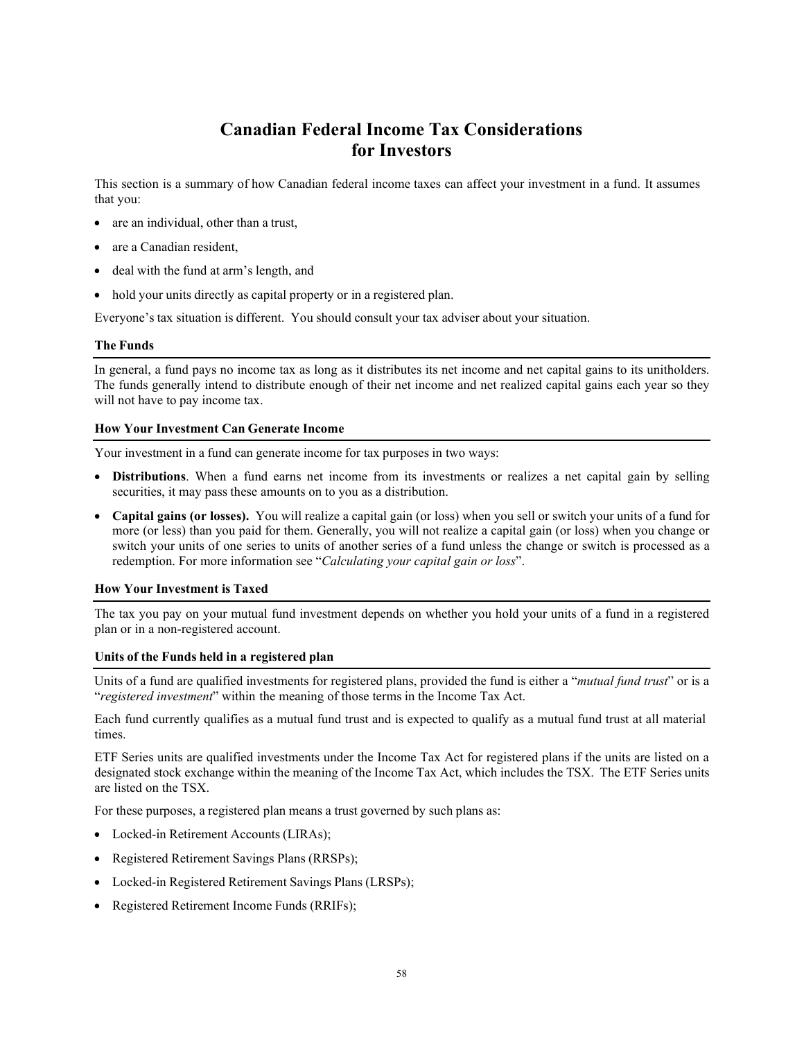## **Canadian Federal Income Tax Considerations for Investors**

This section is a summary of how Canadian federal income taxes can affect your investment in a fund. It assumes that you:

- are an individual, other than a trust,
- are a Canadian resident,
- deal with the fund at arm's length, and
- hold your units directly as capital property or in a registered plan.

Everyone's tax situation is different. You should consult your tax adviser about your situation.

#### **The Funds**

In general, a fund pays no income tax as long as it distributes its net income and net capital gains to its unitholders. The funds generally intend to distribute enough of their net income and net realized capital gains each year so they will not have to pay income tax.

#### **How Your Investment Can Generate Income**

Your investment in a fund can generate income for tax purposes in two ways:

- **Distributions**. When a fund earns net income from its investments or realizes a net capital gain by selling securities, it may pass these amounts on to you as a distribution.
- **Capital gains (or losses).** You will realize a capital gain (or loss) when you sell or switch your units of a fund for more (or less) than you paid for them. Generally, you will not realize a capital gain (or loss) when you change or switch your units of one series to units of another series of a fund unless the change or switch is processed as a redemption. For more information see "*Calculating your capital gain or loss*".

#### **How Your Investment is Taxed**

The tax you pay on your mutual fund investment depends on whether you hold your units of a fund in a registered plan or in a non-registered account.

#### **Units of the Funds held in a registered plan**

Units of a fund are qualified investments for registered plans, provided the fund is either a "*mutual fund trust*" or is a "*registered investment*" within the meaning of those terms in the Income Tax Act.

Each fund currently qualifies as a mutual fund trust and is expected to qualify as a mutual fund trust at all material times.

ETF Series units are qualified investments under the Income Tax Act for registered plans if the units are listed on a designated stock exchange within the meaning of the Income Tax Act, which includes the TSX. The ETF Series units are listed on the TSX.

For these purposes, a registered plan means a trust governed by such plans as:

- Locked-in Retirement Accounts (LIRAs);
- Registered Retirement Savings Plans (RRSPs);
- Locked-in Registered Retirement Savings Plans (LRSPs);
- Registered Retirement Income Funds (RRIFs);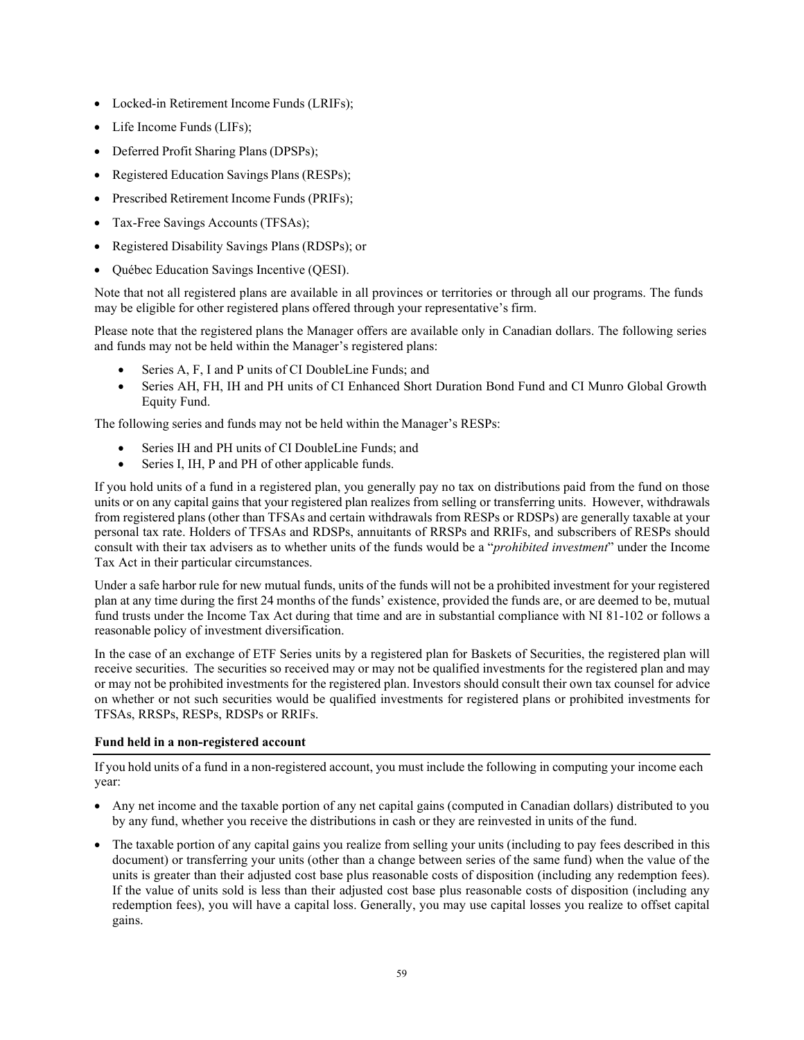- Locked-in Retirement Income Funds (LRIFs);
- Life Income Funds (LIFs);
- Deferred Profit Sharing Plans(DPSPs);
- Registered Education Savings Plans (RESPs);
- Prescribed Retirement Income Funds (PRIFs);
- Tax-Free Savings Accounts (TFSAs);
- Registered Disability Savings Plans (RDSPs); or
- Québec Education Savings Incentive (QESI).

Note that not all registered plans are available in all provinces or territories or through all our programs. The funds may be eligible for other registered plans offered through your representative's firm.

Please note that the registered plans the Manager offers are available only in Canadian dollars. The following series and funds may not be held within the Manager's registered plans:

- Series A, F, I and P units of CI DoubleLine Funds; and
- Series AH, FH, IH and PH units of CI Enhanced Short Duration Bond Fund and CI Munro Global Growth Equity Fund.

The following series and funds may not be held within the Manager's RESPs:

- Series IH and PH units of CI DoubleLine Funds; and
- Series I, IH, P and PH of other applicable funds.

If you hold units of a fund in a registered plan, you generally pay no tax on distributions paid from the fund on those units or on any capital gains that your registered plan realizes from selling or transferring units. However, withdrawals from registered plans (other than TFSAs and certain withdrawals from RESPs or RDSPs) are generally taxable at your personal tax rate. Holders of TFSAs and RDSPs, annuitants of RRSPs and RRIFs, and subscribers of RESPs should consult with their tax advisers as to whether units of the funds would be a "*prohibited investment*" under the Income Tax Act in their particular circumstances.

Under a safe harbor rule for new mutual funds, units of the funds will not be a prohibited investment for your registered plan at any time during the first 24 months of the funds' existence, provided the funds are, or are deemed to be, mutual fund trusts under the Income Tax Act during that time and are in substantial compliance with NI 81-102 or follows a reasonable policy of investment diversification.

In the case of an exchange of ETF Series units by a registered plan for Baskets of Securities, the registered plan will receive securities. The securities so received may or may not be qualified investments for the registered plan and may or may not be prohibited investments for the registered plan. Investors should consult their own tax counsel for advice on whether or not such securities would be qualified investments for registered plans or prohibited investments for TFSAs, RRSPs, RESPs, RDSPs or RRIFs.

## **Fund held in a non-registered account**

If you hold units of a fund in a non-registered account, you must include the following in computing your income each year:

- Any net income and the taxable portion of any net capital gains (computed in Canadian dollars) distributed to you by any fund, whether you receive the distributions in cash or they are reinvested in units of the fund.
- The taxable portion of any capital gains you realize from selling your units (including to pay fees described in this document) or transferring your units (other than a change between series of the same fund) when the value of the units is greater than their adjusted cost base plus reasonable costs of disposition (including any redemption fees). If the value of units sold is less than their adjusted cost base plus reasonable costs of disposition (including any redemption fees), you will have a capital loss. Generally, you may use capital losses you realize to offset capital gains.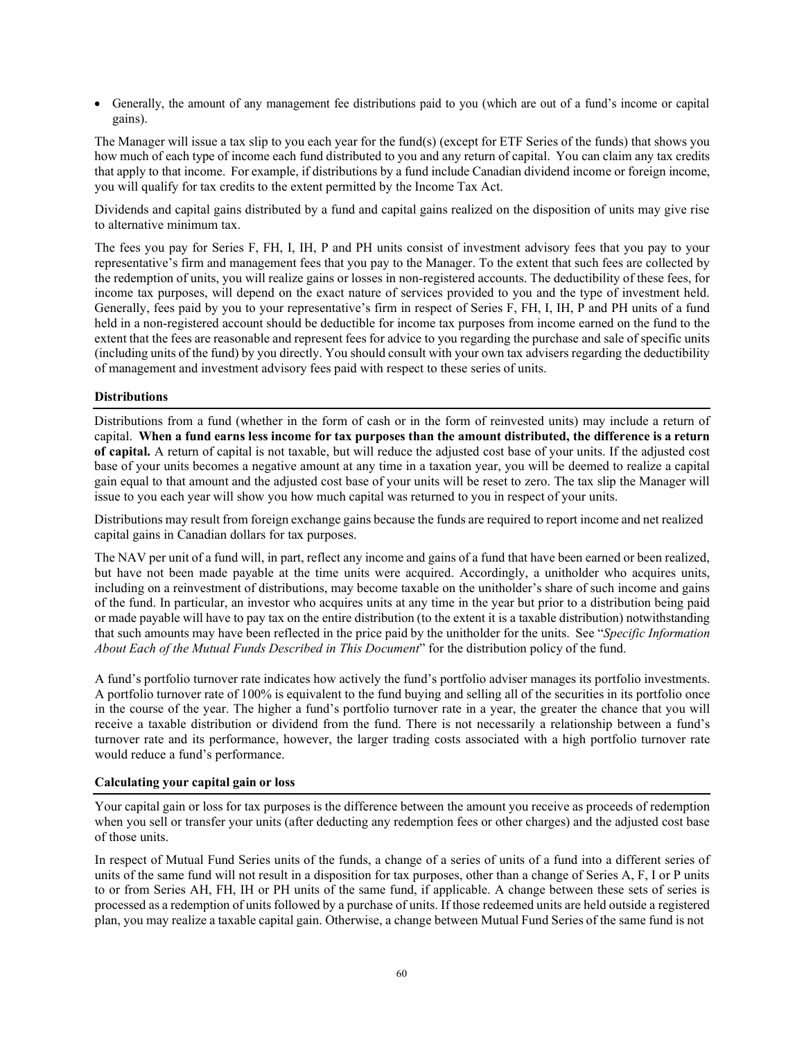• Generally, the amount of any management fee distributions paid to you (which are out of a fund's income or capital gains).

The Manager will issue a tax slip to you each year for the fund(s) (except for ETF Series of the funds) that shows you how much of each type of income each fund distributed to you and any return of capital. You can claim any tax credits that apply to that income. For example, if distributions by a fund include Canadian dividend income or foreign income, you will qualify for tax credits to the extent permitted by the Income Tax Act.

Dividends and capital gains distributed by a fund and capital gains realized on the disposition of units may give rise to alternative minimum tax.

The fees you pay for Series F, FH, I, IH, P and PH units consist of investment advisory fees that you pay to your representative's firm and management fees that you pay to the Manager. To the extent that such fees are collected by the redemption of units, you will realize gains or losses in non-registered accounts. The deductibility of these fees, for income tax purposes, will depend on the exact nature of services provided to you and the type of investment held. Generally, fees paid by you to your representative's firm in respect of Series F, FH, I, IH, P and PH units of a fund held in a non-registered account should be deductible for income tax purposes from income earned on the fund to the extent that the fees are reasonable and represent fees for advice to you regarding the purchase and sale of specific units (including units of the fund) by you directly. You should consult with your own tax advisers regarding the deductibility of management and investment advisory fees paid with respect to these series of units.

## **Distributions**

Distributions from a fund (whether in the form of cash or in the form of reinvested units) may include a return of capital. **When a fund earns less income for tax purposes than the amount distributed, the difference is a return of capital.** A return of capital is not taxable, but will reduce the adjusted cost base of your units. If the adjusted cost base of your units becomes a negative amount at any time in a taxation year, you will be deemed to realize a capital gain equal to that amount and the adjusted cost base of your units will be reset to zero. The tax slip the Manager will issue to you each year will show you how much capital was returned to you in respect of your units.

Distributions may result from foreign exchange gains because the funds are required to report income and net realized capital gains in Canadian dollars for tax purposes.

The NAV per unit of a fund will, in part, reflect any income and gains of a fund that have been earned or been realized, but have not been made payable at the time units were acquired. Accordingly, a unitholder who acquires units, including on a reinvestment of distributions, may become taxable on the unitholder's share of such income and gains of the fund. In particular, an investor who acquires units at any time in the year but prior to a distribution being paid or made payable will have to pay tax on the entire distribution (to the extent it is a taxable distribution) notwithstanding that such amounts may have been reflected in the price paid by the unitholder for the units. See "*Specific Information About Each of the Mutual Funds Described in This Document*" for the distribution policy of the fund.

A fund's portfolio turnover rate indicates how actively the fund's portfolio adviser manages its portfolio investments. A portfolio turnover rate of 100% is equivalent to the fund buying and selling all of the securities in its portfolio once in the course of the year. The higher a fund's portfolio turnover rate in a year, the greater the chance that you will receive a taxable distribution or dividend from the fund. There is not necessarily a relationship between a fund's turnover rate and its performance, however, the larger trading costs associated with a high portfolio turnover rate would reduce a fund's performance.

#### **Calculating your capital gain or loss**

Your capital gain or loss for tax purposes is the difference between the amount you receive as proceeds of redemption when you sell or transfer your units (after deducting any redemption fees or other charges) and the adjusted cost base of those units.

In respect of Mutual Fund Series units of the funds, a change of a series of units of a fund into a different series of units of the same fund will not result in a disposition for tax purposes, other than a change of Series A, F, I or P units to or from Series AH, FH, IH or PH units of the same fund, if applicable. A change between these sets of series is processed as a redemption of unitsfollowed by a purchase of units. If those redeemed units are held outside a registered plan, you may realize a taxable capital gain. Otherwise, a change between Mutual Fund Series of the same fund is not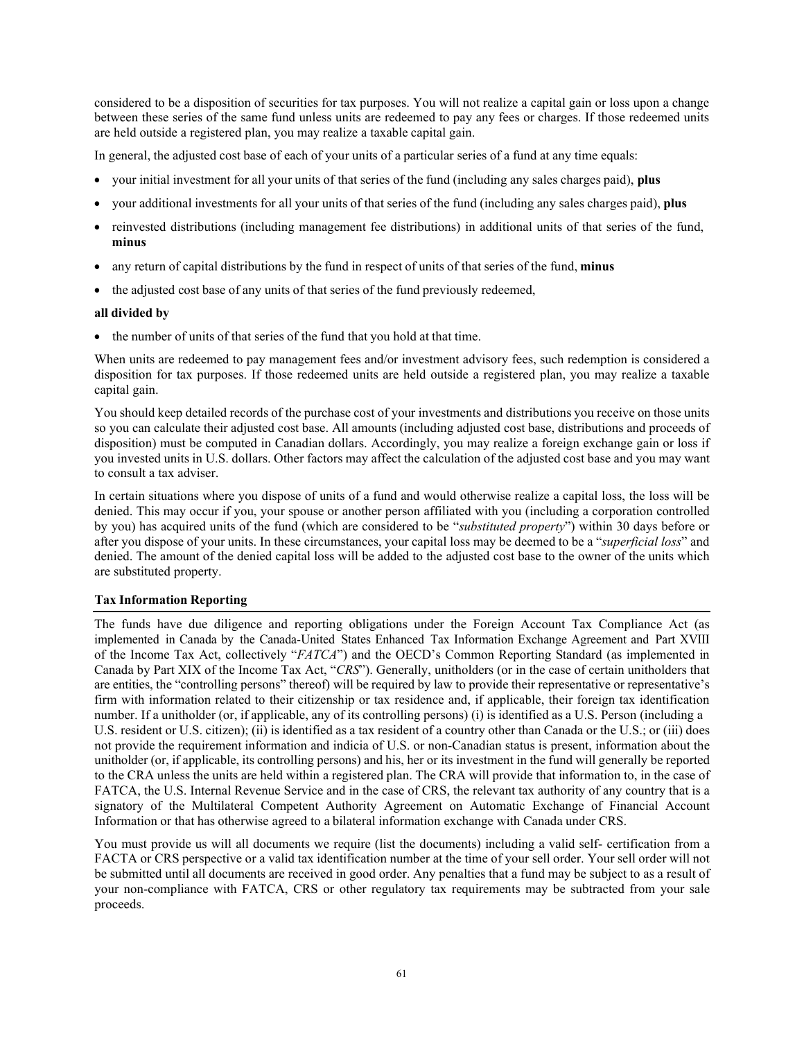considered to be a disposition of securities for tax purposes. You will not realize a capital gain or loss upon a change between these series of the same fund unless units are redeemed to pay any fees or charges. If those redeemed units are held outside a registered plan, you may realize a taxable capital gain.

In general, the adjusted cost base of each of your units of a particular series of a fund at any time equals:

- your initial investment for all your units of that series of the fund (including any sales charges paid), **plus**
- your additional investments for all your units of that series of the fund (including any sales charges paid), **plus**
- reinvested distributions (including management fee distributions) in additional units of that series of the fund, **minus**
- any return of capital distributions by the fund in respect of units of that series of the fund, **minus**
- the adjusted cost base of any units of that series of the fund previously redeemed,

## **all divided by**

• the number of units of that series of the fund that you hold at that time.

When units are redeemed to pay management fees and/or investment advisory fees, such redemption is considered a disposition for tax purposes. If those redeemed units are held outside a registered plan, you may realize a taxable capital gain.

You should keep detailed records of the purchase cost of your investments and distributions you receive on those units so you can calculate their adjusted cost base. All amounts (including adjusted cost base, distributions and proceeds of disposition) must be computed in Canadian dollars. Accordingly, you may realize a foreign exchange gain or loss if you invested units in U.S. dollars. Other factors may affect the calculation of the adjusted cost base and you may want to consult a tax adviser.

In certain situations where you dispose of units of a fund and would otherwise realize a capital loss, the loss will be denied. This may occur if you, your spouse or another person affiliated with you (including a corporation controlled by you) has acquired units of the fund (which are considered to be "*substituted property*") within 30 days before or after you dispose of your units. In these circumstances, your capital loss may be deemed to be a "*superficial loss*" and denied. The amount of the denied capital loss will be added to the adjusted cost base to the owner of the units which are substituted property.

## **Tax Information Reporting**

The funds have due diligence and reporting obligations under the Foreign Account Tax Compliance Act (as implemented in Canada by the Canada-United States Enhanced Tax Information Exchange Agreement and Part XVIII of the Income Tax Act, collectively "*FATCA*") and the OECD's Common Reporting Standard (as implemented in Canada by Part XIX of the Income Tax Act, "*CRS*"). Generally, unitholders (or in the case of certain unitholders that are entities, the "controlling persons" thereof) will be required by law to provide their representative or representative's firm with information related to their citizenship or tax residence and, if applicable, their foreign tax identification number. If a unitholder (or, if applicable, any of its controlling persons) (i) is identified as a U.S. Person (including a U.S. resident or U.S. citizen); (ii) is identified as a tax resident of a country other than Canada or the U.S.; or (iii) does not provide the requirement information and indicia of U.S. or non-Canadian status is present, information about the unitholder (or, if applicable, its controlling persons) and his, her or its investment in the fund will generally be reported to the CRA unless the units are held within a registered plan. The CRA will provide that information to, in the case of FATCA, the U.S. Internal Revenue Service and in the case of CRS, the relevant tax authority of any country that is a signatory of the Multilateral Competent Authority Agreement on Automatic Exchange of Financial Account Information or that has otherwise agreed to a bilateral information exchange with Canada under CRS.

You must provide us will all documents we require (list the documents) including a valid self- certification from a FACTA or CRS perspective or a valid tax identification number at the time of your sell order. Your sell order will not be submitted until all documents are received in good order. Any penalties that a fund may be subject to as a result of your non-compliance with FATCA, CRS or other regulatory tax requirements may be subtracted from your sale proceeds.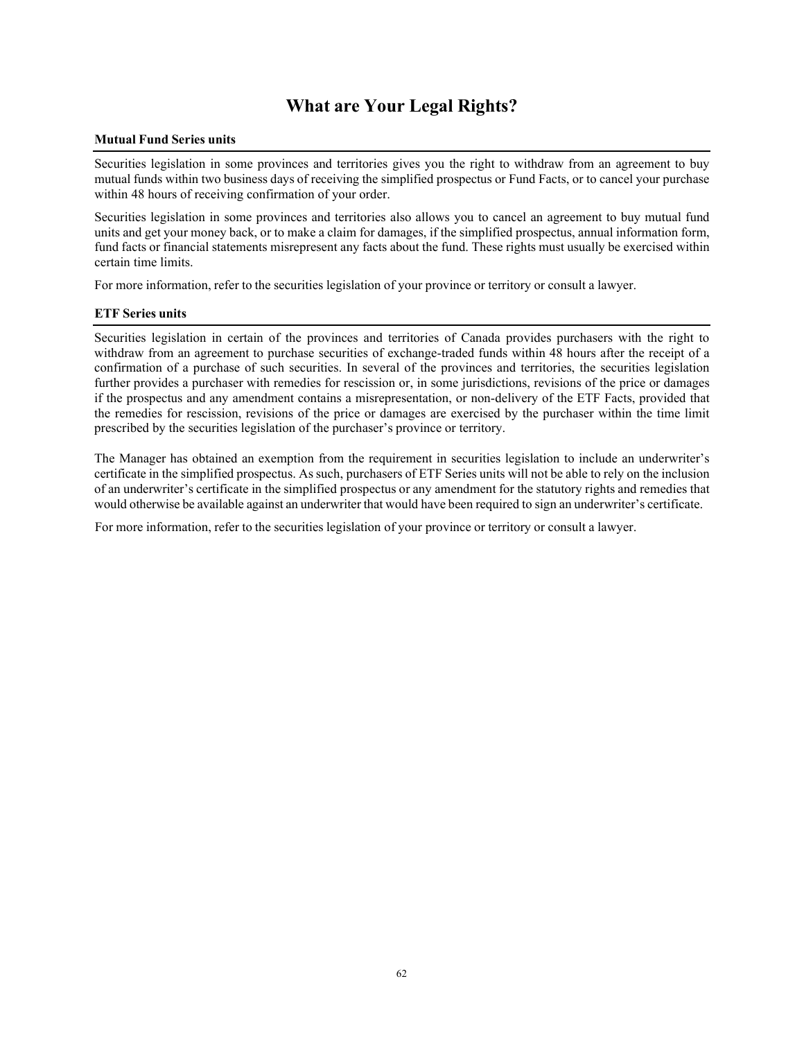## **What are Your Legal Rights?**

## **Mutual Fund Series units**

Securities legislation in some provinces and territories gives you the right to withdraw from an agreement to buy mutual funds within two business days of receiving the simplified prospectus or Fund Facts, or to cancel your purchase within 48 hours of receiving confirmation of your order.

Securities legislation in some provinces and territories also allows you to cancel an agreement to buy mutual fund units and get your money back, or to make a claim for damages, if the simplified prospectus, annual information form, fund facts or financial statements misrepresent any facts about the fund. These rights must usually be exercised within certain time limits.

For more information, refer to the securities legislation of your province or territory or consult a lawyer.

#### **ETF Series units**

Securities legislation in certain of the provinces and territories of Canada provides purchasers with the right to withdraw from an agreement to purchase securities of exchange-traded funds within 48 hours after the receipt of a confirmation of a purchase of such securities. In several of the provinces and territories, the securities legislation further provides a purchaser with remedies for rescission or, in some jurisdictions, revisions of the price or damages if the prospectus and any amendment contains a misrepresentation, or non-delivery of the ETF Facts, provided that the remedies for rescission, revisions of the price or damages are exercised by the purchaser within the time limit prescribed by the securities legislation of the purchaser's province or territory.

The Manager has obtained an exemption from the requirement in securities legislation to include an underwriter's certificate in the simplified prospectus. As such, purchasers of ETF Series units will not be able to rely on the inclusion of an underwriter's certificate in the simplified prospectus or any amendment for the statutory rights and remedies that would otherwise be available against an underwriter that would have been required to sign an underwriter's certificate.

For more information, refer to the securities legislation of your province or territory or consult a lawyer.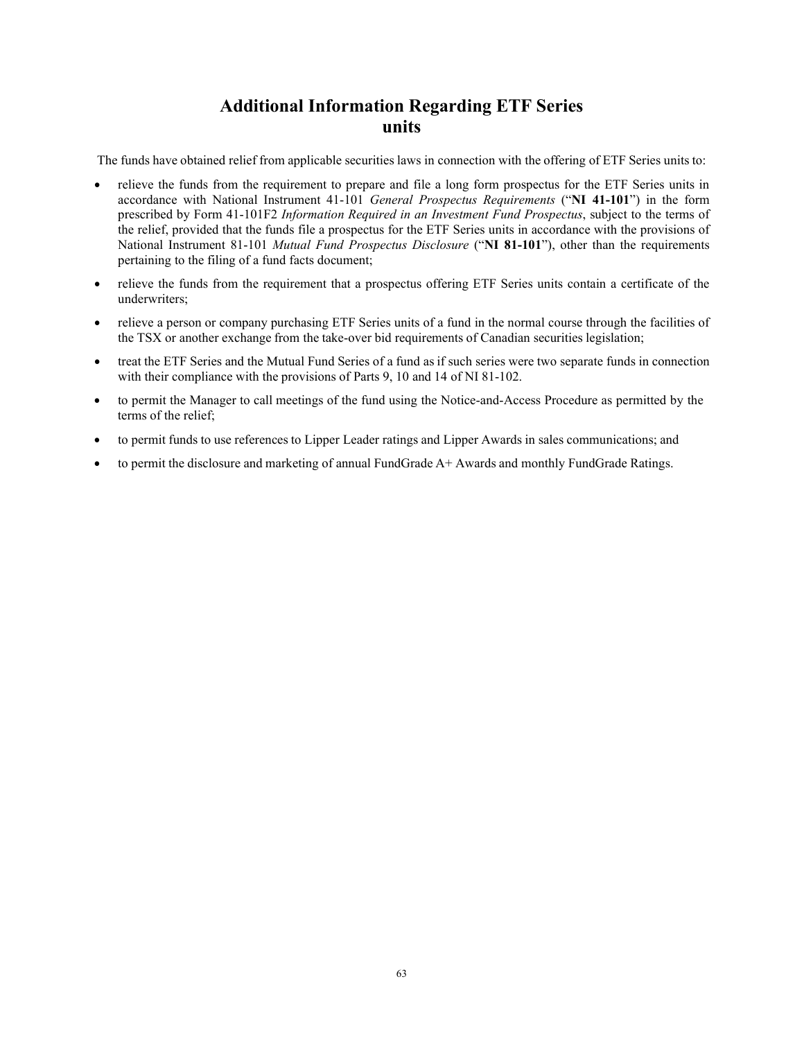## **Additional Information Regarding ETF Series units**

The funds have obtained relief from applicable securities laws in connection with the offering of ETF Series units to:

- relieve the funds from the requirement to prepare and file a long form prospectus for the ETF Series units in accordance with National Instrument 41-101 *General Prospectus Requirements* ("**NI 41-101**") in the form prescribed by Form 41-101F2 *Information Required in an Investment Fund Prospectus*, subject to the terms of the relief, provided that the funds file a prospectus for the ETF Series units in accordance with the provisions of National Instrument 81-101 *Mutual Fund Prospectus Disclosure* ("**NI 81-101**"), other than the requirements pertaining to the filing of a fund facts document;
- relieve the funds from the requirement that a prospectus offering ETF Series units contain a certificate of the underwriters;
- relieve a person or company purchasing ETF Series units of a fund in the normal course through the facilities of the TSX or another exchange from the take-over bid requirements of Canadian securities legislation;
- treat the ETF Series and the Mutual Fund Series of a fund as if such series were two separate funds in connection with their compliance with the provisions of Parts 9, 10 and 14 of NI 81-102.
- to permit the Manager to call meetings of the fund using the Notice-and-Access Procedure as permitted by the terms of the relief;
- to permit funds to use references to Lipper Leader ratings and Lipper Awards in sales communications; and
- to permit the disclosure and marketing of annual FundGrade A+ Awards and monthly FundGrade Ratings.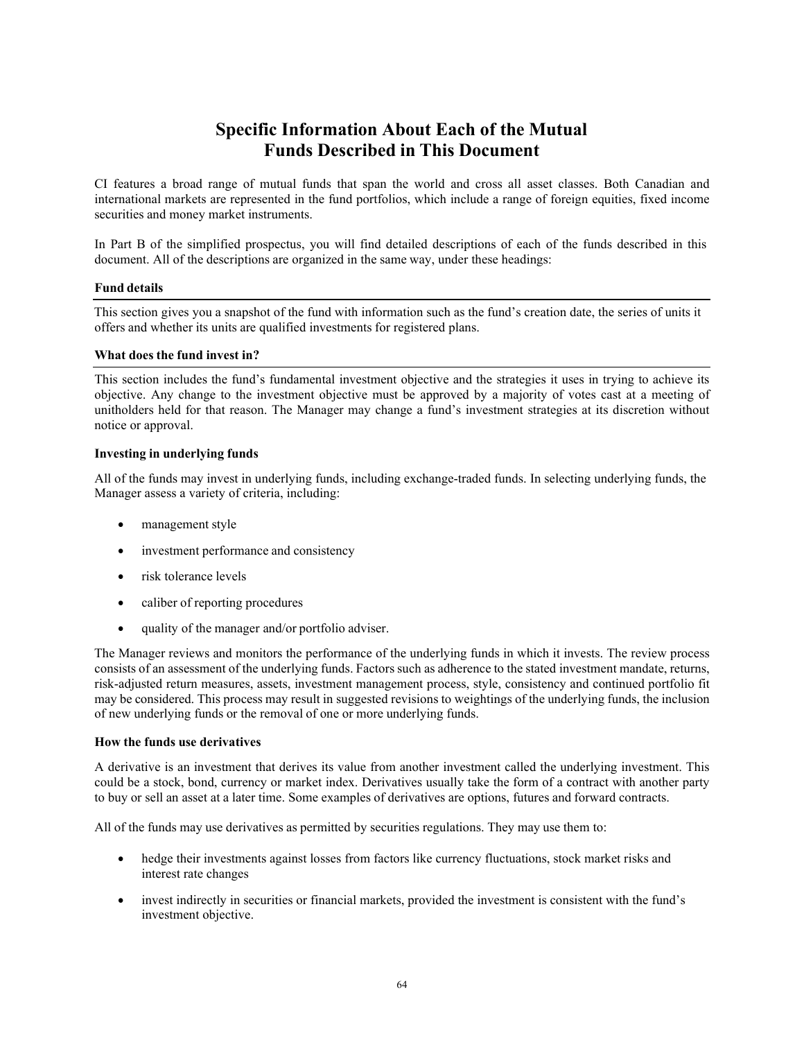## **Specific Information About Each of the Mutual Funds Described in This Document**

CI features a broad range of mutual funds that span the world and cross all asset classes. Both Canadian and international markets are represented in the fund portfolios, which include a range of foreign equities, fixed income securities and money market instruments.

In Part B of the simplified prospectus, you will find detailed descriptions of each of the funds described in this document. All of the descriptions are organized in the same way, under these headings:

## **Fund details**

This section gives you a snapshot of the fund with information such as the fund's creation date, the series of units it offers and whether its units are qualified investments for registered plans.

## **What does the fund invest in?**

This section includes the fund's fundamental investment objective and the strategies it uses in trying to achieve its objective. Any change to the investment objective must be approved by a majority of votes cast at a meeting of unitholders held for that reason. The Manager may change a fund's investment strategies at its discretion without notice or approval.

## **Investing in underlying funds**

All of the funds may invest in underlying funds, including exchange-traded funds. In selecting underlying funds, the Manager assess a variety of criteria, including:

- management style
- investment performance and consistency
- risk tolerance levels
- caliber of reporting procedures
- quality of the manager and/or portfolio adviser.

The Manager reviews and monitors the performance of the underlying funds in which it invests. The review process consists of an assessment of the underlying funds. Factors such as adherence to the stated investment mandate, returns, risk-adjusted return measures, assets, investment management process, style, consistency and continued portfolio fit may be considered. This process may result in suggested revisions to weightings of the underlying funds, the inclusion of new underlying funds or the removal of one or more underlying funds.

#### **How the funds use derivatives**

A derivative is an investment that derives its value from another investment called the underlying investment. This could be a stock, bond, currency or market index. Derivatives usually take the form of a contract with another party to buy or sell an asset at a later time. Some examples of derivatives are options, futures and forward contracts.

All of the funds may use derivatives as permitted by securities regulations. They may use them to:

- hedge their investments against losses from factors like currency fluctuations, stock market risks and interest rate changes
- invest indirectly in securities or financial markets, provided the investment is consistent with the fund's investment objective.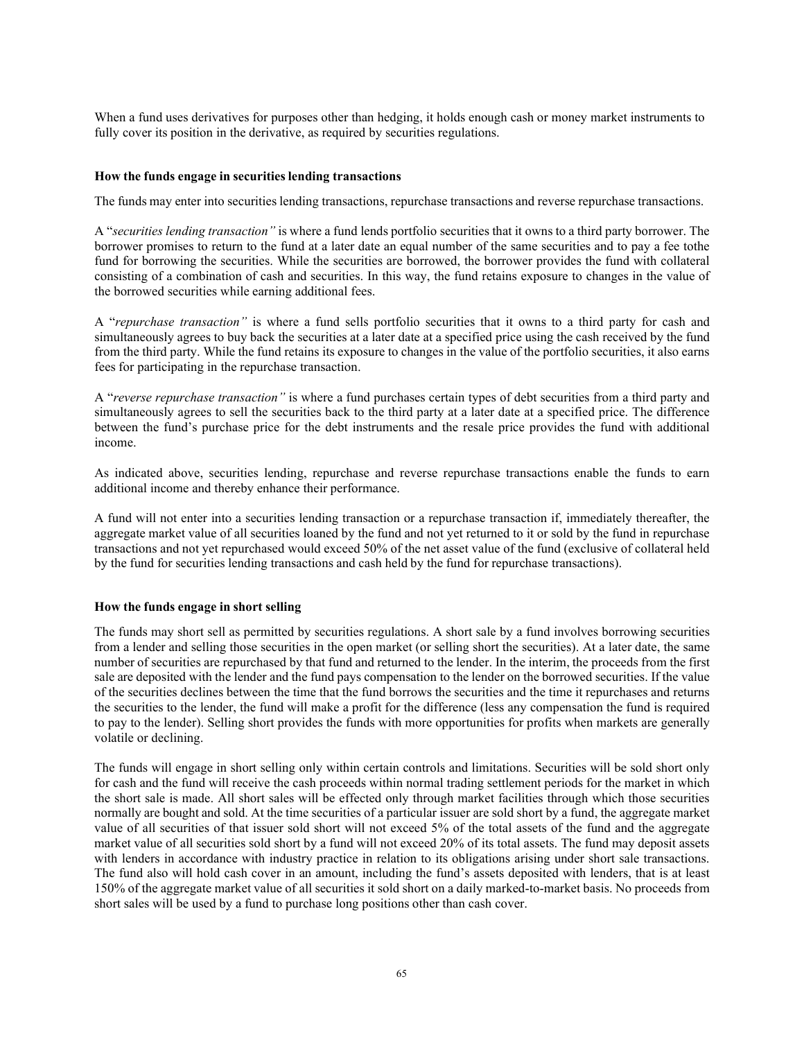When a fund uses derivatives for purposes other than hedging, it holds enough cash or money market instruments to fully cover its position in the derivative, as required by securities regulations.

#### **How the funds engage in securities lending transactions**

The funds may enter into securities lending transactions, repurchase transactions and reverse repurchase transactions.

A "*securities lending transaction"* is where a fund lends portfolio securities that it owns to a third party borrower. The borrower promises to return to the fund at a later date an equal number of the same securities and to pay a fee tothe fund for borrowing the securities. While the securities are borrowed, the borrower provides the fund with collateral consisting of a combination of cash and securities. In this way, the fund retains exposure to changes in the value of the borrowed securities while earning additional fees.

A "*repurchase transaction"* is where a fund sells portfolio securities that it owns to a third party for cash and simultaneously agrees to buy back the securities at a later date at a specified price using the cash received by the fund from the third party. While the fund retains its exposure to changes in the value of the portfolio securities, it also earns fees for participating in the repurchase transaction.

A "*reverse repurchase transaction"* is where a fund purchases certain types of debt securities from a third party and simultaneously agrees to sell the securities back to the third party at a later date at a specified price. The difference between the fund's purchase price for the debt instruments and the resale price provides the fund with additional income.

As indicated above, securities lending, repurchase and reverse repurchase transactions enable the funds to earn additional income and thereby enhance their performance.

A fund will not enter into a securities lending transaction or a repurchase transaction if, immediately thereafter, the aggregate market value of all securities loaned by the fund and not yet returned to it or sold by the fund in repurchase transactions and not yet repurchased would exceed 50% of the net asset value of the fund (exclusive of collateral held by the fund for securities lending transactions and cash held by the fund for repurchase transactions).

#### **How the funds engage in short selling**

The funds may short sell as permitted by securities regulations. A short sale by a fund involves borrowing securities from a lender and selling those securities in the open market (or selling short the securities). At a later date, the same number of securities are repurchased by that fund and returned to the lender. In the interim, the proceeds from the first sale are deposited with the lender and the fund pays compensation to the lender on the borrowed securities. If the value of the securities declines between the time that the fund borrows the securities and the time it repurchases and returns the securities to the lender, the fund will make a profit for the difference (less any compensation the fund is required to pay to the lender). Selling short provides the funds with more opportunities for profits when markets are generally volatile or declining.

The funds will engage in short selling only within certain controls and limitations. Securities will be sold short only for cash and the fund will receive the cash proceeds within normal trading settlement periods for the market in which the short sale is made. All short sales will be effected only through market facilities through which those securities normally are bought and sold. At the time securities of a particular issuer are sold short by a fund, the aggregate market value of all securities of that issuer sold short will not exceed 5% of the total assets of the fund and the aggregate market value of all securities sold short by a fund will not exceed 20% of its total assets. The fund may deposit assets with lenders in accordance with industry practice in relation to its obligations arising under short sale transactions. The fund also will hold cash cover in an amount, including the fund's assets deposited with lenders, that is at least 150% of the aggregate market value of all securities it sold short on a daily marked-to-market basis. No proceeds from short sales will be used by a fund to purchase long positions other than cash cover.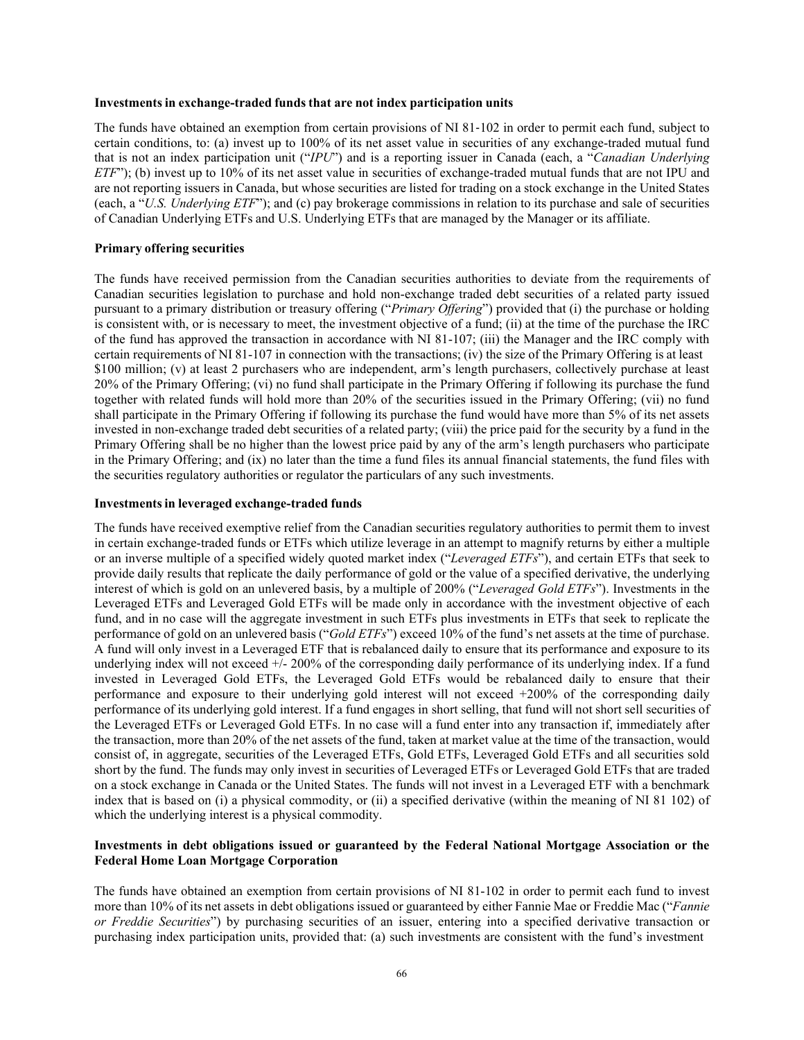#### **Investments in exchange-traded funds that are not index participation units**

The funds have obtained an exemption from certain provisions of NI 81-102 in order to permit each fund, subject to certain conditions, to: (a) invest up to 100% of its net asset value in securities of any exchange-traded mutual fund that is not an index participation unit ("*IPU*") and is a reporting issuer in Canada (each, a "*Canadian Underlying ETF*"); (b) invest up to 10% of its net asset value in securities of exchange-traded mutual funds that are not IPU and are not reporting issuers in Canada, but whose securities are listed for trading on a stock exchange in the United States (each, a "*U.S. Underlying ETF*"); and (c) pay brokerage commissions in relation to its purchase and sale of securities of Canadian Underlying ETFs and U.S. Underlying ETFs that are managed by the Manager or its affiliate.

#### **Primary offering securities**

The funds have received permission from the Canadian securities authorities to deviate from the requirements of Canadian securities legislation to purchase and hold non-exchange traded debt securities of a related party issued pursuant to a primary distribution or treasury offering ("*Primary Offering*") provided that (i) the purchase or holding is consistent with, or is necessary to meet, the investment objective of a fund; (ii) at the time of the purchase the IRC of the fund has approved the transaction in accordance with NI 81-107; (iii) the Manager and the IRC comply with certain requirements of NI 81-107 in connection with the transactions; (iv) the size of the Primary Offering is at least \$100 million; (v) at least 2 purchasers who are independent, arm's length purchasers, collectively purchase at least 20% of the Primary Offering; (vi) no fund shall participate in the Primary Offering if following its purchase the fund together with related funds will hold more than 20% of the securities issued in the Primary Offering; (vii) no fund shall participate in the Primary Offering if following its purchase the fund would have more than 5% of its net assets invested in non-exchange traded debt securities of a related party; (viii) the price paid for the security by a fund in the Primary Offering shall be no higher than the lowest price paid by any of the arm's length purchasers who participate in the Primary Offering; and (ix) no later than the time a fund files its annual financial statements, the fund files with the securities regulatory authorities or regulator the particulars of any such investments.

#### **Investmentsin leveraged exchange-traded funds**

The funds have received exemptive relief from the Canadian securities regulatory authorities to permit them to invest in certain exchange-traded funds or ETFs which utilize leverage in an attempt to magnify returns by either a multiple or an inverse multiple of a specified widely quoted market index ("*Leveraged ETFs*"), and certain ETFs that seek to provide daily results that replicate the daily performance of gold or the value of a specified derivative, the underlying interest of which is gold on an unlevered basis, by a multiple of 200% ("*Leveraged Gold ETFs*"). Investments in the Leveraged ETFs and Leveraged Gold ETFs will be made only in accordance with the investment objective of each fund, and in no case will the aggregate investment in such ETFs plus investments in ETFs that seek to replicate the performance of gold on an unlevered basis ("*Gold ETFs*") exceed 10% of the fund's net assets at the time of purchase. A fund will only invest in a Leveraged ETF that is rebalanced daily to ensure that its performance and exposure to its underlying index will not exceed  $+\sqrt{2} - 200\%$  of the corresponding daily performance of its underlying index. If a fund invested in Leveraged Gold ETFs, the Leveraged Gold ETFs would be rebalanced daily to ensure that their performance and exposure to their underlying gold interest will not exceed +200% of the corresponding daily performance of its underlying gold interest. If a fund engages in short selling, that fund will not short sell securities of the Leveraged ETFs or Leveraged Gold ETFs. In no case will a fund enter into any transaction if, immediately after the transaction, more than 20% of the net assets of the fund, taken at market value at the time of the transaction, would consist of, in aggregate, securities of the Leveraged ETFs, Gold ETFs, Leveraged Gold ETFs and all securities sold short by the fund. The funds may only invest in securities of Leveraged ETFs or Leveraged Gold ETFs that are traded on a stock exchange in Canada or the United States. The funds will not invest in a Leveraged ETF with a benchmark index that is based on (i) a physical commodity, or (ii) a specified derivative (within the meaning of NI 81 102) of which the underlying interest is a physical commodity.

## **Investments in debt obligations issued or guaranteed by the Federal National Mortgage Association or the Federal Home Loan Mortgage Corporation**

The funds have obtained an exemption from certain provisions of NI 81-102 in order to permit each fund to invest more than 10% of its net assets in debt obligations issued or guaranteed by either Fannie Mae or Freddie Mac ("*Fannie or Freddie Securities*") by purchasing securities of an issuer, entering into a specified derivative transaction or purchasing index participation units, provided that: (a) such investments are consistent with the fund's investment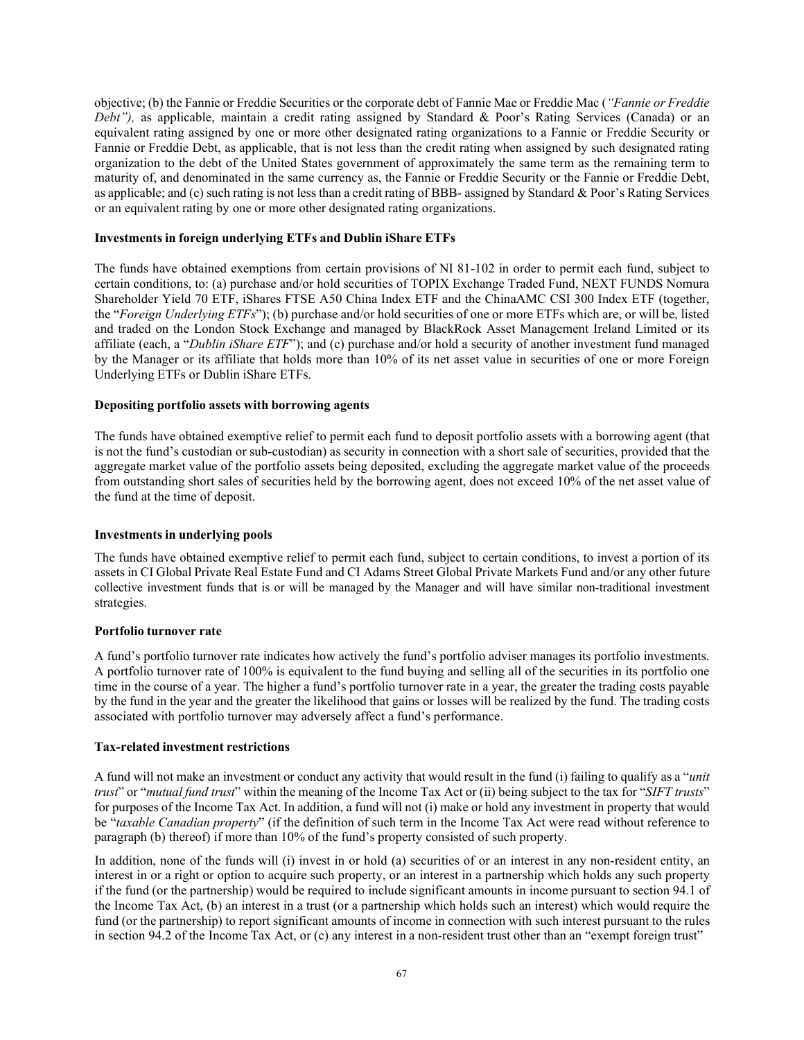objective; (b) the Fannie or Freddie Securities or the corporate debt of Fannie Mae or Freddie Mac (*"Fannie or Freddie Debt")*, as applicable, maintain a credit rating assigned by Standard & Poor's Rating Services (Canada) or an equivalent rating assigned by one or more other designated rating organizations to a Fannie or Freddie Security or Fannie or Freddie Debt, as applicable, that is not less than the credit rating when assigned by such designated rating organization to the debt of the United States government of approximately the same term as the remaining term to maturity of, and denominated in the same currency as, the Fannie or Freddie Security or the Fannie or Freddie Debt, as applicable; and (c) such rating is not less than a credit rating of BBB- assigned by Standard & Poor's Rating Services or an equivalent rating by one or more other designated rating organizations.

## **Investments in foreign underlying ETFs and Dublin iShare ETFs**

The funds have obtained exemptions from certain provisions of NI 81-102 in order to permit each fund, subject to certain conditions, to: (a) purchase and/or hold securities of TOPIX Exchange Traded Fund, NEXT FUNDS Nomura Shareholder Yield 70 ETF, iShares FTSE A50 China Index ETF and the ChinaAMC CSI 300 Index ETF (together, the "*Foreign Underlying ETFs*"); (b) purchase and/or hold securities of one or more ETFs which are, or will be, listed and traded on the London Stock Exchange and managed by BlackRock Asset Management Ireland Limited or its affiliate (each, a "*Dublin iShare ETF*"); and (c) purchase and/or hold a security of another investment fund managed by the Manager or its affiliate that holds more than 10% of its net asset value in securities of one or more Foreign Underlying ETFs or Dublin iShare ETFs.

## **Depositing portfolio assets with borrowing agents**

The funds have obtained exemptive relief to permit each fund to deposit portfolio assets with a borrowing agent (that is not the fund's custodian or sub-custodian) as security in connection with a short sale of securities, provided that the aggregate market value of the portfolio assets being deposited, excluding the aggregate market value of the proceeds from outstanding short sales of securities held by the borrowing agent, does not exceed 10% of the net asset value of the fund at the time of deposit.

#### **Investments in underlying pools**

The funds have obtained exemptive relief to permit each fund, subject to certain conditions, to invest a portion of its assets in CI Global Private Real Estate Fund and CI Adams Street Global Private Markets Fund and/or any other future collective investment funds that is or will be managed by the Manager and will have similar non-traditional investment strategies.

#### **Portfolio turnover rate**

A fund's portfolio turnover rate indicates how actively the fund's portfolio adviser manages its portfolio investments. A portfolio turnover rate of 100% is equivalent to the fund buying and selling all of the securities in its portfolio one time in the course of a year. The higher a fund's portfolio turnover rate in a year, the greater the trading costs payable by the fund in the year and the greater the likelihood that gains or losses will be realized by the fund. The trading costs associated with portfolio turnover may adversely affect a fund's performance.

#### **Tax-related investment restrictions**

A fund will not make an investment or conduct any activity that would result in the fund (i) failing to qualify as a "*unit trust*" or "*mutual fund trust*" within the meaning of the Income Tax Act or (ii) being subject to the tax for "*SIFT trusts*" for purposes of the Income Tax Act. In addition, a fund will not (i) make or hold any investment in property that would be "*taxable Canadian property*" (if the definition of such term in the Income Tax Act were read without reference to paragraph (b) thereof) if more than 10% of the fund's property consisted of such property.

In addition, none of the funds will (i) invest in or hold (a) securities of or an interest in any non-resident entity, an interest in or a right or option to acquire such property, or an interest in a partnership which holds any such property if the fund (or the partnership) would be required to include significant amounts in income pursuant to section 94.1 of the Income Tax Act, (b) an interest in a trust (or a partnership which holds such an interest) which would require the fund (or the partnership) to report significant amounts of income in connection with such interest pursuant to the rules in section 94.2 of the Income Tax Act, or (c) any interest in a non-resident trust other than an "exempt foreign trust"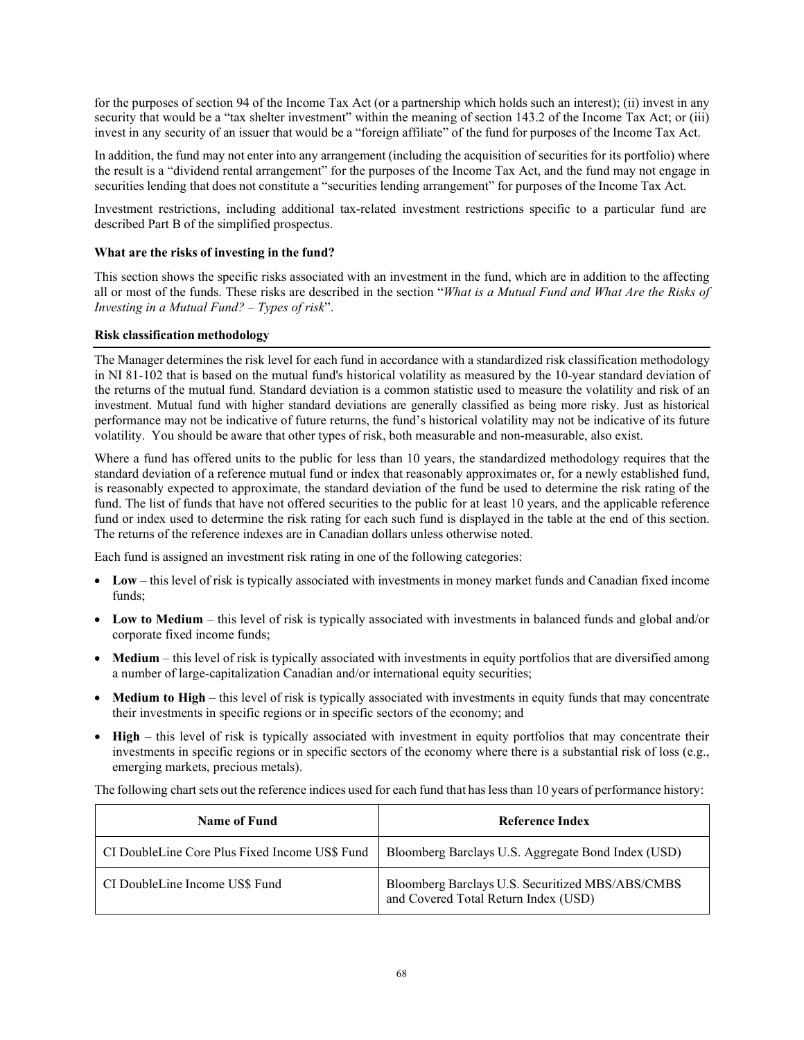for the purposes of section 94 of the Income Tax Act (or a partnership which holds such an interest); (ii) invest in any security that would be a "tax shelter investment" within the meaning of section 143.2 of the Income Tax Act; or (iii) invest in any security of an issuer that would be a "foreign affiliate" of the fund for purposes of the Income Tax Act.

In addition, the fund may not enter into any arrangement (including the acquisition of securities for its portfolio) where the result is a "dividend rental arrangement" for the purposes of the Income Tax Act, and the fund may not engage in securities lending that does not constitute a "securities lending arrangement" for purposes of the Income Tax Act.

Investment restrictions, including additional tax-related investment restrictions specific to a particular fund are described Part B of the simplified prospectus.

## **What are the risks of investing in the fund?**

This section shows the specific risks associated with an investment in the fund, which are in addition to the affecting all or most of the funds. These risks are described in the section "*What is a Mutual Fund and What Are the Risks of Investing in a Mutual Fund? – Types of risk*".

## **Risk classification methodology**

The Manager determines the risk level for each fund in accordance with a standardized risk classification methodology in NI 81-102 that is based on the mutual fund's historical volatility as measured by the 10-year standard deviation of the returns of the mutual fund. Standard deviation is a common statistic used to measure the volatility and risk of an investment. Mutual fund with higher standard deviations are generally classified as being more risky. Just as historical performance may not be indicative of future returns, the fund's historical volatility may not be indicative of its future volatility. You should be aware that other types of risk, both measurable and non-measurable, also exist.

Where a fund has offered units to the public for less than 10 years, the standardized methodology requires that the standard deviation of a reference mutual fund or index that reasonably approximates or, for a newly established fund, is reasonably expected to approximate, the standard deviation of the fund be used to determine the risk rating of the fund. The list of funds that have not offered securities to the public for at least 10 years, and the applicable reference fund or index used to determine the risk rating for each such fund is displayed in the table at the end of this section. The returns of the reference indexes are in Canadian dollars unless otherwise noted.

Each fund is assigned an investment risk rating in one of the following categories:

- **Low** this level of risk is typically associated with investments in money market funds and Canadian fixed income funds;
- **Low to Medium**  this level of risk is typically associated with investments in balanced funds and global and/or corporate fixed income funds;
- **Medium** this level of risk is typically associated with investments in equity portfolios that are diversified among a number of large-capitalization Canadian and/or international equity securities;
- **Medium to High**  this level of risk is typically associated with investments in equity funds that may concentrate their investments in specific regions or in specific sectors of the economy; and
- **High** this level of risk is typically associated with investment in equity portfolios that may concentrate their investments in specific regions or in specific sectors of the economy where there is a substantial risk of loss (e.g., emerging markets, precious metals).

The following chart sets out the reference indices used for each fund that has less than 10 years of performance history:

| Name of Fund                                   | Reference Index                                                                          |
|------------------------------------------------|------------------------------------------------------------------------------------------|
| CI DoubleLine Core Plus Fixed Income US\$ Fund | Bloomberg Barclays U.S. Aggregate Bond Index (USD)                                       |
| CI DoubleLine Income US\$ Fund                 | Bloomberg Barclays U.S. Securitized MBS/ABS/CMBS<br>and Covered Total Return Index (USD) |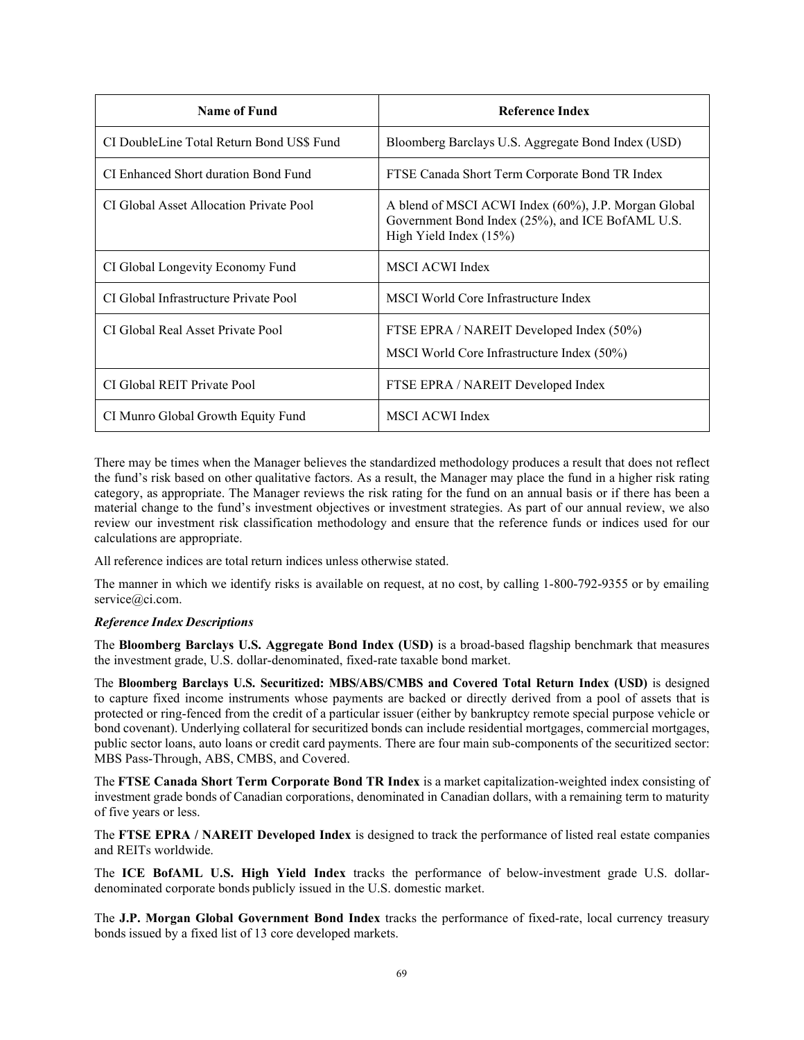| Name of Fund                              | <b>Reference Index</b>                                                                                                             |
|-------------------------------------------|------------------------------------------------------------------------------------------------------------------------------------|
| CI DoubleLine Total Return Bond US\$ Fund | Bloomberg Barclays U.S. Aggregate Bond Index (USD)                                                                                 |
| CI Enhanced Short duration Bond Fund      | FTSE Canada Short Term Corporate Bond TR Index                                                                                     |
| CI Global Asset Allocation Private Pool   | A blend of MSCI ACWI Index (60%), J.P. Morgan Global<br>Government Bond Index (25%), and ICE BofAML U.S.<br>High Yield Index (15%) |
| CI Global Longevity Economy Fund          | <b>MSCI ACWI Index</b>                                                                                                             |
| CI Global Infrastructure Private Pool     | MSCI World Core Infrastructure Index                                                                                               |
| CI Global Real Asset Private Pool         | FTSE EPRA / NAREIT Developed Index (50%)<br>MSCI World Core Infrastructure Index (50%)                                             |
| CI Global REIT Private Pool               | FTSE EPRA / NAREIT Developed Index                                                                                                 |
| CI Munro Global Growth Equity Fund        | <b>MSCI ACWI Index</b>                                                                                                             |

There may be times when the Manager believes the standardized methodology produces a result that does not reflect the fund's risk based on other qualitative factors. As a result, the Manager may place the fund in a higher risk rating category, as appropriate. The Manager reviews the risk rating for the fund on an annual basis or if there has been a material change to the fund's investment objectives or investment strategies. As part of our annual review, we also review our investment risk classification methodology and ensure that the reference funds or indices used for our calculations are appropriate.

All reference indices are total return indices unless otherwise stated.

The manner in which we identify risks is available on request, at no cost, by calling 1-800-792-9355 or by emailing [service@ci.com.](mailto:service@ci.com)

## *Reference Index Descriptions*

The **Bloomberg Barclays U.S. Aggregate Bond Index (USD)** is a broad-based flagship benchmark that measures the investment grade, U.S. dollar-denominated, fixed-rate taxable bond market.

The **Bloomberg Barclays U.S. Securitized: MBS/ABS/CMBS and Covered Total Return Index (USD)** is designed to capture fixed income instruments whose payments are backed or directly derived from a pool of assets that is protected or ring-fenced from the credit of a particular issuer (either by bankruptcy remote special purpose vehicle or bond covenant). Underlying collateral for securitized bonds can include residential mortgages, commercial mortgages, public sector loans, auto loans or credit card payments. There are four main sub-components of the securitized sector: MBS Pass-Through, ABS, CMBS, and Covered.

The **FTSE Canada Short Term Corporate Bond TR Index** is a market capitalization-weighted index consisting of investment grade bonds of Canadian corporations, denominated in Canadian dollars, with a remaining term to maturity of five years or less.

The **FTSE EPRA / NAREIT Developed Index** is designed to track the performance of listed real estate companies and REITs worldwide.

The **ICE BofAML U.S. High Yield Index** tracks the performance of below-investment grade U.S. dollardenominated corporate bonds publicly issued in the U.S. domestic market.

The **J.P. Morgan Global Government Bond Index** tracks the performance of fixed-rate, local currency treasury bonds issued by a fixed list of 13 core developed markets.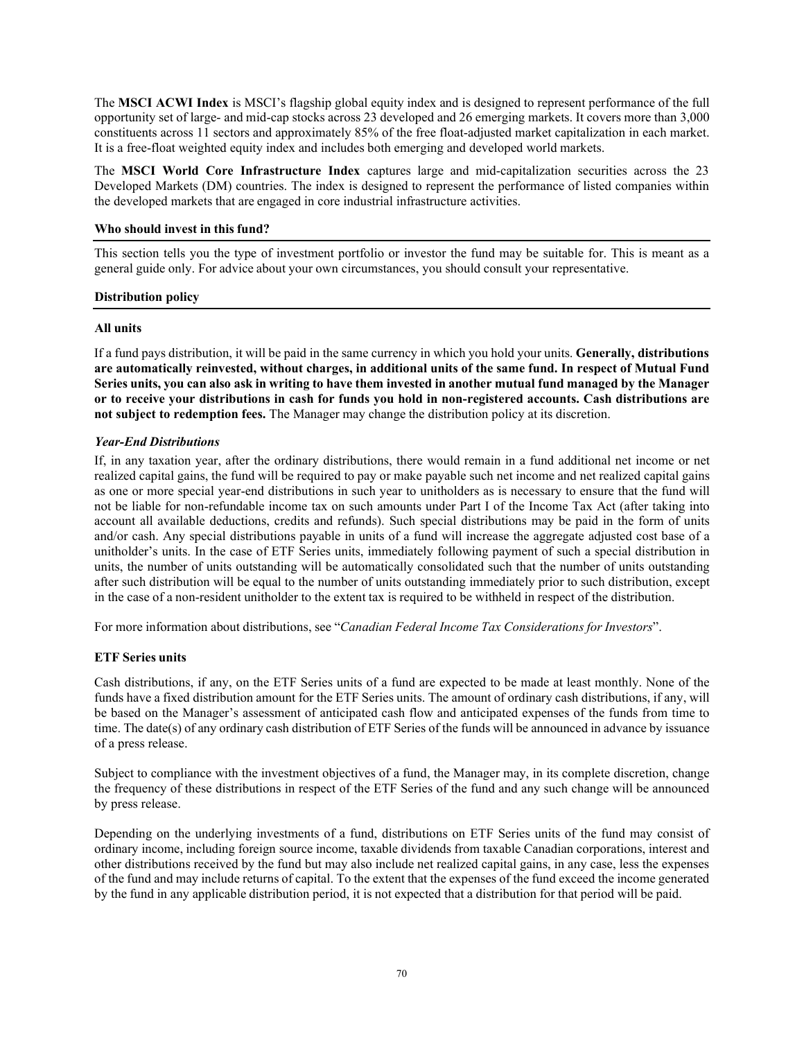The **MSCI ACWI Index** is MSCI's flagship global equity index and is designed to represent performance of the full opportunity set of large- and mid-cap stocks across 23 developed and 26 emerging markets. It covers more than 3,000 constituents across 11 sectors and approximately 85% of the free float-adjusted market capitalization in each market. It is a free-float weighted equity index and includes both emerging and developed world markets.

The **MSCI World Core Infrastructure Index** captures large and mid-capitalization securities across the 23 Developed Markets (DM) countries. The index is designed to represent the performance of listed companies within the developed markets that are engaged in core industrial infrastructure activities.

## **Who should invest in this fund?**

This section tells you the type of investment portfolio or investor the fund may be suitable for. This is meant as a general guide only. For advice about your own circumstances, you should consult your representative.

## **Distribution policy**

## **All units**

If a fund pays distribution, it will be paid in the same currency in which you hold your units. **Generally, distributions are automatically reinvested, without charges, in additional units of the same fund. In respect of Mutual Fund** Series units, you can also ask in writing to have them invested in another mutual fund managed by the Manager **or to receive your distributions in cash for funds you hold in non-registered accounts. Cash distributions are not subject to redemption fees.** The Manager may change the distribution policy at its discretion.

## *Year-End Distributions*

If, in any taxation year, after the ordinary distributions, there would remain in a fund additional net income or net realized capital gains, the fund will be required to pay or make payable such net income and net realized capital gains as one or more special year-end distributions in such year to unitholders as is necessary to ensure that the fund will not be liable for non-refundable income tax on such amounts under Part I of the Income Tax Act (after taking into account all available deductions, credits and refunds). Such special distributions may be paid in the form of units and/or cash. Any special distributions payable in units of a fund will increase the aggregate adjusted cost base of a unitholder's units. In the case of ETF Series units, immediately following payment of such a special distribution in units, the number of units outstanding will be automatically consolidated such that the number of units outstanding after such distribution will be equal to the number of units outstanding immediately prior to such distribution, except in the case of a non-resident unitholder to the extent tax is required to be withheld in respect of the distribution.

For more information about distributions, see "*Canadian Federal Income Tax Considerations for Investors*".

## **ETF Series units**

Cash distributions, if any, on the ETF Series units of a fund are expected to be made at least monthly. None of the funds have a fixed distribution amount for the ETF Series units. The amount of ordinary cash distributions, if any, will be based on the Manager's assessment of anticipated cash flow and anticipated expenses of the funds from time to time. The date(s) of any ordinary cash distribution of ETF Series of the funds will be announced in advance by issuance of a press release.

Subject to compliance with the investment objectives of a fund, the Manager may, in its complete discretion, change the frequency of these distributions in respect of the ETF Series of the fund and any such change will be announced by press release.

Depending on the underlying investments of a fund, distributions on ETF Series units of the fund may consist of ordinary income, including foreign source income, taxable dividends from taxable Canadian corporations, interest and other distributions received by the fund but may also include net realized capital gains, in any case, less the expenses of the fund and may include returns of capital. To the extent that the expenses of the fund exceed the income generated by the fund in any applicable distribution period, it is not expected that a distribution for that period will be paid.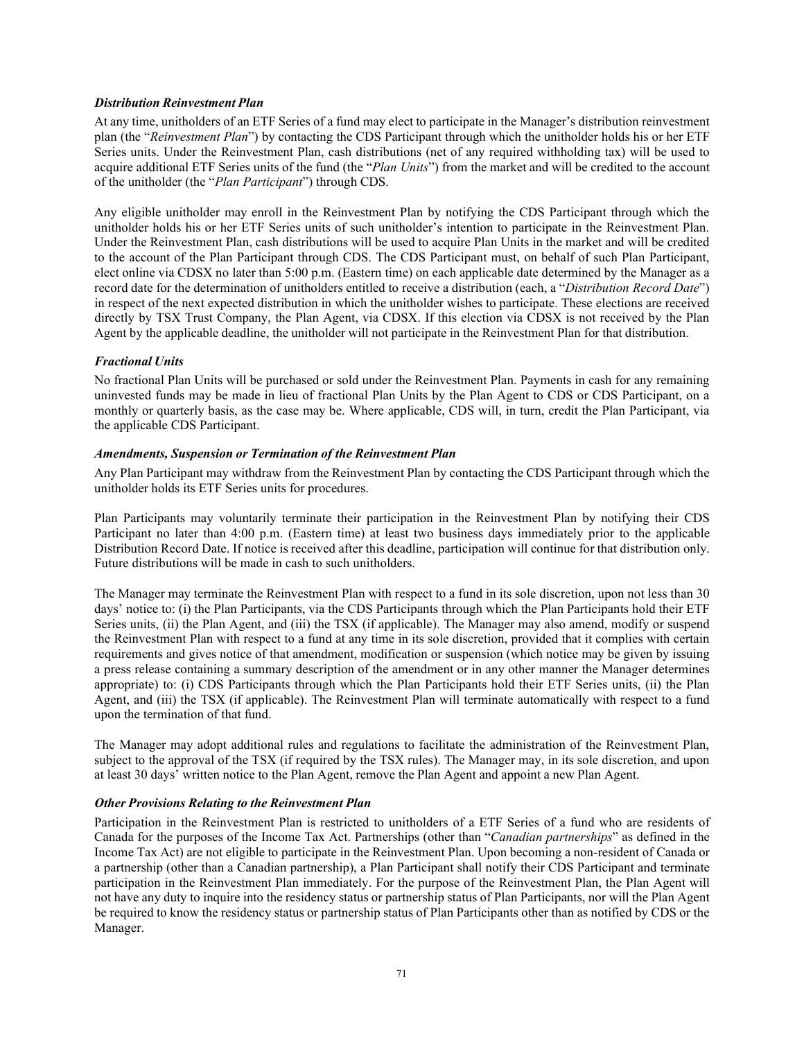## *Distribution Reinvestment Plan*

At any time, unitholders of an ETF Series of a fund may elect to participate in the Manager's distribution reinvestment plan (the "*Reinvestment Plan*") by contacting the CDS Participant through which the unitholder holds his or her ETF Series units. Under the Reinvestment Plan, cash distributions (net of any required withholding tax) will be used to acquire additional ETF Series units of the fund (the "*Plan Units*") from the market and will be credited to the account of the unitholder (the "*Plan Participant*") through CDS.

Any eligible unitholder may enroll in the Reinvestment Plan by notifying the CDS Participant through which the unitholder holds his or her ETF Series units of such unitholder's intention to participate in the Reinvestment Plan. Under the Reinvestment Plan, cash distributions will be used to acquire Plan Units in the market and will be credited to the account of the Plan Participant through CDS. The CDS Participant must, on behalf of such Plan Participant, elect online via CDSX no later than 5:00 p.m. (Eastern time) on each applicable date determined by the Manager as a record date for the determination of unitholders entitled to receive a distribution (each, a "*Distribution Record Date*") in respect of the next expected distribution in which the unitholder wishes to participate. These elections are received directly by TSX Trust Company, the Plan Agent, via CDSX. If this election via CDSX is not received by the Plan Agent by the applicable deadline, the unitholder will not participate in the Reinvestment Plan for that distribution.

## *Fractional Units*

No fractional Plan Units will be purchased or sold under the Reinvestment Plan. Payments in cash for any remaining uninvested funds may be made in lieu of fractional Plan Units by the Plan Agent to CDS or CDS Participant, on a monthly or quarterly basis, as the case may be. Where applicable, CDS will, in turn, credit the Plan Participant, via the applicable CDS Participant.

#### *Amendments, Suspension or Termination of the Reinvestment Plan*

Any Plan Participant may withdraw from the Reinvestment Plan by contacting the CDS Participant through which the unitholder holds its ETF Series units for procedures.

Plan Participants may voluntarily terminate their participation in the Reinvestment Plan by notifying their CDS Participant no later than 4:00 p.m. (Eastern time) at least two business days immediately prior to the applicable Distribution Record Date. If notice is received after this deadline, participation will continue for that distribution only. Future distributions will be made in cash to such unitholders.

The Manager may terminate the Reinvestment Plan with respect to a fund in its sole discretion, upon not less than 30 days' notice to: (i) the Plan Participants, via the CDS Participants through which the Plan Participants hold their ETF Series units, (ii) the Plan Agent, and (iii) the TSX (if applicable). The Manager may also amend, modify or suspend the Reinvestment Plan with respect to a fund at any time in its sole discretion, provided that it complies with certain requirements and gives notice of that amendment, modification or suspension (which notice may be given by issuing a press release containing a summary description of the amendment or in any other manner the Manager determines appropriate) to: (i) CDS Participants through which the Plan Participants hold their ETF Series units, (ii) the Plan Agent, and (iii) the TSX (if applicable). The Reinvestment Plan will terminate automatically with respect to a fund upon the termination of that fund.

The Manager may adopt additional rules and regulations to facilitate the administration of the Reinvestment Plan, subject to the approval of the TSX (if required by the TSX rules). The Manager may, in its sole discretion, and upon at least 30 days' written notice to the Plan Agent, remove the Plan Agent and appoint a new Plan Agent.

#### *Other Provisions Relating to the Reinvestment Plan*

Participation in the Reinvestment Plan is restricted to unitholders of a ETF Series of a fund who are residents of Canada for the purposes of the Income Tax Act. Partnerships (other than "*Canadian partnerships*" as defined in the Income Tax Act) are not eligible to participate in the Reinvestment Plan. Upon becoming a non-resident of Canada or a partnership (other than a Canadian partnership), a Plan Participant shall notify their CDS Participant and terminate participation in the Reinvestment Plan immediately. For the purpose of the Reinvestment Plan, the Plan Agent will not have any duty to inquire into the residency status or partnership status of Plan Participants, nor will the Plan Agent be required to know the residency status or partnership status of Plan Participants other than as notified by CDS or the Manager.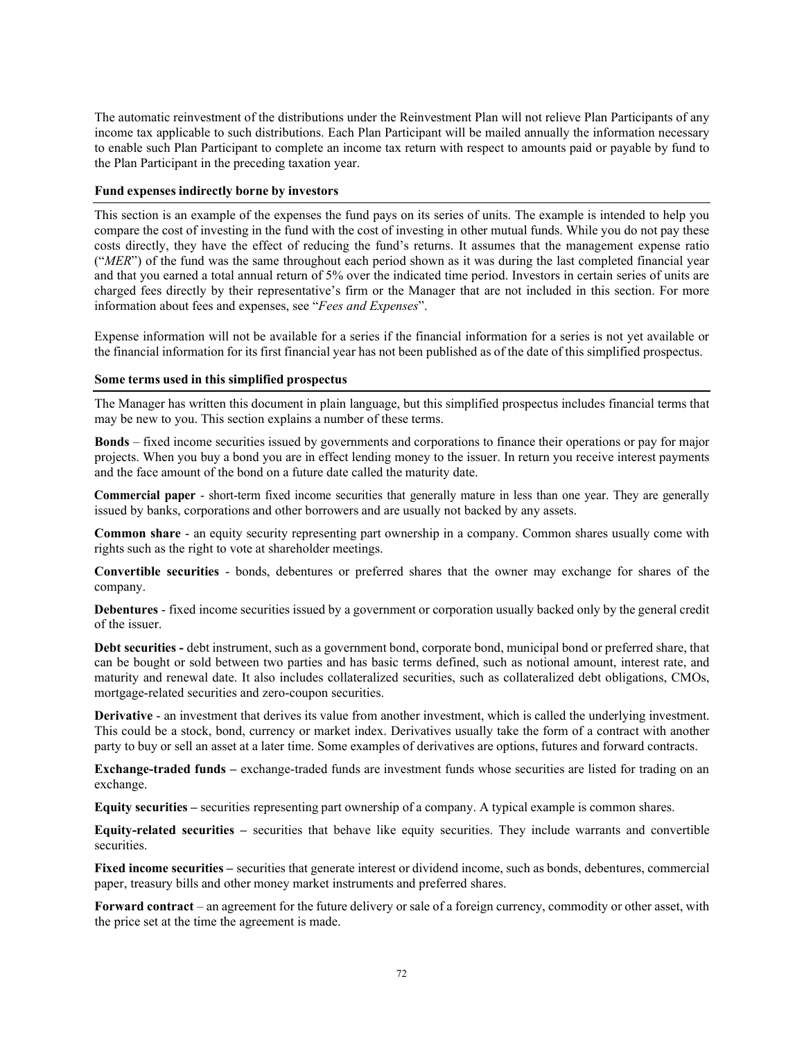The automatic reinvestment of the distributions under the Reinvestment Plan will not relieve Plan Participants of any income tax applicable to such distributions. Each Plan Participant will be mailed annually the information necessary to enable such Plan Participant to complete an income tax return with respect to amounts paid or payable by fund to the Plan Participant in the preceding taxation year.

## **Fund expenses indirectly borne by investors**

This section is an example of the expenses the fund pays on its series of units. The example is intended to help you compare the cost of investing in the fund with the cost of investing in other mutual funds. While you do not pay these costs directly, they have the effect of reducing the fund's returns. It assumes that the management expense ratio ("*MER*") of the fund was the same throughout each period shown as it was during the last completed financial year and that you earned a total annual return of 5% over the indicated time period. Investors in certain series of units are charged fees directly by their representative's firm or the Manager that are not included in this section. For more information about fees and expenses, see "*Fees and Expenses*".

Expense information will not be available for a series if the financial information for a series is not yet available or the financial information for its first financial year has not been published as of the date of this simplified prospectus.

## **Some terms used in this simplified prospectus**

The Manager has written this document in plain language, but this simplified prospectus includes financial terms that may be new to you. This section explains a number of these terms.

**Bonds** – fixed income securities issued by governments and corporations to finance their operations or pay for major projects. When you buy a bond you are in effect lending money to the issuer. In return you receive interest payments and the face amount of the bond on a future date called the maturity date.

**Commercial paper** - short-term fixed income securities that generally mature in less than one year. They are generally issued by banks, corporations and other borrowers and are usually not backed by any assets.

**Common share** - an equity security representing part ownership in a company. Common shares usually come with rights such as the right to vote at shareholder meetings.

**Convertible securities** - bonds, debentures or preferred shares that the owner may exchange for shares of the company.

**Debentures** - fixed income securities issued by a government or corporation usually backed only by the general credit of the issuer.

**Debt securities -** debt instrument, such as a government bond, corporate bond, municipal bond or preferred share, that can be bought or sold between two parties and has basic terms defined, such as notional amount, interest rate, and maturity and renewal date. It also includes collateralized securities, such as collateralized debt obligations, CMOs, mortgage-related securities and zero-coupon securities.

**Derivative** - an investment that derives its value from another investment, which is called the underlying investment. This could be a stock, bond, currency or market index. Derivatives usually take the form of a contract with another party to buy or sell an asset at a later time. Some examples of derivatives are options, futures and forward contracts.

**Exchange-traded funds –** exchange-traded funds are investment funds whose securities are listed for trading on an exchange.

**Equity securities –** securities representing part ownership of a company. A typical example is common shares.

**Equity-related securities –** securities that behave like equity securities. They include warrants and convertible securities.

**Fixed income securities –** securities that generate interest or dividend income, such as bonds, debentures, commercial paper, treasury bills and other money market instruments and preferred shares.

**Forward contract** – an agreement for the future delivery or sale of a foreign currency, commodity or other asset, with the price set at the time the agreement is made.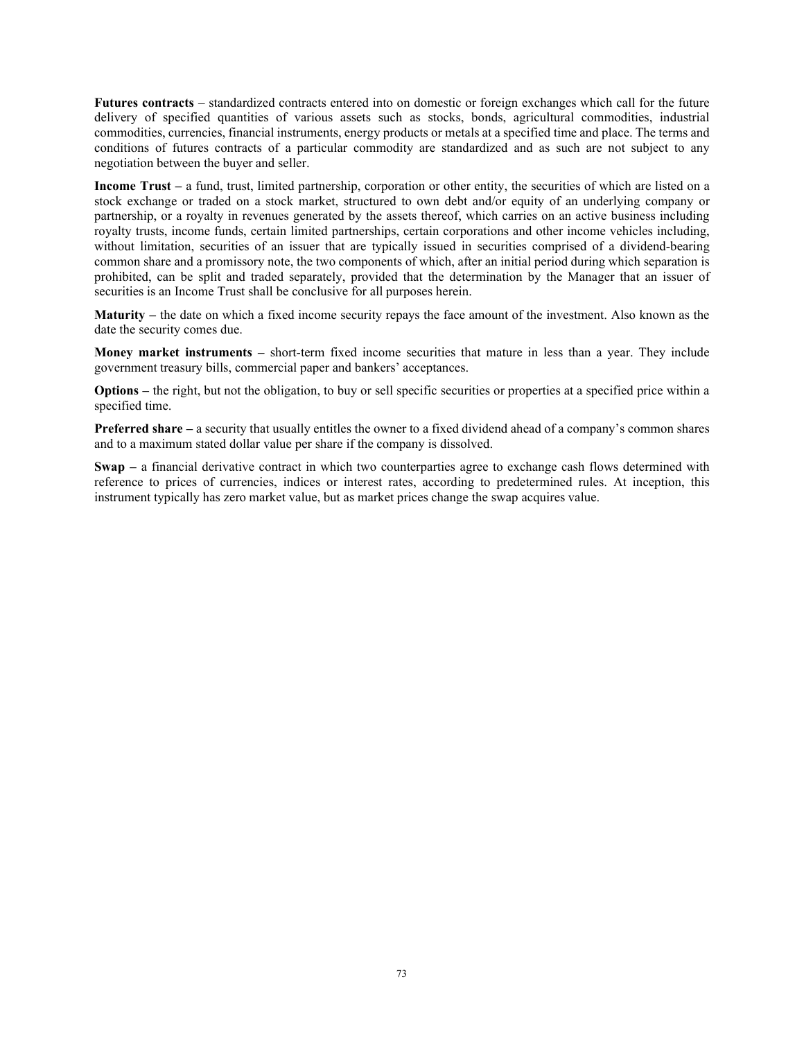**Futures contracts** – standardized contracts entered into on domestic or foreign exchanges which call for the future delivery of specified quantities of various assets such as stocks, bonds, agricultural commodities, industrial commodities, currencies, financial instruments, energy products or metals at a specified time and place. The terms and conditions of futures contracts of a particular commodity are standardized and as such are not subject to any negotiation between the buyer and seller.

**Income Trust –** a fund, trust, limited partnership, corporation or other entity, the securities of which are listed on a stock exchange or traded on a stock market, structured to own debt and/or equity of an underlying company or partnership, or a royalty in revenues generated by the assets thereof, which carries on an active business including royalty trusts, income funds, certain limited partnerships, certain corporations and other income vehicles including, without limitation, securities of an issuer that are typically issued in securities comprised of a dividend-bearing common share and a promissory note, the two components of which, after an initial period during which separation is prohibited, can be split and traded separately, provided that the determination by the Manager that an issuer of securities is an Income Trust shall be conclusive for all purposes herein.

**Maturity –** the date on which a fixed income security repays the face amount of the investment. Also known as the date the security comes due.

**Money market instruments** – short-term fixed income securities that mature in less than a year. They include government treasury bills, commercial paper and bankers' acceptances.

**Options** – the right, but not the obligation, to buy or sell specific securities or properties at a specified price within a specified time.

**Preferred share –** a security that usually entitles the owner to a fixed dividend ahead of a company's common shares and to a maximum stated dollar value per share if the company is dissolved.

**Swap –** a financial derivative contract in which two counterparties agree to exchange cash flows determined with reference to prices of currencies, indices or interest rates, according to predetermined rules. At inception, this instrument typically has zero market value, but as market prices change the swap acquires value.